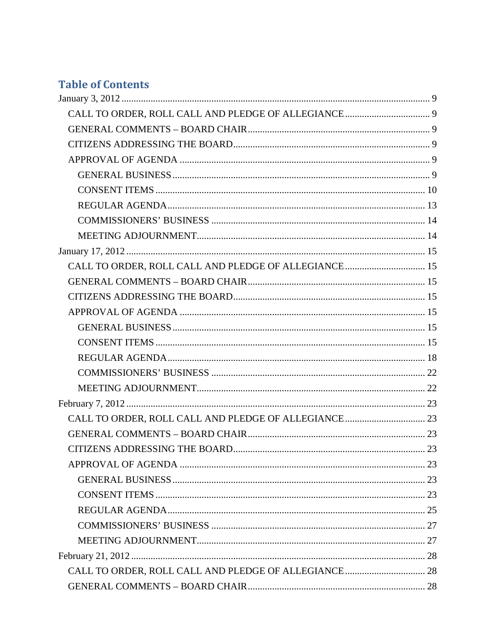# **Table of Contents**

| CALL TO ORDER, ROLL CALL AND PLEDGE OF ALLEGIANCE 15 |  |
|------------------------------------------------------|--|
|                                                      |  |
|                                                      |  |
|                                                      |  |
|                                                      |  |
|                                                      |  |
|                                                      |  |
|                                                      |  |
|                                                      |  |
|                                                      |  |
|                                                      |  |
|                                                      |  |
|                                                      |  |
|                                                      |  |
|                                                      |  |
|                                                      |  |
|                                                      |  |
|                                                      |  |
|                                                      |  |
|                                                      |  |
|                                                      |  |
|                                                      |  |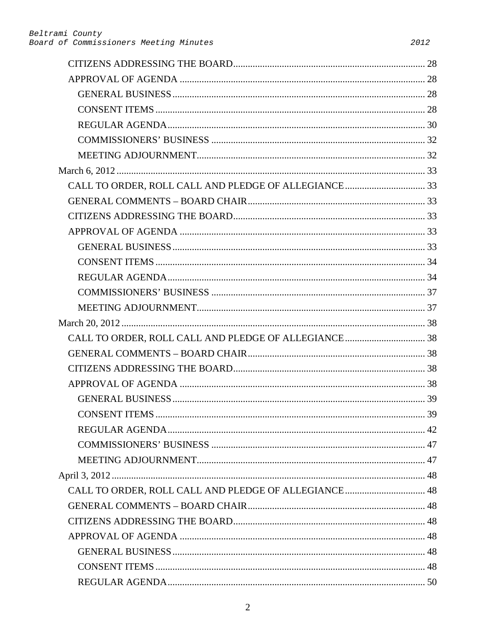| CALL TO ORDER, ROLL CALL AND PLEDGE OF ALLEGIANCE 48 |  |
|------------------------------------------------------|--|
|                                                      |  |
|                                                      |  |
|                                                      |  |
|                                                      |  |
|                                                      |  |
|                                                      |  |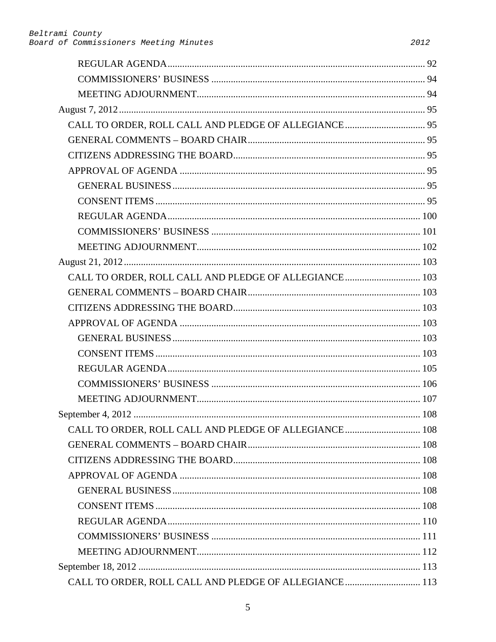| CALL TO ORDER, ROLL CALL AND PLEDGE OF ALLEGIANCE 103 |  |
|-------------------------------------------------------|--|
|                                                       |  |
|                                                       |  |
|                                                       |  |
|                                                       |  |
|                                                       |  |
|                                                       |  |
|                                                       |  |
|                                                       |  |
|                                                       |  |
|                                                       |  |
|                                                       |  |
|                                                       |  |
|                                                       |  |
|                                                       |  |
|                                                       |  |
|                                                       |  |
|                                                       |  |
|                                                       |  |
|                                                       |  |
| CALL TO ORDER, ROLL CALL AND PLEDGE OF ALLEGIANCE 113 |  |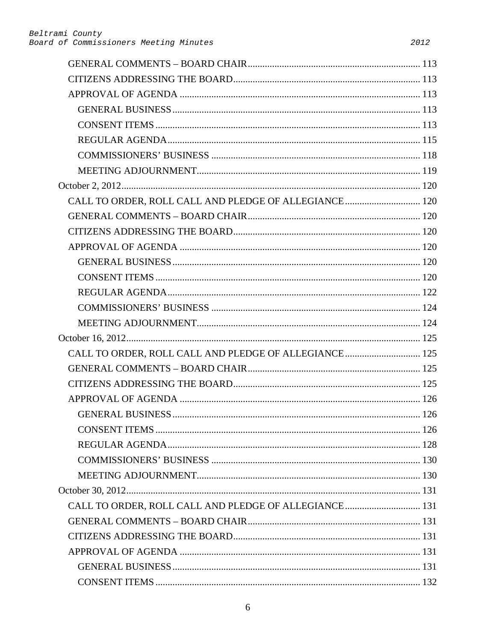| CALL TO ORDER, ROLL CALL AND PLEDGE OF ALLEGIANCE 120 |  |
|-------------------------------------------------------|--|
|                                                       |  |
|                                                       |  |
|                                                       |  |
|                                                       |  |
|                                                       |  |
|                                                       |  |
|                                                       |  |
|                                                       |  |
|                                                       |  |
| CALL TO ORDER, ROLL CALL AND PLEDGE OF ALLEGIANCE 125 |  |
|                                                       |  |
|                                                       |  |
|                                                       |  |
|                                                       |  |
|                                                       |  |
|                                                       |  |
|                                                       |  |
|                                                       |  |
|                                                       |  |
| CALL TO ORDER, ROLL CALL AND PLEDGE OF ALLEGIANCE 131 |  |
|                                                       |  |
|                                                       |  |
|                                                       |  |
|                                                       |  |
|                                                       |  |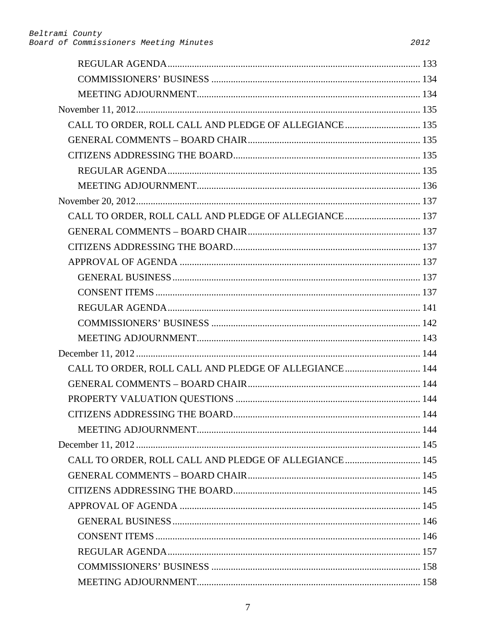| CALL TO ORDER, ROLL CALL AND PLEDGE OF ALLEGIANCE 135 |  |
|-------------------------------------------------------|--|
|                                                       |  |
|                                                       |  |
|                                                       |  |
|                                                       |  |
|                                                       |  |
| CALL TO ORDER, ROLL CALL AND PLEDGE OF ALLEGIANCE 137 |  |
|                                                       |  |
|                                                       |  |
|                                                       |  |
|                                                       |  |
|                                                       |  |
|                                                       |  |
|                                                       |  |
|                                                       |  |
|                                                       |  |
| CALL TO ORDER, ROLL CALL AND PLEDGE OF ALLEGIANCE 144 |  |
|                                                       |  |
|                                                       |  |
|                                                       |  |
|                                                       |  |
|                                                       |  |
| CALL TO ORDER, ROLL CALL AND PLEDGE OF ALLEGIANCE 145 |  |
|                                                       |  |
|                                                       |  |
|                                                       |  |
|                                                       |  |
|                                                       |  |
|                                                       |  |
|                                                       |  |
|                                                       |  |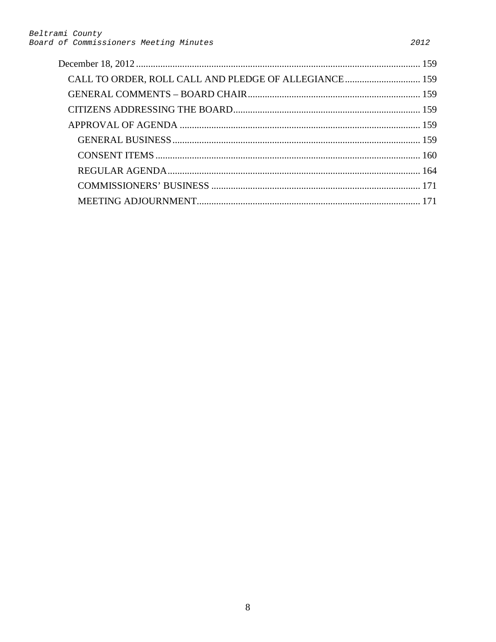| CALL TO ORDER, ROLL CALL AND PLEDGE OF ALLEGIANCE 159 |  |
|-------------------------------------------------------|--|
|                                                       |  |
|                                                       |  |
|                                                       |  |
|                                                       |  |
|                                                       |  |
|                                                       |  |
|                                                       |  |
|                                                       |  |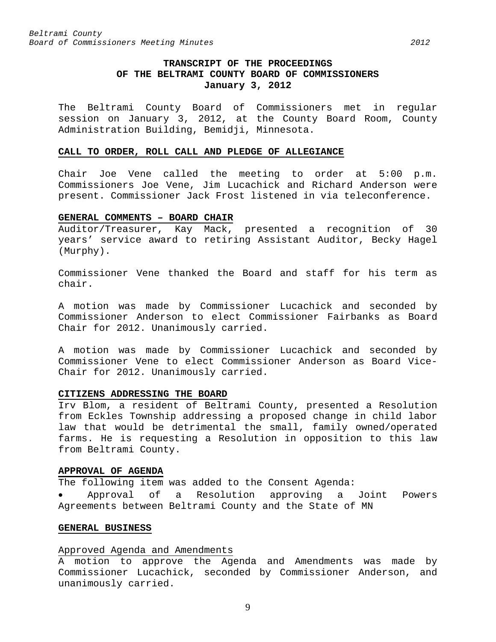# **TRANSCRIPT OF THE PROCEEDINGS OF THE BELTRAMI COUNTY BOARD OF COMMISSIONERS January 3, 2012**

<span id="page-8-0"></span>The Beltrami County Board of Commissioners met in regular session on January 3, 2012, at the County Board Room, County Administration Building, Bemidji, Minnesota.

#### <span id="page-8-1"></span>**CALL TO ORDER, ROLL CALL AND PLEDGE OF ALLEGIANCE**

Chair Joe Vene called the meeting to order at 5:00 p.m. Commissioners Joe Vene, Jim Lucachick and Richard Anderson were present. Commissioner Jack Frost listened in via teleconference.

## <span id="page-8-2"></span>**GENERAL COMMENTS – BOARD CHAIR**

Auditor/Treasurer, Kay Mack, presented a recognition of 30 years' service award to retiring Assistant Auditor, Becky Hagel (Murphy).

Commissioner Vene thanked the Board and staff for his term as chair.

A motion was made by Commissioner Lucachick and seconded by Commissioner Anderson to elect Commissioner Fairbanks as Board Chair for 2012. Unanimously carried.

A motion was made by Commissioner Lucachick and seconded by Commissioner Vene to elect Commissioner Anderson as Board Vice-Chair for 2012. Unanimously carried.

#### <span id="page-8-3"></span>**CITIZENS ADDRESSING THE BOARD**

Irv Blom, a resident of Beltrami County, presented a Resolution from Eckles Township addressing a proposed change in child labor law that would be detrimental the small, family owned/operated farms. He is requesting a Resolution in opposition to this law from Beltrami County.

#### <span id="page-8-4"></span>**APPROVAL OF AGENDA**

The following item was added to the Consent Agenda:

• Approval of a Resolution approving a Joint Powers Agreements between Beltrami County and the State of MN

## <span id="page-8-5"></span>**GENERAL BUSINESS**

## Approved Agenda and Amendments

A motion to approve the Agenda and Amendments was made by Commissioner Lucachick, seconded by Commissioner Anderson, and unanimously carried.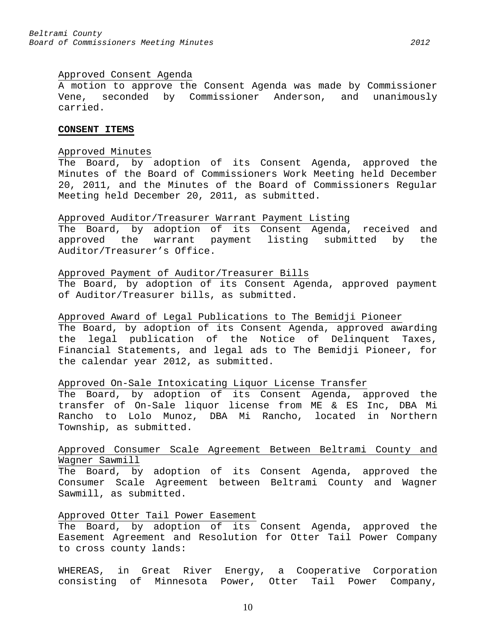## Approved Consent Agenda

A motion to approve the Consent Agenda was made by Commissioner Vene, seconded by Commissioner Anderson, and unanimously carried.

#### <span id="page-9-0"></span>**CONSENT ITEMS**

# Approved Minutes

The Board, by adoption of its Consent Agenda, approved the Minutes of the Board of Commissioners Work Meeting held December 20, 2011, and the Minutes of the Board of Commissioners Regular Meeting held December 20, 2011, as submitted.

#### Approved Auditor/Treasurer Warrant Payment Listing

The Board, by adoption of its Consent Agenda, received and approved the warrant payment listing submitted by the Auditor/Treasurer's Office.

## Approved Payment of Auditor/Treasurer Bills

The Board, by adoption of its Consent Agenda, approved payment of Auditor/Treasurer bills, as submitted.

# Approved Award of Legal Publications to The Bemidji Pioneer

The Board, by adoption of its Consent Agenda, approved awarding the legal publication of the Notice of Delinquent Taxes, Financial Statements, and legal ads to The Bemidji Pioneer, for the calendar year 2012, as submitted.

## Approved On-Sale Intoxicating Liquor License Transfer

The Board, by adoption of its Consent Agenda, approved the transfer of On-Sale liquor license from ME & ES Inc, DBA Mi Rancho to Lolo Munoz, DBA Mi Rancho, located in Northern Township, as submitted.

# Approved Consumer Scale Agreement Between Beltrami County and Wagner Sawmill

The Board, by adoption of its Consent Agenda, approved the Consumer Scale Agreement between Beltrami County and Wagner Sawmill, as submitted.

#### Approved Otter Tail Power Easement

The Board, by adoption of its Consent Agenda, approved the Easement Agreement and Resolution for Otter Tail Power Company to cross county lands:

WHEREAS, in Great River Energy, a Cooperative Corporation consisting of Minnesota Power, Otter Tail Power Company,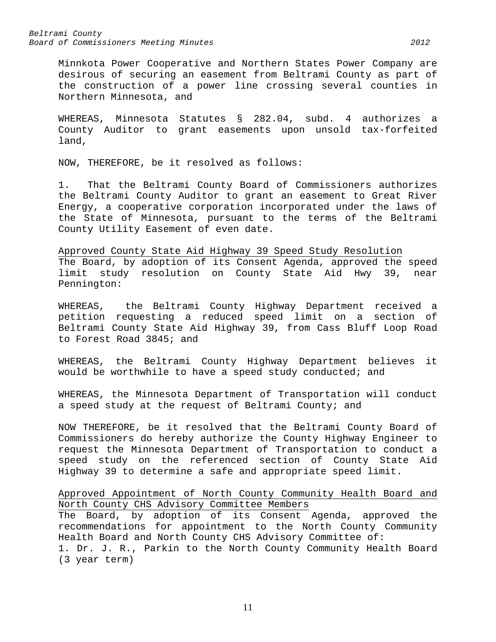Minnkota Power Cooperative and Northern States Power Company are desirous of securing an easement from Beltrami County as part of the construction of a power line crossing several counties in Northern Minnesota, and

WHEREAS, Minnesota Statutes § 282.04, subd. 4 authorizes a County Auditor to grant easements upon unsold tax-forfeited land,

NOW, THEREFORE, be it resolved as follows:

1. That the Beltrami County Board of Commissioners authorizes the Beltrami County Auditor to grant an easement to Great River Energy, a cooperative corporation incorporated under the laws of the State of Minnesota, pursuant to the terms of the Beltrami County Utility Easement of even date.

Approved County State Aid Highway 39 Speed Study Resolution The Board, by adoption of its Consent Agenda, approved the speed limit study resolution on County State Aid Hwy 39, near Pennington:

WHEREAS, the Beltrami County Highway Department received a petition requesting a reduced speed limit on a section of Beltrami County State Aid Highway 39, from Cass Bluff Loop Road to Forest Road 3845; and

WHEREAS, the Beltrami County Highway Department believes it would be worthwhile to have a speed study conducted; and

WHEREAS, the Minnesota Department of Transportation will conduct a speed study at the request of Beltrami County; and

NOW THEREFORE, be it resolved that the Beltrami County Board of Commissioners do hereby authorize the County Highway Engineer to request the Minnesota Department of Transportation to conduct a speed study on the referenced section of County State Aid Highway 39 to determine a safe and appropriate speed limit.

Approved Appointment of North County Community Health Board and North County CHS Advisory Committee Members

The Board, by adoption of its Consent Agenda, approved the recommendations for appointment to the North County Community Health Board and North County CHS Advisory Committee of: 1. Dr. J. R., Parkin to the North County Community Health Board (3 year term)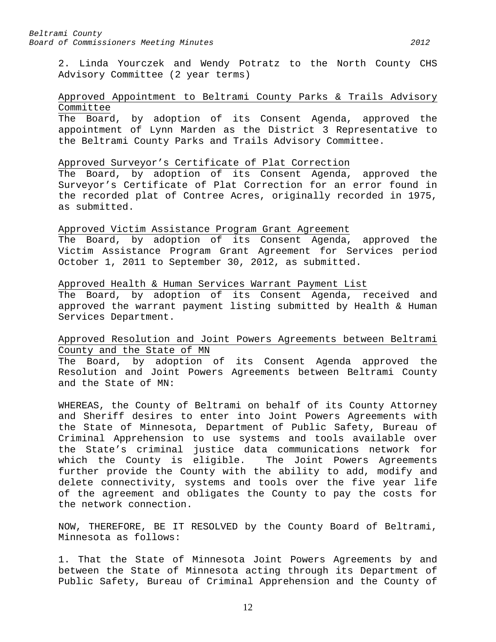2. Linda Yourczek and Wendy Potratz to the North County CHS Advisory Committee (2 year terms)

## Approved Appointment to Beltrami County Parks & Trails Advisory Committee

The Board, by adoption of its Consent Agenda, approved the appointment of Lynn Marden as the District 3 Representative to the Beltrami County Parks and Trails Advisory Committee.

## Approved Surveyor's Certificate of Plat Correction

The Board, by adoption of its Consent Agenda, approved the Surveyor's Certificate of Plat Correction for an error found in the recorded plat of Contree Acres, originally recorded in 1975, as submitted.

## Approved Victim Assistance Program Grant Agreement

The Board, by adoption of its Consent Agenda, approved the Victim Assistance Program Grant Agreement for Services period October 1, 2011 to September 30, 2012, as submitted.

## Approved Health & Human Services Warrant Payment List

The Board, by adoption of its Consent Agenda, received and approved the warrant payment listing submitted by Health & Human Services Department.

# Approved Resolution and Joint Powers Agreements between Beltrami County and the State of MN

The Board, by adoption of its Consent Agenda approved the Resolution and Joint Powers Agreements between Beltrami County and the State of MN:

WHEREAS, the County of Beltrami on behalf of its County Attorney and Sheriff desires to enter into Joint Powers Agreements with the State of Minnesota, Department of Public Safety, Bureau of Criminal Apprehension to use systems and tools available over the State's criminal justice data communications network for which the County is eligible. The Joint Powers Agreements further provide the County with the ability to add, modify and delete connectivity, systems and tools over the five year life of the agreement and obligates the County to pay the costs for the network connection.

NOW, THEREFORE, BE IT RESOLVED by the County Board of Beltrami, Minnesota as follows:

1. That the State of Minnesota Joint Powers Agreements by and between the State of Minnesota acting through its Department of Public Safety, Bureau of Criminal Apprehension and the County of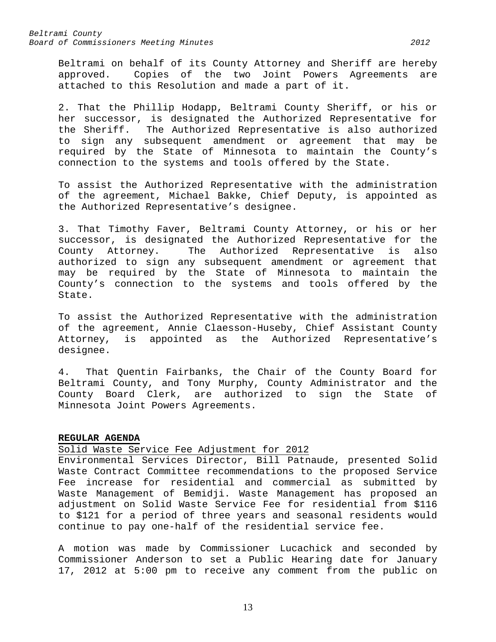Beltrami on behalf of its County Attorney and Sheriff are hereby approved. Copies of the two Joint Powers Agreements are attached to this Resolution and made a part of it.

2. That the Phillip Hodapp, Beltrami County Sheriff, or his or her successor, is designated the Authorized Representative for the Sheriff. The Authorized Representative is also authorized to sign any subsequent amendment or agreement that may be required by the State of Minnesota to maintain the County's connection to the systems and tools offered by the State.

To assist the Authorized Representative with the administration of the agreement, Michael Bakke, Chief Deputy, is appointed as the Authorized Representative's designee.

3. That Timothy Faver, Beltrami County Attorney, or his or her successor, is designated the Authorized Representative for the<br>County Attorney. The Authorized Representative is also The Authorized Representative is also authorized to sign any subsequent amendment or agreement that may be required by the State of Minnesota to maintain the County's connection to the systems and tools offered by the State.

To assist the Authorized Representative with the administration of the agreement, Annie Claesson-Huseby, Chief Assistant County<br>Attorney, is appointed as the Authorized Representative's is appointed as the Authorized Representative's designee.

4. That Quentin Fairbanks, the Chair of the County Board for Beltrami County, and Tony Murphy, County Administrator and the County Board Clerk, are authorized to sign the State of Minnesota Joint Powers Agreements.

## <span id="page-12-0"></span>**REGULAR AGENDA**

Solid Waste Service Fee Adjustment for 2012

Environmental Services Director, Bill Patnaude, presented Solid Waste Contract Committee recommendations to the proposed Service Fee increase for residential and commercial as submitted by Waste Management of Bemidji. Waste Management has proposed an adjustment on Solid Waste Service Fee for residential from \$116 to \$121 for a period of three years and seasonal residents would continue to pay one-half of the residential service fee.

A motion was made by Commissioner Lucachick and seconded by Commissioner Anderson to set a Public Hearing date for January 17, 2012 at 5:00 pm to receive any comment from the public on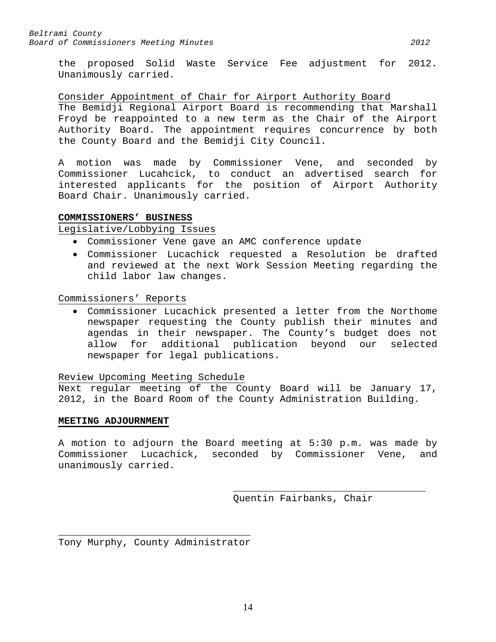the proposed Solid Waste Service Fee adjustment for 2012. Unanimously carried.

# Consider Appointment of Chair for Airport Authority Board

The Bemidji Regional Airport Board is recommending that Marshall Froyd be reappointed to a new term as the Chair of the Airport Authority Board. The appointment requires concurrence by both the County Board and the Bemidji City Council.

A motion was made by Commissioner Vene, and seconded by Commissioner Lucahcick, to conduct an advertised search for interested applicants for the position of Airport Authority Board Chair. Unanimously carried.

# <span id="page-13-0"></span>**COMMISSIONERS' BUSINESS**

# Legislative/Lobbying Issues

- Commissioner Vene gave an AMC conference update
- Commissioner Lucachick requested a Resolution be drafted and reviewed at the next Work Session Meeting regarding the child labor law changes.

Commissioners' Reports

• Commissioner Lucachick presented a letter from the Northome newspaper requesting the County publish their minutes and agendas in their newspaper. The County's budget does not allow for additional publication beyond our selected newspaper for legal publications.

## Review Upcoming Meeting Schedule

Next regular meeting of the County Board will be January 17, 2012, in the Board Room of the County Administration Building.

## <span id="page-13-1"></span>**MEETING ADJOURNMENT**

A motion to adjourn the Board meeting at 5:30 p.m. was made by Commissioner Lucachick, seconded by Commissioner Vene, and unanimously carried.

> \_\_\_\_\_\_\_\_\_\_\_\_\_\_\_\_\_\_\_\_\_\_\_\_\_\_\_\_\_\_\_\_\_ Quentin Fairbanks, Chair

\_\_\_\_\_\_\_\_\_\_\_\_\_\_\_\_\_\_\_\_\_\_\_\_\_\_\_\_\_\_\_\_\_ Tony Murphy, County Administrator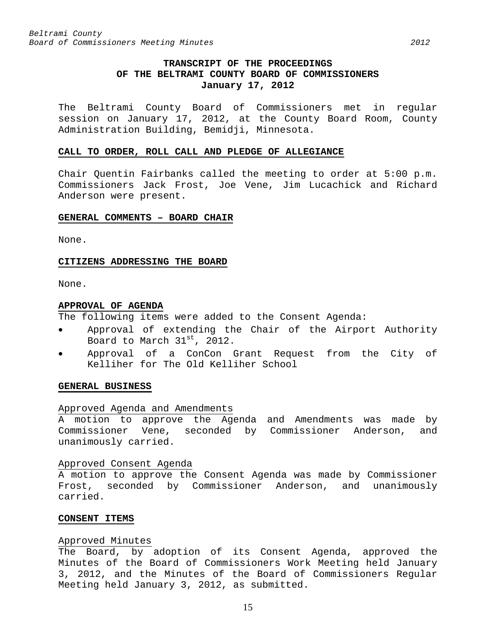# **TRANSCRIPT OF THE PROCEEDINGS OF THE BELTRAMI COUNTY BOARD OF COMMISSIONERS January 17, 2012**

<span id="page-14-0"></span>The Beltrami County Board of Commissioners met in regular session on January 17, 2012, at the County Board Room, County Administration Building, Bemidji, Minnesota.

#### <span id="page-14-1"></span>**CALL TO ORDER, ROLL CALL AND PLEDGE OF ALLEGIANCE**

Chair Quentin Fairbanks called the meeting to order at 5:00 p.m. Commissioners Jack Frost, Joe Vene, Jim Lucachick and Richard Anderson were present.

#### <span id="page-14-2"></span>**GENERAL COMMENTS – BOARD CHAIR**

None.

#### <span id="page-14-3"></span>**CITIZENS ADDRESSING THE BOARD**

None.

#### <span id="page-14-4"></span>**APPROVAL OF AGENDA**

The following items were added to the Consent Agenda:

- Approval of extending the Chair of the Airport Authority Board to March 31<sup>st</sup>, 2012.
- Approval of a ConCon Grant Request from the City of Kelliher for The Old Kelliher School

#### <span id="page-14-5"></span>**GENERAL BUSINESS**

#### Approved Agenda and Amendments

A motion to approve the Agenda and Amendments was made by Commissioner Vene, seconded by Commissioner Anderson, and unanimously carried.

#### Approved Consent Agenda

A motion to approve the Consent Agenda was made by Commissioner Frost, seconded by Commissioner Anderson, and unanimously carried.

#### <span id="page-14-6"></span>**CONSENT ITEMS**

#### Approved Minutes

The Board, by adoption of its Consent Agenda, approved the Minutes of the Board of Commissioners Work Meeting held January 3, 2012, and the Minutes of the Board of Commissioners Regular Meeting held January 3, 2012, as submitted.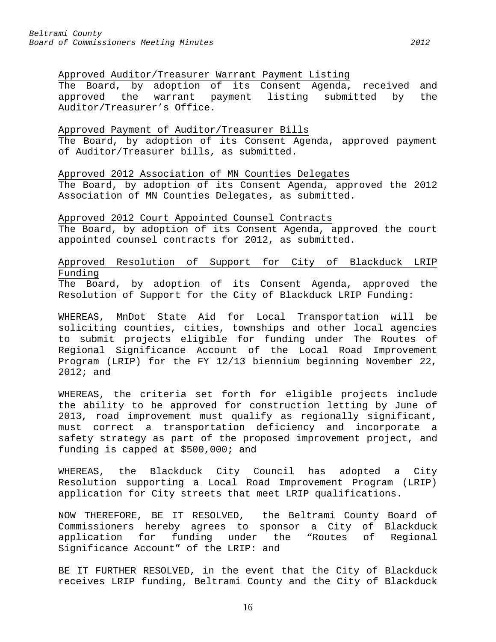## Approved Auditor/Treasurer Warrant Payment Listing

The Board, by adoption of its Consent Agenda, received and approved the warrant payment listing submitted by the Auditor/Treasurer's Office.

### Approved Payment of Auditor/Treasurer Bills

The Board, by adoption of its Consent Agenda, approved payment of Auditor/Treasurer bills, as submitted.

Approved 2012 Association of MN Counties Delegates

The Board, by adoption of its Consent Agenda, approved the 2012 Association of MN Counties Delegates, as submitted.

## Approved 2012 Court Appointed Counsel Contracts

The Board, by adoption of its Consent Agenda, approved the court appointed counsel contracts for 2012, as submitted.

# Approved Resolution of Support for City of Blackduck LRIP Funding

The Board, by adoption of its Consent Agenda, approved the Resolution of Support for the City of Blackduck LRIP Funding:

WHEREAS, MnDot State Aid for Local Transportation will be soliciting counties, cities, townships and other local agencies to submit projects eligible for funding under The Routes of Regional Significance Account of the Local Road Improvement Program (LRIP) for the FY 12/13 biennium beginning November 22, 2012; and

WHEREAS, the criteria set forth for eligible projects include the ability to be approved for construction letting by June of 2013, road improvement must qualify as regionally significant, must correct a transportation deficiency and incorporate a safety strategy as part of the proposed improvement project, and funding is capped at \$500,000; and

WHEREAS, the Blackduck City Council has adopted a City Resolution supporting a Local Road Improvement Program (LRIP) application for City streets that meet LRIP qualifications.

NOW THEREFORE, BE IT RESOLVED, the Beltrami County Board of Commissioners hereby agrees to sponsor a City of Blackduck application for funding under the "Routes of Regional Significance Account" of the LRIP: and

BE IT FURTHER RESOLVED, in the event that the City of Blackduck receives LRIP funding, Beltrami County and the City of Blackduck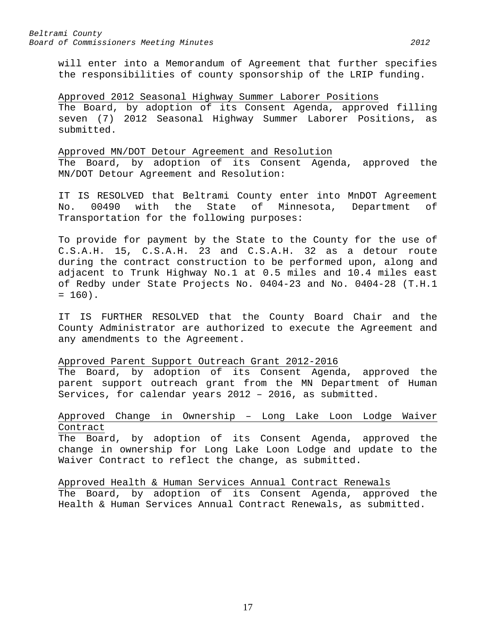will enter into a Memorandum of Agreement that further specifies the responsibilities of county sponsorship of the LRIP funding.

# Approved 2012 Seasonal Highway Summer Laborer Positions

The Board, by adoption of its Consent Agenda, approved filling seven (7) 2012 Seasonal Highway Summer Laborer Positions, as submitted.

## Approved MN/DOT Detour Agreement and Resolution

The Board, by adoption of its Consent Agenda, approved the MN/DOT Detour Agreement and Resolution:

IT IS RESOLVED that Beltrami County enter into MnDOT Agreement<br>No. 00490 with the State of Minnesota, Department of No. 00490 with the State of Minnesota, Department of Transportation for the following purposes:

To provide for payment by the State to the County for the use of C.S.A.H. 15, C.S.A.H. 23 and C.S.A.H. 32 as a detour route during the contract construction to be performed upon, along and adjacent to Trunk Highway No.1 at 0.5 miles and 10.4 miles east of Redby under State Projects No. 0404-23 and No. 0404-28 (T.H.1  $= 160$ .

IT IS FURTHER RESOLVED that the County Board Chair and the County Administrator are authorized to execute the Agreement and any amendments to the Agreement.

# Approved Parent Support Outreach Grant 2012-2016

The Board, by adoption of its Consent Agenda, approved the parent support outreach grant from the MN Department of Human Services, for calendar years 2012 – 2016, as submitted.

# Approved Change in Ownership – Long Lake Loon Lodge Waiver Contract

The Board, by adoption of its Consent Agenda, approved the change in ownership for Long Lake Loon Lodge and update to the Waiver Contract to reflect the change, as submitted.

Approved Health & Human Services Annual Contract Renewals The Board, by adoption of its Consent Agenda, approved the Health & Human Services Annual Contract Renewals, as submitted.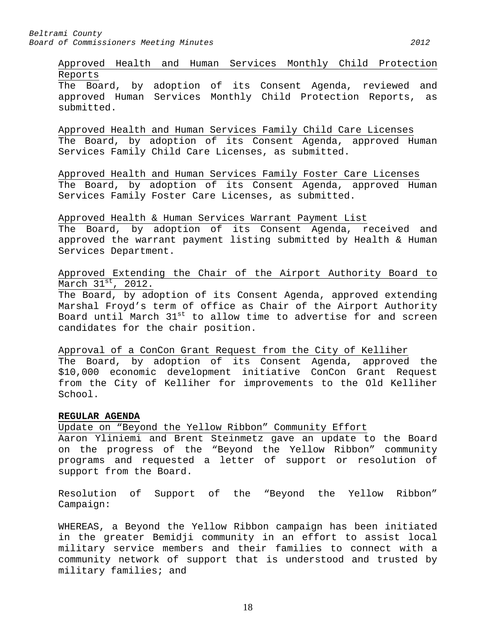Approved Health and Human Services Monthly Child Protection Reports The Board, by adoption of its Consent Agenda, reviewed and approved Human Services Monthly Child Protection Reports, as submitted.

Approved Health and Human Services Family Child Care Licenses The Board, by adoption of its Consent Agenda, approved Human Services Family Child Care Licenses, as submitted.

Approved Health and Human Services Family Foster Care Licenses The Board, by adoption of its Consent Agenda, approved Human Services Family Foster Care Licenses, as submitted.

Approved Health & Human Services Warrant Payment List The Board, by adoption of its Consent Agenda, received and approved the warrant payment listing submitted by Health & Human Services Department.

Approved Extending the Chair of the Airport Authority Board to March  $31^\text{st}$ , 2012.

The Board, by adoption of its Consent Agenda, approved extending Marshal Froyd's term of office as Chair of the Airport Authority Board until March 31<sup>st</sup> to allow time to advertise for and screen candidates for the chair position.

Approval of a ConCon Grant Request from the City of Kelliher The Board, by adoption of its Consent Agenda, approved the \$10,000 economic development initiative ConCon Grant Request from the City of Kelliher for improvements to the Old Kelliher School.

# <span id="page-17-0"></span>**REGULAR AGENDA**

Update on "Beyond the Yellow Ribbon" Community Effort

Aaron Yliniemi and Brent Steinmetz gave an update to the Board on the progress of the "Beyond the Yellow Ribbon" community programs and requested a letter of support or resolution of support from the Board.

Resolution of Support of the "Beyond the Yellow Ribbon" Campaign:

WHEREAS, a Beyond the Yellow Ribbon campaign has been initiated in the greater Bemidji community in an effort to assist local military service members and their families to connect with a community network of support that is understood and trusted by military families; and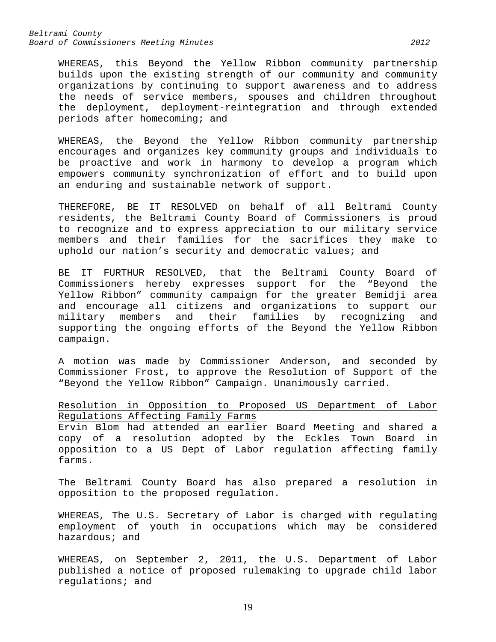WHEREAS, this Beyond the Yellow Ribbon community partnership builds upon the existing strength of our community and community organizations by continuing to support awareness and to address the needs of service members, spouses and children throughout the deployment, deployment-reintegration and through extended periods after homecoming; and

WHEREAS, the Beyond the Yellow Ribbon community partnership encourages and organizes key community groups and individuals to be proactive and work in harmony to develop a program which empowers community synchronization of effort and to build upon an enduring and sustainable network of support.

THEREFORE, BE IT RESOLVED on behalf of all Beltrami County residents, the Beltrami County Board of Commissioners is proud to recognize and to express appreciation to our military service members and their families for the sacrifices they make to uphold our nation's security and democratic values; and

BE IT FURTHUR RESOLVED, that the Beltrami County Board of Commissioners hereby expresses support for the "Beyond the Yellow Ribbon" community campaign for the greater Bemidji area and encourage all citizens and organizations to support our military members and their families by recognizing and supporting the ongoing efforts of the Beyond the Yellow Ribbon campaign.

A motion was made by Commissioner Anderson, and seconded by Commissioner Frost, to approve the Resolution of Support of the "Beyond the Yellow Ribbon" Campaign. Unanimously carried.

Resolution in Opposition to Proposed US Department of Labor Regulations Affecting Family Farms

Ervin Blom had attended an earlier Board Meeting and shared a copy of a resolution adopted by the Eckles Town Board in opposition to a US Dept of Labor regulation affecting family farms.

The Beltrami County Board has also prepared a resolution in opposition to the proposed regulation.

WHEREAS, The U.S. Secretary of Labor is charged with regulating employment of youth in occupations which may be considered hazardous; and

WHEREAS, on September 2, 2011, the U.S. Department of Labor published a notice of proposed rulemaking to upgrade child labor regulations; and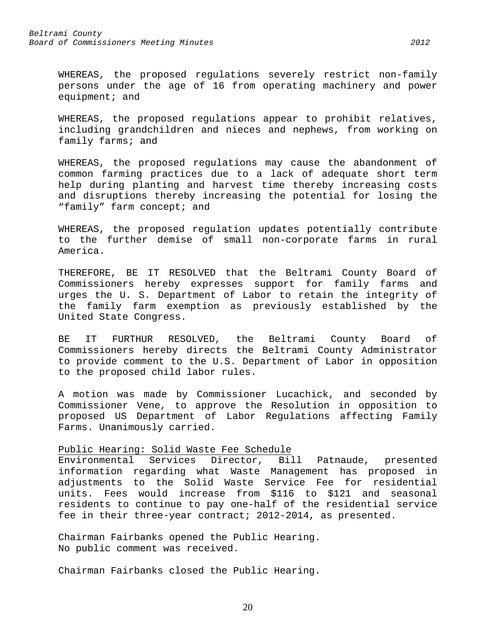WHEREAS, the proposed regulations severely restrict non-family persons under the age of 16 from operating machinery and power equipment; and

WHEREAS, the proposed regulations appear to prohibit relatives, including grandchildren and nieces and nephews, from working on family farms; and

WHEREAS, the proposed regulations may cause the abandonment of common farming practices due to a lack of adequate short term help during planting and harvest time thereby increasing costs and disruptions thereby increasing the potential for losing the "family" farm concept; and

WHEREAS, the proposed regulation updates potentially contribute to the further demise of small non-corporate farms in rural America.

THEREFORE, BE IT RESOLVED that the Beltrami County Board of Commissioners hereby expresses support for family farms and urges the U. S. Department of Labor to retain the integrity of the family farm exemption as previously established by the United State Congress.

BE IT FURTHUR RESOLVED, the Beltrami County Board of Commissioners hereby directs the Beltrami County Administrator to provide comment to the U.S. Department of Labor in opposition to the proposed child labor rules.

A motion was made by Commissioner Lucachick, and seconded by Commissioner Vene, to approve the Resolution in opposition to proposed US Department of Labor Regulations affecting Family Farms. Unanimously carried.

# Public Hearing: Solid Waste Fee Schedule<br>Environmental Services Director, Bil

Services Director, Bill Patnaude, presented information regarding what Waste Management has proposed in adjustments to the Solid Waste Service Fee for residential units. Fees would increase from \$116 to \$121 and seasonal residents to continue to pay one-half of the residential service fee in their three-year contract; 2012-2014, as presented.

20

Chairman Fairbanks opened the Public Hearing. No public comment was received.

Chairman Fairbanks closed the Public Hearing.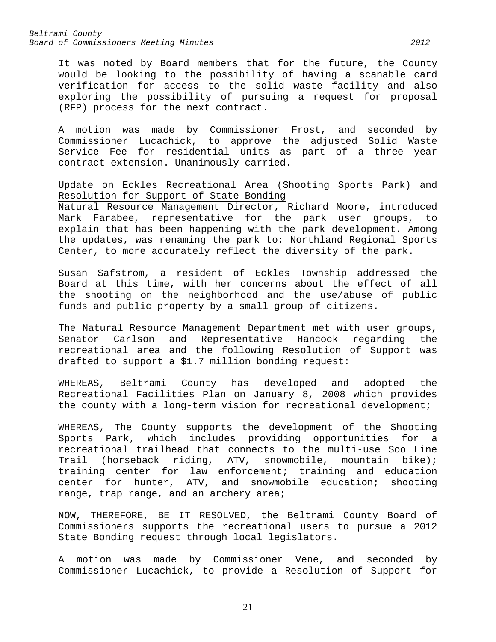It was noted by Board members that for the future, the County would be looking to the possibility of having a scanable card verification for access to the solid waste facility and also exploring the possibility of pursuing a request for proposal (RFP) process for the next contract.

A motion was made by Commissioner Frost, and seconded by Commissioner Lucachick, to approve the adjusted Solid Waste Service Fee for residential units as part of a three year contract extension. Unanimously carried.

Update on Eckles Recreational Area (Shooting Sports Park) and Resolution for Support of State Bonding

Natural Resource Management Director, Richard Moore, introduced Mark Farabee, representative for the park user groups, to explain that has been happening with the park development. Among the updates, was renaming the park to: Northland Regional Sports Center, to more accurately reflect the diversity of the park.

Susan Safstrom, a resident of Eckles Township addressed the Board at this time, with her concerns about the effect of all the shooting on the neighborhood and the use/abuse of public funds and public property by a small group of citizens.

The Natural Resource Management Department met with user groups,<br>Senator Carlson and Representative Hancock regarding the Carlson and Representative Hancock regarding the recreational area and the following Resolution of Support was drafted to support a \$1.7 million bonding request:

WHEREAS, Beltrami County has developed and adopted the Recreational Facilities Plan on January 8, 2008 which provides the county with a long-term vision for recreational development;

WHEREAS, The County supports the development of the Shooting Sports Park, which includes providing opportunities for a recreational trailhead that connects to the multi-use Soo Line Trail (horseback riding, ATV, snowmobile, mountain bike); training center for law enforcement; training and education center for hunter, ATV, and snowmobile education; shooting range, trap range, and an archery area;

NOW, THEREFORE, BE IT RESOLVED, the Beltrami County Board of Commissioners supports the recreational users to pursue a 2012 State Bonding request through local legislators.

A motion was made by Commissioner Vene, and seconded by Commissioner Lucachick, to provide a Resolution of Support for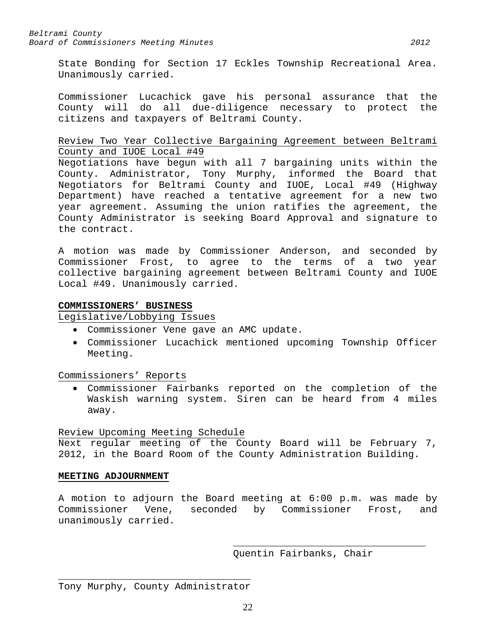State Bonding for Section 17 Eckles Township Recreational Area. Unanimously carried.

Commissioner Lucachick gave his personal assurance that the County will do all due-diligence necessary to protect the citizens and taxpayers of Beltrami County.

# Review Two Year Collective Bargaining Agreement between Beltrami County and IUOE Local #49

Negotiations have begun with all 7 bargaining units within the County. Administrator, Tony Murphy, informed the Board that Negotiators for Beltrami County and IUOE, Local #49 (Highway Department) have reached a tentative agreement for a new two year agreement. Assuming the union ratifies the agreement, the County Administrator is seeking Board Approval and signature to the contract.

A motion was made by Commissioner Anderson, and seconded by Commissioner Frost, to agree to the terms of a two year collective bargaining agreement between Beltrami County and IUOE Local #49. Unanimously carried.

# <span id="page-21-0"></span>**COMMISSIONERS' BUSINESS**

Legislative/Lobbying Issues

- Commissioner Vene gave an AMC update.
- Commissioner Lucachick mentioned upcoming Township Officer Meeting.

Commissioners' Reports

• Commissioner Fairbanks reported on the completion of the Waskish warning system. Siren can be heard from 4 miles away.

## Review Upcoming Meeting Schedule

Next regular meeting of the County Board will be February 7, 2012, in the Board Room of the County Administration Building.

## <span id="page-21-1"></span>**MEETING ADJOURNMENT**

A motion to adjourn the Board meeting at 6:00 p.m. was made by Commissioner Vene, seconded by Commissioner Frost, and unanimously carried.

> \_\_\_\_\_\_\_\_\_\_\_\_\_\_\_\_\_\_\_\_\_\_\_\_\_\_\_\_\_\_\_\_\_ Quentin Fairbanks, Chair

\_\_\_\_\_\_\_\_\_\_\_\_\_\_\_\_\_\_\_\_\_\_\_\_\_\_\_\_\_\_\_\_\_ Tony Murphy, County Administrator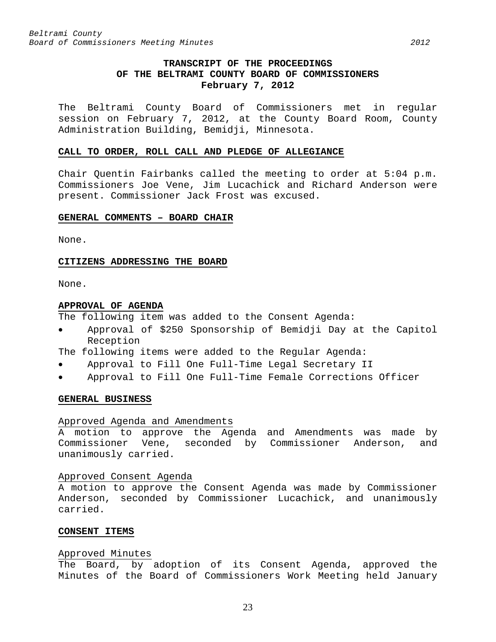# **TRANSCRIPT OF THE PROCEEDINGS OF THE BELTRAMI COUNTY BOARD OF COMMISSIONERS February 7, 2012**

<span id="page-22-0"></span>The Beltrami County Board of Commissioners met in regular session on February 7, 2012, at the County Board Room, County Administration Building, Bemidji, Minnesota.

#### <span id="page-22-1"></span>**CALL TO ORDER, ROLL CALL AND PLEDGE OF ALLEGIANCE**

Chair Quentin Fairbanks called the meeting to order at 5:04 p.m. Commissioners Joe Vene, Jim Lucachick and Richard Anderson were present. Commissioner Jack Frost was excused.

#### <span id="page-22-2"></span>**GENERAL COMMENTS – BOARD CHAIR**

None.

#### <span id="page-22-3"></span>**CITIZENS ADDRESSING THE BOARD**

None.

#### <span id="page-22-4"></span>**APPROVAL OF AGENDA**

The following item was added to the Consent Agenda:

• Approval of \$250 Sponsorship of Bemidji Day at the Capitol Reception

The following items were added to the Regular Agenda:

- Approval to Fill One Full-Time Legal Secretary II
- Approval to Fill One Full-Time Female Corrections Officer

#### <span id="page-22-5"></span>**GENERAL BUSINESS**

#### Approved Agenda and Amendments

A motion to approve the Agenda and Amendments was made by Commissioner Vene, seconded by Commissioner Anderson, and unanimously carried.

#### Approved Consent Agenda

A motion to approve the Consent Agenda was made by Commissioner Anderson, seconded by Commissioner Lucachick, and unanimously carried.

## <span id="page-22-6"></span>**CONSENT ITEMS**

#### Approved Minutes

The Board, by adoption of its Consent Agenda, approved the Minutes of the Board of Commissioners Work Meeting held January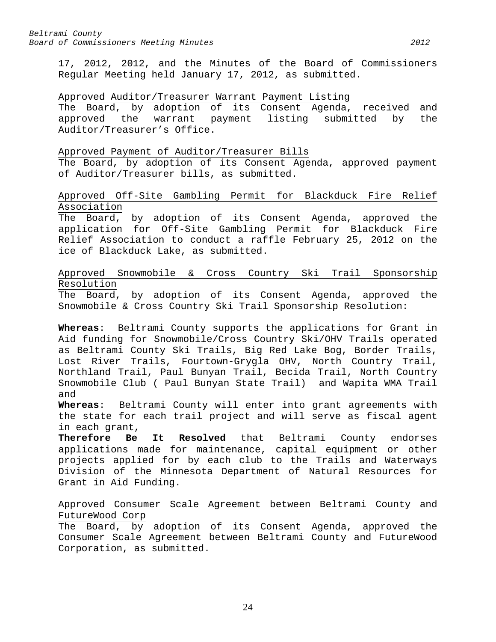17, 2012, 2012, and the Minutes of the Board of Commissioners Regular Meeting held January 17, 2012, as submitted.

## Approved Auditor/Treasurer Warrant Payment Listing

The Board, by adoption of its Consent Agenda, received and<br>approved the warrant payment listing submitted by the approved the warrant payment listing submitted by the Auditor/Treasurer's Office.

## Approved Payment of Auditor/Treasurer Bills

The Board, by adoption of its Consent Agenda, approved payment of Auditor/Treasurer bills, as submitted.

# Approved Off-Site Gambling Permit for Blackduck Fire Relief Association

The Board, by adoption of its Consent Agenda, approved the application for Off-Site Gambling Permit for Blackduck Fire Relief Association to conduct a raffle February 25, 2012 on the ice of Blackduck Lake, as submitted.

# Approved Snowmobile & Cross Country Ski Trail Sponsorship Resolution

The Board, by adoption of its Consent Agenda, approved the Snowmobile & Cross Country Ski Trail Sponsorship Resolution:

**Whereas**: Beltrami County supports the applications for Grant in Aid funding for Snowmobile/Cross Country Ski/OHV Trails operated as Beltrami County Ski Trails, Big Red Lake Bog, Border Trails, Lost River Trails, Fourtown-Grygla OHV, North Country Trail, Northland Trail, Paul Bunyan Trail, Becida Trail, North Country Snowmobile Club ( Paul Bunyan State Trail) and Wapita WMA Trail and

**Whereas**: Beltrami County will enter into grant agreements with the state for each trail project and will serve as fiscal agent in each grant,<br>Therefore Be

It Resolved that Beltrami County endorses applications made for maintenance, capital equipment or other projects applied for by each club to the Trails and Waterways Division of the Minnesota Department of Natural Resources for Grant in Aid Funding.

# Approved Consumer Scale Agreement between Beltrami County and FutureWood Corp

The Board, by adoption of its Consent Agenda, approved the Consumer Scale Agreement between Beltrami County and FutureWood Corporation, as submitted.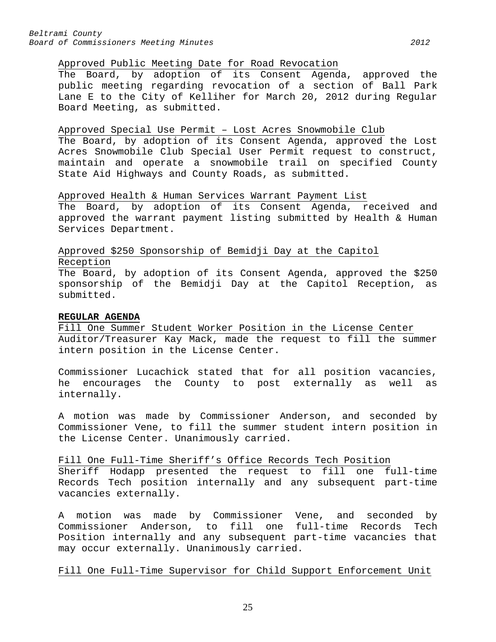## Approved Public Meeting Date for Road Revocation

The Board, by adoption of its Consent Agenda, approved the public meeting regarding revocation of a section of Ball Park Lane E to the City of Kelliher for March 20, 2012 during Regular Board Meeting, as submitted.

#### Approved Special Use Permit – Lost Acres Snowmobile Club

The Board, by adoption of its Consent Agenda, approved the Lost Acres Snowmobile Club Special User Permit request to construct, maintain and operate a snowmobile trail on specified County State Aid Highways and County Roads, as submitted.

# Approved Health & Human Services Warrant Payment List

The Board, by adoption of its Consent Agenda, received and approved the warrant payment listing submitted by Health & Human Services Department.

# Approved \$250 Sponsorship of Bemidji Day at the Capitol Reception

The Board, by adoption of its Consent Agenda, approved the \$250 sponsorship of the Bemidji Day at the Capitol Reception, as submitted.

## <span id="page-24-0"></span>**REGULAR AGENDA**

Fill One Summer Student Worker Position in the License Center Auditor/Treasurer Kay Mack, made the request to fill the summer intern position in the License Center.

Commissioner Lucachick stated that for all position vacancies, he encourages the County to post externally as well as internally.

A motion was made by Commissioner Anderson, and seconded by Commissioner Vene, to fill the summer student intern position in the License Center. Unanimously carried.

#### Fill One Full-Time Sheriff's Office Records Tech Position

Sheriff Hodapp presented the request to fill one full-time Records Tech position internally and any subsequent part-time vacancies externally.

A motion was made by Commissioner Vene, and seconded by Commissioner Anderson, to fill one full-time Records Tech Position internally and any subsequent part-time vacancies that may occur externally. Unanimously carried.

## Fill One Full-Time Supervisor for Child Support Enforcement Unit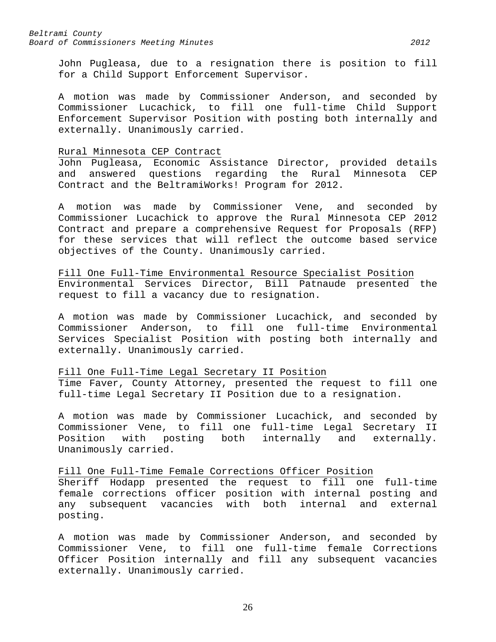John Pugleasa, due to a resignation there is position to fill for a Child Support Enforcement Supervisor.

A motion was made by Commissioner Anderson, and seconded by Commissioner Lucachick, to fill one full-time Child Support Enforcement Supervisor Position with posting both internally and externally. Unanimously carried.

#### Rural Minnesota CEP Contract

John Pugleasa, Economic Assistance Director, provided details and answered questions regarding the Rural Minnesota CEP Contract and the BeltramiWorks! Program for 2012.

A motion was made by Commissioner Vene, and seconded by Commissioner Lucachick to approve the Rural Minnesota CEP 2012 Contract and prepare a comprehensive Request for Proposals (RFP) for these services that will reflect the outcome based service objectives of the County. Unanimously carried.

Fill One Full-Time Environmental Resource Specialist Position Environmental Services Director, Bill Patnaude presented the request to fill a vacancy due to resignation.

A motion was made by Commissioner Lucachick, and seconded by Commissioner Anderson, to fill one full-time Environmental Services Specialist Position with posting both internally and externally. Unanimously carried.

## Fill One Full-Time Legal Secretary II Position

Time Faver, County Attorney, presented the request to fill one full-time Legal Secretary II Position due to a resignation.

A motion was made by Commissioner Lucachick, and seconded by Commissioner Vene, to fill one full-time Legal Secretary II Position with posting both internally and externally. Unanimously carried.

## Fill One Full-Time Female Corrections Officer Position

Sheriff Hodapp presented the request to fill one full-time female corrections officer position with internal posting and any subsequent vacancies with both internal and external posting.

A motion was made by Commissioner Anderson, and seconded by Commissioner Vene, to fill one full-time female Corrections Officer Position internally and fill any subsequent vacancies externally. Unanimously carried.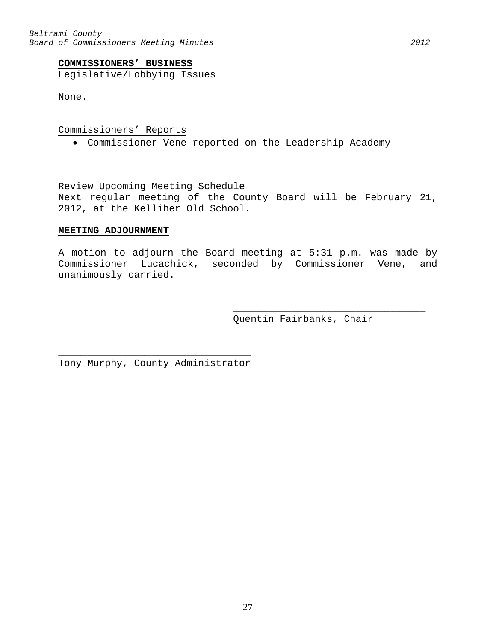<span id="page-26-0"></span>Legislative/Lobbying Issues

None.

## Commissioners' Reports

• Commissioner Vene reported on the Leadership Academy

Review Upcoming Meeting Schedule

Next regular meeting of the County Board will be February 21, 2012, at the Kelliher Old School.

# <span id="page-26-1"></span>**MEETING ADJOURNMENT**

A motion to adjourn the Board meeting at 5:31 p.m. was made by Commissioner Lucachick, seconded by Commissioner Vene, and unanimously carried.

> \_\_\_\_\_\_\_\_\_\_\_\_\_\_\_\_\_\_\_\_\_\_\_\_\_\_\_\_\_\_\_\_\_ Quentin Fairbanks, Chair

\_\_\_\_\_\_\_\_\_\_\_\_\_\_\_\_\_\_\_\_\_\_\_\_\_\_\_\_\_\_\_\_\_ Tony Murphy, County Administrator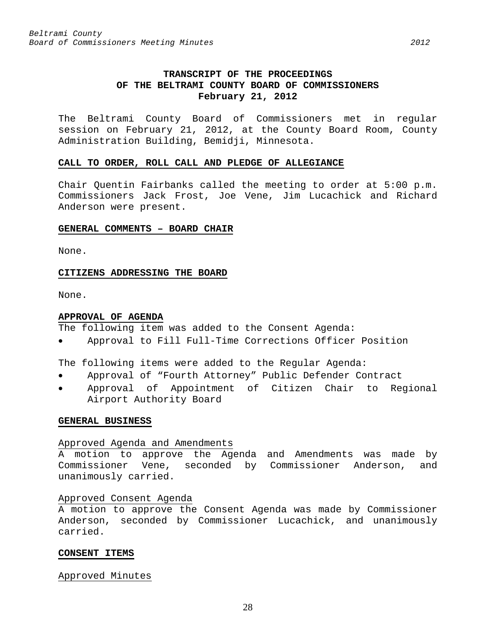# **TRANSCRIPT OF THE PROCEEDINGS OF THE BELTRAMI COUNTY BOARD OF COMMISSIONERS February 21, 2012**

<span id="page-27-0"></span>The Beltrami County Board of Commissioners met in regular session on February 21, 2012, at the County Board Room, County Administration Building, Bemidji, Minnesota.

#### <span id="page-27-1"></span>**CALL TO ORDER, ROLL CALL AND PLEDGE OF ALLEGIANCE**

Chair Quentin Fairbanks called the meeting to order at 5:00 p.m. Commissioners Jack Frost, Joe Vene, Jim Lucachick and Richard Anderson were present.

#### <span id="page-27-2"></span>**GENERAL COMMENTS – BOARD CHAIR**

None.

#### <span id="page-27-3"></span>**CITIZENS ADDRESSING THE BOARD**

None.

#### <span id="page-27-4"></span>**APPROVAL OF AGENDA**

The following item was added to the Consent Agenda:

• Approval to Fill Full-Time Corrections Officer Position

The following items were added to the Regular Agenda:

- Approval of "Fourth Attorney" Public Defender Contract
- Approval of Appointment of Citizen Chair to Regional Airport Authority Board

#### <span id="page-27-5"></span>**GENERAL BUSINESS**

### Approved Agenda and Amendments

A motion to approve the Agenda and Amendments was made by Commissioner Vene, seconded by Commissioner Anderson, and unanimously carried.

## Approved Consent Agenda

A motion to approve the Consent Agenda was made by Commissioner Anderson, seconded by Commissioner Lucachick, and unanimously carried.

#### <span id="page-27-6"></span>**CONSENT ITEMS**

#### Approved Minutes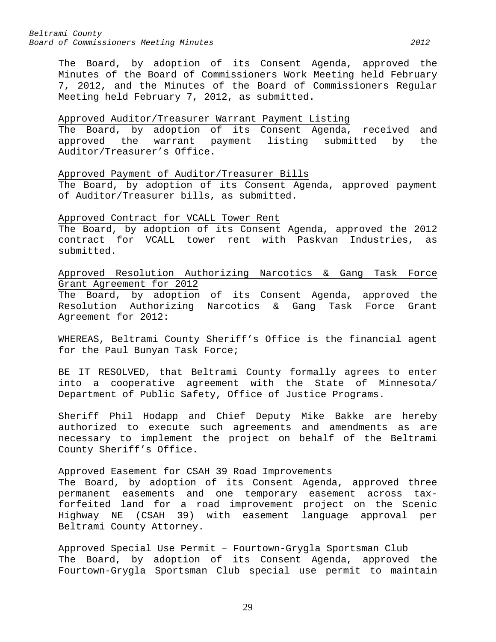The Board, by adoption of its Consent Agenda, approved the Minutes of the Board of Commissioners Work Meeting held February 7, 2012, and the Minutes of the Board of Commissioners Regular Meeting held February 7, 2012, as submitted.

# Approved Auditor/Treasurer Warrant Payment Listing

The Board, by adoption of its Consent Agenda, received and approved the warrant payment listing submitted by the Auditor/Treasurer's Office.

Approved Payment of Auditor/Treasurer Bills

The Board, by adoption of its Consent Agenda, approved payment of Auditor/Treasurer bills, as submitted.

## Approved Contract for VCALL Tower Rent

The Board, by adoption of its Consent Agenda, approved the 2012 contract for VCALL tower rent with Paskvan Industries, as submitted.

Approved Resolution Authorizing Narcotics & Gang Task Force Grant Agreement for 2012

The Board, by adoption of its Consent Agenda, approved the Resolution Authorizing Narcotics & Gang Task Force Grant Agreement for 2012:

WHEREAS, Beltrami County Sheriff's Office is the financial agent for the Paul Bunyan Task Force;

BE IT RESOLVED, that Beltrami County formally agrees to enter into a cooperative agreement with the State of Minnesota/ Department of Public Safety, Office of Justice Programs.

Sheriff Phil Hodapp and Chief Deputy Mike Bakke are hereby authorized to execute such agreements and amendments as are necessary to implement the project on behalf of the Beltrami County Sheriff's Office.

## Approved Easement for CSAH 39 Road Improvements

The Board, by adoption of its Consent Agenda, approved three permanent easements and one temporary easement across taxforfeited land for a road improvement project on the Scenic Highway NE (CSAH 39) with easement language approval per Beltrami County Attorney.

Approved Special Use Permit – Fourtown-Grygla Sportsman Club The Board, by adoption of its Consent Agenda, approved the Fourtown-Grygla Sportsman Club special use permit to maintain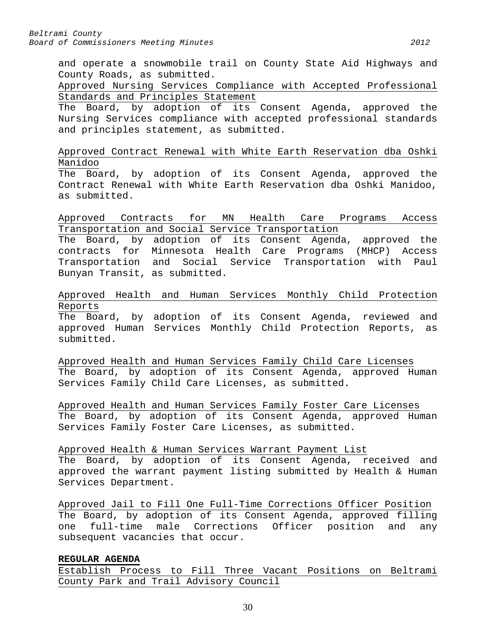and operate a snowmobile trail on County State Aid Highways and County Roads, as submitted.

Approved Nursing Services Compliance with Accepted Professional Standards and Principles Statement

The Board, by adoption of its Consent Agenda, approved the Nursing Services compliance with accepted professional standards and principles statement, as submitted.

Approved Contract Renewal with White Earth Reservation dba Oshki Manidoo

The Board, by adoption of its Consent Agenda, approved the Contract Renewal with White Earth Reservation dba Oshki Manidoo, as submitted.

Approved Contracts for MN Health Care Programs Access Transportation and Social Service Transportation

The Board, by adoption of its Consent Agenda, approved the contracts for Minnesota Health Care Programs (MHCP) Access Transportation and Social Service Transportation with Paul Bunyan Transit, as submitted.

Approved Health and Human Services Monthly Child Protection Reports

The Board, by adoption of its Consent Agenda, reviewed and approved Human Services Monthly Child Protection Reports, as submitted.

Approved Health and Human Services Family Child Care Licenses The Board, by adoption of its Consent Agenda, approved Human Services Family Child Care Licenses, as submitted.

Approved Health and Human Services Family Foster Care Licenses The Board, by adoption of its Consent Agenda, approved Human Services Family Foster Care Licenses, as submitted.

Approved Health & Human Services Warrant Payment List The Board, by adoption of its Consent Agenda, received and

approved the warrant payment listing submitted by Health & Human Services Department.

Approved Jail to Fill One Full-Time Corrections Officer Position The Board, by adoption of its Consent Agenda, approved filling one full-time male Corrections Officer position and any subsequent vacancies that occur.

# <span id="page-29-0"></span>**REGULAR AGENDA**

Establish Process to Fill Three Vacant Positions on Beltrami County Park and Trail Advisory Council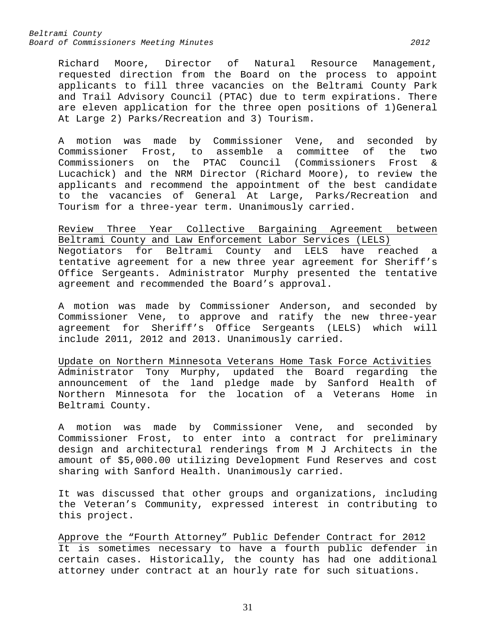Richard Moore, Director of Natural Resource Management, requested direction from the Board on the process to appoint applicants to fill three vacancies on the Beltrami County Park and Trail Advisory Council (PTAC) due to term expirations. There are eleven application for the three open positions of 1)General At Large 2) Parks/Recreation and 3) Tourism.

A motion was made by Commissioner Vene, and seconded by Commissioner Frost, to assemble a committee of the two Commissioners on the PTAC Council (Commissioners Frost & Lucachick) and the NRM Director (Richard Moore), to review the applicants and recommend the appointment of the best candidate to the vacancies of General At Large, Parks/Recreation and Tourism for a three-year term. Unanimously carried.

Review Three Year Collective Bargaining Agreement between Beltrami County and Law Enforcement Labor Services (LELS) Negotiators for Beltrami County and LELS have reached a tentative agreement for a new three year agreement for Sheriff's Office Sergeants. Administrator Murphy presented the tentative agreement and recommended the Board's approval.

A motion was made by Commissioner Anderson, and seconded by Commissioner Vene, to approve and ratify the new three-year agreement for Sheriff's Office Sergeants (LELS) which will include 2011, 2012 and 2013. Unanimously carried.

Update on Northern Minnesota Veterans Home Task Force Activities Administrator Tony Murphy, updated the Board regarding the announcement of the land pledge made by Sanford Health of Northern Minnesota for the location of a Veterans Home in Beltrami County.

A motion was made by Commissioner Vene, and seconded by Commissioner Frost, to enter into a contract for preliminary design and architectural renderings from M J Architects in the amount of \$5,000.00 utilizing Development Fund Reserves and cost sharing with Sanford Health. Unanimously carried.

It was discussed that other groups and organizations, including the Veteran's Community, expressed interest in contributing to this project.

Approve the "Fourth Attorney" Public Defender Contract for 2012 It is sometimes necessary to have a fourth public defender in certain cases. Historically, the county has had one additional attorney under contract at an hourly rate for such situations.

31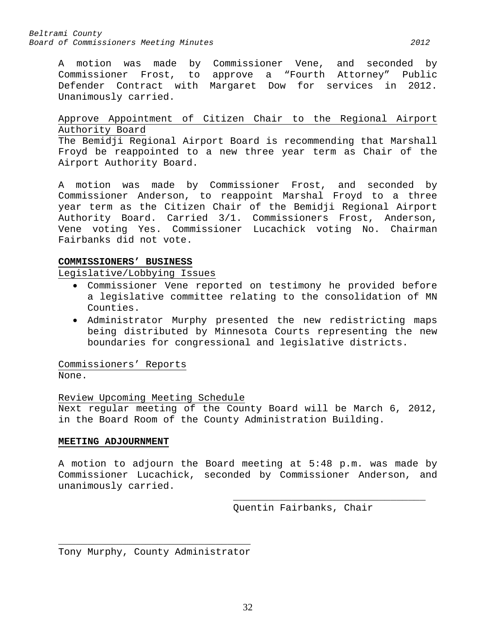A motion was made by Commissioner Vene, and seconded by Commissioner Frost, to approve a "Fourth Attorney" Public Defender Contract with Margaret Dow for services in 2012. Unanimously carried.

# Approve Appointment of Citizen Chair to the Regional Airport Authority Board

The Bemidji Regional Airport Board is recommending that Marshall Froyd be reappointed to a new three year term as Chair of the Airport Authority Board.

A motion was made by Commissioner Frost, and seconded by Commissioner Anderson, to reappoint Marshal Froyd to a three year term as the Citizen Chair of the Bemidji Regional Airport Authority Board. Carried 3/1. Commissioners Frost, Anderson, Vene voting Yes. Commissioner Lucachick voting No. Chairman Fairbanks did not vote.

## <span id="page-31-0"></span>**COMMISSIONERS' BUSINESS**

Legislative/Lobbying Issues

- Commissioner Vene reported on testimony he provided before a legislative committee relating to the consolidation of MN Counties.
- Administrator Murphy presented the new redistricting maps being distributed by Minnesota Courts representing the new boundaries for congressional and legislative districts.

Commissioners' Reports None.

# Review Upcoming Meeting Schedule

Next regular meeting of the County Board will be March 6, 2012, in the Board Room of the County Administration Building.

## <span id="page-31-1"></span>**MEETING ADJOURNMENT**

A motion to adjourn the Board meeting at 5:48 p.m. was made by Commissioner Lucachick, seconded by Commissioner Anderson, and unanimously carried.

> \_\_\_\_\_\_\_\_\_\_\_\_\_\_\_\_\_\_\_\_\_\_\_\_\_\_\_\_\_\_\_\_\_ Quentin Fairbanks, Chair

\_\_\_\_\_\_\_\_\_\_\_\_\_\_\_\_\_\_\_\_\_\_\_\_\_\_\_\_\_\_\_\_\_ Tony Murphy, County Administrator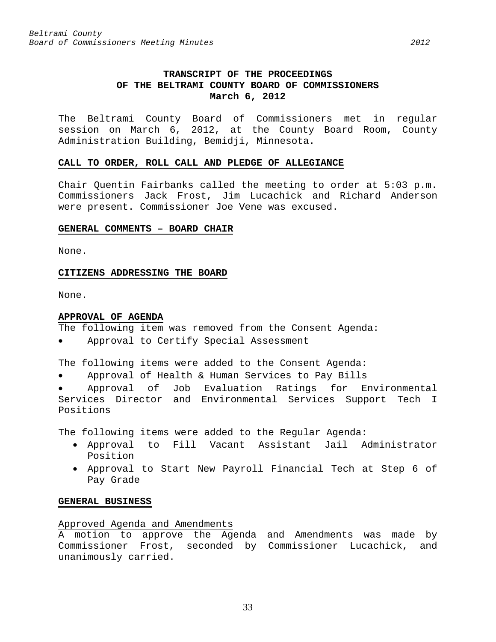# **TRANSCRIPT OF THE PROCEEDINGS OF THE BELTRAMI COUNTY BOARD OF COMMISSIONERS March 6, 2012**

<span id="page-32-0"></span>The Beltrami County Board of Commissioners met in regular session on March 6, 2012, at the County Board Room, County Administration Building, Bemidji, Minnesota.

#### <span id="page-32-1"></span>**CALL TO ORDER, ROLL CALL AND PLEDGE OF ALLEGIANCE**

Chair Quentin Fairbanks called the meeting to order at 5:03 p.m. Commissioners Jack Frost, Jim Lucachick and Richard Anderson were present. Commissioner Joe Vene was excused.

#### <span id="page-32-2"></span>**GENERAL COMMENTS – BOARD CHAIR**

None.

### <span id="page-32-3"></span>**CITIZENS ADDRESSING THE BOARD**

None.

#### <span id="page-32-4"></span>**APPROVAL OF AGENDA**

The following item was removed from the Consent Agenda:

Approval to Certify Special Assessment

The following items were added to the Consent Agenda:

• Approval of Health & Human Services to Pay Bills

• Approval of Job Evaluation Ratings for Environmental Services Director and Environmental Services Support Tech I Positions

The following items were added to the Regular Agenda:

- Approval to Fill Vacant Assistant Jail Administrator Position
- Approval to Start New Payroll Financial Tech at Step 6 of Pay Grade

#### <span id="page-32-5"></span>**GENERAL BUSINESS**

#### Approved Agenda and Amendments

A motion to approve the Agenda and Amendments was made by Commissioner Frost, seconded by Commissioner Lucachick, and unanimously carried.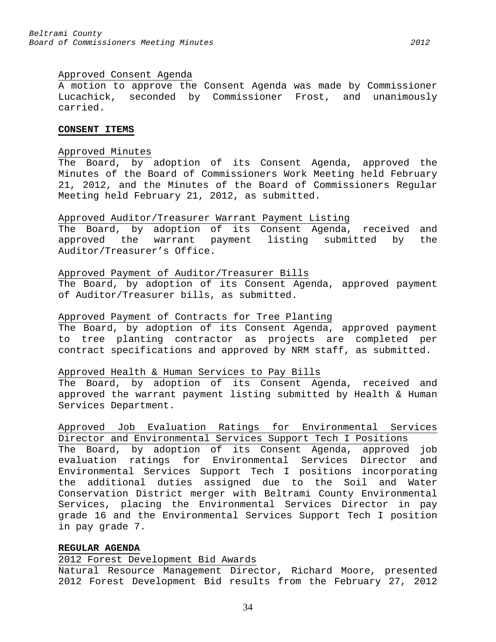## Approved Consent Agenda

A motion to approve the Consent Agenda was made by Commissioner Lucachick, seconded by Commissioner Frost, and unanimously carried.

#### <span id="page-33-0"></span>**CONSENT ITEMS**

# Approved Minutes

The Board, by adoption of its Consent Agenda, approved the Minutes of the Board of Commissioners Work Meeting held February 21, 2012, and the Minutes of the Board of Commissioners Regular Meeting held February 21, 2012, as submitted.

## Approved Auditor/Treasurer Warrant Payment Listing

The Board, by adoption of its Consent Agenda, received and approved the warrant payment listing submitted by the Auditor/Treasurer's Office.

## Approved Payment of Auditor/Treasurer Bills

The Board, by adoption of its Consent Agenda, approved payment of Auditor/Treasurer bills, as submitted.

## Approved Payment of Contracts for Tree Planting

The Board, by adoption of its Consent Agenda, approved payment to tree planting contractor as projects are completed per contract specifications and approved by NRM staff, as submitted.

## Approved Health & Human Services to Pay Bills

The Board, by adoption of its Consent Agenda, received and approved the warrant payment listing submitted by Health & Human Services Department.

Approved Job Evaluation Ratings for Environmental Services Director and Environmental Services Support Tech I Positions The Board, by adoption of its Consent Agenda, approved job evaluation ratings for Environmental Services Director and Environmental Services Support Tech I positions incorporating the additional duties assigned due to the Soil and Water Conservation District merger with Beltrami County Environmental Services, placing the Environmental Services Director in pay grade 16 and the Environmental Services Support Tech I position in pay grade 7.

## <span id="page-33-1"></span>**REGULAR AGENDA**

2012 Forest Development Bid Awards

Natural Resource Management Director, Richard Moore, presented 2012 Forest Development Bid results from the February 27, 2012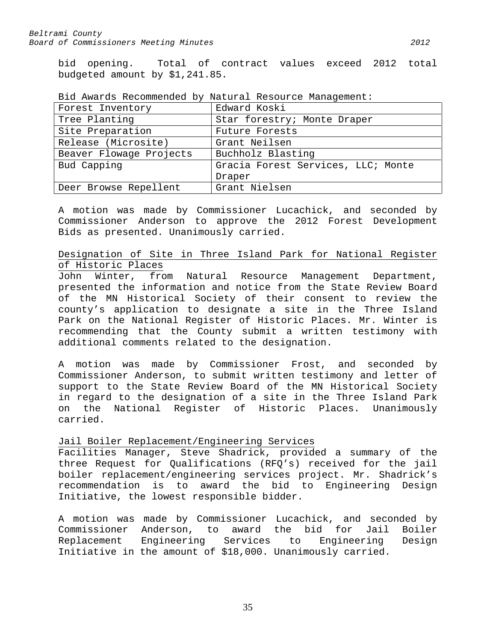bid opening. Total of contract values exceed 2012 total budgeted amount by \$1,241.85.

| Forest Inventory        | Edward Koski                       |
|-------------------------|------------------------------------|
| Tree Planting           | Star forestry; Monte Draper        |
| Site Preparation        | Future Forests                     |
| Release (Microsite)     | Grant Neilsen                      |
| Beaver Flowage Projects | Buchholz Blasting                  |
| Bud Capping             | Gracia Forest Services, LLC; Monte |
|                         | Draper                             |
| Deer Browse Repellent   | Grant Nielsen                      |

Bid Awards Recommended by Natural Resource Management:

A motion was made by Commissioner Lucachick, and seconded by Commissioner Anderson to approve the 2012 Forest Development Bids as presented. Unanimously carried.

# Designation of Site in Three Island Park for National Register of Historic Places

John Winter, from Natural Resource Management Department, presented the information and notice from the State Review Board of the MN Historical Society of their consent to review the county's application to designate a site in the Three Island Park on the National Register of Historic Places. Mr. Winter is recommending that the County submit a written testimony with additional comments related to the designation.

A motion was made by Commissioner Frost, and seconded by Commissioner Anderson, to submit written testimony and letter of support to the State Review Board of the MN Historical Society in regard to the designation of a site in the Three Island Park on the National Register of Historic Places. Unanimously carried.

# Jail Boiler Replacement/Engineering Services

Facilities Manager, Steve Shadrick, provided a summary of the three Request for Qualifications (RFQ's) received for the jail boiler replacement/engineering services project. Mr. Shadrick's recommendation is to award the bid to Engineering Design Initiative, the lowest responsible bidder.

A motion was made by Commissioner Lucachick, and seconded by Commissioner Anderson, to award the bid for Jail Boiler Replacement Engineering Services to Engineering Design Initiative in the amount of \$18,000. Unanimously carried.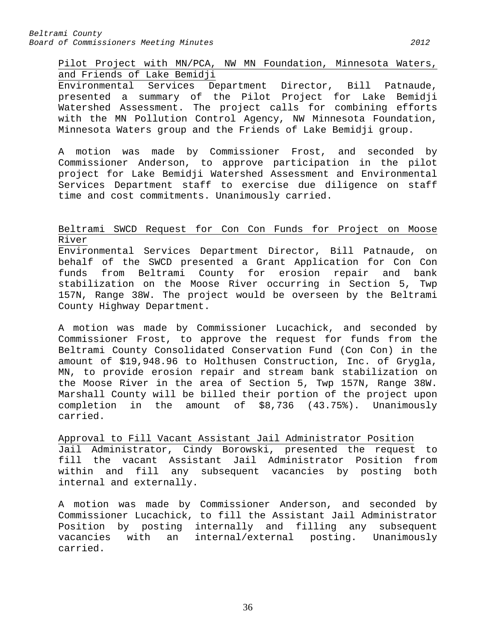Pilot Project with MN/PCA, NW MN Foundation, Minnesota Waters, and Friends of Lake Bemidji

Environmental Services Department Director, Bill Patnaude, presented a summary of the Pilot Project for Lake Bemidji Watershed Assessment. The project calls for combining efforts with the MN Pollution Control Agency, NW Minnesota Foundation, Minnesota Waters group and the Friends of Lake Bemidji group.

A motion was made by Commissioner Frost, and seconded by Commissioner Anderson, to approve participation in the pilot project for Lake Bemidji Watershed Assessment and Environmental Services Department staff to exercise due diligence on staff time and cost commitments. Unanimously carried.

# Beltrami SWCD Request for Con Con Funds for Project on Moose River

Environmental Services Department Director, Bill Patnaude, on behalf of the SWCD presented a Grant Application for Con Con funds from Beltrami County for erosion repair and bank stabilization on the Moose River occurring in Section 5, Twp 157N, Range 38W. The project would be overseen by the Beltrami County Highway Department.

A motion was made by Commissioner Lucachick, and seconded by Commissioner Frost, to approve the request for funds from the Beltrami County Consolidated Conservation Fund (Con Con) in the amount of \$19,948.96 to Holthusen Construction, Inc. of Grygla, MN, to provide erosion repair and stream bank stabilization on the Moose River in the area of Section 5, Twp 157N, Range 38W. Marshall County will be billed their portion of the project upon completion in the amount of \$8,736 (43.75%). Unanimously carried.

Approval to Fill Vacant Assistant Jail Administrator Position Jail Administrator, Cindy Borowski, presented the request to fill the vacant Assistant Jail Administrator Position from within and fill any subsequent vacancies by posting both internal and externally.

A motion was made by Commissioner Anderson, and seconded by Commissioner Lucachick, to fill the Assistant Jail Administrator Position by posting internally and filling any subsequent vacancies with an internal/external posting. Unanimously carried.

36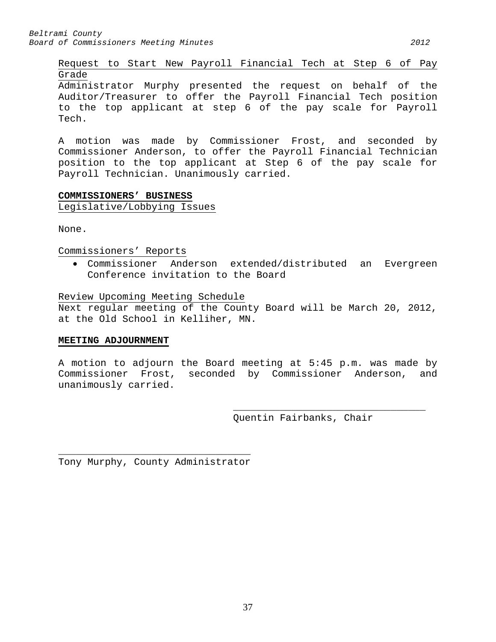Request to Start New Payroll Financial Tech at Step 6 of Pay Grade

Administrator Murphy presented the request on behalf of the Auditor/Treasurer to offer the Payroll Financial Tech position to the top applicant at step 6 of the pay scale for Payroll Tech.

A motion was made by Commissioner Frost, and seconded by Commissioner Anderson, to offer the Payroll Financial Technician position to the top applicant at Step 6 of the pay scale for Payroll Technician. Unanimously carried.

# **COMMISSIONERS' BUSINESS** Legislative/Lobbying Issues

None.

Commissioners' Reports

• Commissioner Anderson extended/distributed an Evergreen Conference invitation to the Board

Review Upcoming Meeting Schedule

Next regular meeting of the County Board will be March 20, 2012, at the Old School in Kelliher, MN.

# **MEETING ADJOURNMENT**

A motion to adjourn the Board meeting at 5:45 p.m. was made by Commissioner Frost, seconded by Commissioner Anderson, and unanimously carried.

> \_\_\_\_\_\_\_\_\_\_\_\_\_\_\_\_\_\_\_\_\_\_\_\_\_\_\_\_\_\_\_\_\_ Quentin Fairbanks, Chair

\_\_\_\_\_\_\_\_\_\_\_\_\_\_\_\_\_\_\_\_\_\_\_\_\_\_\_\_\_\_\_\_\_ Tony Murphy, County Administrator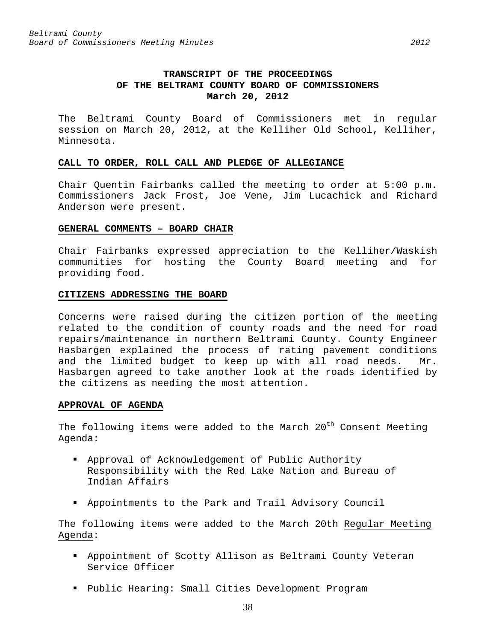The Beltrami County Board of Commissioners met in regular session on March 20, 2012, at the Kelliher Old School, Kelliher, Minnesota.

#### **CALL TO ORDER, ROLL CALL AND PLEDGE OF ALLEGIANCE**

Chair Quentin Fairbanks called the meeting to order at 5:00 p.m. Commissioners Jack Frost, Joe Vene, Jim Lucachick and Richard Anderson were present.

## **GENERAL COMMENTS – BOARD CHAIR**

Chair Fairbanks expressed appreciation to the Kelliher/Waskish communities for hosting the County Board meeting and for providing food.

## **CITIZENS ADDRESSING THE BOARD**

Concerns were raised during the citizen portion of the meeting related to the condition of county roads and the need for road repairs/maintenance in northern Beltrami County. County Engineer Hasbargen explained the process of rating pavement conditions and the limited budget to keep up with all road needs. Mr. Hasbargen agreed to take another look at the roads identified by the citizens as needing the most attention.

# **APPROVAL OF AGENDA**

The following items were added to the March 20<sup>th</sup> Consent Meeting Agenda:

- Approval of Acknowledgement of Public Authority Responsibility with the Red Lake Nation and Bureau of Indian Affairs
- Appointments to the Park and Trail Advisory Council

The following items were added to the March 20th Regular Meeting Agenda:

- Appointment of Scotty Allison as Beltrami County Veteran Service Officer
- Public Hearing: Small Cities Development Program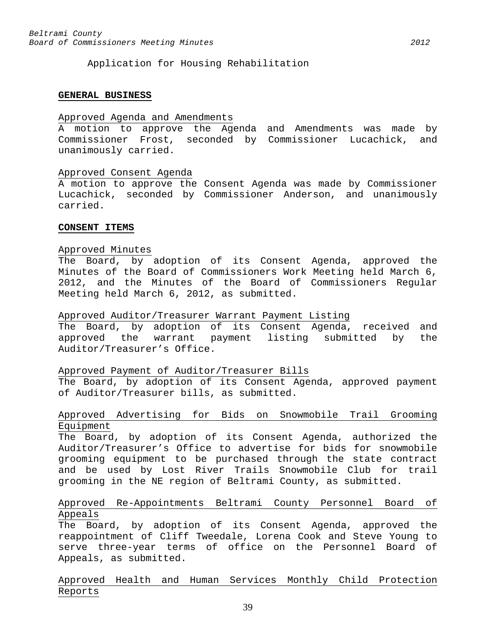Application for Housing Rehabilitation

#### **GENERAL BUSINESS**

# Approved Agenda and Amendments

A motion to approve the Agenda and Amendments was made by Commissioner Frost, seconded by Commissioner Lucachick, and unanimously carried.

#### Approved Consent Agenda

A motion to approve the Consent Agenda was made by Commissioner Lucachick, seconded by Commissioner Anderson, and unanimously carried.

## **CONSENT ITEMS**

#### Approved Minutes

The Board, by adoption of its Consent Agenda, approved the Minutes of the Board of Commissioners Work Meeting held March 6, 2012, and the Minutes of the Board of Commissioners Regular Meeting held March 6, 2012, as submitted.

## Approved Auditor/Treasurer Warrant Payment Listing

The Board, by adoption of its Consent Agenda, received and approved the warrant payment listing submitted by the Auditor/Treasurer's Office.

#### Approved Payment of Auditor/Treasurer Bills

The Board, by adoption of its Consent Agenda, approved payment of Auditor/Treasurer bills, as submitted.

# Approved Advertising for Bids on Snowmobile Trail Grooming Equipment

The Board, by adoption of its Consent Agenda, authorized the Auditor/Treasurer's Office to advertise for bids for snowmobile grooming equipment to be purchased through the state contract and be used by Lost River Trails Snowmobile Club for trail grooming in the NE region of Beltrami County, as submitted.

# Approved Re-Appointments Beltrami County Personnel Board of Appeals

The Board, by adoption of its Consent Agenda, approved the reappointment of Cliff Tweedale, Lorena Cook and Steve Young to serve three-year terms of office on the Personnel Board of Appeals, as submitted.

Approved Health and Human Services Monthly Child Protection Reports

39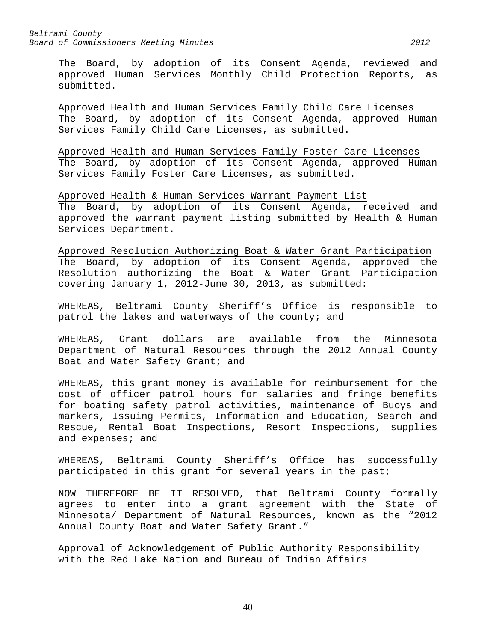The Board, by adoption of its Consent Agenda, reviewed and approved Human Services Monthly Child Protection Reports, as submitted.

Approved Health and Human Services Family Child Care Licenses The Board, by adoption of its Consent Agenda, approved Human Services Family Child Care Licenses, as submitted.

Approved Health and Human Services Family Foster Care Licenses The Board, by adoption of its Consent Agenda, approved Human Services Family Foster Care Licenses, as submitted.

Approved Health & Human Services Warrant Payment List The Board, by adoption of its Consent Agenda, received and approved the warrant payment listing submitted by Health & Human Services Department.

Approved Resolution Authorizing Boat & Water Grant Participation The Board, by adoption of its Consent Agenda, approved the Resolution authorizing the Boat & Water Grant Participation covering January 1, 2012-June 30, 2013, as submitted:

WHEREAS, Beltrami County Sheriff's Office is responsible to patrol the lakes and waterways of the county; and

WHEREAS, Grant dollars are available from the Minnesota Department of Natural Resources through the 2012 Annual County Boat and Water Safety Grant; and

WHEREAS, this grant money is available for reimbursement for the cost of officer patrol hours for salaries and fringe benefits for boating safety patrol activities, maintenance of Buoys and markers, Issuing Permits, Information and Education, Search and Rescue, Rental Boat Inspections, Resort Inspections, supplies and expenses; and

WHEREAS, Beltrami County Sheriff's Office has successfully participated in this grant for several years in the past;

NOW THEREFORE BE IT RESOLVED, that Beltrami County formally agrees to enter into a grant agreement with the State of Minnesota/ Department of Natural Resources, known as the "2012 Annual County Boat and Water Safety Grant."

Approval of Acknowledgement of Public Authority Responsibility with the Red Lake Nation and Bureau of Indian Affairs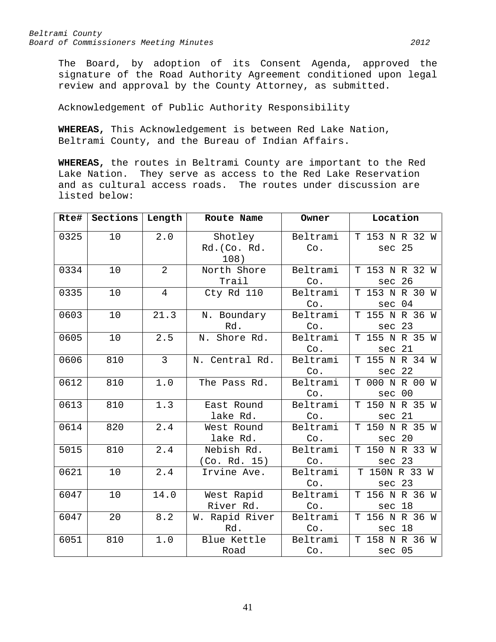The Board, by adoption of its Consent Agenda, approved the signature of the Road Authority Agreement conditioned upon legal review and approval by the County Attorney, as submitted.

Acknowledgement of Public Authority Responsibility

**WHEREAS,** This Acknowledgement is between Red Lake Nation, Beltrami County, and the Bureau of Indian Affairs.

**WHEREAS,** the routes in Beltrami County are important to the Red Lake Nation. They serve as access to the Red Lake Reservation and as cultural access roads. The routes under discussion are listed below:

| Rte# | Sections | Length         | Route Name                      | Owner           | Location                    |
|------|----------|----------------|---------------------------------|-----------------|-----------------------------|
| 0325 | 10       | 2.0            | Shotley<br>Rd. (Co. Rd.<br>108) | Beltrami<br>Co. | T 153 N R 32 W<br>sec 25    |
| 0334 | 10       | $\overline{2}$ | North Shore<br>Trail            | Beltrami<br>Co. | T 153 N R 32 W<br>26<br>sec |
| 0335 | 10       | $\overline{4}$ | Cty Rd 110                      | Beltrami<br>Co. | T 153 N R 30 W<br>sec 04    |
| 0603 | 10       | 21.3           | N. Boundary<br>Rd.              | Beltrami<br>Co. | T 155 N R 36 W<br>23<br>sec |
| 0605 | 10       | 2.5            | N. Shore Rd.                    | Beltrami<br>Co. | T 155 N R 35 W<br>sec 21    |
| 0606 | 810      | $\overline{3}$ | N. Central Rd.                  | Beltrami<br>Co. | T 155 N R 34 W<br>sec 22    |
| 0612 | 810      | 1.0            | The Pass Rd.                    | Beltrami<br>Co. | T 000 N R 00 W<br>sec 00    |
| 0613 | 810      | 1.3            | East Round<br>lake Rd.          | Beltrami<br>Co. | T 150 N R 35 W<br>sec 21    |
| 0614 | 820      | 2.4            | West Round<br>lake Rd.          | Beltrami<br>Co. | T 150 N R 35 W<br>sec 20    |
| 5015 | 810      | 2.4            | Nebish Rd.<br>(Co. Rd. 15)      | Beltrami<br>Co. | T 150 N R 33 W<br>sec 23    |
| 0621 | 10       | 2.4            | Irvine Ave.                     | Beltrami<br>Co. | T 150N R 33 W<br>sec 23     |
| 6047 | 10       | 14.0           | West Rapid<br>River Rd.         | Beltrami<br>Co. | T 156 N R 36 W<br>sec 18    |
| 6047 | 20       | 8.2            | W. Rapid River<br>Rd.           | Beltrami<br>Co. | T 156 N R 36 W<br>sec 18    |
| 6051 | 810      | $1.0$          | Blue Kettle<br>Road             | Beltrami<br>Co. | T 158 N R 36 W<br>sec 05    |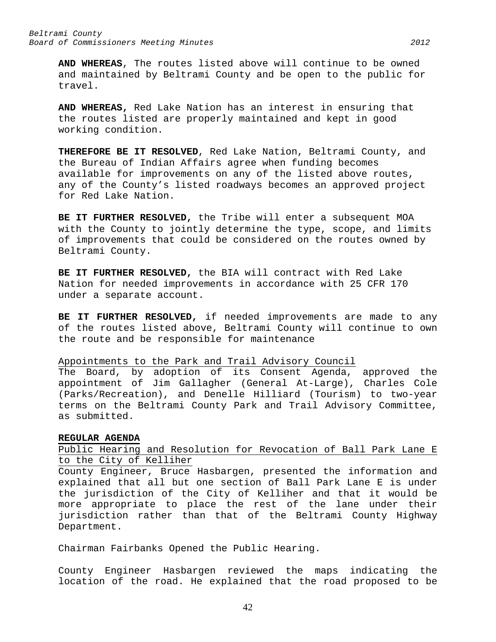**AND WHEREAS**, The routes listed above will continue to be owned and maintained by Beltrami County and be open to the public for travel.

**AND WHEREAS,** Red Lake Nation has an interest in ensuring that the routes listed are properly maintained and kept in good working condition.

**THEREFORE BE IT RESOLVED**, Red Lake Nation, Beltrami County, and the Bureau of Indian Affairs agree when funding becomes available for improvements on any of the listed above routes, any of the County's listed roadways becomes an approved project for Red Lake Nation.

**BE IT FURTHER RESOLVED,** the Tribe will enter a subsequent MOA with the County to jointly determine the type, scope, and limits of improvements that could be considered on the routes owned by Beltrami County.

**BE IT FURTHER RESOLVED,** the BIA will contract with Red Lake Nation for needed improvements in accordance with 25 CFR 170 under a separate account.

**BE IT FURTHER RESOLVED,** if needed improvements are made to any of the routes listed above, Beltrami County will continue to own the route and be responsible for maintenance

Appointments to the Park and Trail Advisory Council

The Board, by adoption of its Consent Agenda, approved the appointment of Jim Gallagher (General At-Large), Charles Cole (Parks/Recreation), and Denelle Hilliard (Tourism) to two-year terms on the Beltrami County Park and Trail Advisory Committee, as submitted.

#### **REGULAR AGENDA**

Public Hearing and Resolution for Revocation of Ball Park Lane E to the City of Kelliher

County Engineer, Bruce Hasbargen, presented the information and explained that all but one section of Ball Park Lane E is under the jurisdiction of the City of Kelliher and that it would be more appropriate to place the rest of the lane under their jurisdiction rather than that of the Beltrami County Highway Department.

Chairman Fairbanks Opened the Public Hearing.

County Engineer Hasbargen reviewed the maps indicating the location of the road. He explained that the road proposed to be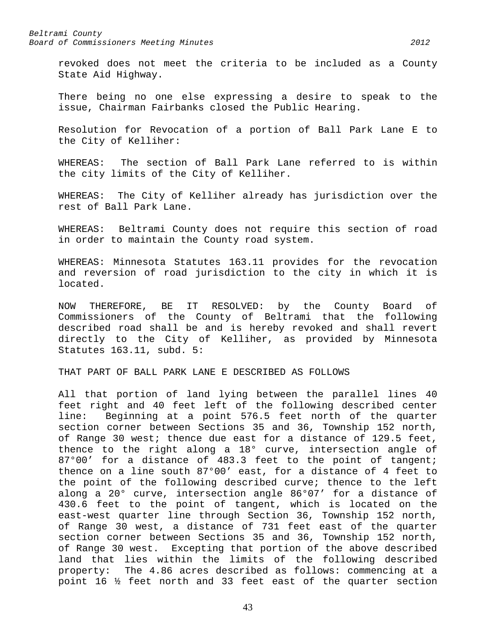revoked does not meet the criteria to be included as a County State Aid Highway.

There being no one else expressing a desire to speak to the issue, Chairman Fairbanks closed the Public Hearing.

Resolution for Revocation of a portion of Ball Park Lane E to the City of Kelliher:

WHEREAS: The section of Ball Park Lane referred to is within the city limits of the City of Kelliher.

WHEREAS: The City of Kelliher already has jurisdiction over the rest of Ball Park Lane.

WHEREAS: Beltrami County does not require this section of road in order to maintain the County road system.

WHEREAS: Minnesota Statutes 163.11 provides for the revocation and reversion of road jurisdiction to the city in which it is located.

NOW THEREFORE, BE IT RESOLVED: by the County Board of Commissioners of the County of Beltrami that the following described road shall be and is hereby revoked and shall revert directly to the City of Kelliher, as provided by Minnesota Statutes 163.11, subd. 5:

THAT PART OF BALL PARK LANE E DESCRIBED AS FOLLOWS

All that portion of land lying between the parallel lines 40 feet right and 40 feet left of the following described center line: Beginning at a point 576.5 feet north of the quarter section corner between Sections 35 and 36, Township 152 north, of Range 30 west; thence due east for a distance of 129.5 feet, thence to the right along a 18° curve, intersection angle of 87°00' for a distance of 483.3 feet to the point of tangent; thence on a line south 87°00' east, for a distance of 4 feet to the point of the following described curve; thence to the left along a 20° curve, intersection angle 86°07' for a distance of 430.6 feet to the point of tangent, which is located on the east-west quarter line through Section 36, Township 152 north, of Range 30 west, a distance of 731 feet east of the quarter section corner between Sections 35 and 36, Township 152 north, of Range 30 west. Excepting that portion of the above described land that lies within the limits of the following described property: The 4.86 acres described as follows: commencing at a point 16 ½ feet north and 33 feet east of the quarter section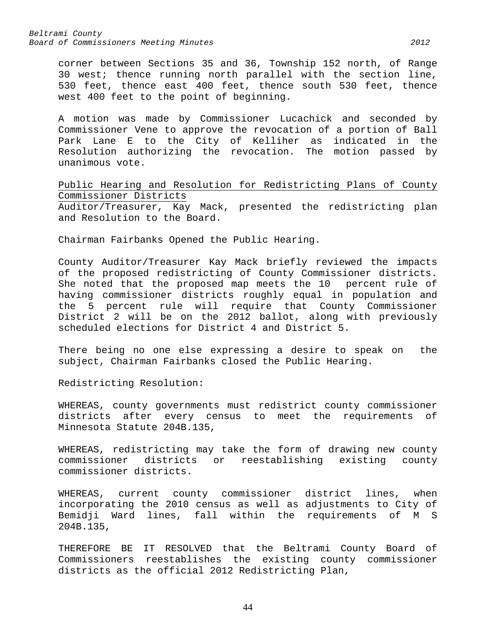*Beltrami County Board of Commissioners Meeting Minutes 2012*

corner between Sections 35 and 36, Township 152 north, of Range 30 west; thence running north parallel with the section line, 530 feet, thence east 400 feet, thence south 530 feet, thence west 400 feet to the point of beginning.

A motion was made by Commissioner Lucachick and seconded by Commissioner Vene to approve the revocation of a portion of Ball Park Lane E to the City of Kelliher as indicated in the Resolution authorizing the revocation. The motion passed by unanimous vote.

Public Hearing and Resolution for Redistricting Plans of County Commissioner Districts

Auditor/Treasurer, Kay Mack, presented the redistricting plan and Resolution to the Board.

Chairman Fairbanks Opened the Public Hearing.

County Auditor/Treasurer Kay Mack briefly reviewed the impacts of the proposed redistricting of County Commissioner districts. She noted that the proposed map meets the 10 percent rule of having commissioner districts roughly equal in population and the 5 percent rule will require that County Commissioner District 2 will be on the 2012 ballot, along with previously scheduled elections for District 4 and District 5.

There being no one else expressing a desire to speak on the subject, Chairman Fairbanks closed the Public Hearing.

Redistricting Resolution:

WHEREAS, county governments must redistrict county commissioner districts after every census to meet the requirements of Minnesota Statute 204B.135,

WHEREAS, redistricting may take the form of drawing new county commissioner districts or reestablishing existing county commissioner districts.

WHEREAS, current county commissioner district lines, when incorporating the 2010 census as well as adjustments to City of Bemidji Ward lines, fall within the requirements of M S 204B.135,

THEREFORE BE IT RESOLVED that the Beltrami County Board of Commissioners reestablishes the existing county commissioner districts as the official 2012 Redistricting Plan,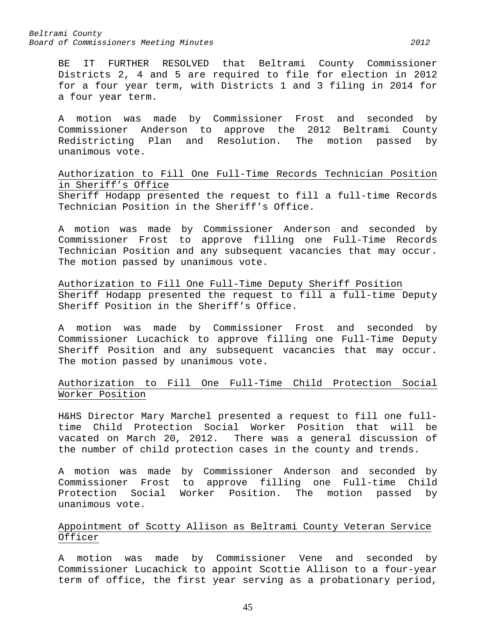*Beltrami County Board of Commissioners Meeting Minutes 2012*

BE IT FURTHER RESOLVED that Beltrami County Commissioner Districts 2, 4 and 5 are required to file for election in 2012 for a four year term, with Districts 1 and 3 filing in 2014 for a four year term.

A motion was made by Commissioner Frost and seconded by Commissioner Anderson to approve the 2012 Beltrami County Redistricting Plan and Resolution. The motion passed by unanimous vote.

Authorization to Fill One Full-Time Records Technician Position in Sheriff's Office Sheriff Hodapp presented the request to fill a full-time Records Technician Position in the Sheriff's Office.

A motion was made by Commissioner Anderson and seconded by Commissioner Frost to approve filling one Full-Time Records Technician Position and any subsequent vacancies that may occur. The motion passed by unanimous vote.

Authorization to Fill One Full-Time Deputy Sheriff Position Sheriff Hodapp presented the request to fill a full-time Deputy Sheriff Position in the Sheriff's Office.

A motion was made by Commissioner Frost and seconded by Commissioner Lucachick to approve filling one Full-Time Deputy Sheriff Position and any subsequent vacancies that may occur. The motion passed by unanimous vote.

Authorization to Fill One Full-Time Child Protection Social Worker Position

H&HS Director Mary Marchel presented a request to fill one fulltime Child Protection Social Worker Position that will be vacated on March 20, 2012. There was a general discussion of the number of child protection cases in the county and trends.

A motion was made by Commissioner Anderson and seconded by Commissioner Frost to approve filling one Full-time Child Protection Social Worker Position. The motion passed by unanimous vote.

# Appointment of Scotty Allison as Beltrami County Veteran Service Officer

A motion was made by Commissioner Vene and seconded by Commissioner Lucachick to appoint Scottie Allison to a four-year term of office, the first year serving as a probationary period,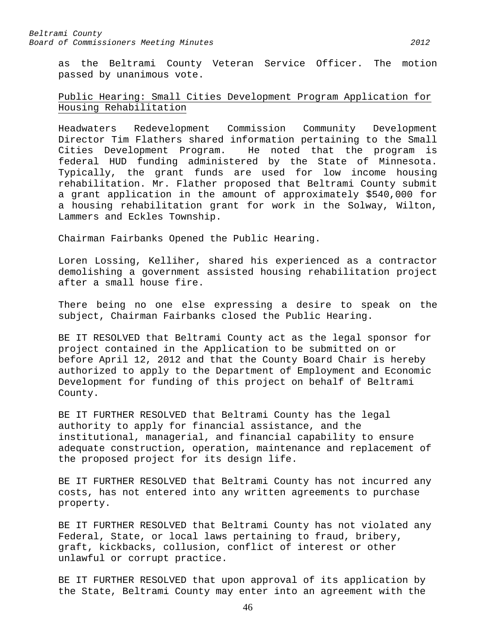as the Beltrami County Veteran Service Officer. The motion passed by unanimous vote.

# Public Hearing: Small Cities Development Program Application for Housing Rehabilitation

Headwaters Redevelopment Commission Community Development Director Tim Flathers shared information pertaining to the Small Cities Development Program. He noted that the program is federal HUD funding administered by the State of Minnesota. Typically, the grant funds are used for low income housing rehabilitation. Mr. Flather proposed that Beltrami County submit a grant application in the amount of approximately \$540,000 for a housing rehabilitation grant for work in the Solway, Wilton, Lammers and Eckles Township.

Chairman Fairbanks Opened the Public Hearing.

Loren Lossing, Kelliher, shared his experienced as a contractor demolishing a government assisted housing rehabilitation project after a small house fire.

There being no one else expressing a desire to speak on the subject, Chairman Fairbanks closed the Public Hearing.

BE IT RESOLVED that Beltrami County act as the legal sponsor for project contained in the Application to be submitted on or before April 12, 2012 and that the County Board Chair is hereby authorized to apply to the Department of Employment and Economic Development for funding of this project on behalf of Beltrami County.

BE IT FURTHER RESOLVED that Beltrami County has the legal authority to apply for financial assistance, and the institutional, managerial, and financial capability to ensure adequate construction, operation, maintenance and replacement of the proposed project for its design life.

BE IT FURTHER RESOLVED that Beltrami County has not incurred any costs, has not entered into any written agreements to purchase property.

BE IT FURTHER RESOLVED that Beltrami County has not violated any Federal, State, or local laws pertaining to fraud, bribery, graft, kickbacks, collusion, conflict of interest or other unlawful or corrupt practice.

BE IT FURTHER RESOLVED that upon approval of its application by the State, Beltrami County may enter into an agreement with the

46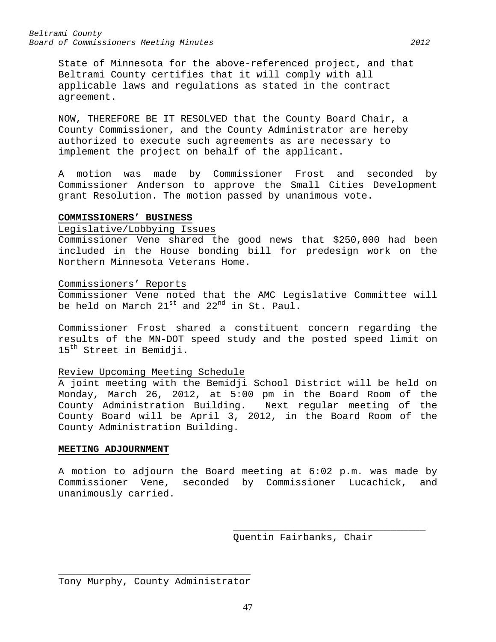*Beltrami County Board of Commissioners Meeting Minutes 2012*

State of Minnesota for the above-referenced project, and that Beltrami County certifies that it will comply with all applicable laws and regulations as stated in the contract agreement.

NOW, THEREFORE BE IT RESOLVED that the County Board Chair, a County Commissioner, and the County Administrator are hereby authorized to execute such agreements as are necessary to implement the project on behalf of the applicant.

A motion was made by Commissioner Frost and seconded by Commissioner Anderson to approve the Small Cities Development grant Resolution. The motion passed by unanimous vote.

## **COMMISSIONERS' BUSINESS**

## Legislative/Lobbying Issues

Commissioner Vene shared the good news that \$250,000 had been included in the House bonding bill for predesign work on the Northern Minnesota Veterans Home.

#### Commissioners' Reports

Commissioner Vene noted that the AMC Legislative Committee will be held on March 21<sup>st</sup> and 22<sup>nd</sup> in St. Paul.

Commissioner Frost shared a constituent concern regarding the results of the MN-DOT speed study and the posted speed limit on 15<sup>th</sup> Street in Bemidji.

#### Review Upcoming Meeting Schedule

A joint meeting with the Bemidji School District will be held on Monday, March 26, 2012, at 5:00 pm in the Board Room of the County Administration Building. Next regular meeting of the County Board will be April 3, 2012, in the Board Room of the County Administration Building.

#### **MEETING ADJOURNMENT**

A motion to adjourn the Board meeting at 6:02 p.m. was made by Commissioner Vene, seconded by Commissioner Lucachick, and unanimously carried.

Quentin Fairbanks, Chair

\_\_\_\_\_\_\_\_\_\_\_\_\_\_\_\_\_\_\_\_\_\_\_\_\_\_\_\_\_\_\_\_\_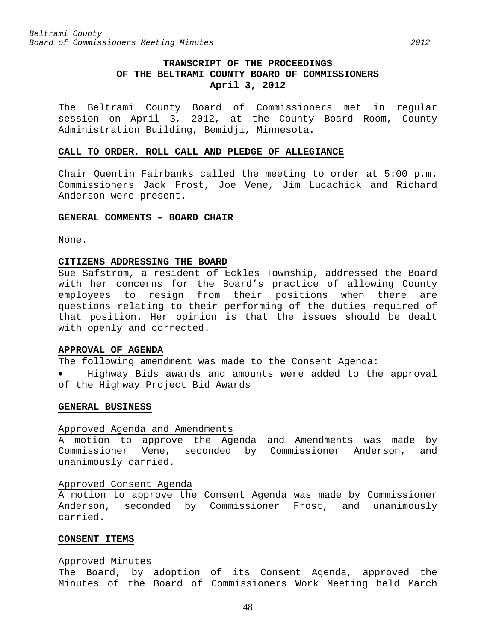# **TRANSCRIPT OF THE PROCEEDINGS OF THE BELTRAMI COUNTY BOARD OF COMMISSIONERS April 3, 2012**

The Beltrami County Board of Commissioners met in regular session on April 3, 2012, at the County Board Room, County Administration Building, Bemidji, Minnesota.

#### **CALL TO ORDER, ROLL CALL AND PLEDGE OF ALLEGIANCE**

Chair Quentin Fairbanks called the meeting to order at 5:00 p.m. Commissioners Jack Frost, Joe Vene, Jim Lucachick and Richard Anderson were present.

#### **GENERAL COMMENTS – BOARD CHAIR**

None.

#### **CITIZENS ADDRESSING THE BOARD**

Sue Safstrom, a resident of Eckles Township, addressed the Board with her concerns for the Board's practice of allowing County employees to resign from their positions when there are questions relating to their performing of the duties required of that position. Her opinion is that the issues should be dealt with openly and corrected.

# **APPROVAL OF AGENDA**

The following amendment was made to the Consent Agenda:

• Highway Bids awards and amounts were added to the approval of the Highway Project Bid Awards

#### **GENERAL BUSINESS**

#### Approved Agenda and Amendments

A motion to approve the Agenda and Amendments was made by Commissioner Vene, seconded by Commissioner Anderson, and unanimously carried.

#### Approved Consent Agenda

A motion to approve the Consent Agenda was made by Commissioner Anderson, seconded by Commissioner Frost, and unanimously carried.

## **CONSENT ITEMS**

#### Approved Minutes

The Board, by adoption of its Consent Agenda, approved the Minutes of the Board of Commissioners Work Meeting held March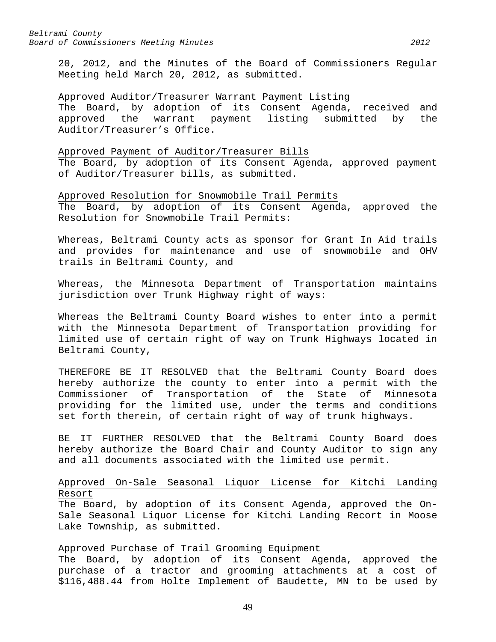20, 2012, and the Minutes of the Board of Commissioners Regular Meeting held March 20, 2012, as submitted.

## Approved Auditor/Treasurer Warrant Payment Listing

The Board, by adoption of its Consent Agenda, received and<br>approved the warrant payment listing submitted by the approved the warrant payment listing submitted by the Auditor/Treasurer's Office.

## Approved Payment of Auditor/Treasurer Bills

The Board, by adoption of its Consent Agenda, approved payment of Auditor/Treasurer bills, as submitted.

Approved Resolution for Snowmobile Trail Permits The Board, by adoption of its Consent Agenda, approved the Resolution for Snowmobile Trail Permits:

Whereas, Beltrami County acts as sponsor for Grant In Aid trails and provides for maintenance and use of snowmobile and OHV trails in Beltrami County, and

Whereas, the Minnesota Department of Transportation maintains jurisdiction over Trunk Highway right of ways:

Whereas the Beltrami County Board wishes to enter into a permit with the Minnesota Department of Transportation providing for limited use of certain right of way on Trunk Highways located in Beltrami County,

THEREFORE BE IT RESOLVED that the Beltrami County Board does hereby authorize the county to enter into a permit with the Commissioner of Transportation of the State of Minnesota providing for the limited use, under the terms and conditions set forth therein, of certain right of way of trunk highways.

BE IT FURTHER RESOLVED that the Beltrami County Board does hereby authorize the Board Chair and County Auditor to sign any and all documents associated with the limited use permit.

# Approved On-Sale Seasonal Liquor License for Kitchi Landing Resort

The Board, by adoption of its Consent Agenda, approved the On-Sale Seasonal Liquor License for Kitchi Landing Recort in Moose Lake Township, as submitted.

# Approved Purchase of Trail Grooming Equipment

The Board, by adoption of its Consent Agenda, approved the purchase of a tractor and grooming attachments at a cost of \$116,488.44 from Holte Implement of Baudette, MN to be used by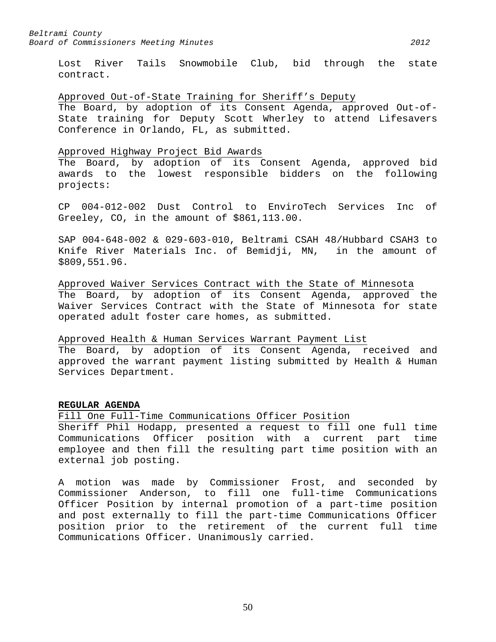Lost River Tails Snowmobile Club, bid through the state contract.

## Approved Out-of-State Training for Sheriff's Deputy

The Board, by adoption of its Consent Agenda, approved Out-of-State training for Deputy Scott Wherley to attend Lifesavers Conference in Orlando, FL, as submitted.

## Approved Highway Project Bid Awards

The Board, by adoption of its Consent Agenda, approved bid awards to the lowest responsible bidders on the following projects:

CP 004-012-002 Dust Control to EnviroTech Services Inc of Greeley, CO, in the amount of \$861,113.00.

SAP 004-648-002 & 029-603-010, Beltrami CSAH 48/Hubbard CSAH3 to Knife River Materials Inc. of Bemidji, MN, in the amount of \$809,551.96.

Approved Waiver Services Contract with the State of Minnesota The Board, by adoption of its Consent Agenda, approved the Waiver Services Contract with the State of Minnesota for state operated adult foster care homes, as submitted.

# Approved Health & Human Services Warrant Payment List

The Board, by adoption of its Consent Agenda, received and approved the warrant payment listing submitted by Health & Human Services Department.

# **REGULAR AGENDA**

Fill One Full-Time Communications Officer Position Sheriff Phil Hodapp, presented a request to fill one full time Communications Officer position with a current part time employee and then fill the resulting part time position with an external job posting.

A motion was made by Commissioner Frost, and seconded by Commissioner Anderson, to fill one full-time Communications Officer Position by internal promotion of a part-time position and post externally to fill the part-time Communications Officer position prior to the retirement of the current full time Communications Officer. Unanimously carried.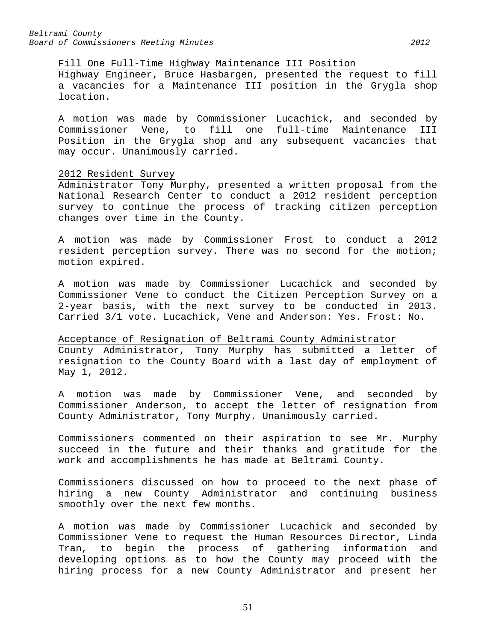#### Fill One Full-Time Highway Maintenance III Position

Highway Engineer, Bruce Hasbargen, presented the request to fill a vacancies for a Maintenance III position in the Grygla shop location.

A motion was made by Commissioner Lucachick, and seconded by Commissioner Vene, to fill one full-time Maintenance III Position in the Grygla shop and any subsequent vacancies that may occur. Unanimously carried.

## 2012 Resident Survey

Administrator Tony Murphy, presented a written proposal from the National Research Center to conduct a 2012 resident perception survey to continue the process of tracking citizen perception changes over time in the County.

A motion was made by Commissioner Frost to conduct a 2012 resident perception survey. There was no second for the motion; motion expired.

A motion was made by Commissioner Lucachick and seconded by Commissioner Vene to conduct the Citizen Perception Survey on a 2-year basis, with the next survey to be conducted in 2013. Carried 3/1 vote. Lucachick, Vene and Anderson: Yes. Frost: No.

Acceptance of Resignation of Beltrami County Administrator County Administrator, Tony Murphy has submitted a letter of resignation to the County Board with a last day of employment of May 1, 2012.

A motion was made by Commissioner Vene, and seconded by Commissioner Anderson, to accept the letter of resignation from County Administrator, Tony Murphy. Unanimously carried.

Commissioners commented on their aspiration to see Mr. Murphy succeed in the future and their thanks and gratitude for the work and accomplishments he has made at Beltrami County.

Commissioners discussed on how to proceed to the next phase of hiring a new County Administrator and continuing business smoothly over the next few months.

A motion was made by Commissioner Lucachick and seconded by Commissioner Vene to request the Human Resources Director, Linda Tran, to begin the process of gathering information and developing options as to how the County may proceed with the hiring process for a new County Administrator and present her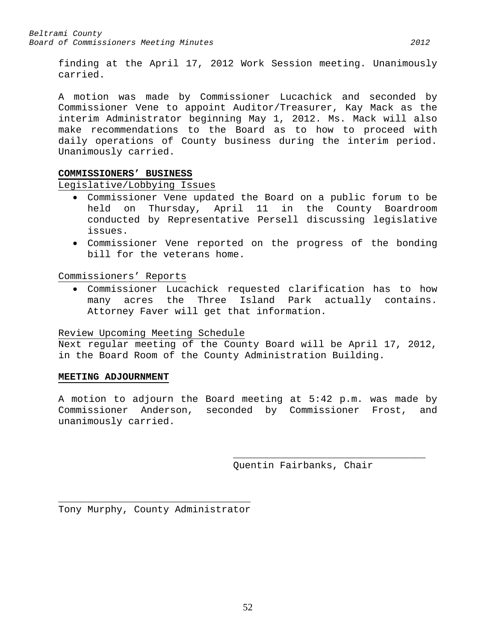finding at the April 17, 2012 Work Session meeting. Unanimously carried.

A motion was made by Commissioner Lucachick and seconded by Commissioner Vene to appoint Auditor/Treasurer, Kay Mack as the interim Administrator beginning May 1, 2012. Ms. Mack will also make recommendations to the Board as to how to proceed with daily operations of County business during the interim period. Unanimously carried.

# **COMMISSIONERS' BUSINESS**

Legislative/Lobbying Issues

- Commissioner Vene updated the Board on a public forum to be 11 in the County Boardroom conducted by Representative Persell discussing legislative issues.
- Commissioner Vene reported on the progress of the bonding bill for the veterans home.

Commissioners' Reports

• Commissioner Lucachick requested clarification has to how many acres the Three Island Park actually contains. Attorney Faver will get that information.

# Review Upcoming Meeting Schedule

Next regular meeting of the County Board will be April 17, 2012, in the Board Room of the County Administration Building.

# **MEETING ADJOURNMENT**

A motion to adjourn the Board meeting at 5:42 p.m. was made by Commissioner Anderson, seconded by Commissioner Frost, and unanimously carried.

> \_\_\_\_\_\_\_\_\_\_\_\_\_\_\_\_\_\_\_\_\_\_\_\_\_\_\_\_\_\_\_\_\_ Quentin Fairbanks, Chair

\_\_\_\_\_\_\_\_\_\_\_\_\_\_\_\_\_\_\_\_\_\_\_\_\_\_\_\_\_\_\_\_\_ Tony Murphy, County Administrator

52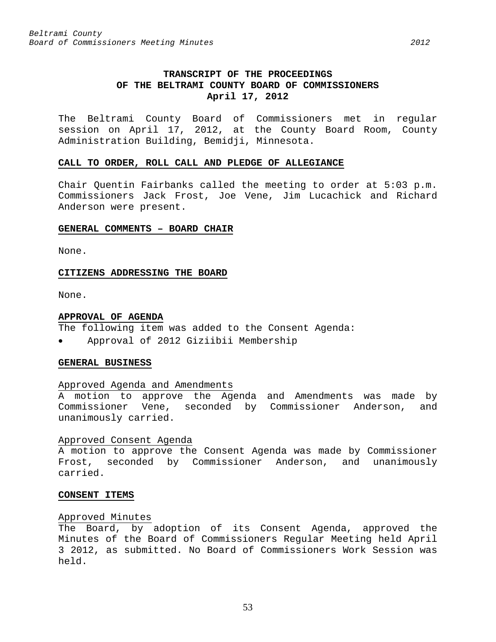# **TRANSCRIPT OF THE PROCEEDINGS OF THE BELTRAMI COUNTY BOARD OF COMMISSIONERS April 17, 2012**

The Beltrami County Board of Commissioners met in regular session on April 17, 2012, at the County Board Room, County Administration Building, Bemidji, Minnesota.

#### **CALL TO ORDER, ROLL CALL AND PLEDGE OF ALLEGIANCE**

Chair Quentin Fairbanks called the meeting to order at 5:03 p.m. Commissioners Jack Frost, Joe Vene, Jim Lucachick and Richard Anderson were present.

#### **GENERAL COMMENTS – BOARD CHAIR**

None.

## **CITIZENS ADDRESSING THE BOARD**

None.

#### **APPROVAL OF AGENDA**

- The following item was added to the Consent Agenda:
- Approval of 2012 Giziibii Membership

## **GENERAL BUSINESS**

#### Approved Agenda and Amendments

A motion to approve the Agenda and Amendments was made by Commissioner Vene, seconded by Commissioner Anderson, and unanimously carried.

#### Approved Consent Agenda

A motion to approve the Consent Agenda was made by Commissioner Frost, seconded by Commissioner Anderson, and unanimously carried.

## **CONSENT ITEMS**

#### Approved Minutes

The Board, by adoption of its Consent Agenda, approved the Minutes of the Board of Commissioners Regular Meeting held April 3 2012, as submitted. No Board of Commissioners Work Session was held.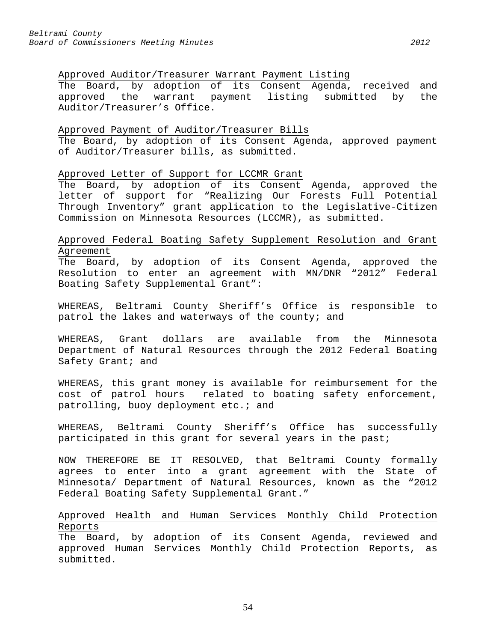# Approved Auditor/Treasurer Warrant Payment Listing

The Board, by adoption of its Consent Agenda, received and<br>approved the warrant payment listing submitted by the approved the warrant payment listing submitted by Auditor/Treasurer's Office.

## Approved Payment of Auditor/Treasurer Bills

The Board, by adoption of its Consent Agenda, approved payment of Auditor/Treasurer bills, as submitted.

# Approved Letter of Support for LCCMR Grant

The Board, by adoption of its Consent Agenda, approved the letter of support for "Realizing Our Forests Full Potential Through Inventory" grant application to the Legislative-Citizen Commission on Minnesota Resources (LCCMR), as submitted.

# Approved Federal Boating Safety Supplement Resolution and Grant Agreement

The Board, by adoption of its Consent Agenda, approved the Resolution to enter an agreement with MN/DNR "2012" Federal Boating Safety Supplemental Grant":

WHEREAS, Beltrami County Sheriff's Office is responsible to patrol the lakes and waterways of the county; and

WHEREAS, Grant dollars are available from the Minnesota Department of Natural Resources through the 2012 Federal Boating Safety Grant; and

WHEREAS, this grant money is available for reimbursement for the cost of patrol hours related to boating safety enforcement, patrolling, buoy deployment etc.; and

WHEREAS, Beltrami County Sheriff's Office has successfully participated in this grant for several years in the past;

NOW THEREFORE BE IT RESOLVED, that Beltrami County formally agrees to enter into a grant agreement with the State of Minnesota/ Department of Natural Resources, known as the "2012 Federal Boating Safety Supplemental Grant."

# Approved Health and Human Services Monthly Child Protection Reports

The Board, by adoption of its Consent Agenda, reviewed and approved Human Services Monthly Child Protection Reports, as submitted.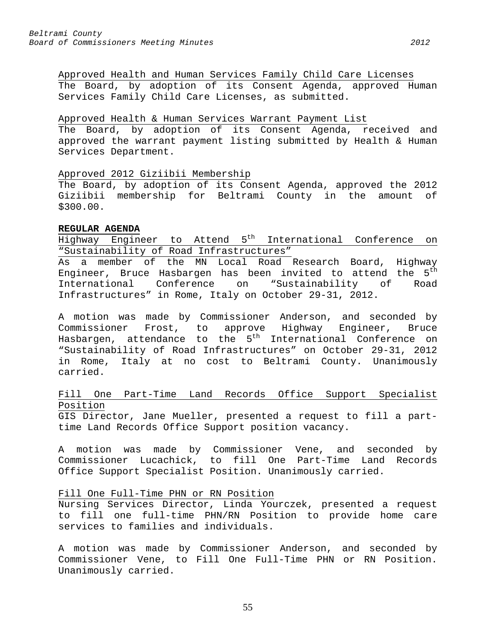Approved Health and Human Services Family Child Care Licenses The Board, by adoption of its Consent Agenda, approved Human Services Family Child Care Licenses, as submitted.

## Approved Health & Human Services Warrant Payment List

The Board, by adoption of its Consent Agenda, received and approved the warrant payment listing submitted by Health & Human Services Department.

# Approved 2012 Giziibii Membership

The Board, by adoption of its Consent Agenda, approved the 2012 Giziibii membership for Beltrami County in the amount of \$300.00.

## **REGULAR AGENDA**

Highway Engineer to Attend 5th International Conference on "Sustainability of Road Infrastructures"

As a member of the MN Local Road Research Board, Highway Engineer, Bruce Hasbargen has been invited to attend the 5<sup>th</sup><br>International Conference on "Sustainability of Road Conference on "Sustainability of Road Infrastructures" in Rome, Italy on October 29-31, 2012.

A motion was made by Commissioner Anderson, and seconded by Commissioner Frost, to approve Highway Engineer, Bruce Hasbargen, attendance to the 5<sup>th</sup> International Conference on "Sustainability of Road Infrastructures" on October 29-31, 2012 in Rome, Italy at no cost to Beltrami County. Unanimously carried.

# Fill One Part-Time Land Records Office Support Specialist Position

GIS Director, Jane Mueller, presented a request to fill a parttime Land Records Office Support position vacancy.

A motion was made by Commissioner Vene, and seconded by Commissioner Lucachick, to fill One Part-Time Land Records Office Support Specialist Position. Unanimously carried.

# Fill One Full-Time PHN or RN Position

Nursing Services Director, Linda Yourczek, presented a request to fill one full-time PHN/RN Position to provide home care services to families and individuals.

A motion was made by Commissioner Anderson, and seconded by Commissioner Vene, to Fill One Full-Time PHN or RN Position. Unanimously carried.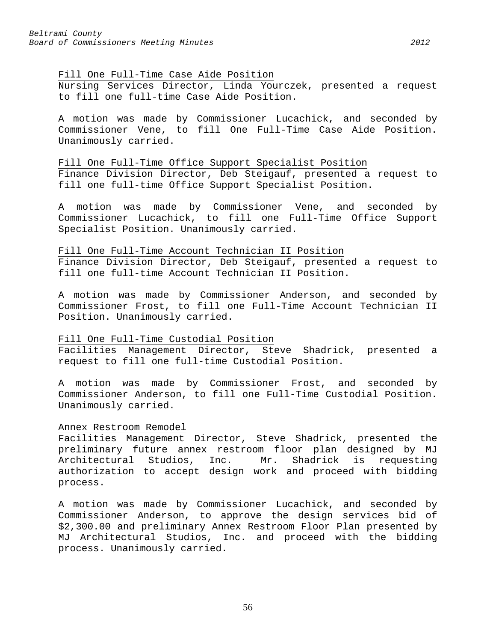#### Fill One Full-Time Case Aide Position

Nursing Services Director, Linda Yourczek, presented a request to fill one full-time Case Aide Position.

A motion was made by Commissioner Lucachick, and seconded by Commissioner Vene, to fill One Full-Time Case Aide Position. Unanimously carried.

## Fill One Full-Time Office Support Specialist Position

Finance Division Director, Deb Steigauf, presented a request to fill one full-time Office Support Specialist Position.

A motion was made by Commissioner Vene, and seconded by Commissioner Lucachick, to fill one Full-Time Office Support Specialist Position. Unanimously carried.

#### Fill One Full-Time Account Technician II Position

Finance Division Director, Deb Steigauf, presented a request to fill one full-time Account Technician II Position.

A motion was made by Commissioner Anderson, and seconded by Commissioner Frost, to fill one Full-Time Account Technician II Position. Unanimously carried.

Fill One Full-Time Custodial Position<br>Facilities Management Director, Steve Shadrick, presented a Facilities Management Director, request to fill one full-time Custodial Position.

A motion was made by Commissioner Frost, and seconded by Commissioner Anderson, to fill one Full-Time Custodial Position. Unanimously carried.

## Annex Restroom Remodel

Facilities Management Director, Steve Shadrick, presented the preliminary future annex restroom floor plan designed by MJ<br>Architectural Studios, Inc. Mr. Shadrick is requesting Architectural Studios, Inc. Mr. authorization to accept design work and proceed with bidding process.

A motion was made by Commissioner Lucachick, and seconded by Commissioner Anderson, to approve the design services bid of \$2,300.00 and preliminary Annex Restroom Floor Plan presented by MJ Architectural Studios, Inc. and proceed with the bidding process. Unanimously carried.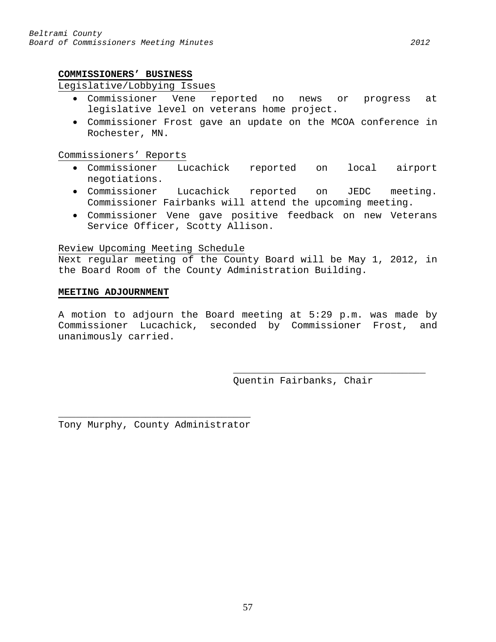## **COMMISSIONERS' BUSINESS**

# Legislative/Lobbying Issues

- Commissioner Vene reported no news or progress at legislative level on veterans home project.
- Commissioner Frost gave an update on the MCOA conference in Rochester, MN.

Commissioners' Reports

- Commissioner Lucachick reported on local airport negotiations.
- Commissioner Lucachick reported on JEDC meeting. Commissioner Fairbanks will attend the upcoming meeting.
- Commissioner Vene gave positive feedback on new Veterans Service Officer, Scotty Allison.

## Review Upcoming Meeting Schedule

Next regular meeting of the County Board will be May 1, 2012, in the Board Room of the County Administration Building.

## **MEETING ADJOURNMENT**

A motion to adjourn the Board meeting at 5:29 p.m. was made by Commissioner Lucachick, seconded by Commissioner Frost, and unanimously carried.

> \_\_\_\_\_\_\_\_\_\_\_\_\_\_\_\_\_\_\_\_\_\_\_\_\_\_\_\_\_\_\_\_\_ Quentin Fairbanks, Chair

\_\_\_\_\_\_\_\_\_\_\_\_\_\_\_\_\_\_\_\_\_\_\_\_\_\_\_\_\_\_\_\_\_ Tony Murphy, County Administrator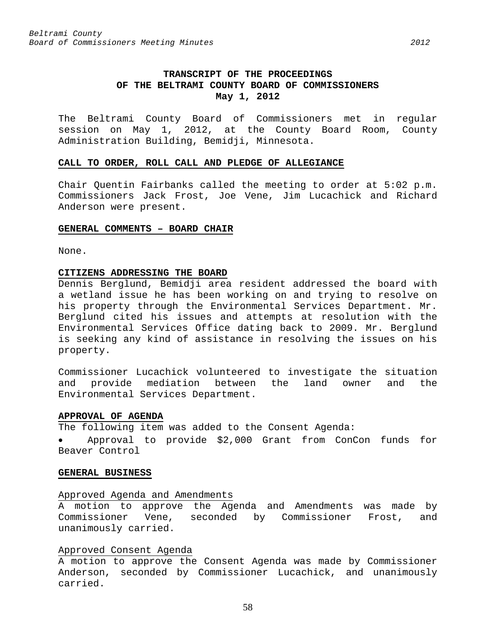The Beltrami County Board of Commissioners met in regular session on May 1, 2012, at the County Board Room, County Administration Building, Bemidji, Minnesota.

#### **CALL TO ORDER, ROLL CALL AND PLEDGE OF ALLEGIANCE**

Chair Quentin Fairbanks called the meeting to order at 5:02 p.m. Commissioners Jack Frost, Joe Vene, Jim Lucachick and Richard Anderson were present.

#### **GENERAL COMMENTS – BOARD CHAIR**

None.

# **CITIZENS ADDRESSING THE BOARD**

Dennis Berglund, Bemidji area resident addressed the board with a wetland issue he has been working on and trying to resolve on his property through the Environmental Services Department. Mr. Berglund cited his issues and attempts at resolution with the Environmental Services Office dating back to 2009. Mr. Berglund is seeking any kind of assistance in resolving the issues on his property.

Commissioner Lucachick volunteered to investigate the situation and provide mediation between the land owner and the Environmental Services Department.

# **APPROVAL OF AGENDA**

The following item was added to the Consent Agenda:

• Approval to provide \$2,000 Grant from ConCon funds for Beaver Control

#### **GENERAL BUSINESS**

#### Approved Agenda and Amendments

A motion to approve the Agenda and Amendments was made by Commissioner Vene, seconded by Commissioner Frost, and unanimously carried.

## Approved Consent Agenda

A motion to approve the Consent Agenda was made by Commissioner Anderson, seconded by Commissioner Lucachick, and unanimously carried.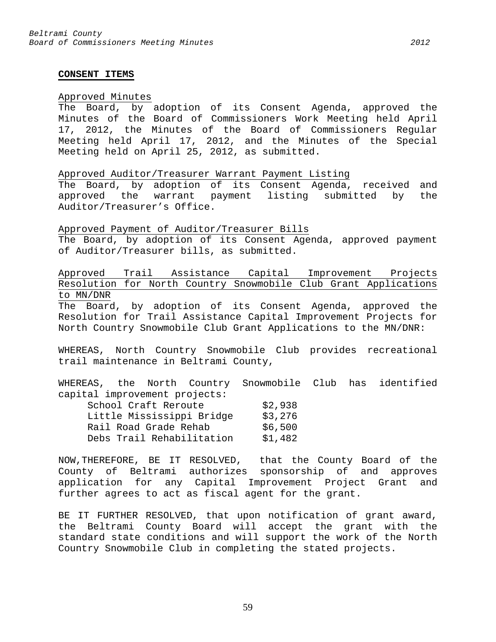#### **CONSENT ITEMS**

#### Approved Minutes

The Board, by adoption of its Consent Agenda, approved the Minutes of the Board of Commissioners Work Meeting held April 17, 2012, the Minutes of the Board of Commissioners Regular Meeting held April 17, 2012, and the Minutes of the Special Meeting held on April 25, 2012, as submitted.

Approved Auditor/Treasurer Warrant Payment Listing

The Board, by adoption of its Consent Agenda, received and approved the warrant payment listing submitted by the Auditor/Treasurer's Office.

Approved Payment of Auditor/Treasurer Bills

The Board, by adoption of its Consent Agenda, approved payment of Auditor/Treasurer bills, as submitted.

Approved Trail Assistance Capital Improvement Projects Resolution for North Country Snowmobile Club Grant Applications to MN/DNR

The Board, by adoption of its Consent Agenda, approved the Resolution for Trail Assistance Capital Improvement Projects for North Country Snowmobile Club Grant Applications to the MN/DNR:

WHEREAS, North Country Snowmobile Club provides recreational trail maintenance in Beltrami County,

WHEREAS, the North Country Snowmobile Club has identified capital improvement projects: School Craft Reroute \$2,938 Little Mississippi Bridge \$3,276<br>Rail Road Grade Rehab \$6,500 Rail Road Grade Rehab Debs Trail Rehabilitation \$1,482

NOW,THEREFORE, BE IT RESOLVED, that the County Board of the County of Beltrami authorizes sponsorship of and approves application for any Capital Improvement Project Grant and further agrees to act as fiscal agent for the grant.

BE IT FURTHER RESOLVED, that upon notification of grant award, the Beltrami County Board will accept the grant with the standard state conditions and will support the work of the North Country Snowmobile Club in completing the stated projects.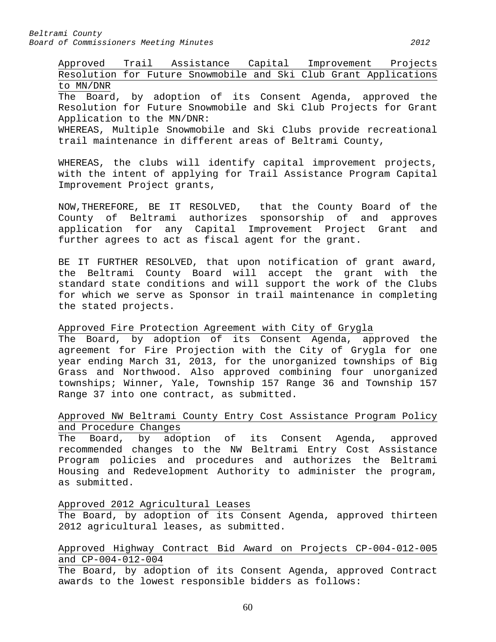Approved Trail Assistance Capital Improvement Projects Resolution for Future Snowmobile and Ski Club Grant Applications to MN/DNR The Board, by adoption of its Consent Agenda, approved the Resolution for Future Snowmobile and Ski Club Projects for Grant Application to the MN/DNR: WHEREAS, Multiple Snowmobile and Ski Clubs provide recreational trail maintenance in different areas of Beltrami County,

WHEREAS, the clubs will identify capital improvement projects, with the intent of applying for Trail Assistance Program Capital Improvement Project grants,

NOW,THEREFORE, BE IT RESOLVED, that the County Board of the County of Beltrami authorizes sponsorship of and approves application for any Capital Improvement Project Grant and further agrees to act as fiscal agent for the grant.

BE IT FURTHER RESOLVED, that upon notification of grant award, the Beltrami County Board will accept the grant with the standard state conditions and will support the work of the Clubs for which we serve as Sponsor in trail maintenance in completing the stated projects.

Approved Fire Protection Agreement with City of Grygla

The Board, by adoption of its Consent Agenda, approved the agreement for Fire Projection with the City of Grygla for one year ending March 31, 2013, for the unorganized townships of Big Grass and Northwood. Also approved combining four unorganized townships; Winner, Yale, Township 157 Range 36 and Township 157 Range 37 into one contract, as submitted.

# Approved NW Beltrami County Entry Cost Assistance Program Policy and Procedure Changes

The Board, by adoption of its Consent Agenda, approved recommended changes to the NW Beltrami Entry Cost Assistance Program policies and procedures and authorizes the Beltrami Housing and Redevelopment Authority to administer the program, as submitted.

# Approved 2012 Agricultural Leases

The Board, by adoption of its Consent Agenda, approved thirteen 2012 agricultural leases, as submitted.

# Approved Highway Contract Bid Award on Projects CP-004-012-005 and CP-004-012-004

The Board, by adoption of its Consent Agenda, approved Contract awards to the lowest responsible bidders as follows: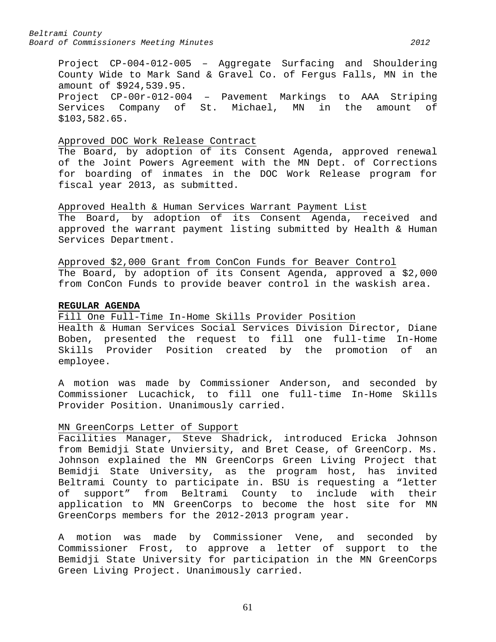Project CP-004-012-005 – Aggregate Surfacing and Shouldering County Wide to Mark Sand & Gravel Co. of Fergus Falls, MN in the amount of \$924,539.95. Project CP-00r-012-004 – Pavement Markings to AAA Striping Services Company of St. Michael, MN in the amount of \$103,582.65.

#### Approved DOC Work Release Contract

The Board, by adoption of its Consent Agenda, approved renewal of the Joint Powers Agreement with the MN Dept. of Corrections for boarding of inmates in the DOC Work Release program for fiscal year 2013, as submitted.

Approved Health & Human Services Warrant Payment List The Board, by adoption of its Consent Agenda, received and approved the warrant payment listing submitted by Health & Human Services Department.

Approved \$2,000 Grant from ConCon Funds for Beaver Control The Board, by adoption of its Consent Agenda, approved a \$2,000 from ConCon Funds to provide beaver control in the waskish area.

#### **REGULAR AGENDA**

Fill One Full-Time In-Home Skills Provider Position Health & Human Services Social Services Division Director, Diane Boben, presented the request to fill one full-time In-Home Skills Provider Position created by the promotion of an

employee. A motion was made by Commissioner Anderson, and seconded by Commissioner Lucachick, to fill one full-time In-Home Skills Provider Position. Unanimously carried.

#### MN GreenCorps Letter of Support

Facilities Manager, Steve Shadrick, introduced Ericka Johnson from Bemidji State Unviersity, and Bret Cease, of GreenCorp. Ms. Johnson explained the MN GreenCorps Green Living Project that Bemidji State University, as the program host, has invited Beltrami County to participate in. BSU is requesting a "letter of support" from Beltrami County to include with their application to MN GreenCorps to become the host site for MN GreenCorps members for the 2012-2013 program year.

A motion was made by Commissioner Vene, and seconded by Commissioner Frost, to approve a letter of support to the Bemidji State University for participation in the MN GreenCorps Green Living Project. Unanimously carried.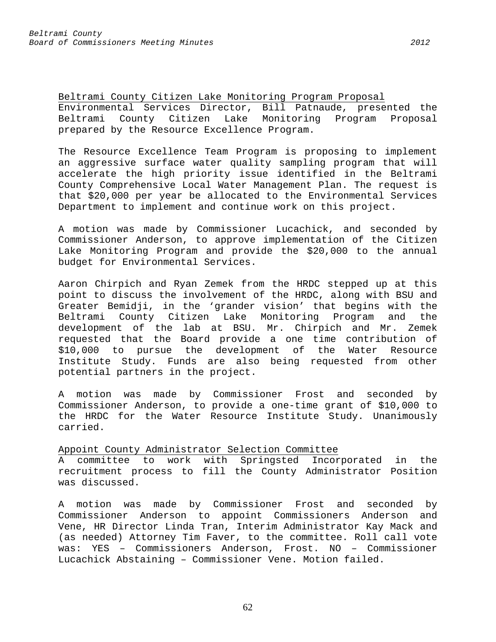Beltrami County Citizen Lake Monitoring Program Proposal Environmental Services Director, Bill Patnaude, presented the Beltrami County Citizen Lake Monitoring Program Proposal prepared by the Resource Excellence Program.

The Resource Excellence Team Program is proposing to implement an aggressive surface water quality sampling program that will accelerate the high priority issue identified in the Beltrami County Comprehensive Local Water Management Plan. The request is that \$20,000 per year be allocated to the Environmental Services Department to implement and continue work on this project.

A motion was made by Commissioner Lucachick, and seconded by Commissioner Anderson, to approve implementation of the Citizen Lake Monitoring Program and provide the \$20,000 to the annual budget for Environmental Services.

Aaron Chirpich and Ryan Zemek from the HRDC stepped up at this point to discuss the involvement of the HRDC, along with BSU and Greater Bemidji, in the 'grander vision' that begins with the<br>Beltrami County Citizen Lake Monitoring Program and the Beltrami County Citizen Lake Monitoring Program and the development of the lab at BSU. Mr. Chirpich and Mr. Zemek requested that the Board provide a one time contribution of \$10,000 to pursue the development of the Water Resource Institute Study. Funds are also being requested from other potential partners in the project.

A motion was made by Commissioner Frost and seconded by Commissioner Anderson, to provide a one-time grant of \$10,000 to the HRDC for the Water Resource Institute Study. Unanimously carried.

Appoint County Administrator Selection Committee

A committee to work with Springsted Incorporated in the recruitment process to fill the County Administrator Position was discussed.

A motion was made by Commissioner Frost and seconded by Commissioner Anderson to appoint Commissioners Anderson and Vene, HR Director Linda Tran, Interim Administrator Kay Mack and (as needed) Attorney Tim Faver, to the committee. Roll call vote was: YES – Commissioners Anderson, Frost. NO – Commissioner Lucachick Abstaining – Commissioner Vene. Motion failed.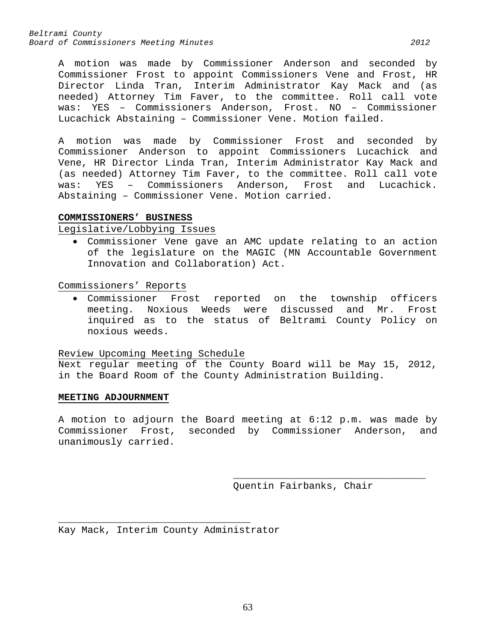*Beltrami County Board of Commissioners Meeting Minutes 2012*

A motion was made by Commissioner Anderson and seconded by Commissioner Frost to appoint Commissioners Vene and Frost, HR Director Linda Tran, Interim Administrator Kay Mack and (as needed) Attorney Tim Faver, to the committee. Roll call vote was: YES – Commissioners Anderson, Frost. NO – Commissioner Lucachick Abstaining – Commissioner Vene. Motion failed.

A motion was made by Commissioner Frost and seconded by Commissioner Anderson to appoint Commissioners Lucachick and Vene, HR Director Linda Tran, Interim Administrator Kay Mack and (as needed) Attorney Tim Faver, to the committee. Roll call vote<br>was: YES - Commissioners Anderson, Frost and Lucachick. was: YES - Commissioners Anderson, Abstaining – Commissioner Vene. Motion carried.

# **COMMISSIONERS' BUSINESS**

Legislative/Lobbying Issues

• Commissioner Vene gave an AMC update relating to an action of the legislature on the MAGIC (MN Accountable Government Innovation and Collaboration) Act.

Commissioners' Reports

• Commissioner Frost reported on the township officers meeting. Noxious Weeds were discussed and Mr. Frost inquired as to the status of Beltrami County Policy on noxious weeds.

Review Upcoming Meeting Schedule

Next regular meeting of the County Board will be May 15, 2012, in the Board Room of the County Administration Building.

## **MEETING ADJOURNMENT**

A motion to adjourn the Board meeting at 6:12 p.m. was made by Commissioner Frost, seconded by Commissioner Anderson, and unanimously carried.

> \_\_\_\_\_\_\_\_\_\_\_\_\_\_\_\_\_\_\_\_\_\_\_\_\_\_\_\_\_\_\_\_\_ Quentin Fairbanks, Chair

\_\_\_\_\_\_\_\_\_\_\_\_\_\_\_\_\_\_\_\_\_\_\_\_\_\_\_\_\_\_\_\_\_ Kay Mack, Interim County Administrator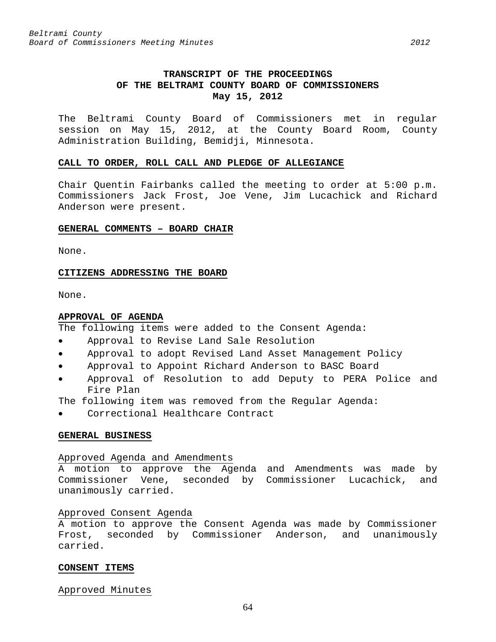# **TRANSCRIPT OF THE PROCEEDINGS OF THE BELTRAMI COUNTY BOARD OF COMMISSIONERS May 15, 2012**

The Beltrami County Board of Commissioners met in regular session on May 15, 2012, at the County Board Room, County Administration Building, Bemidji, Minnesota.

## **CALL TO ORDER, ROLL CALL AND PLEDGE OF ALLEGIANCE**

Chair Quentin Fairbanks called the meeting to order at 5:00 p.m. Commissioners Jack Frost, Joe Vene, Jim Lucachick and Richard Anderson were present.

## **GENERAL COMMENTS – BOARD CHAIR**

None.

# **CITIZENS ADDRESSING THE BOARD**

None.

## **APPROVAL OF AGENDA**

The following items were added to the Consent Agenda:

- Approval to Revise Land Sale Resolution
- Approval to adopt Revised Land Asset Management Policy
- Approval to Appoint Richard Anderson to BASC Board
- Approval of Resolution to add Deputy to PERA Police and Fire Plan

The following item was removed from the Regular Agenda:

Correctional Healthcare Contract

#### **GENERAL BUSINESS**

# Approved Agenda and Amendments

A motion to approve the Agenda and Amendments was made by Commissioner Vene, seconded by Commissioner Lucachick, and unanimously carried.

# Approved Consent Agenda

A motion to approve the Consent Agenda was made by Commissioner Frost, seconded by Commissioner Anderson, and unanimously carried.

# **CONSENT ITEMS**

Approved Minutes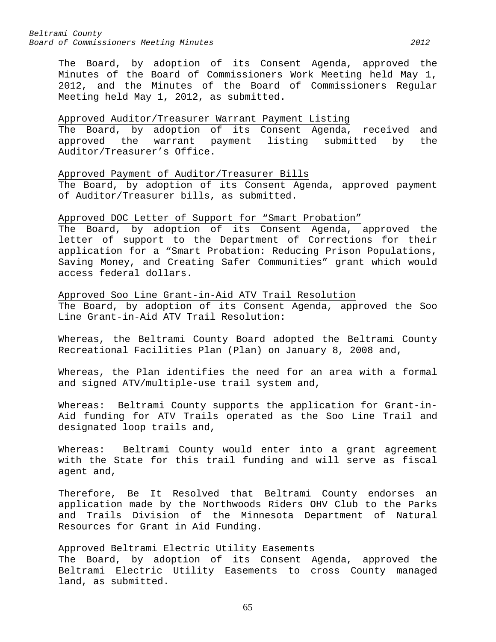*Beltrami County Board of Commissioners Meeting Minutes 2012*

The Board, by adoption of its Consent Agenda, approved the Minutes of the Board of Commissioners Work Meeting held May 1, 2012, and the Minutes of the Board of Commissioners Regular Meeting held May 1, 2012, as submitted.

## Approved Auditor/Treasurer Warrant Payment Listing

The Board, by adoption of its Consent Agenda, received and approved the warrant payment listing submitted by the Auditor/Treasurer's Office.

Approved Payment of Auditor/Treasurer Bills

The Board, by adoption of its Consent Agenda, approved payment of Auditor/Treasurer bills, as submitted.

#### Approved DOC Letter of Support for "Smart Probation"

The Board, by adoption of its Consent Agenda, approved the letter of support to the Department of Corrections for their application for a "Smart Probation: Reducing Prison Populations, Saving Money, and Creating Safer Communities" grant which would access federal dollars.

Approved Soo Line Grant-in-Aid ATV Trail Resolution The Board, by adoption of its Consent Agenda, approved the Soo Line Grant-in-Aid ATV Trail Resolution:

Whereas, the Beltrami County Board adopted the Beltrami County Recreational Facilities Plan (Plan) on January 8, 2008 and,

Whereas, the Plan identifies the need for an area with a formal and signed ATV/multiple-use trail system and,

Whereas: Beltrami County supports the application for Grant-in-Aid funding for ATV Trails operated as the Soo Line Trail and designated loop trails and,

Whereas: Beltrami County would enter into a grant agreement with the State for this trail funding and will serve as fiscal agent and,

Therefore, Be It Resolved that Beltrami County endorses an application made by the Northwoods Riders OHV Club to the Parks and Trails Division of the Minnesota Department of Natural Resources for Grant in Aid Funding.

# Approved Beltrami Electric Utility Easements

The Board, by adoption of its Consent Agenda, approved the Beltrami Electric Utility Easements to cross County managed land, as submitted.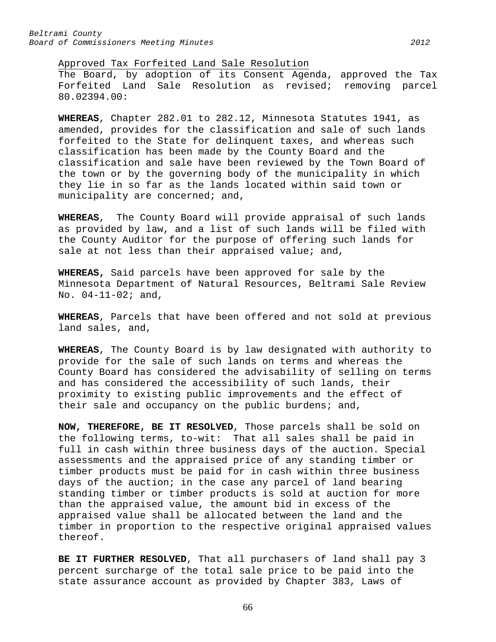Approved Tax Forfeited Land Sale Resolution

The Board, by adoption of its Consent Agenda, approved the Tax Forfeited Land Sale Resolution as revised; removing parcel 80.02394.00:

**WHEREAS**, Chapter 282.01 to 282.12, Minnesota Statutes 1941, as amended, provides for the classification and sale of such lands forfeited to the State for delinquent taxes, and whereas such classification has been made by the County Board and the classification and sale have been reviewed by the Town Board of the town or by the governing body of the municipality in which they lie in so far as the lands located within said town or municipality are concerned; and,

**WHEREAS**, The County Board will provide appraisal of such lands as provided by law, and a list of such lands will be filed with the County Auditor for the purpose of offering such lands for sale at not less than their appraised value; and,

**WHEREAS,** Said parcels have been approved for sale by the Minnesota Department of Natural Resources, Beltrami Sale Review No. 04-11-02; and,

**WHEREAS**, Parcels that have been offered and not sold at previous land sales, and,

**WHEREAS**, The County Board is by law designated with authority to provide for the sale of such lands on terms and whereas the County Board has considered the advisability of selling on terms and has considered the accessibility of such lands, their proximity to existing public improvements and the effect of their sale and occupancy on the public burdens; and,

**NOW, THEREFORE, BE IT RESOLVED**, Those parcels shall be sold on the following terms, to-wit: That all sales shall be paid in full in cash within three business days of the auction. Special assessments and the appraised price of any standing timber or timber products must be paid for in cash within three business days of the auction; in the case any parcel of land bearing standing timber or timber products is sold at auction for more than the appraised value, the amount bid in excess of the appraised value shall be allocated between the land and the timber in proportion to the respective original appraised values thereof.

**BE IT FURTHER RESOLVED**, That all purchasers of land shall pay 3 percent surcharge of the total sale price to be paid into the state assurance account as provided by Chapter 383, Laws of

66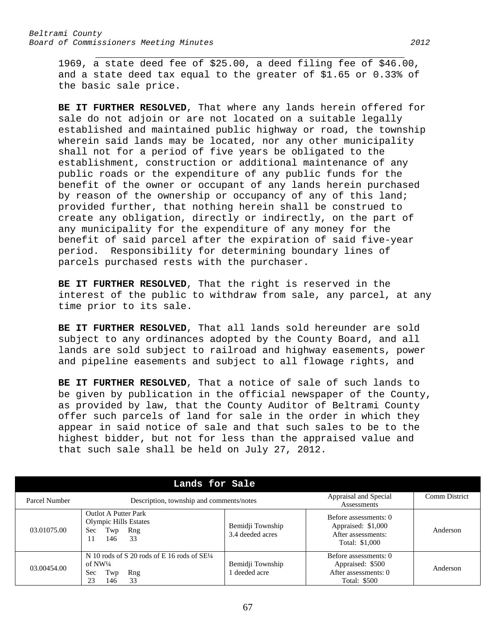1969, a state deed fee of \$25.00, a deed filing fee of \$46.00, and a state deed tax equal to the greater of \$1.65 or 0.33% of the basic sale price.

**BE IT FURTHER RESOLVED**, That where any lands herein offered for sale do not adjoin or are not located on a suitable legally established and maintained public highway or road, the township wherein said lands may be located, nor any other municipality shall not for a period of five years be obligated to the establishment, construction or additional maintenance of any public roads or the expenditure of any public funds for the benefit of the owner or occupant of any lands herein purchased by reason of the ownership or occupancy of any of this land; provided further, that nothing herein shall be construed to create any obligation, directly or indirectly, on the part of any municipality for the expenditure of any money for the benefit of said parcel after the expiration of said five-year period. Responsibility for determining boundary lines of parcels purchased rests with the purchaser.

**BE IT FURTHER RESOLVED**, That the right is reserved in the interest of the public to withdraw from sale, any parcel, at any time prior to its sale.

**BE IT FURTHER RESOLVED**, That all lands sold hereunder are sold subject to any ordinances adopted by the County Board, and all lands are sold subject to railroad and highway easements, power and pipeline easements and subject to all flowage rights, and

**BE IT FURTHER RESOLVED**, That a notice of sale of such lands to be given by publication in the official newspaper of the County, as provided by law, that the County Auditor of Beltrami County offer such parcels of land for sale in the order in which they appear in said notice of sale and that such sales to be to the highest bidder, but not for less than the appraised value and that such sale shall be held on July 27, 2012.

|               |             | Lands for Sale                                                                                             |                                      |                                                                                          |          |
|---------------|-------------|------------------------------------------------------------------------------------------------------------|--------------------------------------|------------------------------------------------------------------------------------------|----------|
| Parcel Number |             | Description, township and comments/notes                                                                   | Appraisal and Special<br>Assessments | <b>Comm District</b>                                                                     |          |
|               | 03.01075.00 | <b>Outlot A Putter Park</b><br><b>Olympic Hills Estates</b><br>Twp<br>Rng<br><b>Sec</b><br>33<br>146<br>11 | Bemidji Township<br>3.4 deeded acres | Before assessments: 0<br>Appraised: \$1,000<br>After assessments:<br>Total: \$1,000      | Anderson |
|               | 03.00454.00 | N 10 rods of S 20 rods of E 16 rods of $SE\frac{1}{4}$<br>of NW½<br>Twp<br>Sec<br>Rng<br>33<br>23<br>146   | Bemidji Township<br>deeded acre      | Before assessments: 0<br>Appraised: \$500<br>After assessments: 0<br><b>Total: \$500</b> | Anderson |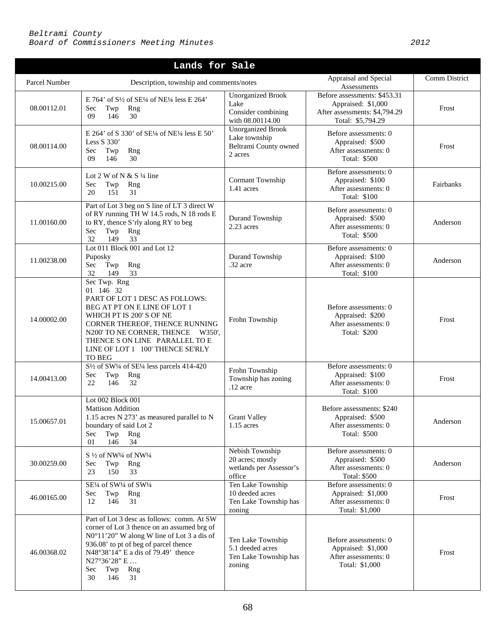| Lands for Sale |                                                                                                                                                                                                                                                                                          |                                                                               |                                                                                                          |           |  |  |
|----------------|------------------------------------------------------------------------------------------------------------------------------------------------------------------------------------------------------------------------------------------------------------------------------------------|-------------------------------------------------------------------------------|----------------------------------------------------------------------------------------------------------|-----------|--|--|
| Parcel Number  | Description, township and comments/notes                                                                                                                                                                                                                                                 | Appraisal and Special<br>Assessments                                          | Comm District                                                                                            |           |  |  |
| 08.00112.01    | E 764' of $S\frac{1}{2}$ of $SE\frac{1}{4}$ of NE $\frac{1}{4}$ less E 264'<br>Sec<br>Twp<br>Rng<br>30<br>09<br>146                                                                                                                                                                      | <b>Unorganized Brook</b><br>Lake<br>Consider combining<br>with 08.00114.00    | Before assessments: \$453.31<br>Appraised: \$1,000<br>After assessments: \$4,794.29<br>Total: \$5,794.29 | Frost     |  |  |
| 08.00114.00    | E 264' of S 330' of SE1/4 of NE1/4 less E 50'<br>Less $S$ 330'<br>Rng<br>Sec<br>Twp<br>30<br>09<br>146                                                                                                                                                                                   | <b>Unorganized Brook</b><br>Lake township<br>Beltrami County owned<br>2 acres | Before assessments: 0<br>Appraised: \$500<br>After assessments: 0<br>Total: \$500                        | Frost     |  |  |
| 10.00215.00    | Lot 2 W of N & S $\frac{1}{4}$ line<br>Rng<br>Sec<br>Twp<br>20<br>151<br>31                                                                                                                                                                                                              | Cormant Township<br>1.41 acres                                                | Before assessments: 0<br>Appraised: \$100<br>After assessments: 0<br>Total: \$100                        | Fairbanks |  |  |
| 11.00160.00    | Part of Lot 3 beg on S line of LT 3 direct W<br>of RY running TH W 14.5 rods, N 18 rods E<br>to RY, thence S'rly along RY to beg<br>Twp<br>Sec<br>Rng<br>32<br>149<br>33                                                                                                                 | Durand Township<br>2.23 acres                                                 | Before assessments: 0<br>Appraised: \$500<br>After assessments: 0<br>Total: \$500                        | Anderson  |  |  |
| 11.00238.00    | Lot 011 Block 001 and Lot 12<br>Puposky<br>Rng<br>Sec<br>Twp<br>32<br>33<br>149                                                                                                                                                                                                          | Durand Township<br>.32 acre                                                   | Before assessments: 0<br>Appraised: \$100<br>After assessments: 0<br>Total: \$100                        | Anderson  |  |  |
| 14.00002.00    | Sec Twp. Rng<br>01 146 32<br>PART OF LOT 1 DESC AS FOLLOWS:<br>BEG AT PT ON E LINE OF LOT 1<br>WHICH PT IS 200' S OF NE<br>CORNER THEREOF, THENCE RUNNING<br>N200' TO NE CORNER, THENCE W350',<br>THENCE S ON LINE PARALLEL TO E<br>LINE OF LOT 1 100' THENCE SE'RLY<br><b>TO BEG</b>    | Frohn Township                                                                | Before assessments: 0<br>Appraised: \$200<br>After assessments: 0<br>Total: \$200                        | Frost     |  |  |
| 14.00413.00    | S <sup>1</sup> / <sub>2</sub> of SW <sup>1</sup> / <sub>4</sub> of SE <sup>1</sup> / <sub>4</sub> less parcels 414-420<br>Sec<br>Twp<br>Rng<br>22<br>146<br>32                                                                                                                           | Frohn Township<br>Township has zoning<br>$.12$ acre                           | Before assessments: 0<br>Appraised: \$100<br>After assessments: 0<br>Total: \$100                        | Frost     |  |  |
| 15.00657.01    | Lot 002 Block 001<br><b>Mattison Addition</b><br>1.15 acres N 273' as measured parallel to N<br>boundary of said Lot 2<br>Sec<br>Twp<br>Rng<br>34<br>01<br>146                                                                                                                           | <b>Grant Valley</b><br>$1.15$ acres                                           | Before assessments: \$240<br>Appraised: \$500<br>After assessments: 0<br>Total: \$500                    | Anderson  |  |  |
| 30.00259.00    | S 1/2 of NW1/4 of NW1/4<br>Sec<br>Twp<br>Rng<br>150<br>33<br>23                                                                                                                                                                                                                          | Nebish Township<br>20 acres; mostly<br>wetlands per Assessor's<br>office      | Before assessments: 0<br>Appraised: \$500<br>After assessments: 0<br><b>Total: \$500</b>                 | Anderson  |  |  |
| 46.00165.00    | SE1/4 of SW1/4 of SW1/4<br>Sec<br>Twp<br>Rng<br>146<br>31<br>12                                                                                                                                                                                                                          | Ten Lake Township<br>10 deeded acres<br>Ten Lake Township has<br>zoning       | Before assessments: 0<br>Appraised: \$1,000<br>After assessments: 0<br>Total: \$1,000                    | Frost     |  |  |
| 46.00368.02    | Part of Lot 3 desc as follows: comm. At SW<br>corner of Lot 3 thence on an assumed brg of<br>N0°11'20" W along W line of Lot 3 a dis of<br>936.08' to pt of beg of parcel thence<br>N48°38'14" E a dis of 79.49' thence<br>$N27^{\circ}36'28" E$<br>Twp<br>Sec<br>Rng<br>30<br>146<br>31 | Ten Lake Township<br>5.1 deeded acres<br>Ten Lake Township has<br>zoning      | Before assessments: 0<br>Appraised: \$1,000<br>After assessments: 0<br>Total: \$1,000                    | Frost     |  |  |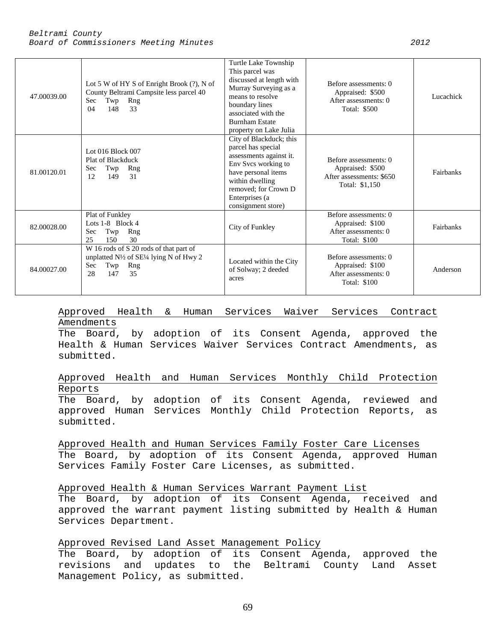| 47.00039.00 | Lot 5 W of HY S of Enright Brook $(?)$ , N of<br>County Beltrami Campsite less parcel 40<br>Twp<br>Rng<br>Sec.<br>148<br>33<br>04                      | Turtle Lake Township<br>This parcel was<br>discussed at length with<br>Murray Surveying as a<br>means to resolve<br>boundary lines<br>associated with the<br><b>Burnham Estate</b><br>property on Lake Julia | Before assessments: 0<br>Appraised: \$500<br>After assessments: 0<br>Total: \$500        | Lucachick |
|-------------|--------------------------------------------------------------------------------------------------------------------------------------------------------|--------------------------------------------------------------------------------------------------------------------------------------------------------------------------------------------------------------|------------------------------------------------------------------------------------------|-----------|
| 81.00120.01 | Lot $016$ Block $007$<br>Plat of Blackduck<br>Sec<br>Twp<br>Rng<br>149<br>12<br>31                                                                     | City of Blackduck; this<br>parcel has special<br>assessments against it.<br>Env Svcs working to<br>have personal items<br>within dwelling<br>removed; for Crown D<br>Enterprises (a)<br>consignment store)   | Before assessments: 0<br>Appraised: \$500<br>After assessments: \$650<br>Total: \$1,150  | Fairbanks |
| 82.00028.00 | Plat of Funkley<br>Lots $1-8$ Block 4<br>Twp<br>Rng<br><b>Sec</b><br>25<br>150<br>30                                                                   | City of Funkley                                                                                                                                                                                              | Before assessments: 0<br>Appraised: \$100<br>After assessments: 0<br>Total: \$100        | Fairbanks |
| 84.00027.00 | W 16 rods of S 20 rods of that part of<br>unplatted $N\frac{1}{2}$ of SE $\frac{1}{4}$ lying N of Hwy 2<br>Rng<br><b>Sec</b><br>Twp<br>28<br>147<br>35 | Located within the City<br>of Solway; 2 deeded<br>acres                                                                                                                                                      | Before assessments: 0<br>Appraised: \$100<br>After assessments: 0<br><b>Total: \$100</b> | Anderson  |

# Approved Health & Human Services Waiver Services Contract Amendments

The Board, by adoption of its Consent Agenda, approved the Health & Human Services Waiver Services Contract Amendments, as submitted.

# Approved Health and Human Services Monthly Child Protection Reports

The Board, by adoption of its Consent Agenda, reviewed and approved Human Services Monthly Child Protection Reports, as submitted.

Approved Health and Human Services Family Foster Care Licenses The Board, by adoption of its Consent Agenda, approved Human Services Family Foster Care Licenses, as submitted.

Approved Health & Human Services Warrant Payment List

The Board, by adoption of its Consent Agenda, received and approved the warrant payment listing submitted by Health & Human Services Department.

# Approved Revised Land Asset Management Policy

The Board, by adoption of its Consent Agenda, approved the revisions and updates to the Beltrami County Land Asset Management Policy, as submitted.

69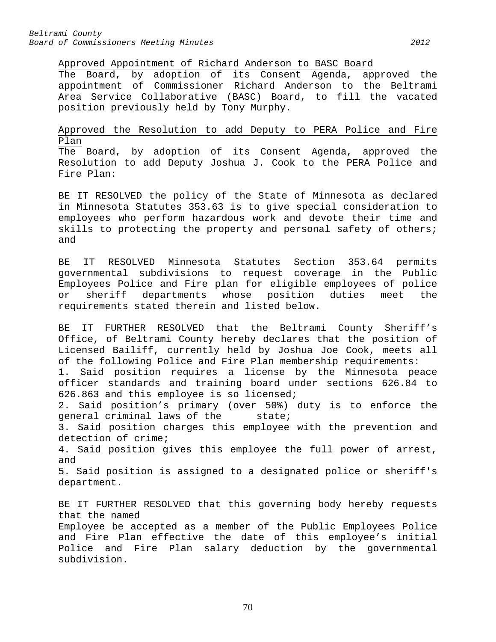subdivision.

Approved Appointment of Richard Anderson to BASC Board

The Board, by adoption of its Consent Agenda, approved the appointment of Commissioner Richard Anderson to the Beltrami Area Service Collaborative (BASC) Board, to fill the vacated position previously held by Tony Murphy.

# Approved the Resolution to add Deputy to PERA Police and Fire Plan

The Board, by adoption of its Consent Agenda, approved the Resolution to add Deputy Joshua J. Cook to the PERA Police and Fire Plan:

BE IT RESOLVED the policy of the State of Minnesota as declared in Minnesota Statutes 353.63 is to give special consideration to employees who perform hazardous work and devote their time and skills to protecting the property and personal safety of others; and

BE IT RESOLVED Minnesota Statutes Section 353.64 permits governmental subdivisions to request coverage in the Public Employees Police and Fire plan for eligible employees of police or sheriff departments whose position duties meet the requirements stated therein and listed below.

BE IT FURTHER RESOLVED that the Beltrami County Sheriff's Office, of Beltrami County hereby declares that the position of Licensed Bailiff, currently held by Joshua Joe Cook, meets all of the following Police and Fire Plan membership requirements:

1. Said position requires a license by the Minnesota peace officer standards and training board under sections 626.84 to 626.863 and this employee is so licensed;

2. Said position's primary (over 50%) duty is to enforce the<br>general criminal laws of the state; general criminal laws of the

3. Said position charges this employee with the prevention and detection of crime;

4. Said position gives this employee the full power of arrest, and

5. Said position is assigned to a designated police or sheriff's department.

BE IT FURTHER RESOLVED that this governing body hereby requests that the named Employee be accepted as a member of the Public Employees Police and Fire Plan effective the date of this employee's initial Police and Fire Plan salary deduction by the governmental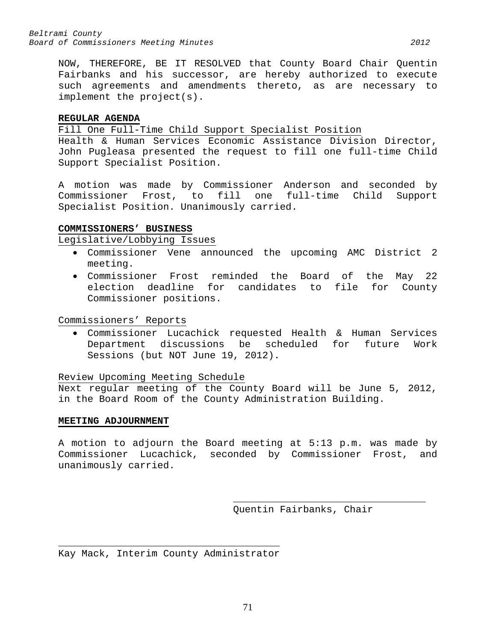NOW, THEREFORE, BE IT RESOLVED that County Board Chair Quentin Fairbanks and his successor, are hereby authorized to execute such agreements and amendments thereto, as are necessary to implement the project(s).

# **REGULAR AGENDA**

Fill One Full-Time Child Support Specialist Position

Health & Human Services Economic Assistance Division Director, John Pugleasa presented the request to fill one full-time Child Support Specialist Position.

A motion was made by Commissioner Anderson and seconded by Commissioner Frost, to fill one full-time Child Support Specialist Position. Unanimously carried.

# **COMMISSIONERS' BUSINESS**

Legislative/Lobbying Issues

- Commissioner Vene announced the upcoming AMC District 2 meeting.
- Commissioner Frost reminded the Board of the May 22 election deadline for candidates to file for County Commissioner positions.

Commissioners' Reports

• Commissioner Lucachick requested Health & Human Services Department discussions be scheduled for Sessions (but NOT June 19, 2012).

Review Upcoming Meeting Schedule

Next regular meeting of the County Board will be June 5, 2012, in the Board Room of the County Administration Building.

# **MEETING ADJOURNMENT**

A motion to adjourn the Board meeting at 5:13 p.m. was made by Commissioner Lucachick, seconded by Commissioner Frost, and unanimously carried.

> \_\_\_\_\_\_\_\_\_\_\_\_\_\_\_\_\_\_\_\_\_\_\_\_\_\_\_\_\_\_\_\_\_ Quentin Fairbanks, Chair

 $\overline{\phantom{a}}$  , and the contract of the contract of  $\overline{\phantom{a}}$ Kay Mack, Interim County Administrator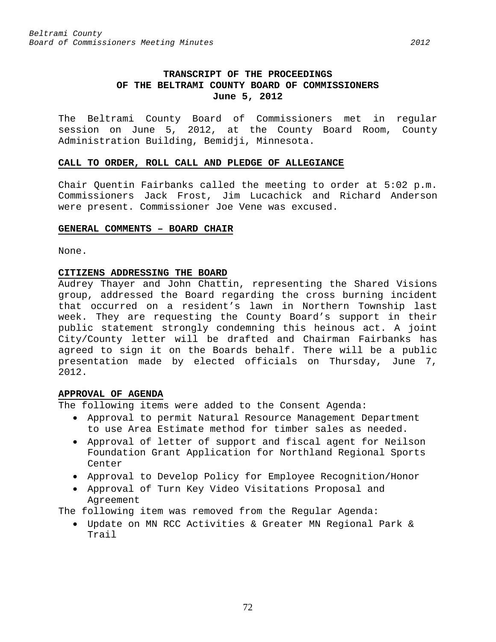The Beltrami County Board of Commissioners met in regular session on June 5, 2012, at the County Board Room, County Administration Building, Bemidji, Minnesota.

## **CALL TO ORDER, ROLL CALL AND PLEDGE OF ALLEGIANCE**

Chair Quentin Fairbanks called the meeting to order at 5:02 p.m. Commissioners Jack Frost, Jim Lucachick and Richard Anderson were present. Commissioner Joe Vene was excused.

## **GENERAL COMMENTS – BOARD CHAIR**

None.

# **CITIZENS ADDRESSING THE BOARD**

Audrey Thayer and John Chattin, representing the Shared Visions group, addressed the Board regarding the cross burning incident that occurred on a resident's lawn in Northern Township last week. They are requesting the County Board's support in their public statement strongly condemning this heinous act. A joint City/County letter will be drafted and Chairman Fairbanks has agreed to sign it on the Boards behalf. There will be a public presentation made by elected officials on Thursday, June 7, 2012.

# **APPROVAL OF AGENDA**

The following items were added to the Consent Agenda:

- Approval to permit Natural Resource Management Department to use Area Estimate method for timber sales as needed.
- Approval of letter of support and fiscal agent for Neilson Foundation Grant Application for Northland Regional Sports Center
- Approval to Develop Policy for Employee Recognition/Honor
- Approval of Turn Key Video Visitations Proposal and Agreement

The following item was removed from the Regular Agenda:

• Update on MN RCC Activities & Greater MN Regional Park & Trail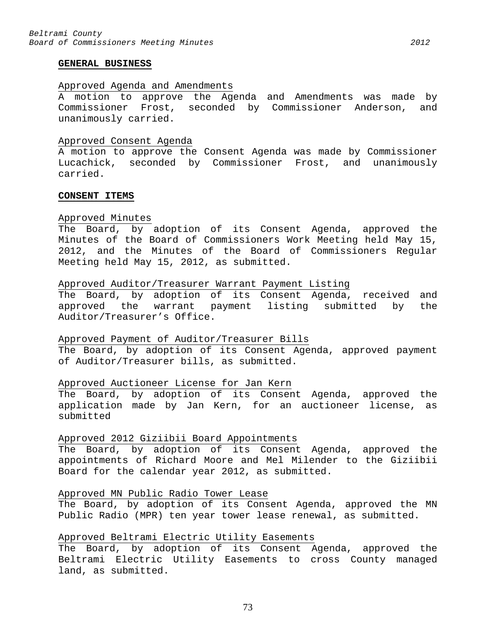### Approved Agenda and Amendments

A motion to approve the Agenda and Amendments was made by Commissioner Frost, seconded by Commissioner Anderson, and unanimously carried.

#### Approved Consent Agenda

A motion to approve the Consent Agenda was made by Commissioner Lucachick, seconded by Commissioner Frost, and unanimously carried.

### **CONSENT ITEMS**

# Approved Minutes

The Board, by adoption of its Consent Agenda, approved the Minutes of the Board of Commissioners Work Meeting held May 15, 2012, and the Minutes of the Board of Commissioners Regular Meeting held May 15, 2012, as submitted.

#### Approved Auditor/Treasurer Warrant Payment Listing

The Board, by adoption of its Consent Agenda, received and approved the warrant payment listing submitted by the Auditor/Treasurer's Office.

#### Approved Payment of Auditor/Treasurer Bills

The Board, by adoption of its Consent Agenda, approved payment of Auditor/Treasurer bills, as submitted.

# Approved Auctioneer License for Jan Kern

The Board, by adoption of its Consent Agenda, approved the application made by Jan Kern, for an auctioneer license, as submitted

#### Approved 2012 Giziibii Board Appointments

The Board, by adoption of its Consent Agenda, approved the appointments of Richard Moore and Mel Milender to the Giziibii Board for the calendar year 2012, as submitted.

#### Approved MN Public Radio Tower Lease

The Board, by adoption of its Consent Agenda, approved the MN Public Radio (MPR) ten year tower lease renewal, as submitted.

# Approved Beltrami Electric Utility Easements

The Board, by adoption of its Consent Agenda, approved the Beltrami Electric Utility Easements to cross County managed land, as submitted.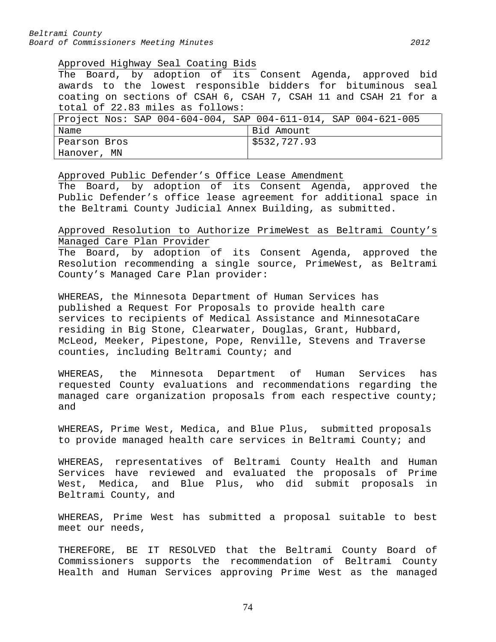#### Approved Highway Seal Coating Bids

The Board, by adoption of its Consent Agenda, approved bid awards to the lowest responsible bidders for bituminous seal coating on sections of CSAH 6, CSAH 7, CSAH 11 and CSAH 21 for a total of 22.83 miles as follows:

|              | Project Nos: SAP 004-604-004, SAP 004-611-014, SAP 004-621-005 |
|--------------|----------------------------------------------------------------|
| Name         | Bid Amount                                                     |
| Pearson Bros | 5532,727.93                                                    |
| Hanover, MN  |                                                                |

Approved Public Defender's Office Lease Amendment

The Board, by adoption of its Consent Agenda, approved the Public Defender's office lease agreement for additional space in the Beltrami County Judicial Annex Building, as submitted.

Approved Resolution to Authorize PrimeWest as Beltrami County's Managed Care Plan Provider

The Board, by adoption of its Consent Agenda, approved the Resolution recommending a single source, PrimeWest, as Beltrami County's Managed Care Plan provider:

WHEREAS, the Minnesota Department of Human Services has published a Request For Proposals to provide health care services to recipients of Medical Assistance and MinnesotaCare residing in Big Stone, Clearwater, Douglas, Grant, Hubbard, McLeod, Meeker, Pipestone, Pope, Renville, Stevens and Traverse counties, including Beltrami County; and

WHEREAS, the Minnesota Department of Human Services has requested County evaluations and recommendations regarding the managed care organization proposals from each respective county; and

WHEREAS, Prime West, Medica, and Blue Plus, submitted proposals to provide managed health care services in Beltrami County; and

WHEREAS, representatives of Beltrami County Health and Human Services have reviewed and evaluated the proposals of Prime West, Medica, and Blue Plus, who did submit proposals in Beltrami County, and

WHEREAS, Prime West has submitted a proposal suitable to best meet our needs,

THEREFORE, BE IT RESOLVED that the Beltrami County Board of Commissioners supports the recommendation of Beltrami County Health and Human Services approving Prime West as the managed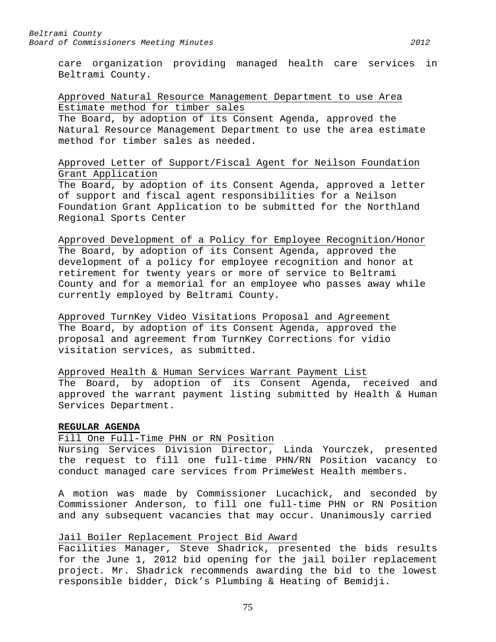care organization providing managed health care services in Beltrami County.

# Approved Natural Resource Management Department to use Area Estimate method for timber sales

The Board, by adoption of its Consent Agenda, approved the Natural Resource Management Department to use the area estimate method for timber sales as needed.

# Approved Letter of Support/Fiscal Agent for Neilson Foundation Grant Application

The Board, by adoption of its Consent Agenda, approved a letter of support and fiscal agent responsibilities for a Neilson Foundation Grant Application to be submitted for the Northland Regional Sports Center

# Approved Development of a Policy for Employee Recognition/Honor The Board, by adoption of its Consent Agenda, approved the development of a policy for employee recognition and honor at retirement for twenty years or more of service to Beltrami County and for a memorial for an employee who passes away while currently employed by Beltrami County.

Approved TurnKey Video Visitations Proposal and Agreement The Board, by adoption of its Consent Agenda, approved the proposal and agreement from TurnKey Corrections for vidio visitation services, as submitted.

Approved Health & Human Services Warrant Payment List The Board, by adoption of its Consent Agenda, received and approved the warrant payment listing submitted by Health & Human Services Department.

# **REGULAR AGENDA**

#### Fill One Full-Time PHN or RN Position

Nursing Services Division Director, Linda Yourczek, presented the request to fill one full-time PHN/RN Position vacancy to conduct managed care services from PrimeWest Health members.

A motion was made by Commissioner Lucachick, and seconded by Commissioner Anderson, to fill one full-time PHN or RN Position and any subsequent vacancies that may occur. Unanimously carried

# Jail Boiler Replacement Project Bid Award

Facilities Manager, Steve Shadrick, presented the bids results for the June 1, 2012 bid opening for the jail boiler replacement project. Mr. Shadrick recommends awarding the bid to the lowest responsible bidder, Dick's Plumbing & Heating of Bemidji.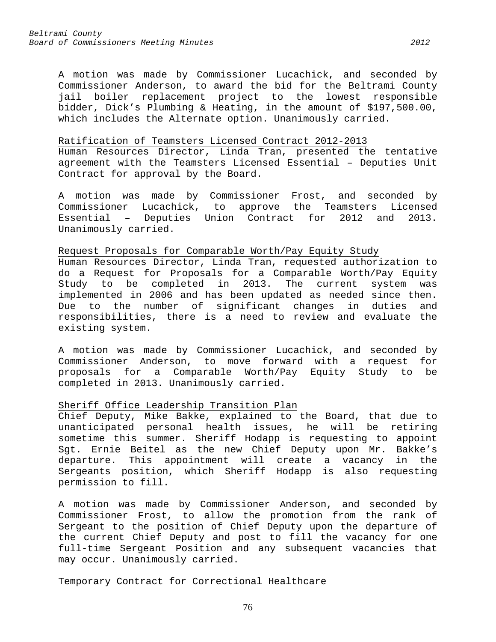A motion was made by Commissioner Lucachick, and seconded by Commissioner Anderson, to award the bid for the Beltrami County jail boiler replacement project to the lowest responsible bidder, Dick's Plumbing & Heating, in the amount of \$197,500.00, which includes the Alternate option. Unanimously carried.

#### Ratification of Teamsters Licensed Contract 2012-2013

Human Resources Director, Linda Tran, presented the tentative agreement with the Teamsters Licensed Essential – Deputies Unit Contract for approval by the Board.

A motion was made by Commissioner Frost, and seconded by Commissioner Lucachick, to approve the Teamsters Licensed Essential – Deputies Union Contract for 2012 and 2013. Unanimously carried.

#### Request Proposals for Comparable Worth/Pay Equity Study

Human Resources Director, Linda Tran, requested authorization to do a Request for Proposals for a Comparable Worth/Pay Equity<br>Study to be completed in 2013. The current system was be completed in 2013. The current system was implemented in 2006 and has been updated as needed since then. Due to the number of significant changes in duties and responsibilities, there is a need to review and evaluate the existing system.

A motion was made by Commissioner Lucachick, and seconded by Commissioner Anderson, to move forward with a request for proposals for a Comparable Worth/Pay Equity Study to be completed in 2013. Unanimously carried.

# Sheriff Office Leadership Transition Plan

Chief Deputy, Mike Bakke, explained to the Board, that due to unanticipated personal health issues, he will be retiring sometime this summer. Sheriff Hodapp is requesting to appoint Sgt. Ernie Beitel as the new Chief Deputy upon Mr. Bakke's departure. This appointment will create a vacancy in the Sergeants position, which Sheriff Hodapp is also requesting permission to fill.

A motion was made by Commissioner Anderson, and seconded by Commissioner Frost, to allow the promotion from the rank of Sergeant to the position of Chief Deputy upon the departure of the current Chief Deputy and post to fill the vacancy for one full-time Sergeant Position and any subsequent vacancies that may occur. Unanimously carried.

# Temporary Contract for Correctional Healthcare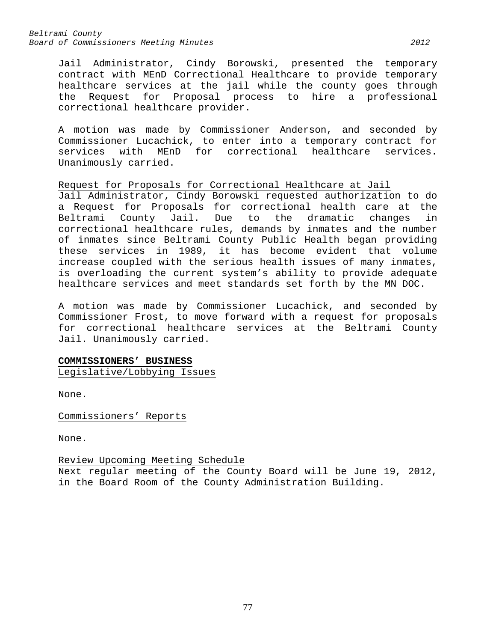Jail Administrator, Cindy Borowski, presented the temporary contract with MEnD Correctional Healthcare to provide temporary healthcare services at the jail while the county goes through the Request for Proposal process to hire a professional correctional healthcare provider.

A motion was made by Commissioner Anderson, and seconded by Commissioner Lucachick, to enter into a temporary contract for services with MEnD for correctional healthcare services. Unanimously carried.

Request for Proposals for Correctional Healthcare at Jail Jail Administrator, Cindy Borowski requested authorization to do a Request for Proposals for correctional health care at the<br>Beltrami County Jail. Due to the dramatic changes in Beltrami County Jail. Due to the dramatic changes in correctional healthcare rules, demands by inmates and the number of inmates since Beltrami County Public Health began providing these services in 1989, it has become evident that volume increase coupled with the serious health issues of many inmates, is overloading the current system's ability to provide adequate healthcare services and meet standards set forth by the MN DOC.

A motion was made by Commissioner Lucachick, and seconded by Commissioner Frost, to move forward with a request for proposals for correctional healthcare services at the Beltrami County Jail. Unanimously carried.

# **COMMISSIONERS' BUSINESS**

Legislative/Lobbying Issues

None.

Commissioners' Reports

None.

Review Upcoming Meeting Schedule Next regular meeting of the County Board will be June 19, 2012, in the Board Room of the County Administration Building.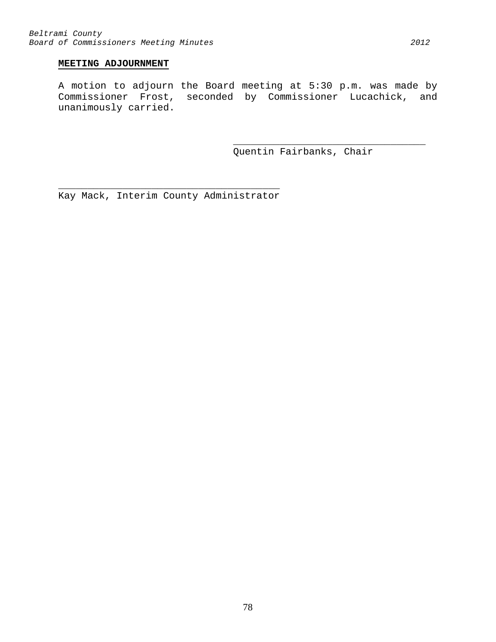# **MEETING ADJOURNMENT**

A motion to adjourn the Board meeting at 5:30 p.m. was made by Commissioner Frost, seconded by Commissioner Lucachick, and unanimously carried.

> \_\_\_\_\_\_\_\_\_\_\_\_\_\_\_\_\_\_\_\_\_\_\_\_\_\_\_\_\_\_\_\_\_ Quentin Fairbanks, Chair

\_\_\_\_\_\_\_\_\_\_\_\_\_\_\_\_\_\_\_\_\_\_\_\_\_\_\_\_\_\_\_\_\_\_\_\_\_\_ Kay Mack, Interim County Administrator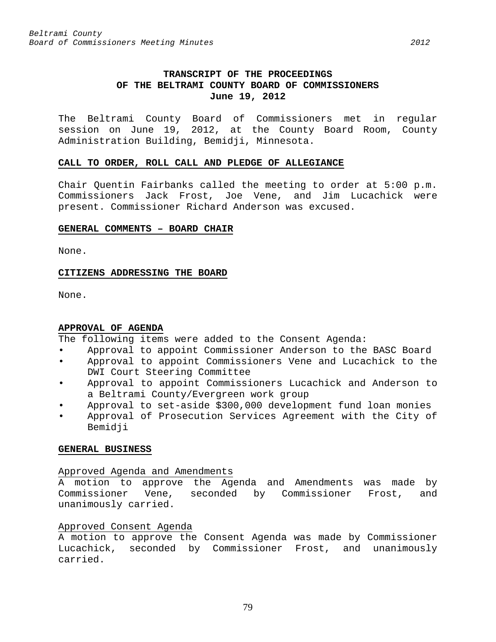# **TRANSCRIPT OF THE PROCEEDINGS OF THE BELTRAMI COUNTY BOARD OF COMMISSIONERS June 19, 2012**

The Beltrami County Board of Commissioners met in regular session on June 19, 2012, at the County Board Room, County Administration Building, Bemidji, Minnesota.

#### **CALL TO ORDER, ROLL CALL AND PLEDGE OF ALLEGIANCE**

Chair Quentin Fairbanks called the meeting to order at 5:00 p.m. Commissioners Jack Frost, Joe Vene, and Jim Lucachick were present. Commissioner Richard Anderson was excused.

#### **GENERAL COMMENTS – BOARD CHAIR**

None.

# **CITIZENS ADDRESSING THE BOARD**

None.

# **APPROVAL OF AGENDA**

The following items were added to the Consent Agenda:

- Approval to appoint Commissioner Anderson to the BASC Board
- Approval to appoint Commissioners Vene and Lucachick to the DWI Court Steering Committee
- Approval to appoint Commissioners Lucachick and Anderson to a Beltrami County/Evergreen work group
- Approval to set-aside \$300,000 development fund loan monies
- Approval of Prosecution Services Agreement with the City of Bemidji

# **GENERAL BUSINESS**

# Approved Agenda and Amendments

A motion to approve the Agenda and Amendments was made by Commissioner Vene, seconded by Commissioner Frost, and unanimously carried.

# Approved Consent Agenda

A motion to approve the Consent Agenda was made by Commissioner Lucachick, seconded by Commissioner Frost, and unanimously carried.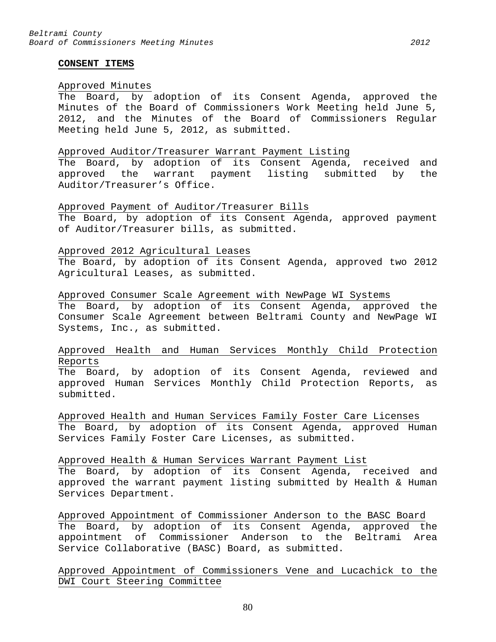#### **CONSENT ITEMS**

#### Approved Minutes

The Board, by adoption of its Consent Agenda, approved the Minutes of the Board of Commissioners Work Meeting held June 5, 2012, and the Minutes of the Board of Commissioners Regular Meeting held June 5, 2012, as submitted.

#### Approved Auditor/Treasurer Warrant Payment Listing

The Board, by adoption of its Consent Agenda, received and approved the warrant payment listing submitted by the Auditor/Treasurer's Office.

#### Approved Payment of Auditor/Treasurer Bills

The Board, by adoption of its Consent Agenda, approved payment of Auditor/Treasurer bills, as submitted.

#### Approved 2012 Agricultural Leases

The Board, by adoption of its Consent Agenda, approved two 2012 Agricultural Leases, as submitted.

### Approved Consumer Scale Agreement with NewPage WI Systems

The Board, by adoption of its Consent Agenda, approved the Consumer Scale Agreement between Beltrami County and NewPage WI Systems, Inc., as submitted.

# Approved Health and Human Services Monthly Child Protection Reports

The Board, by adoption of its Consent Agenda, reviewed and approved Human Services Monthly Child Protection Reports, as submitted.

Approved Health and Human Services Family Foster Care Licenses The Board, by adoption of its Consent Agenda, approved Human Services Family Foster Care Licenses, as submitted.

#### Approved Health & Human Services Warrant Payment List

The Board, by adoption of its Consent Agenda, received and approved the warrant payment listing submitted by Health & Human Services Department.

Approved Appointment of Commissioner Anderson to the BASC Board The Board, by adoption of its Consent Agenda, approved the appointment of Commissioner Anderson to the Beltrami Area Service Collaborative (BASC) Board, as submitted.

# Approved Appointment of Commissioners Vene and Lucachick to the DWI Court Steering Committee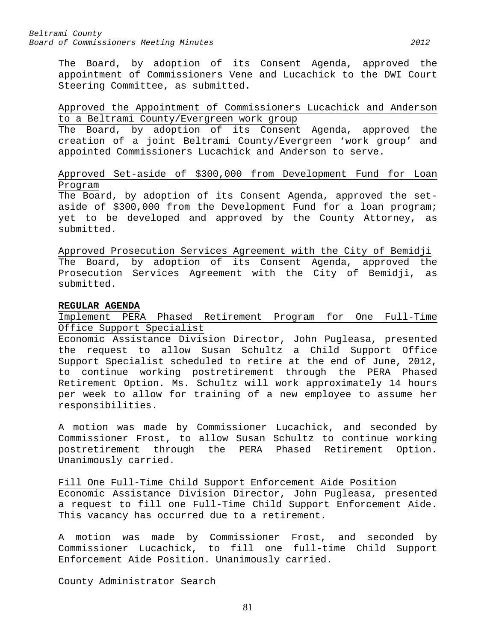The Board, by adoption of its Consent Agenda, approved the appointment of Commissioners Vene and Lucachick to the DWI Court Steering Committee, as submitted.

# Approved the Appointment of Commissioners Lucachick and Anderson to a Beltrami County/Evergreen work group

The Board, by adoption of its Consent Agenda, approved the creation of a joint Beltrami County/Evergreen 'work group' and appointed Commissioners Lucachick and Anderson to serve.

# Approved Set-aside of \$300,000 from Development Fund for Loan Program

The Board, by adoption of its Consent Agenda, approved the setaside of \$300,000 from the Development Fund for a loan program; yet to be developed and approved by the County Attorney, as submitted.

Approved Prosecution Services Agreement with the City of Bemidji The Board, by adoption of its Consent Agenda, approved the Prosecution Services Agreement with the City of Bemidji, as submitted.

# **REGULAR AGENDA**

Implement PERA Phased Retirement Program for One Full-Time Office Support Specialist

Economic Assistance Division Director, John Pugleasa, presented the request to allow Susan Schultz a Child Support Office Support Specialist scheduled to retire at the end of June, 2012, to continue working postretirement through the PERA Phased Retirement Option. Ms. Schultz will work approximately 14 hours per week to allow for training of a new employee to assume her responsibilities.

A motion was made by Commissioner Lucachick, and seconded by Commissioner Frost, to allow Susan Schultz to continue working postretirement through the PERA Phased Retirement Option. Unanimously carried.

Fill One Full-Time Child Support Enforcement Aide Position Economic Assistance Division Director, John Pugleasa, presented a request to fill one Full-Time Child Support Enforcement Aide. This vacancy has occurred due to a retirement.

A motion was made by Commissioner Frost, and seconded by Commissioner Lucachick, to fill one full-time Child Support Enforcement Aide Position. Unanimously carried.

County Administrator Search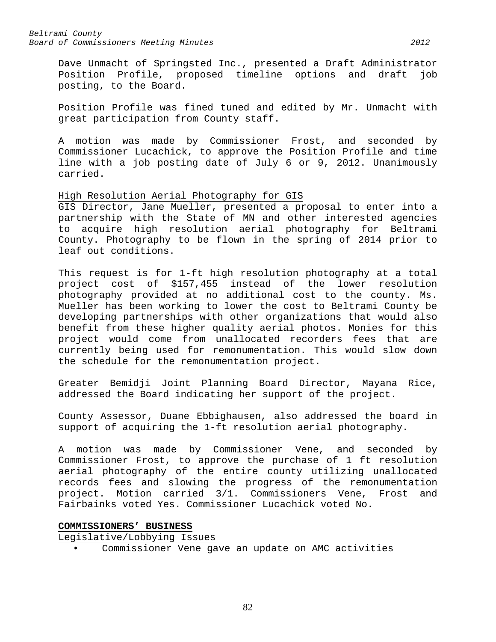Dave Unmacht of Springsted Inc., presented a Draft Administrator<br>Position Profile, proposed timeline options and draft job Position Profile, proposed timeline options and draft posting, to the Board.

Position Profile was fined tuned and edited by Mr. Unmacht with great participation from County staff.

A motion was made by Commissioner Frost, and seconded by Commissioner Lucachick, to approve the Position Profile and time line with a job posting date of July 6 or 9, 2012. Unanimously carried.

# High Resolution Aerial Photography for GIS

GIS Director, Jane Mueller, presented a proposal to enter into a partnership with the State of MN and other interested agencies to acquire high resolution aerial photography for Beltrami County. Photography to be flown in the spring of 2014 prior to leaf out conditions.

This request is for 1-ft high resolution photography at a total project cost of \$157,455 instead of the lower resolution photography provided at no additional cost to the county. Ms. Mueller has been working to lower the cost to Beltrami County be developing partnerships with other organizations that would also benefit from these higher quality aerial photos. Monies for this project would come from unallocated recorders fees that are currently being used for remonumentation. This would slow down the schedule for the remonumentation project.

Greater Bemidji Joint Planning Board Director, Mayana Rice, addressed the Board indicating her support of the project.

County Assessor, Duane Ebbighausen, also addressed the board in support of acquiring the 1-ft resolution aerial photography.

A motion was made by Commissioner Vene, and seconded by Commissioner Frost, to approve the purchase of 1 ft resolution aerial photography of the entire county utilizing unallocated records fees and slowing the progress of the remonumentation project. Motion carried 3/1. Commissioners Vene, Frost and Fairbainks voted Yes. Commissioner Lucachick voted No.

# **COMMISSIONERS' BUSINESS**

Legislative/Lobbying Issues

• Commissioner Vene gave an update on AMC activities

82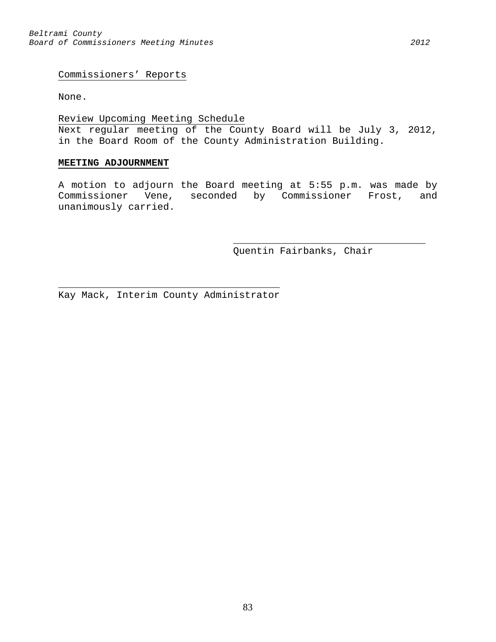Commissioners' Reports

None.

# Review Upcoming Meeting Schedule

Next regular meeting of the County Board will be July 3, 2012, in the Board Room of the County Administration Building.

### **MEETING ADJOURNMENT**

A motion to adjourn the Board meeting at 5:55 p.m. was made by Commissioner Vene, seconded by Commissioner Frost, and unanimously carried.

Quentin Fairbanks, Chair

\_\_\_\_\_\_\_\_\_\_\_\_\_\_\_\_\_\_\_\_\_\_\_\_\_\_\_\_\_\_\_\_\_

 $\overline{\phantom{a}}$  , and the contract of the contract of  $\overline{\phantom{a}}$ Kay Mack, Interim County Administrator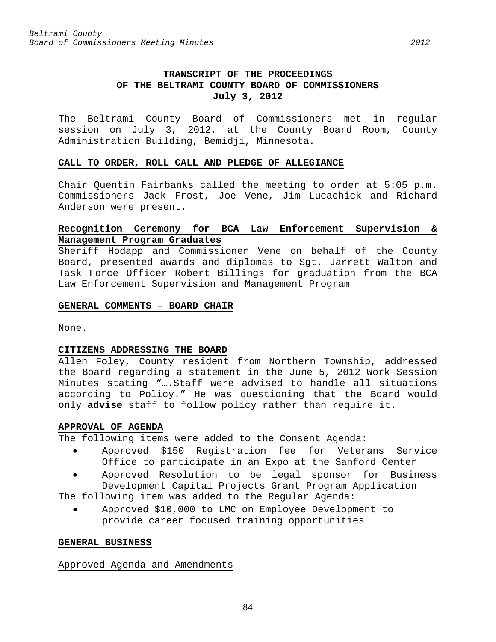The Beltrami County Board of Commissioners met in regular session on July 3, 2012, at the County Board Room, County Administration Building, Bemidji, Minnesota.

#### **CALL TO ORDER, ROLL CALL AND PLEDGE OF ALLEGIANCE**

Chair Quentin Fairbanks called the meeting to order at 5:05 p.m. Commissioners Jack Frost, Joe Vene, Jim Lucachick and Richard Anderson were present.

# **Recognition Ceremony for BCA Law Enforcement Supervision & Management Program Graduates**

Sheriff Hodapp and Commissioner Vene on behalf of the County Board, presented awards and diplomas to Sgt. Jarrett Walton and Task Force Officer Robert Billings for graduation from the BCA Law Enforcement Supervision and Management Program

#### **GENERAL COMMENTS – BOARD CHAIR**

None.

# **CITIZENS ADDRESSING THE BOARD**

Allen Foley, County resident from Northern Township, addressed the Board regarding a statement in the June 5, 2012 Work Session Minutes stating "….Staff were advised to handle all situations according to Policy." He was questioning that the Board would only **advise** staff to follow policy rather than require it.

# **APPROVAL OF AGENDA**

The following items were added to the Consent Agenda:

- Approved \$150 Registration fee for Veterans Service Office to participate in an Expo at the Sanford Center
- Approved Resolution to be legal sponsor for Business Development Capital Projects Grant Program Application

The following item was added to the Regular Agenda:

• Approved \$10,000 to LMC on Employee Development to provide career focused training opportunities

#### **GENERAL BUSINESS**

#### Approved Agenda and Amendments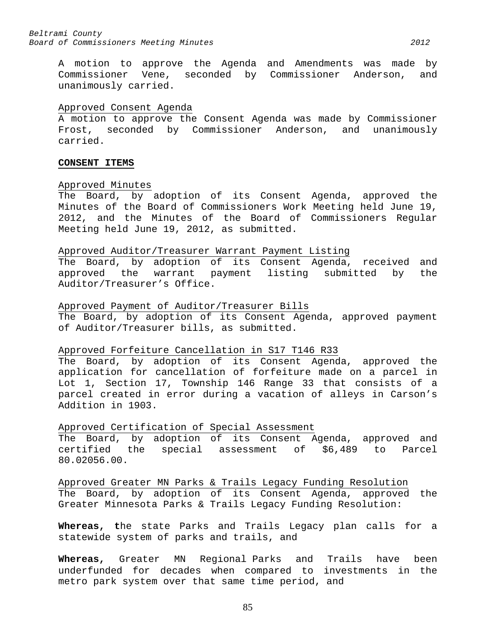A motion to approve the Agenda and Amendments was made by Commissioner Vene, seconded by Commissioner Anderson, and unanimously carried.

#### Approved Consent Agenda

A motion to approve the Consent Agenda was made by Commissioner Frost, seconded by Commissioner Anderson, and unanimously carried.

#### **CONSENT ITEMS**

#### Approved Minutes

The Board, by adoption of its Consent Agenda, approved the Minutes of the Board of Commissioners Work Meeting held June 19, 2012, and the Minutes of the Board of Commissioners Regular Meeting held June 19, 2012, as submitted.

#### Approved Auditor/Treasurer Warrant Payment Listing

The Board, by adoption of its Consent Agenda, received and<br>approved the warrant payment listing submitted by the approved the warrant payment listing submitted by the Auditor/Treasurer's Office.

#### Approved Payment of Auditor/Treasurer Bills

The Board, by adoption of its Consent Agenda, approved payment of Auditor/Treasurer bills, as submitted.

# Approved Forfeiture Cancellation in S17 T146 R33

The Board, by adoption of its Consent Agenda, approved the application for cancellation of forfeiture made on a parcel in Lot 1, Section 17, Township 146 Range 33 that consists of a parcel created in error during a vacation of alleys in Carson's Addition in 1903.

# Approved Certification of Special Assessment

The Board, by adoption of its Consent Agenda, approved and<br>certified the special assessment of \$6,489 to Parcel the special assessment of \$6,489 to Parcel 80.02056.00.

Approved Greater MN Parks & Trails Legacy Funding Resolution The Board, by adoption of its Consent Agenda, approved the Greater Minnesota Parks & Trails Legacy Funding Resolution:

**Whereas, t**he state Parks and Trails Legacy plan calls for a statewide system of parks and trails, and

**Whereas,** Greater MN Regional Parks and Trails have been underfunded for decades when compared to investments in the metro park system over that same time period, and

85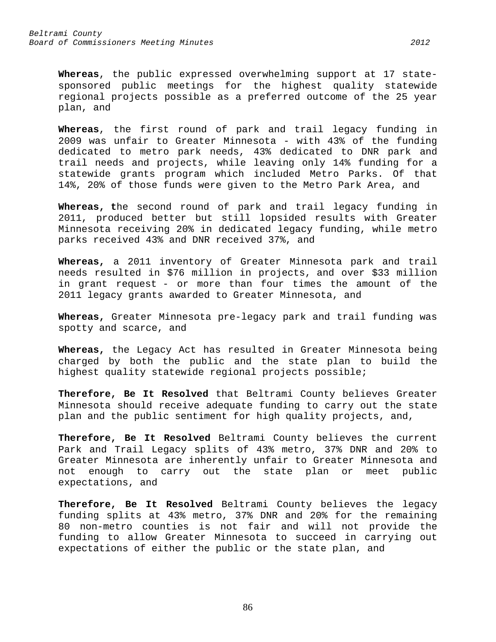**Whereas**, the public expressed overwhelming support at 17 statesponsored public meetings for the highest quality statewide regional projects possible as a preferred outcome of the 25 year plan, and

**Whereas**, the first round of park and trail legacy funding in 2009 was unfair to Greater Minnesota - with 43% of the funding dedicated to metro park needs, 43% dedicated to DNR park and trail needs and projects, while leaving only 14% funding for a statewide grants program which included Metro Parks. Of that 14%, 20% of those funds were given to the Metro Park Area, and

**Whereas, t**he second round of park and trail legacy funding in 2011, produced better but still lopsided results with Greater Minnesota receiving 20% in dedicated legacy funding, while metro parks received 43% and DNR received 37%, and

**Whereas,** a 2011 inventory of Greater Minnesota park and trail needs resulted in \$76 million in projects, and over \$33 million in grant request - or more than four times the amount of the 2011 legacy grants awarded to Greater Minnesota, and

**Whereas,** Greater Minnesota pre-legacy park and trail funding was spotty and scarce, and

**Whereas,** the Legacy Act has resulted in Greater Minnesota being charged by both the public and the state plan to build the highest quality statewide regional projects possible;

**Therefore, Be It Resolved** that Beltrami County believes Greater Minnesota should receive adequate funding to carry out the state plan and the public sentiment for high quality projects, and,

**Therefore, Be It Resolved** Beltrami County believes the current Park and Trail Legacy splits of 43% metro, 37% DNR and 20% to Greater Minnesota are inherently unfair to Greater Minnesota and not enough to carry out the state plan or meet public expectations, and

**Therefore, Be It Resolved** Beltrami County believes the legacy funding splits at 43% metro, 37% DNR and 20% for the remaining 80 non-metro counties is not fair and will not provide the funding to allow Greater Minnesota to succeed in carrying out expectations of either the public or the state plan, and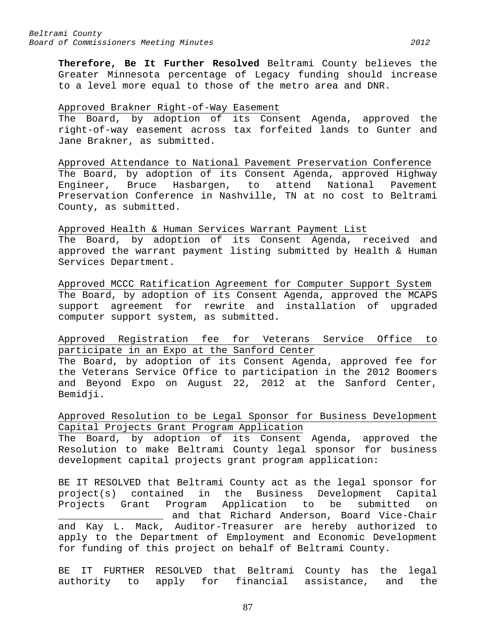**Therefore, Be It Further Resolved** Beltrami County believes the Greater Minnesota percentage of Legacy funding should increase to a level more equal to those of the metro area and DNR.

### Approved Brakner Right-of-Way Easement

The Board, by adoption of its Consent Agenda, approved the right-of-way easement across tax forfeited lands to Gunter and Jane Brakner, as submitted.

Approved Attendance to National Pavement Preservation Conference The Board, by adoption of its Consent Agenda, approved Highway Engineer, Bruce Hasbargen, to attend National Pavement Preservation Conference in Nashville, TN at no cost to Beltrami County, as submitted.

Approved Health & Human Services Warrant Payment List The Board, by adoption of its Consent Agenda, received and approved the warrant payment listing submitted by Health & Human Services Department.

Approved MCCC Ratification Agreement for Computer Support System The Board, by adoption of its Consent Agenda, approved the MCAPS support agreement for rewrite and installation of upgraded computer support system, as submitted.

Approved Registration fee for Veterans Service Office to participate in an Expo at the Sanford Center

The Board, by adoption of its Consent Agenda, approved fee for the Veterans Service Office to participation in the 2012 Boomers and Beyond Expo on August 22, 2012 at the Sanford Center, Bemidji.

Approved Resolution to be Legal Sponsor for Business Development Capital Projects Grant Program Application

The Board, by adoption of its Consent Agenda, approved the Resolution to make Beltrami County legal sponsor for business development capital projects grant program application:

BE IT RESOLVED that Beltrami County act as the legal sponsor for project(s) contained in the Business Development Capital<br>Projects Grant Program Application to be submitted on Projects Grant Program Application to be submitted on \_\_\_\_\_\_\_\_\_\_\_\_\_\_\_\_\_\_ and that Richard Anderson, Board Vice-Chair and Kay L. Mack, Auditor-Treasurer are hereby authorized to apply to the Department of Employment and Economic Development for funding of this project on behalf of Beltrami County.

BE IT FURTHER RESOLVED that Beltrami County has the legal authority to apply for financial assistance, and the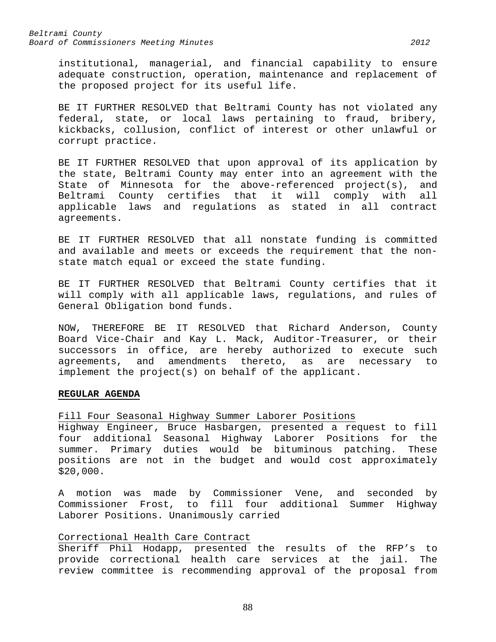institutional, managerial, and financial capability to ensure adequate construction, operation, maintenance and replacement of the proposed project for its useful life.

BE IT FURTHER RESOLVED that Beltrami County has not violated any federal, state, or local laws pertaining to fraud, bribery, kickbacks, collusion, conflict of interest or other unlawful or corrupt practice.

BE IT FURTHER RESOLVED that upon approval of its application by the state, Beltrami County may enter into an agreement with the State of Minnesota for the above-referenced project(s), and<br>Beltrami County certifies that it will comply with all it will comply with all applicable laws and regulations as stated in all contract agreements.

BE IT FURTHER RESOLVED that all nonstate funding is committed and available and meets or exceeds the requirement that the nonstate match equal or exceed the state funding.

BE IT FURTHER RESOLVED that Beltrami County certifies that it will comply with all applicable laws, regulations, and rules of General Obligation bond funds.

NOW, THEREFORE BE IT RESOLVED that Richard Anderson, County Board Vice-Chair and Kay L. Mack, Auditor-Treasurer, or their successors in office, are hereby authorized to execute such agreements, and amendments thereto, as are necessary to implement the project(s) on behalf of the applicant.

#### **REGULAR AGENDA**

Fill Four Seasonal Highway Summer Laborer Positions

Highway Engineer, Bruce Hasbargen, presented a request to fill four additional Seasonal Highway Laborer Positions for the summer. Primary duties would be bituminous patching. positions are not in the budget and would cost approximately \$20,000.

A motion was made by Commissioner Vene, and seconded by Commissioner Frost, to fill four additional Summer Highway Laborer Positions. Unanimously carried

# Correctional Health Care Contract

Sheriff Phil Hodapp, presented the results of the RFP's to provide correctional health care services at the jail. The review committee is recommending approval of the proposal from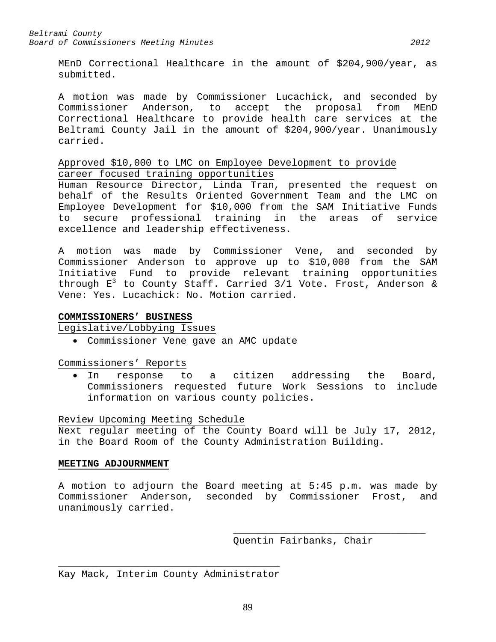MEnD Correctional Healthcare in the amount of \$204,900/year, as submitted.

A motion was made by Commissioner Lucachick, and seconded by<br>Commissioner Anderson, to accept the proposal from MEnD Commissioner Anderson, to accept the proposal Correctional Healthcare to provide health care services at the Beltrami County Jail in the amount of \$204,900/year. Unanimously carried.

# Approved \$10,000 to LMC on Employee Development to provide career focused training opportunities

Human Resource Director, Linda Tran, presented the request on behalf of the Results Oriented Government Team and the LMC on Employee Development for \$10,000 from the SAM Initiative Funds to secure professional training in the areas of service excellence and leadership effectiveness.

A motion was made by Commissioner Vene, and seconded by Commissioner Anderson to approve up to \$10,000 from the SAM Initiative Fund to provide relevant training opportunities through  $E^3$  to County Staff. Carried 3/1 Vote. Frost, Anderson & Vene: Yes. Lucachick: No. Motion carried.

# **COMMISSIONERS' BUSINESS**

Legislative/Lobbying Issues

• Commissioner Vene gave an AMC update

Commissioners' Reports

• In response to a citizen addressing the Board, Commissioners requested future Work Sessions to include information on various county policies.

# Review Upcoming Meeting Schedule

Next regular meeting of the County Board will be July 17, 2012, in the Board Room of the County Administration Building.

# **MEETING ADJOURNMENT**

A motion to adjourn the Board meeting at 5:45 p.m. was made by Commissioner Anderson, seconded by Commissioner Frost, and unanimously carried.

> \_\_\_\_\_\_\_\_\_\_\_\_\_\_\_\_\_\_\_\_\_\_\_\_\_\_\_\_\_\_\_\_\_ Quentin Fairbanks, Chair

 $\overline{\phantom{a}}$  , and the contract of the contract of  $\overline{\phantom{a}}$ Kay Mack, Interim County Administrator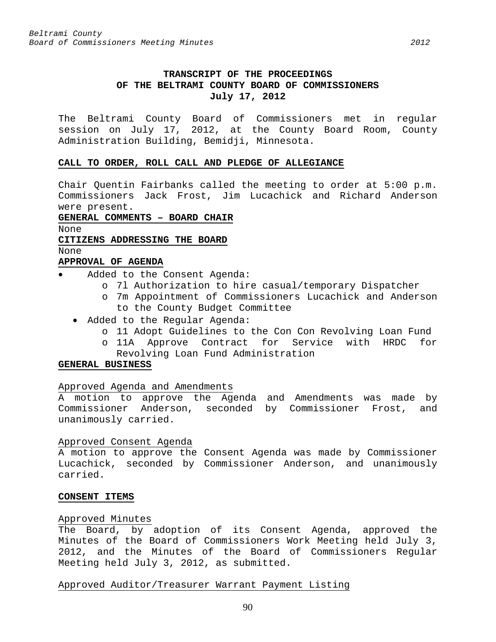# **TRANSCRIPT OF THE PROCEEDINGS OF THE BELTRAMI COUNTY BOARD OF COMMISSIONERS July 17, 2012**

The Beltrami County Board of Commissioners met in regular session on July 17, 2012, at the County Board Room, County Administration Building, Bemidji, Minnesota.

#### **CALL TO ORDER, ROLL CALL AND PLEDGE OF ALLEGIANCE**

Chair Quentin Fairbanks called the meeting to order at 5:00 p.m. Commissioners Jack Frost, Jim Lucachick and Richard Anderson were present.

### **GENERAL COMMENTS – BOARD CHAIR**

None

# **CITIZENS ADDRESSING THE BOARD**

None

# **APPROVAL OF AGENDA**

- Added to the Consent Agenda:
	- o 7l Authorization to hire casual/temporary Dispatcher
	- o 7m Appointment of Commissioners Lucachick and Anderson to the County Budget Committee
	- Added to the Regular Agenda:
		- o 11 Adopt Guidelines to the Con Con Revolving Loan Fund
		- o 11A Approve Contract for Service with HRDC for Revolving Loan Fund Administration

# **GENERAL BUSINESS**

# Approved Agenda and Amendments

A motion to approve the Agenda and Amendments was made by Commissioner Anderson, seconded by Commissioner Frost, and unanimously carried.

# Approved Consent Agenda

A motion to approve the Consent Agenda was made by Commissioner Lucachick, seconded by Commissioner Anderson, and unanimously carried.

# **CONSENT ITEMS**

# Approved Minutes

The Board, by adoption of its Consent Agenda, approved the Minutes of the Board of Commissioners Work Meeting held July 3, 2012, and the Minutes of the Board of Commissioners Regular Meeting held July 3, 2012, as submitted.

# Approved Auditor/Treasurer Warrant Payment Listing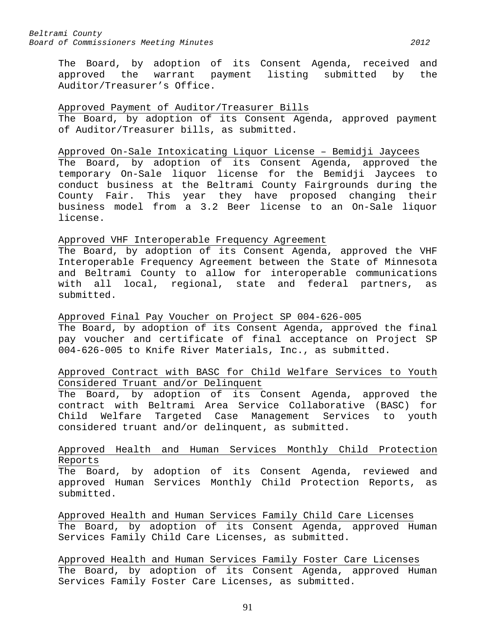The Board, by adoption of its Consent Agenda, received and approved the warrant payment listing submitted by the Auditor/Treasurer's Office.

# Approved Payment of Auditor/Treasurer Bills

The Board, by adoption of its Consent Agenda, approved payment of Auditor/Treasurer bills, as submitted.

# Approved On-Sale Intoxicating Liquor License – Bemidji Jaycees

The Board, by adoption of its Consent Agenda, approved the temporary On-Sale liquor license for the Bemidji Jaycees to conduct business at the Beltrami County Fairgrounds during the County Fair. This year they have proposed changing their business model from a 3.2 Beer license to an On-Sale liquor license.

# Approved VHF Interoperable Frequency Agreement

The Board, by adoption of its Consent Agenda, approved the VHF Interoperable Frequency Agreement between the State of Minnesota and Beltrami County to allow for interoperable communications with all local, regional, state and federal partners, as submitted.

# Approved Final Pay Voucher on Project SP 004-626-005

The Board, by adoption of its Consent Agenda, approved the final pay voucher and certificate of final acceptance on Project SP 004-626-005 to Knife River Materials, Inc., as submitted.

# Approved Contract with BASC for Child Welfare Services to Youth Considered Truant and/or Delinquent

The Board, by adoption of its Consent Agenda, approved the contract with Beltrami Area Service Collaborative (BASC) for Child Welfare Targeted Case Management Services to youth considered truant and/or delinquent, as submitted.

# Approved Health and Human Services Monthly Child Protection Reports

The Board, by adoption of its Consent Agenda, reviewed and approved Human Services Monthly Child Protection Reports, as submitted.

Approved Health and Human Services Family Child Care Licenses The Board, by adoption of its Consent Agenda, approved Human Services Family Child Care Licenses, as submitted.

Approved Health and Human Services Family Foster Care Licenses The Board, by adoption of its Consent Agenda, approved Human Services Family Foster Care Licenses, as submitted.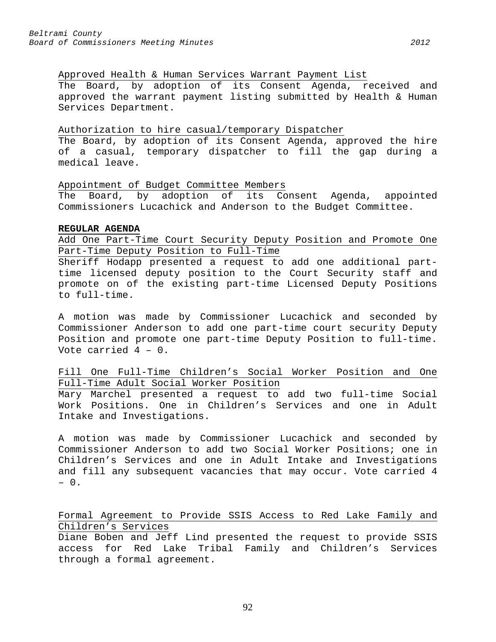Approved Health & Human Services Warrant Payment List The Board, by adoption of its Consent Agenda, received and approved the warrant payment listing submitted by Health & Human Services Department.

#### Authorization to hire casual/temporary Dispatcher

The Board, by adoption of its Consent Agenda, approved the hire of a casual, temporary dispatcher to fill the gap during a medical leave.

Appointment of Budget Committee Members

The Board, by adoption of its Consent Agenda, appointed Commissioners Lucachick and Anderson to the Budget Committee.

#### **REGULAR AGENDA**

Add One Part-Time Court Security Deputy Position and Promote One Part-Time Deputy Position to Full-Time

Sheriff Hodapp presented a request to add one additional parttime licensed deputy position to the Court Security staff and promote on of the existing part-time Licensed Deputy Positions to full-time.

A motion was made by Commissioner Lucachick and seconded by Commissioner Anderson to add one part-time court security Deputy Position and promote one part-time Deputy Position to full-time. Vote carried 4 – 0.

Fill One Full-Time Children's Social Worker Position and One Full-Time Adult Social Worker Position

Mary Marchel presented a request to add two full-time Social Work Positions. One in Children's Services and one in Adult Intake and Investigations.

A motion was made by Commissioner Lucachick and seconded by Commissioner Anderson to add two Social Worker Positions; one in Children's Services and one in Adult Intake and Investigations and fill any subsequent vacancies that may occur. Vote carried 4 – 0.

# Formal Agreement to Provide SSIS Access to Red Lake Family and Children's Services

Diane Boben and Jeff Lind presented the request to provide SSIS access for Red Lake Tribal Family and Children's Services through a formal agreement.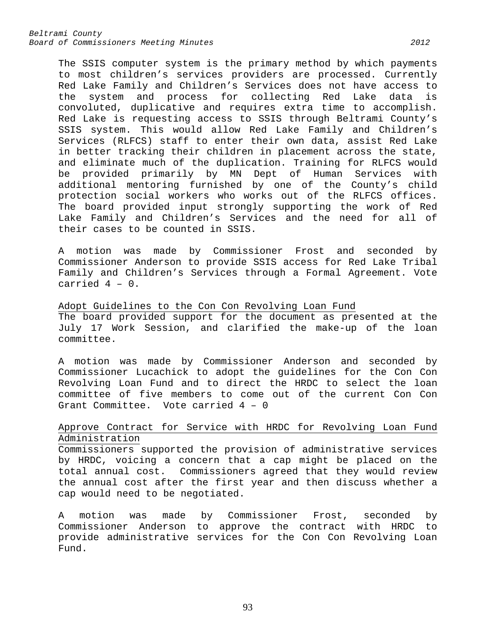The SSIS computer system is the primary method by which payments to most children's services providers are processed. Currently Red Lake Family and Children's Services does not have access to the system and process for collecting Red Lake data is convoluted, duplicative and requires extra time to accomplish. Red Lake is requesting access to SSIS through Beltrami County's SSIS system. This would allow Red Lake Family and Children's Services (RLFCS) staff to enter their own data, assist Red Lake in better tracking their children in placement across the state, and eliminate much of the duplication. Training for RLFCS would be provided primarily by MN Dept of Human Services with additional mentoring furnished by one of the County's child protection social workers who works out of the RLFCS offices. The board provided input strongly supporting the work of Red Lake Family and Children's Services and the need for all of their cases to be counted in SSIS.

A motion was made by Commissioner Frost and seconded by Commissioner Anderson to provide SSIS access for Red Lake Tribal Family and Children's Services through a Formal Agreement. Vote carried 4 – 0.

Adopt Guidelines to the Con Con Revolving Loan Fund The board provided support for the document as presented at the July 17 Work Session, and clarified the make-up of the loan committee.

A motion was made by Commissioner Anderson and seconded by Commissioner Lucachick to adopt the guidelines for the Con Con Revolving Loan Fund and to direct the HRDC to select the loan committee of five members to come out of the current Con Con Grant Committee. Vote carried 4 – 0

# Approve Contract for Service with HRDC for Revolving Loan Fund Administration

Commissioners supported the provision of administrative services by HRDC, voicing a concern that a cap might be placed on the total annual cost. Commissioners agreed that they would review the annual cost after the first year and then discuss whether a cap would need to be negotiated.

A motion was made by Commissioner Frost, seconded by Commissioner Anderson to approve the contract with HRDC to provide administrative services for the Con Con Revolving Loan Fund.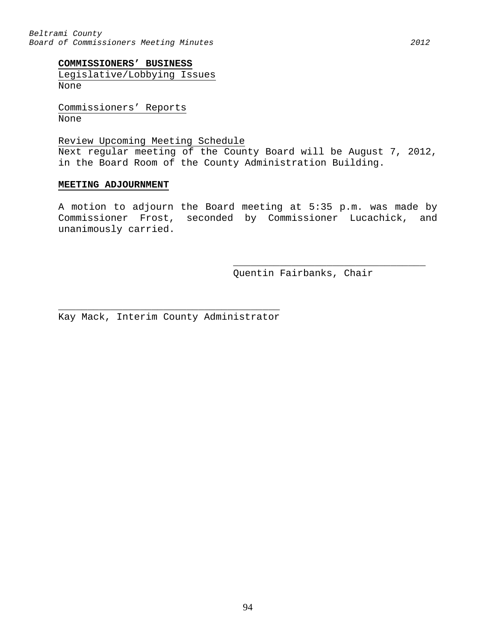*Beltrami County Board of Commissioners Meeting Minutes 2012*

### **COMMISSIONERS' BUSINESS**

Legislative/Lobbying Issues None

Commissioners' Reports None

### Review Upcoming Meeting Schedule

Next regular meeting of the County Board will be August 7, 2012, in the Board Room of the County Administration Building.

#### **MEETING ADJOURNMENT**

A motion to adjourn the Board meeting at 5:35 p.m. was made by Commissioner Frost, seconded by Commissioner Lucachick, and unanimously carried.

> \_\_\_\_\_\_\_\_\_\_\_\_\_\_\_\_\_\_\_\_\_\_\_\_\_\_\_\_\_\_\_\_\_ Quentin Fairbanks, Chair

 $\overline{\phantom{a}}$  , and the contract of the contract of  $\overline{\phantom{a}}$ Kay Mack, Interim County Administrator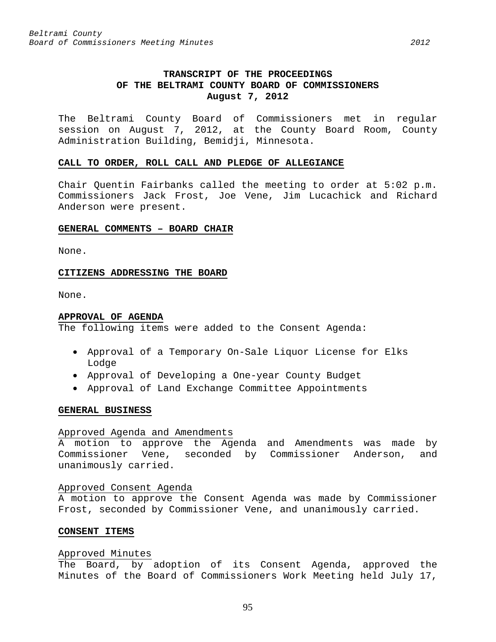# **TRANSCRIPT OF THE PROCEEDINGS OF THE BELTRAMI COUNTY BOARD OF COMMISSIONERS August 7, 2012**

The Beltrami County Board of Commissioners met in regular session on August 7, 2012, at the County Board Room, County Administration Building, Bemidji, Minnesota.

#### **CALL TO ORDER, ROLL CALL AND PLEDGE OF ALLEGIANCE**

Chair Quentin Fairbanks called the meeting to order at 5:02 p.m. Commissioners Jack Frost, Joe Vene, Jim Lucachick and Richard Anderson were present.

#### **GENERAL COMMENTS – BOARD CHAIR**

None.

#### **CITIZENS ADDRESSING THE BOARD**

None.

#### **APPROVAL OF AGENDA**

The following items were added to the Consent Agenda:

- Approval of a Temporary On-Sale Liquor License for Elks Lodge
- Approval of Developing a One-year County Budget
- Approval of Land Exchange Committee Appointments

#### **GENERAL BUSINESS**

#### Approved Agenda and Amendments

A motion to approve the Agenda and Amendments was made by Commissioner Vene, seconded by Commissioner Anderson, and unanimously carried.

#### Approved Consent Agenda

A motion to approve the Consent Agenda was made by Commissioner Frost, seconded by Commissioner Vene, and unanimously carried.

# **CONSENT ITEMS**

#### Approved Minutes

The Board, by adoption of its Consent Agenda, approved the Minutes of the Board of Commissioners Work Meeting held July 17,

95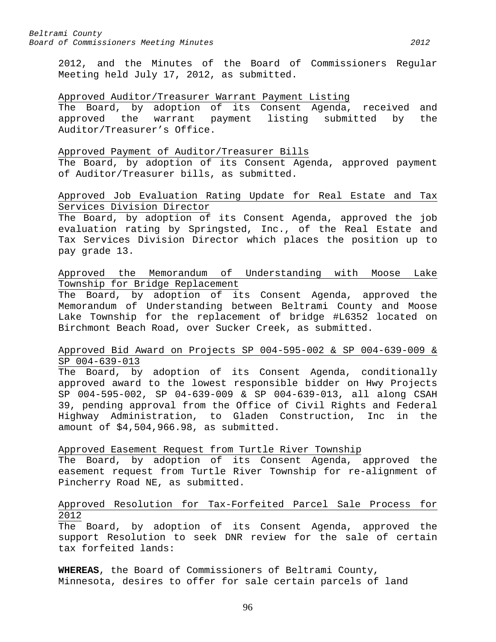2012, and the Minutes of the Board of Commissioners Regular Meeting held July 17, 2012, as submitted.

### Approved Auditor/Treasurer Warrant Payment Listing

The Board, by adoption of its Consent Agenda, received and approved the warrant payment listing submitted by the Auditor/Treasurer's Office.

#### Approved Payment of Auditor/Treasurer Bills

The Board, by adoption of its Consent Agenda, approved payment of Auditor/Treasurer bills, as submitted.

# Approved Job Evaluation Rating Update for Real Estate and Tax Services Division Director

The Board, by adoption of its Consent Agenda, approved the job evaluation rating by Springsted, Inc., of the Real Estate and Tax Services Division Director which places the position up to pay grade 13.

# Approved the Memorandum of Understanding with Moose Lake Township for Bridge Replacement

The Board, by adoption of its Consent Agenda, approved the Memorandum of Understanding between Beltrami County and Moose Lake Township for the replacement of bridge #L6352 located on Birchmont Beach Road, over Sucker Creek, as submitted.

# Approved Bid Award on Projects SP 004-595-002 & SP 004-639-009 & SP 004-639-013

The Board, by adoption of its Consent Agenda, conditionally approved award to the lowest responsible bidder on Hwy Projects SP 004-595-002, SP 04-639-009 & SP 004-639-013, all along CSAH 39, pending approval from the Office of Civil Rights and Federal Highway Administration, to Gladen Construction, Inc in the amount of \$4,504,966.98, as submitted.

# Approved Easement Request from Turtle River Township

The Board, by adoption of its Consent Agenda, approved the easement request from Turtle River Township for re-alignment of Pincherry Road NE, as submitted.

# Approved Resolution for Tax-Forfeited Parcel Sale Process for 2012

The Board, by adoption of its Consent Agenda, approved the support Resolution to seek DNR review for the sale of certain tax forfeited lands:

**WHEREAS**, the Board of Commissioners of Beltrami County, Minnesota, desires to offer for sale certain parcels of land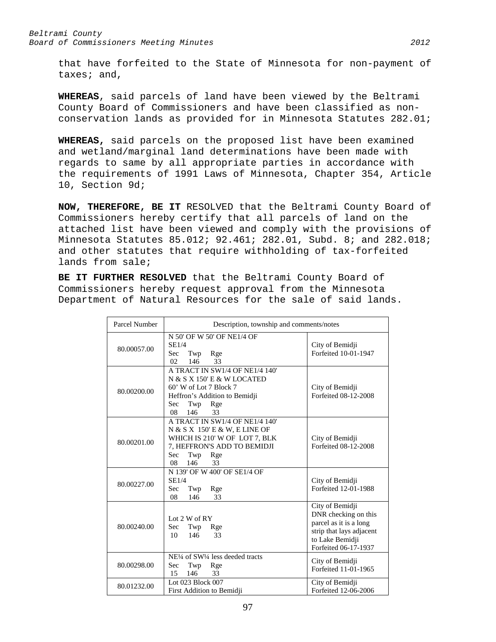that have forfeited to the State of Minnesota for non-payment of taxes; and,

**WHEREAS**, said parcels of land have been viewed by the Beltrami County Board of Commissioners and have been classified as nonconservation lands as provided for in Minnesota Statutes 282.01;

**WHEREAS,** said parcels on the proposed list have been examined and wetland/marginal land determinations have been made with regards to same by all appropriate parties in accordance with the requirements of 1991 Laws of Minnesota, Chapter 354, Article 10, Section 9d;

**NOW, THEREFORE, BE IT** RESOLVED that the Beltrami County Board of Commissioners hereby certify that all parcels of land on the attached list have been viewed and comply with the provisions of Minnesota Statutes 85.012; 92.461; 282.01, Subd. 8; and 282.018; and other statutes that require withholding of tax-forfeited lands from sale;

**BE IT FURTHER RESOLVED** that the Beltrami County Board of Commissioners hereby request approval from the Minnesota Department of Natural Resources for the sale of said lands.

| Parcel Number | Description, township and comments/notes                                                                                                                                |                                                                                                                                          |  |
|---------------|-------------------------------------------------------------------------------------------------------------------------------------------------------------------------|------------------------------------------------------------------------------------------------------------------------------------------|--|
| 80.00057.00   | N 50' OF W 50' OF NE1/4 OF<br>SE1/4<br>Sec<br>Twp<br>Rge<br>02<br>33<br>146                                                                                             | City of Bemidji<br>Forfeited 10-01-1947                                                                                                  |  |
| 80.00200.00   | A TRACT IN SW1/4 OF NE1/4 140'<br>N & S X 150' E & W LOCATED<br>60' W of Lot 7 Block 7<br>Heffron's Addition to Bemidji<br>Sec<br>Twp<br>Rge<br>08<br>146<br>33         | City of Bemidji<br>Forfeited 08-12-2008                                                                                                  |  |
| 80.00201.00   | A TRACT IN SW1/4 OF NE1/4 140'<br>N & S X 150' E & W, E LINE OF<br>WHICH IS 210' W OF LOT 7, BLK<br>7, HEFFRON'S ADD TO BEMIDJI<br>Sec<br>Twp<br>Rge<br>08<br>146<br>33 | City of Bemidji<br>Forfeited 08-12-2008                                                                                                  |  |
| 80.00227.00   | N 139' OF W 400' OF SE1/4 OF<br>SE1/4<br>Sec<br>Twp<br>Rge<br>33<br>08<br>146                                                                                           | City of Bemidji<br>Forfeited 12-01-1988                                                                                                  |  |
| 80.00240.00   | Lot $2 W of RY$<br>Sec<br>Twp<br>Rge<br>146<br>33<br>10                                                                                                                 | City of Bemidji<br>DNR checking on this<br>parcel as it is a long<br>strip that lays adjacent<br>to Lake Bemidji<br>Forfeited 06-17-1937 |  |
| 80.00298.00   | NE <sup>1</sup> / <sub>4</sub> of SW <sup>1</sup> / <sub>4</sub> less deeded tracts<br>Sec<br>Twp<br>Rge<br>146<br>15<br>33                                             | City of Bemidji<br>Forfeited 11-01-1965                                                                                                  |  |
| 80.01232.00   | Lot 023 Block 007<br>First Addition to Bemidji                                                                                                                          | City of Bemidji<br>Forfeited 12-06-2006                                                                                                  |  |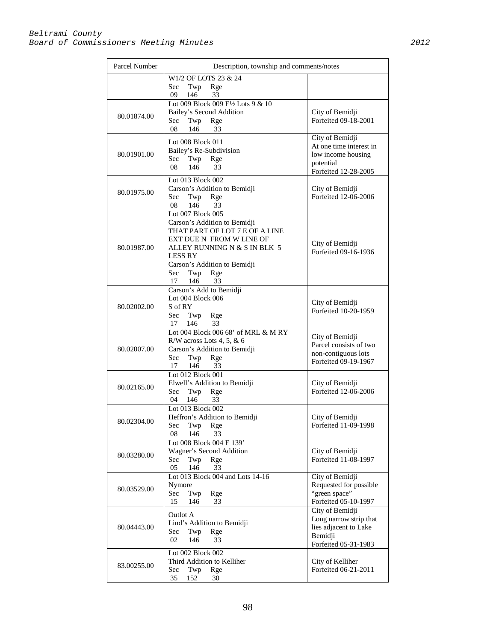| Parcel Number | Description, township and comments/notes                                                                                                                                                                                                   |                                                                                                       |
|---------------|--------------------------------------------------------------------------------------------------------------------------------------------------------------------------------------------------------------------------------------------|-------------------------------------------------------------------------------------------------------|
|               | W1/2 OF LOTS 23 & 24<br>Sec<br>Rge<br>Twp<br>09<br>146<br>33                                                                                                                                                                               |                                                                                                       |
| 80.01874.00   | Lot 009 Block 009 E½ Lots 9 & 10<br>Bailey's Second Addition<br>Twp<br>Sec<br>Rge<br>33<br>08<br>146                                                                                                                                       | City of Bemidji<br>Forfeited 09-18-2001                                                               |
| 80.01901.00   | Lot 008 Block 011<br>Bailey's Re-Subdivision<br>Sec<br>Twp<br>Rge<br>08<br>146<br>33                                                                                                                                                       | City of Bemidji<br>At one time interest in<br>low income housing<br>potential<br>Forfeited 12-28-2005 |
| 80.01975.00   | Lot 013 Block 002<br>Carson's Addition to Bemidji<br>Sec<br>Twp<br>Rge<br>146<br>33<br>08                                                                                                                                                  | City of Bemidji<br>Forfeited 12-06-2006                                                               |
| 80.01987.00   | Lot 007 Block 005<br>Carson's Addition to Bemidji<br>THAT PART OF LOT 7 E OF A LINE<br>EXT DUE N FROM W LINE OF<br>ALLEY RUNNING N & S IN BLK 5<br><b>LESS RY</b><br>Carson's Addition to Bemidji<br>Twp<br>Sec:<br>Rge<br>33<br>17<br>146 | City of Bemidji<br>Forfeited 09-16-1936                                                               |
| 80.02002.00   | Carson's Add to Bemidji<br>Lot 004 Block 006<br>S of RY<br>Sec<br>Twp<br>Rge<br>33<br>17<br>146                                                                                                                                            | City of Bemidji<br>Forfeited 10-20-1959                                                               |
| 80.02007.00   | Lot 004 Block 006 68' of MRL & M RY<br>R/W across Lots 4, 5, & 6<br>Carson's Addition to Bemidji<br>Sec<br>Twp<br>Rge<br>146<br>17<br>33                                                                                                   | City of Bemidji<br>Parcel consists of two<br>non-contiguous lots<br>Forfeited 09-19-1967              |
| 80.02165.00   | Lot 012 Block 001<br>Elwell's Addition to Bemidji<br>Sec<br>Twp<br>Rge<br>146<br>33<br>04                                                                                                                                                  | City of Bemidji<br>Forfeited 12-06-2006                                                               |
| 80.02304.00   | Lot 013 Block 002<br>Heffron's Addition to Bemidji<br>Twp<br>Rge<br>Sec<br>08<br>146<br>33                                                                                                                                                 | City of Bemidji<br>Forfeited 11-09-1998                                                               |
| 80.03280.00   | Lot 008 Block 004 E 139'<br>Wagner's Second Addition<br>Twp<br>Sec<br>Rge<br>05<br>146<br>33                                                                                                                                               | City of Bemidji<br>Forfeited 11-08-1997                                                               |
| 80.03529.00   | Lot 013 Block 004 and Lots 14-16<br>Nymore<br>Sec<br>Twp<br>Rge<br>15<br>146<br>33                                                                                                                                                         | City of Bemidji<br>Requested for possible<br>"green space"<br>Forfeited 05-10-1997                    |
| 80.04443.00   | Outlot A<br>Lind's Addition to Bemidji<br>Twp<br>Rge<br>Sec<br>02<br>146<br>33                                                                                                                                                             | City of Bemidji<br>Long narrow strip that<br>lies adjacent to Lake<br>Bemidji<br>Forfeited 05-31-1983 |
| 83.00255.00   | Lot 002 Block 002<br>Third Addition to Kelliher<br>Twp<br>Sec<br>Rge<br>35<br>152<br>30                                                                                                                                                    | City of Kelliher<br>Forfeited 06-21-2011                                                              |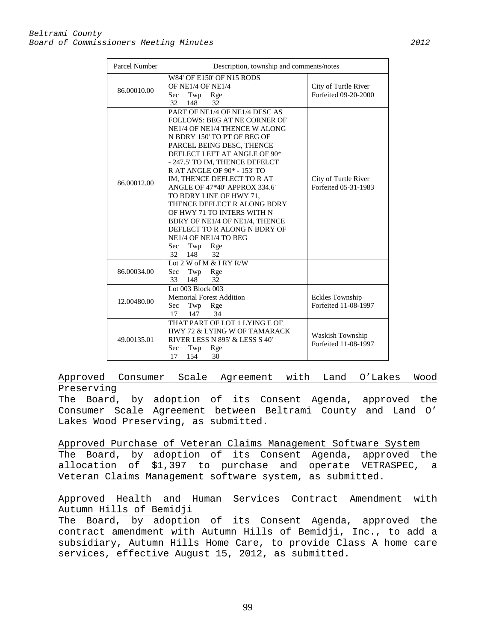| Parcel Number | Description, township and comments/notes                                                                                                                                                                                                                                                                                                                                                                                                                                                                                                              |                                                 |
|---------------|-------------------------------------------------------------------------------------------------------------------------------------------------------------------------------------------------------------------------------------------------------------------------------------------------------------------------------------------------------------------------------------------------------------------------------------------------------------------------------------------------------------------------------------------------------|-------------------------------------------------|
| 86.00010.00   | W84' OF E150' OF N15 RODS<br>OF NE1/4 OF NE1/4<br>Sec<br>Twp<br>Rge<br>32<br>148<br>32                                                                                                                                                                                                                                                                                                                                                                                                                                                                | City of Turtle River<br>Forfeited 09-20-2000    |
| 86.00012.00   | PART OF NE1/4 OF NE1/4 DESC AS<br>FOLLOWS: BEG AT NE CORNER OF<br>NE1/4 OF NE1/4 THENCE W ALONG<br>N BDRY 150' TO PT OF BEG OF<br>PARCEL BEING DESC, THENCE<br>DEFLECT LEFT AT ANGLE OF 90*<br>- 247.5' TO IM, THENCE DEFELCT<br>R AT ANGLE OF 90* - 153' TO<br>IM, THENCE DEFLECT TO RAT<br>ANGLE OF 47*40' APPROX 334.6'<br>TO BDRY LINE OF HWY 71,<br>THENCE DEFLECT R ALONG BDRY<br>OF HWY 71 TO INTERS WITH N<br>BDRY OF NE1/4 OF NE1/4, THENCE<br>DEFLECT TO R ALONG N BDRY OF<br>NE1/4 OF NE1/4 TO BEG<br>Sec<br>Twp<br>Rge<br>32<br>148<br>32 | City of Turtle River<br>Forfeited 05-31-1983    |
| 86.00034.00   | Lot $2 \text{ W of M} \& I RY R/W$<br>Sec<br>Twp<br>Rge<br>32<br>33<br>148                                                                                                                                                                                                                                                                                                                                                                                                                                                                            |                                                 |
| 12.00480.00   | Lot 003 Block 003<br><b>Memorial Forest Addition</b><br>Sec<br>Twp<br>Rge<br>147<br>17<br>34                                                                                                                                                                                                                                                                                                                                                                                                                                                          | Eckles Township<br>Forfeited 11-08-1997         |
| 49.00135.01   | THAT PART OF LOT 1 LYING E OF<br>HWY 72 & LYING W OF TAMARACK<br>RIVER LESS N 895' & LESS S 40'<br>Sec<br>Twp<br>Rge<br>17<br>154<br>30                                                                                                                                                                                                                                                                                                                                                                                                               | <b>Waskish Township</b><br>Forfeited 11-08-1997 |

Approved Consumer Scale Agreement with Land O'Lakes Wood Preserving

The Board, by adoption of its Consent Agenda, approved the Consumer Scale Agreement between Beltrami County and Land O' Lakes Wood Preserving, as submitted.

Approved Purchase of Veteran Claims Management Software System The Board, by adoption of its Consent Agenda, approved the allocation of \$1,397 to purchase and operate VETRASPEC, a Veteran Claims Management software system, as submitted.

# Approved Health and Human Services Contract Amendment with Autumn Hills of Bemidji

The Board, by adoption of its Consent Agenda, approved the contract amendment with Autumn Hills of Bemidji, Inc., to add a subsidiary, Autumn Hills Home Care, to provide Class A home care services, effective August 15, 2012, as submitted.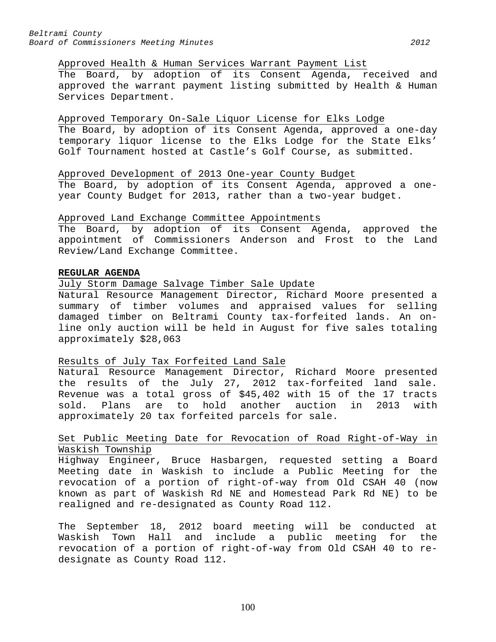#### Approved Health & Human Services Warrant Payment List

The Board, by adoption of its Consent Agenda, received and approved the warrant payment listing submitted by Health & Human Services Department.

# Approved Temporary On-Sale Liquor License for Elks Lodge

The Board, by adoption of its Consent Agenda, approved a one-day temporary liquor license to the Elks Lodge for the State Elks' Golf Tournament hosted at Castle's Golf Course, as submitted.

#### Approved Development of 2013 One-year County Budget

The Board, by adoption of its Consent Agenda, approved a oneyear County Budget for 2013, rather than a two-year budget.

#### Approved Land Exchange Committee Appointments

The Board, by adoption of its Consent Agenda, approved the appointment of Commissioners Anderson and Frost to the Land Review/Land Exchange Committee.

#### **REGULAR AGENDA**

#### July Storm Damage Salvage Timber Sale Update

Natural Resource Management Director, Richard Moore presented a summary of timber volumes and appraised values for selling damaged timber on Beltrami County tax-forfeited lands. An online only auction will be held in August for five sales totaling approximately \$28,063

# Results of July Tax Forfeited Land Sale

Natural Resource Management Director, Richard Moore presented the results of the July 27, 2012 tax-forfeited land sale. Revenue was a total gross of \$45,402 with 15 of the 17 tracts sold. Plans are to hold another auction in 2013 with approximately 20 tax forfeited parcels for sale.

# Set Public Meeting Date for Revocation of Road Right-of-Way in Waskish Township

Highway Engineer, Bruce Hasbargen, requested setting a Board Meeting date in Waskish to include a Public Meeting for the revocation of a portion of right-of-way from Old CSAH 40 (now known as part of Waskish Rd NE and Homestead Park Rd NE) to be realigned and re-designated as County Road 112.

The September 18, 2012 board meeting will be conducted at Waskish Town Hall and include a public meeting for the revocation of a portion of right-of-way from Old CSAH 40 to redesignate as County Road 112.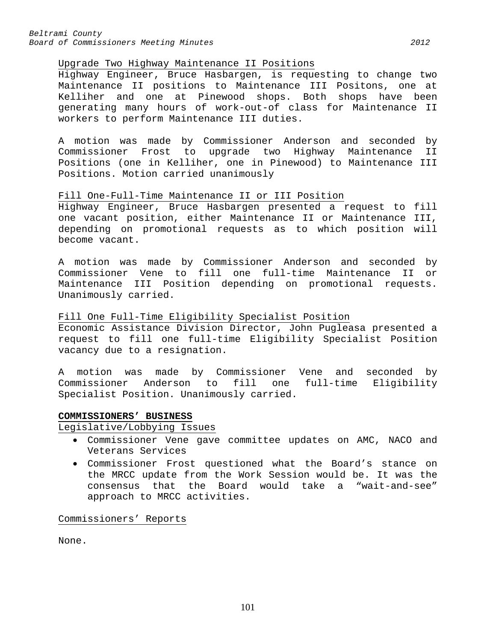*Beltrami County Board of Commissioners Meeting Minutes 2012*

### Upgrade Two Highway Maintenance II Positions

Highway Engineer, Bruce Hasbargen, is requesting to change two Maintenance II positions to Maintenance III Positons, one at Kelliher and one at Pinewood shops. Both shops have been generating many hours of work-out-of class for Maintenance II workers to perform Maintenance III duties.

A motion was made by Commissioner Anderson and seconded by Commissioner Frost to upgrade two Highway Maintenance II Positions (one in Kelliher, one in Pinewood) to Maintenance III Positions. Motion carried unanimously

# Fill One-Full-Time Maintenance II or III Position

Highway Engineer, Bruce Hasbargen presented a request to fill one vacant position, either Maintenance II or Maintenance III, depending on promotional requests as to which position will become vacant.

A motion was made by Commissioner Anderson and seconded by Commissioner Vene to fill one full-time Maintenance II or Maintenance III Position depending on promotional requests. Unanimously carried.

# Fill One Full-Time Eligibility Specialist Position

Economic Assistance Division Director, John Pugleasa presented a request to fill one full-time Eligibility Specialist Position vacancy due to a resignation.

A motion was made by Commissioner Vene and seconded by Commissioner Anderson to fill one full-time Eligibility Specialist Position. Unanimously carried.

# **COMMISSIONERS' BUSINESS**

Legislative/Lobbying Issues

- Commissioner Vene gave committee updates on AMC, NACO and Veterans Services
- Commissioner Frost questioned what the Board's stance on the MRCC update from the Work Session would be. It was the<br>consensus that the Board would take a "wait-and-see" consensus that the Board would take a approach to MRCC activities.

Commissioners' Reports

None.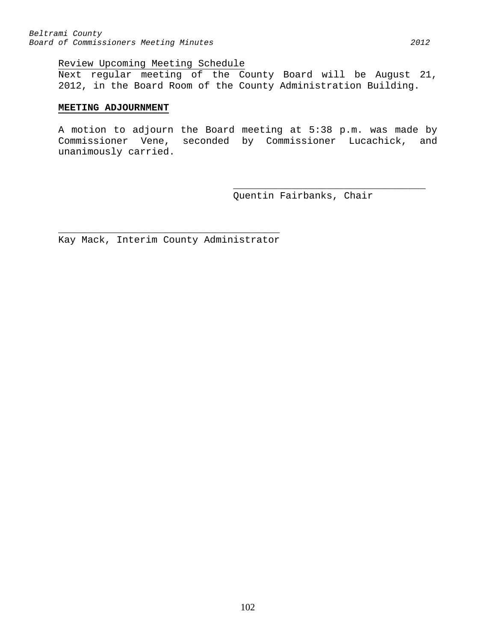### Review Upcoming Meeting Schedule

Next regular meeting of the County Board will be August 21, 2012, in the Board Room of the County Administration Building.

### **MEETING ADJOURNMENT**

A motion to adjourn the Board meeting at 5:38 p.m. was made by Commissioner Vene, seconded by Commissioner Lucachick, and unanimously carried.

> \_\_\_\_\_\_\_\_\_\_\_\_\_\_\_\_\_\_\_\_\_\_\_\_\_\_\_\_\_\_\_\_\_ Quentin Fairbanks, Chair

 $\overline{\phantom{a}}$  , and the contract of the contract of  $\overline{\phantom{a}}$ Kay Mack, Interim County Administrator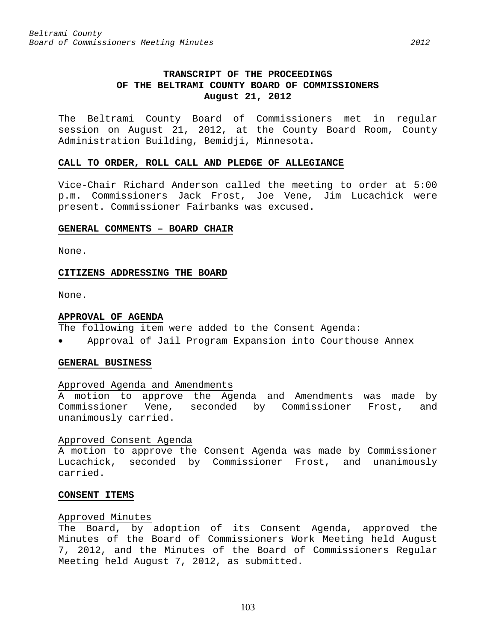# **TRANSCRIPT OF THE PROCEEDINGS OF THE BELTRAMI COUNTY BOARD OF COMMISSIONERS August 21, 2012**

The Beltrami County Board of Commissioners met in regular session on August 21, 2012, at the County Board Room, County Administration Building, Bemidji, Minnesota.

#### **CALL TO ORDER, ROLL CALL AND PLEDGE OF ALLEGIANCE**

Vice-Chair Richard Anderson called the meeting to order at 5:00 p.m. Commissioners Jack Frost, Joe Vene, Jim Lucachick were present. Commissioner Fairbanks was excused.

#### **GENERAL COMMENTS – BOARD CHAIR**

None.

# **CITIZENS ADDRESSING THE BOARD**

None.

#### **APPROVAL OF AGENDA**

The following item were added to the Consent Agenda:

• Approval of Jail Program Expansion into Courthouse Annex

# **GENERAL BUSINESS**

# Approved Agenda and Amendments

A motion to approve the Agenda and Amendments was made by Commissioner Vene, seconded by Commissioner Frost, and unanimously carried.

# Approved Consent Agenda

A motion to approve the Consent Agenda was made by Commissioner Lucachick, seconded by Commissioner Frost, and unanimously carried.

# **CONSENT ITEMS**

# Approved Minutes

The Board, by adoption of its Consent Agenda, approved the Minutes of the Board of Commissioners Work Meeting held August 7, 2012, and the Minutes of the Board of Commissioners Regular Meeting held August 7, 2012, as submitted.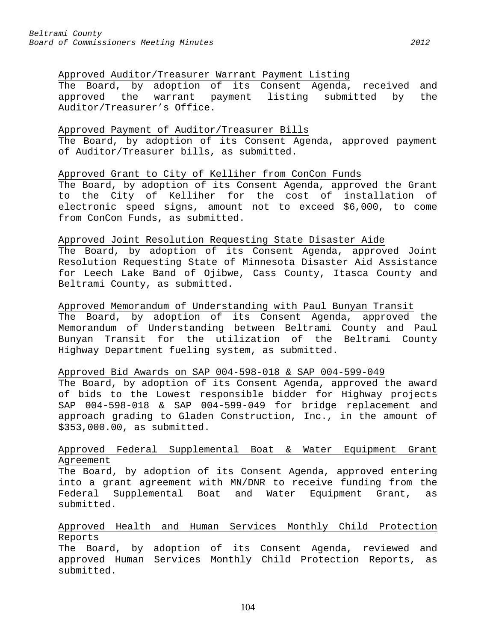### Approved Auditor/Treasurer Warrant Payment Listing

The Board, by adoption of its Consent Agenda, received and approved the warrant payment listing submitted by the Auditor/Treasurer's Office.

### Approved Payment of Auditor/Treasurer Bills

The Board, by adoption of its Consent Agenda, approved payment of Auditor/Treasurer bills, as submitted.

# Approved Grant to City of Kelliher from ConCon Funds

The Board, by adoption of its Consent Agenda, approved the Grant to the City of Kelliher for the cost of installation of electronic speed signs, amount not to exceed \$6,000, to come from ConCon Funds, as submitted.

# Approved Joint Resolution Requesting State Disaster Aide

The Board, by adoption of its Consent Agenda, approved Joint Resolution Requesting State of Minnesota Disaster Aid Assistance for Leech Lake Band of Ojibwe, Cass County, Itasca County and Beltrami County, as submitted.

#### Approved Memorandum of Understanding with Paul Bunyan Transit

The Board, by adoption of its Consent Agenda, approved the Memorandum of Understanding between Beltrami County and Paul Bunyan Transit for the utilization of the Beltrami County Highway Department fueling system, as submitted.

# Approved Bid Awards on SAP 004-598-018 & SAP 004-599-049

The Board, by adoption of its Consent Agenda, approved the award of bids to the Lowest responsible bidder for Highway projects SAP 004-598-018 & SAP 004-599-049 for bridge replacement and approach grading to Gladen Construction, Inc., in the amount of \$353,000.00, as submitted.

# Approved Federal Supplemental Boat & Water Equipment Grant Agreement

The Board, by adoption of its Consent Agenda, approved entering into a grant agreement with MN/DNR to receive funding from the Federal Supplemental Boat and Water Equipment Grant, as submitted.

# Approved Health and Human Services Monthly Child Protection Reports

The Board, by adoption of its Consent Agenda, reviewed and approved Human Services Monthly Child Protection Reports, as submitted.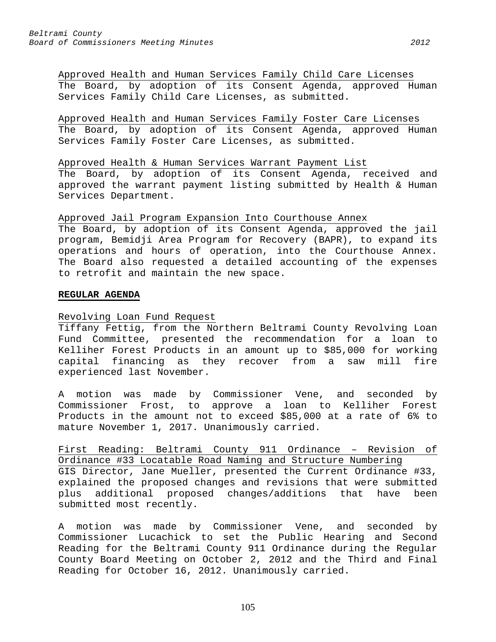Approved Health and Human Services Family Child Care Licenses The Board, by adoption of its Consent Agenda, approved Human Services Family Child Care Licenses, as submitted.

Approved Health and Human Services Family Foster Care Licenses The Board, by adoption of its Consent Agenda, approved Human Services Family Foster Care Licenses, as submitted.

Approved Health & Human Services Warrant Payment List The Board, by adoption of its Consent Agenda, received and approved the warrant payment listing submitted by Health & Human Services Department.

Approved Jail Program Expansion Into Courthouse Annex

The Board, by adoption of its Consent Agenda, approved the jail program, Bemidji Area Program for Recovery (BAPR), to expand its operations and hours of operation, into the Courthouse Annex. The Board also requested a detailed accounting of the expenses to retrofit and maintain the new space.

#### **REGULAR AGENDA**

# Revolving Loan Fund Request

Tiffany Fettig, from the Northern Beltrami County Revolving Loan Fund Committee, presented the recommendation for a loan to Kelliher Forest Products in an amount up to \$85,000 for working capital financing as they recover from a saw mill fire experienced last November.

A motion was made by Commissioner Vene, and seconded by Commissioner Frost, to approve a loan to Kelliher Forest Products in the amount not to exceed \$85,000 at a rate of 6% to mature November 1, 2017. Unanimously carried.

First Reading: Beltrami County 911 Ordinance – Revision of Ordinance #33 Locatable Road Naming and Structure Numbering GIS Director, Jane Mueller, presented the Current Ordinance #33, explained the proposed changes and revisions that were submitted plus additional proposed changes/additions that have been submitted most recently.

A motion was made by Commissioner Vene, and seconded by Commissioner Lucachick to set the Public Hearing and Second Reading for the Beltrami County 911 Ordinance during the Regular County Board Meeting on October 2, 2012 and the Third and Final Reading for October 16, 2012. Unanimously carried.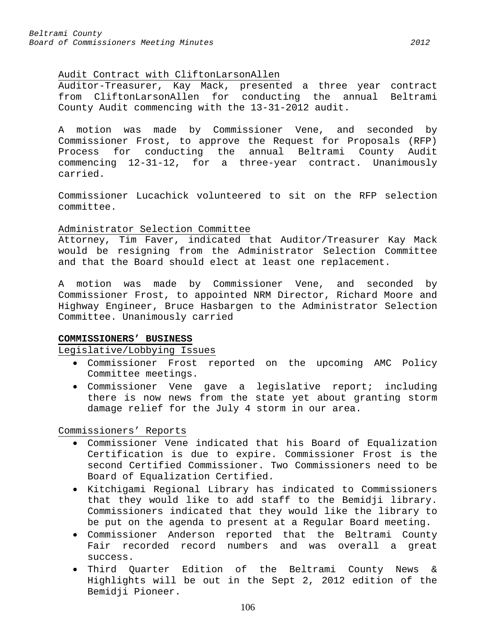# Audit Contract with CliftonLarsonAllen

Auditor-Treasurer, Kay Mack, presented a three year contract from CliftonLarsonAllen for conducting the annual Beltrami County Audit commencing with the 13-31-2012 audit.

A motion was made by Commissioner Vene, and seconded by Commissioner Frost, to approve the Request for Proposals (RFP) Process for conducting the annual Beltrami County Audit commencing 12-31-12, for a three-year contract. Unanimously carried.

Commissioner Lucachick volunteered to sit on the RFP selection committee.

#### Administrator Selection Committee

Attorney, Tim Faver, indicated that Auditor/Treasurer Kay Mack would be resigning from the Administrator Selection Committee and that the Board should elect at least one replacement.

A motion was made by Commissioner Vene, and seconded by Commissioner Frost, to appointed NRM Director, Richard Moore and Highway Engineer, Bruce Hasbargen to the Administrator Selection Committee. Unanimously carried

# **COMMISSIONERS' BUSINESS**

Legislative/Lobbying Issues

- Commissioner Frost reported on the upcoming AMC Policy Committee meetings.
- Commissioner Vene gave a legislative report; including there is now news from the state yet about granting storm damage relief for the July 4 storm in our area.

Commissioners' Reports

- Commissioner Vene indicated that his Board of Equalization Certification is due to expire. Commissioner Frost is the second Certified Commissioner. Two Commissioners need to be Board of Equalization Certified.
- Kitchigami Regional Library has indicated to Commissioners that they would like to add staff to the Bemidji library. Commissioners indicated that they would like the library to be put on the agenda to present at a Regular Board meeting.
- Commissioner Anderson reported that the Beltrami County Fair recorded record numbers and was overall a great success.
- Third Quarter Edition of the Beltrami County News & Highlights will be out in the Sept 2, 2012 edition of the Bemidji Pioneer.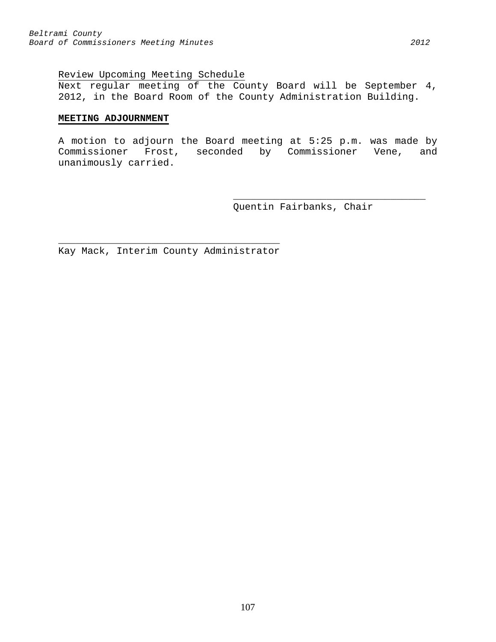Next regular meeting of the County Board will be September 4, 2012, in the Board Room of the County Administration Building.

### **MEETING ADJOURNMENT**

A motion to adjourn the Board meeting at 5:25 p.m. was made by Commissioner Frost, seconded by Commissioner Vene, and unanimously carried.

> \_\_\_\_\_\_\_\_\_\_\_\_\_\_\_\_\_\_\_\_\_\_\_\_\_\_\_\_\_\_\_\_\_ Quentin Fairbanks, Chair

 $\overline{\phantom{a}}$  , and the contract of the contract of  $\overline{\phantom{a}}$ Kay Mack, Interim County Administrator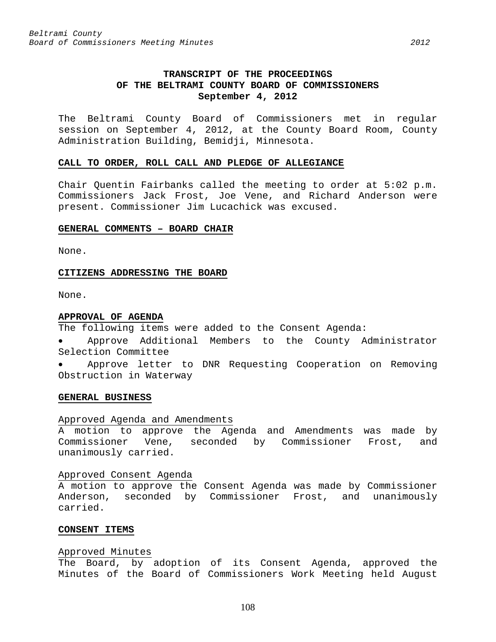# **TRANSCRIPT OF THE PROCEEDINGS OF THE BELTRAMI COUNTY BOARD OF COMMISSIONERS September 4, 2012**

The Beltrami County Board of Commissioners met in regular session on September 4, 2012, at the County Board Room, County Administration Building, Bemidji, Minnesota.

#### **CALL TO ORDER, ROLL CALL AND PLEDGE OF ALLEGIANCE**

Chair Quentin Fairbanks called the meeting to order at 5:02 p.m. Commissioners Jack Frost, Joe Vene, and Richard Anderson were present. Commissioner Jim Lucachick was excused.

#### **GENERAL COMMENTS – BOARD CHAIR**

None.

#### **CITIZENS ADDRESSING THE BOARD**

None.

### **APPROVAL OF AGENDA**

The following items were added to the Consent Agenda:

• Approve Additional Members to the County Administrator Selection Committee

• Approve letter to DNR Requesting Cooperation on Removing Obstruction in Waterway

#### **GENERAL BUSINESS**

### Approved Agenda and Amendments

A motion to approve the Agenda and Amendments was made by Commissioner Vene, seconded by Commissioner Frost, and unanimously carried.

#### Approved Consent Agenda

A motion to approve the Consent Agenda was made by Commissioner Anderson, seconded by Commissioner Frost, and unanimously carried.

### **CONSENT ITEMS**

#### Approved Minutes

The Board, by adoption of its Consent Agenda, approved the Minutes of the Board of Commissioners Work Meeting held August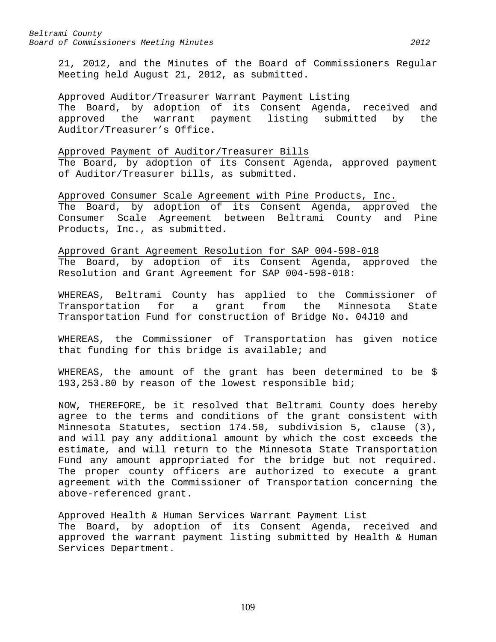21, 2012, and the Minutes of the Board of Commissioners Regular Meeting held August 21, 2012, as submitted.

#### Approved Auditor/Treasurer Warrant Payment Listing

The Board, by adoption of its Consent Agenda, received and approved the warrant payment listing submitted by the Auditor/Treasurer's Office.

### Approved Payment of Auditor/Treasurer Bills

The Board, by adoption of its Consent Agenda, approved payment of Auditor/Treasurer bills, as submitted.

Approved Consumer Scale Agreement with Pine Products, Inc. The Board, by adoption of its Consent Agenda, approved the Consumer Scale Agreement between Beltrami County and Pine Products, Inc., as submitted.

Approved Grant Agreement Resolution for SAP 004-598-018 The Board, by adoption of its Consent Agenda, approved the Resolution and Grant Agreement for SAP 004-598-018:

WHEREAS, Beltrami County has applied to the Commissioner of Transportation for a grant from the Minnesota State Transportation Fund for construction of Bridge No. 04J10 and

WHEREAS, the Commissioner of Transportation has given notice that funding for this bridge is available; and

WHEREAS, the amount of the grant has been determined to be \$ 193,253.80 by reason of the lowest responsible bid;

NOW, THEREFORE, be it resolved that Beltrami County does hereby agree to the terms and conditions of the grant consistent with Minnesota Statutes, section 174.50, subdivision 5, clause (3), and will pay any additional amount by which the cost exceeds the estimate, and will return to the Minnesota State Transportation Fund any amount appropriated for the bridge but not required. The proper county officers are authorized to execute a grant agreement with the Commissioner of Transportation concerning the above-referenced grant.

Approved Health & Human Services Warrant Payment List The Board, by adoption of its Consent Agenda, received and approved the warrant payment listing submitted by Health & Human Services Department.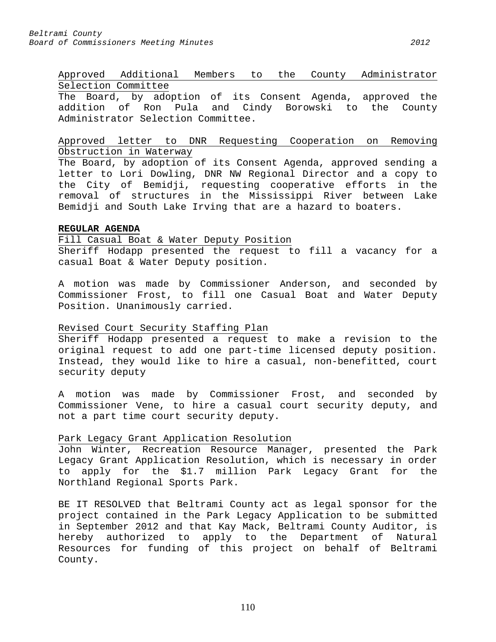# Approved Additional Members to the County Administrator Selection Committee

The Board, by adoption of its Consent Agenda, approved the addition of Ron Pula and Cindy Borowski to the County Administrator Selection Committee.

# Approved letter to DNR Requesting Cooperation on Removing Obstruction in Waterway

The Board, by adoption of its Consent Agenda, approved sending a letter to Lori Dowling, DNR NW Regional Director and a copy to the City of Bemidji, requesting cooperative efforts in the removal of structures in the Mississippi River between Lake Bemidji and South Lake Irving that are a hazard to boaters.

# **REGULAR AGENDA**

# Fill Casual Boat & Water Deputy Position

Sheriff Hodapp presented the request to fill a vacancy for a casual Boat & Water Deputy position.

A motion was made by Commissioner Anderson, and seconded by Commissioner Frost, to fill one Casual Boat and Water Deputy Position. Unanimously carried.

# Revised Court Security Staffing Plan

Sheriff Hodapp presented a request to make a revision to the original request to add one part-time licensed deputy position. Instead, they would like to hire a casual, non-benefitted, court security deputy

A motion was made by Commissioner Frost, and seconded by Commissioner Vene, to hire a casual court security deputy, and not a part time court security deputy.

# Park Legacy Grant Application Resolution

John Winter, Recreation Resource Manager, presented the Park Legacy Grant Application Resolution, which is necessary in order to apply for the \$1.7 million Park Legacy Grant for the Northland Regional Sports Park.

BE IT RESOLVED that Beltrami County act as legal sponsor for the project contained in the Park Legacy Application to be submitted in September 2012 and that Kay Mack, Beltrami County Auditor, is<br>hereby authorized to apply to the Department of Natural to apply to the Department of Natural Resources for funding of this project on behalf of Beltrami County.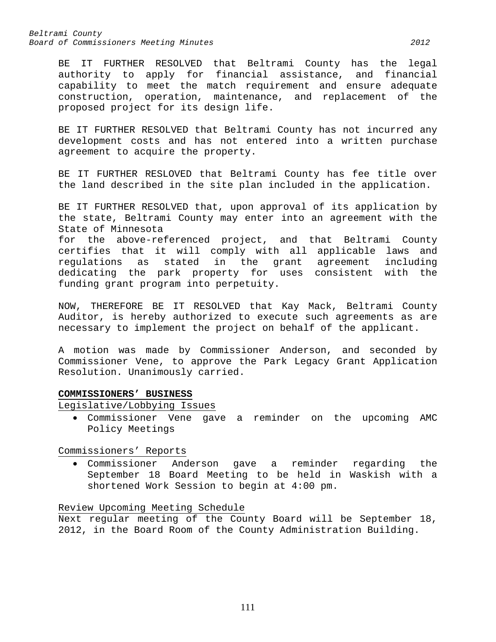*Beltrami County Board of Commissioners Meeting Minutes 2012*

BE IT FURTHER RESOLVED that Beltrami County has the legal authority to apply for financial assistance, and financial capability to meet the match requirement and ensure adequate construction, operation, maintenance, and replacement of the proposed project for its design life.

BE IT FURTHER RESOLVED that Beltrami County has not incurred any development costs and has not entered into a written purchase agreement to acquire the property.

BE IT FURTHER RESLOVED that Beltrami County has fee title over the land described in the site plan included in the application.

BE IT FURTHER RESOLVED that, upon approval of its application by the state, Beltrami County may enter into an agreement with the State of Minnesota

for the above-referenced project, and that Beltrami County certifies that it will comply with all applicable laws and<br>requlations as stated in the grant agreement including as stated in the grant agreement including dedicating the park property for uses consistent with the funding grant program into perpetuity.

NOW, THEREFORE BE IT RESOLVED that Kay Mack, Beltrami County Auditor, is hereby authorized to execute such agreements as are necessary to implement the project on behalf of the applicant.

A motion was made by Commissioner Anderson, and seconded by Commissioner Vene, to approve the Park Legacy Grant Application Resolution. Unanimously carried.

#### **COMMISSIONERS' BUSINESS**

Legislative/Lobbying Issues

• Commissioner Vene gave a reminder on the upcoming AMC Policy Meetings

Commissioners' Reports

• Commissioner Anderson gave a reminder regarding the September 18 Board Meeting to be held in Waskish with a shortened Work Session to begin at 4:00 pm.

# Review Upcoming Meeting Schedule

Next regular meeting of the County Board will be September 18, 2012, in the Board Room of the County Administration Building.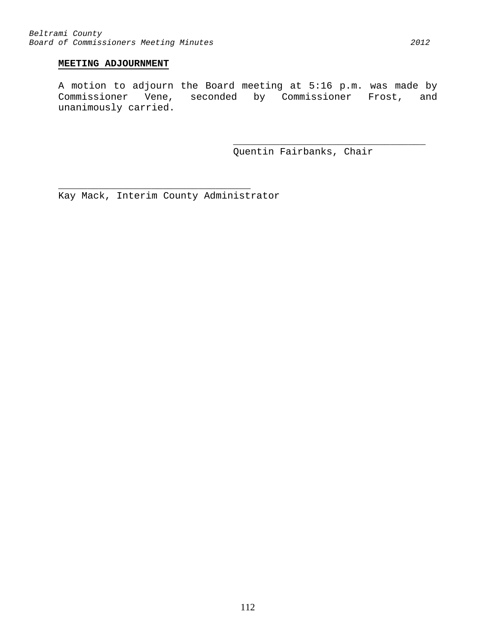# **MEETING ADJOURNMENT**

A motion to adjourn the Board meeting at 5:16 p.m. was made by Commissioner Vene, seconded by Commissioner Frost, and unanimously carried.

> \_\_\_\_\_\_\_\_\_\_\_\_\_\_\_\_\_\_\_\_\_\_\_\_\_\_\_\_\_\_\_\_\_ Quentin Fairbanks, Chair

Kay Mack, Interim County Administrator

\_\_\_\_\_\_\_\_\_\_\_\_\_\_\_\_\_\_\_\_\_\_\_\_\_\_\_\_\_\_\_\_\_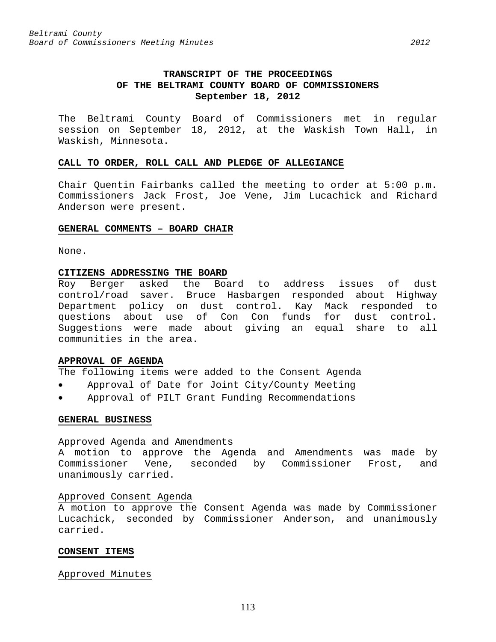The Beltrami County Board of Commissioners met in regular session on September 18, 2012, at the Waskish Town Hall, in Waskish, Minnesota.

#### **CALL TO ORDER, ROLL CALL AND PLEDGE OF ALLEGIANCE**

Chair Quentin Fairbanks called the meeting to order at 5:00 p.m. Commissioners Jack Frost, Joe Vene, Jim Lucachick and Richard Anderson were present.

#### **GENERAL COMMENTS – BOARD CHAIR**

None.

#### **CITIZENS ADDRESSING THE BOARD**

Roy Berger asked the Board to address issues of dust control/road saver. Bruce Hasbargen responded about Highway Department policy on dust control. Kay Mack responded to questions about use of Con Con funds for dust control. Suggestions were made about giving an equal share to all communities in the area.

## **APPROVAL OF AGENDA**

The following items were added to the Consent Agenda

- Approval of Date for Joint City/County Meeting
- Approval of PILT Grant Funding Recommendations

## **GENERAL BUSINESS**

#### Approved Agenda and Amendments

A motion to approve the Agenda and Amendments was made by Commissioner Vene, seconded by Commissioner Frost, and unanimously carried.

#### Approved Consent Agenda

A motion to approve the Consent Agenda was made by Commissioner Lucachick, seconded by Commissioner Anderson, and unanimously carried.

#### **CONSENT ITEMS**

# Approved Minutes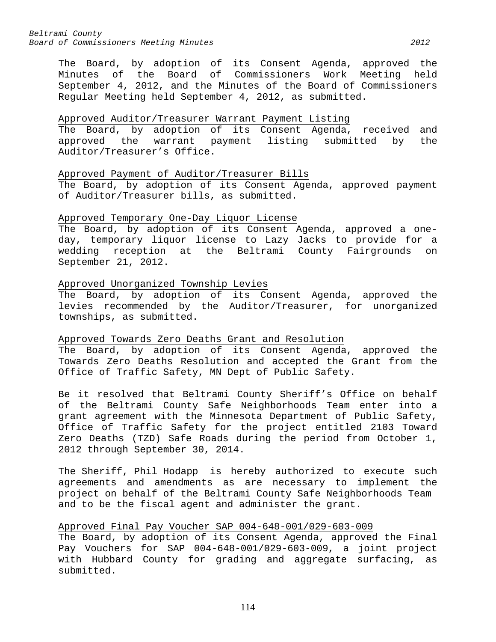The Board, by adoption of its Consent Agenda, approved the Minutes of the Board of Commissioners Work Meeting held September 4, 2012, and the Minutes of the Board of Commissioners Regular Meeting held September 4, 2012, as submitted.

## Approved Auditor/Treasurer Warrant Payment Listing

The Board, by adoption of its Consent Agenda, received and approved the warrant payment listing submitted by the Auditor/Treasurer's Office.

# Approved Payment of Auditor/Treasurer Bills

The Board, by adoption of its Consent Agenda, approved payment of Auditor/Treasurer bills, as submitted.

# Approved Temporary One-Day Liquor License

The Board, by adoption of its Consent Agenda, approved a oneday, temporary liquor license to Lazy Jacks to provide for a wedding reception at the Beltrami County Fairgrounds on September 21, 2012.

# Approved Unorganized Township Levies

The Board, by adoption of its Consent Agenda, approved the levies recommended by the Auditor/Treasurer, for unorganized townships, as submitted.

# Approved Towards Zero Deaths Grant and Resolution

The Board, by adoption of its Consent Agenda, approved the Towards Zero Deaths Resolution and accepted the Grant from the Office of Traffic Safety, MN Dept of Public Safety.

Be it resolved that Beltrami County Sheriff's Office on behalf of the Beltrami County Safe Neighborhoods Team enter into a grant agreement with the Minnesota Department of Public Safety, Office of Traffic Safety for the project entitled 2103 Toward Zero Deaths (TZD) Safe Roads during the period from October 1, 2012 through September 30, 2014.

The Sheriff, Phil Hodapp is hereby authorized to execute such agreements and amendments as are necessary to implement the project on behalf of the Beltrami County Safe Neighborhoods Team and to be the fiscal agent and administer the grant.

# Approved Final Pay Voucher SAP 004-648-001/029-603-009

The Board, by adoption of its Consent Agenda, approved the Final Pay Vouchers for SAP 004-648-001/029-603-009, a joint project with Hubbard County for grading and aggregate surfacing, as submitted.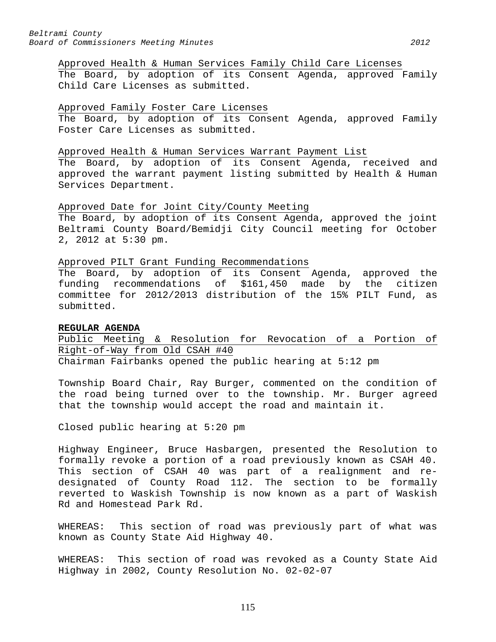# Approved Health & Human Services Family Child Care Licenses The Board, by adoption of its Consent Agenda, approved Family Child Care Licenses as submitted.

#### Approved Family Foster Care Licenses

The Board, by adoption of its Consent Agenda, approved Family Foster Care Licenses as submitted.

#### Approved Health & Human Services Warrant Payment List

The Board, by adoption of its Consent Agenda, received and approved the warrant payment listing submitted by Health & Human Services Department.

#### Approved Date for Joint City/County Meeting

The Board, by adoption of its Consent Agenda, approved the joint Beltrami County Board/Bemidji City Council meeting for October 2, 2012 at 5:30 pm.

#### Approved PILT Grant Funding Recommendations

The Board, by adoption of its Consent Agenda, approved the funding recommendations of \$161,450 made by the citizen committee for 2012/2013 distribution of the 15% PILT Fund, as submitted.

#### **REGULAR AGENDA**

Public Meeting & Resolution for Revocation of a Portion of Right-of-Way from Old CSAH #40 Chairman Fairbanks opened the public hearing at 5:12 pm

Township Board Chair, Ray Burger, commented on the condition of the road being turned over to the township. Mr. Burger agreed that the township would accept the road and maintain it.

Closed public hearing at 5:20 pm

Highway Engineer, Bruce Hasbargen, presented the Resolution to formally revoke a portion of a road previously known as CSAH 40. This section of CSAH 40 was part of a realignment and redesignated of County Road 112. The section to be formally reverted to Waskish Township is now known as a part of Waskish Rd and Homestead Park Rd.

WHEREAS: This section of road was previously part of what was known as County State Aid Highway 40.

WHEREAS: This section of road was revoked as a County State Aid Highway in 2002, County Resolution No. 02-02-07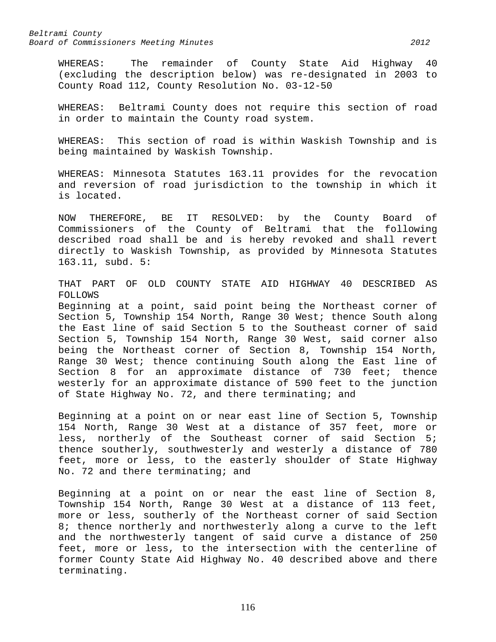WHEREAS: The remainder of County State Aid Highway 40 (excluding the description below) was re-designated in 2003 to County Road 112, County Resolution No. 03-12-50

WHEREAS: Beltrami County does not require this section of road in order to maintain the County road system.

WHEREAS: This section of road is within Waskish Township and is being maintained by Waskish Township.

WHEREAS: Minnesota Statutes 163.11 provides for the revocation and reversion of road jurisdiction to the township in which it is located.

NOW THEREFORE, BE IT RESOLVED: by the County Board of Commissioners of the County of Beltrami that the following described road shall be and is hereby revoked and shall revert directly to Waskish Township, as provided by Minnesota Statutes 163.11, subd. 5:

THAT PART OF OLD COUNTY STATE AID HIGHWAY 40 DESCRIBED AS FOLLOWS Beginning at a point, said point being the Northeast corner of Section 5, Township 154 North, Range 30 West; thence South along the East line of said Section 5 to the Southeast corner of said Section 5, Township 154 North, Range 30 West, said corner also being the Northeast corner of Section 8, Township 154 North, Range 30 West; thence continuing South along the East line of

Section 8 for an approximate distance of 730 feet; thence westerly for an approximate distance of 590 feet to the junction of State Highway No. 72, and there terminating; and

Beginning at a point on or near east line of Section 5, Township 154 North, Range 30 West at a distance of 357 feet, more or less, northerly of the Southeast corner of said Section 5; thence southerly, southwesterly and westerly a distance of 780 feet, more or less, to the easterly shoulder of State Highway No. 72 and there terminating; and

Beginning at a point on or near the east line of Section 8, Township 154 North, Range 30 West at a distance of 113 feet, more or less, southerly of the Northeast corner of said Section 8; thence northerly and northwesterly along a curve to the left and the northwesterly tangent of said curve a distance of 250 feet, more or less, to the intersection with the centerline of former County State Aid Highway No. 40 described above and there terminating.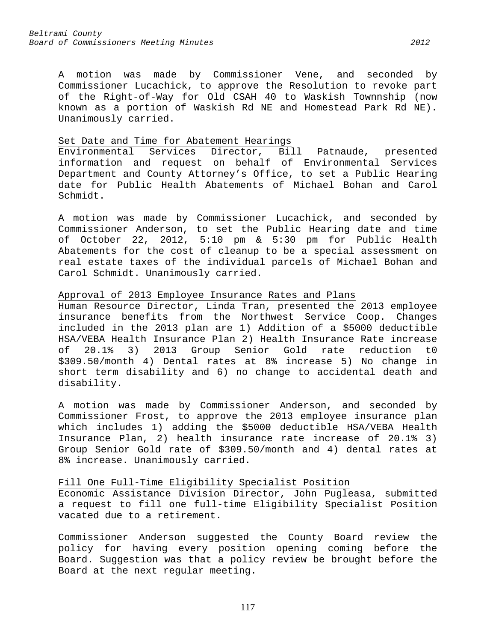A motion was made by Commissioner Vene, and seconded by Commissioner Lucachick, to approve the Resolution to revoke part of the Right-of-Way for Old CSAH 40 to Waskish Townnship (now known as a portion of Waskish Rd NE and Homestead Park Rd NE). Unanimously carried.

Set Date and Time for Abatement Hearings<br>Environmental Services Director, Bill Patnaude, presented information and request on behalf of Environmental Services Department and County Attorney's Office, to set a Public Hearing date for Public Health Abatements of Michael Bohan and Carol Schmidt.

A motion was made by Commissioner Lucachick, and seconded by Commissioner Anderson, to set the Public Hearing date and time of October 22, 2012, 5:10 pm & 5:30 pm for Public Health Abatements for the cost of cleanup to be a special assessment on real estate taxes of the individual parcels of Michael Bohan and Carol Schmidt. Unanimously carried.

# Approval of 2013 Employee Insurance Rates and Plans

Human Resource Director, Linda Tran, presented the 2013 employee insurance benefits from the Northwest Service Coop. Changes included in the 2013 plan are 1) Addition of a \$5000 deductible HSA/VEBA Health Insurance Plan 2) Health Insurance Rate increase of 20.1% 3) 2013 Group Senior Gold rate reduction t0 \$309.50/month 4) Dental rates at 8% increase 5) No change in short term disability and 6) no change to accidental death and disability.

A motion was made by Commissioner Anderson, and seconded by Commissioner Frost, to approve the 2013 employee insurance plan which includes 1) adding the \$5000 deductible HSA/VEBA Health Insurance Plan, 2) health insurance rate increase of 20.1% 3) Group Senior Gold rate of \$309.50/month and 4) dental rates at 8% increase. Unanimously carried.

Fill One Full-Time Eligibility Specialist Position

Economic Assistance Division Director, John Pugleasa, submitted a request to fill one full-time Eligibility Specialist Position vacated due to a retirement.

Commissioner Anderson suggested the County Board review the policy for having every position opening coming before the Board. Suggestion was that a policy review be brought before the Board at the next regular meeting.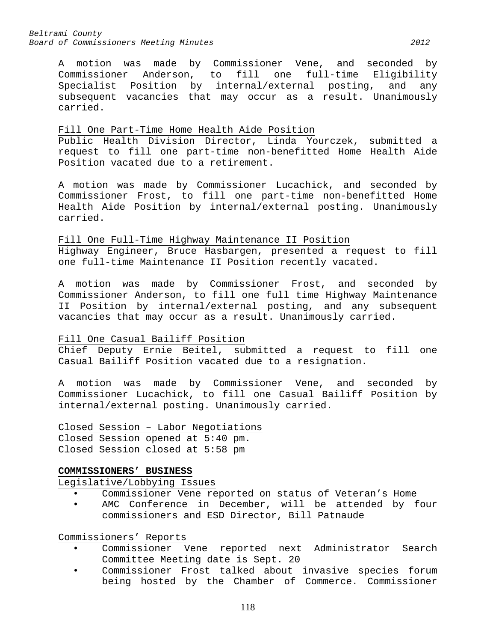*Beltrami County Board of Commissioners Meeting Minutes 2012*

A motion was made by Commissioner Vene, and seconded by<br>Commissioner Anderson, to fill one full-time Eligibility fill one full-time Eligibility Specialist Position by internal/external posting, and any subsequent vacancies that may occur as a result. Unanimously carried.

### Fill One Part-Time Home Health Aide Position

Public Health Division Director, Linda Yourczek, submitted a request to fill one part-time non-benefitted Home Health Aide Position vacated due to a retirement.

A motion was made by Commissioner Lucachick, and seconded by Commissioner Frost, to fill one part-time non-benefitted Home Health Aide Position by internal/external posting. Unanimously carried.

# Fill One Full-Time Highway Maintenance II Position

Highway Engineer, Bruce Hasbargen, presented a request to fill one full-time Maintenance II Position recently vacated.

A motion was made by Commissioner Frost, and seconded by Commissioner Anderson, to fill one full time Highway Maintenance II Position by internal/external posting, and any subsequent vacancies that may occur as a result. Unanimously carried.

# Fill One Casual Bailiff Position

Chief Deputy Ernie Beitel, submitted a request to fill one Casual Bailiff Position vacated due to a resignation.

A motion was made by Commissioner Vene, and seconded by Commissioner Lucachick, to fill one Casual Bailiff Position by internal/external posting. Unanimously carried.

Closed Session – Labor Negotiations Closed Session opened at 5:40 pm. Closed Session closed at 5:58 pm

# **COMMISSIONERS' BUSINESS**

Legislative/Lobbying Issues

- Commissioner Vene reported on status of Veteran's Home
- AMC Conference in December, will be attended by four commissioners and ESD Director, Bill Patnaude

Commissioners' Reports

- Commissioner Vene reported next Administrator Search Committee Meeting date is Sept. 20
- Commissioner Frost talked about invasive species forum being hosted by the Chamber of Commerce. Commissioner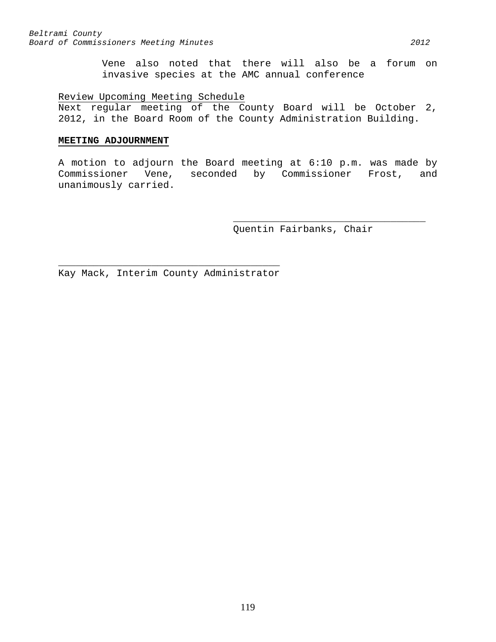Vene also noted that there will also be a forum on invasive species at the AMC annual conference

# Review Upcoming Meeting Schedule

Next regular meeting of the County Board will be October 2, 2012, in the Board Room of the County Administration Building.

### **MEETING ADJOURNMENT**

A motion to adjourn the Board meeting at 6:10 p.m. was made by Commissioner Vene, seconded by Commissioner Frost, and unanimously carried.

Quentin Fairbanks, Chair

\_\_\_\_\_\_\_\_\_\_\_\_\_\_\_\_\_\_\_\_\_\_\_\_\_\_\_\_\_\_\_\_\_

 $\overline{\phantom{a}}$  , and the contract of the contract of  $\overline{\phantom{a}}$ Kay Mack, Interim County Administrator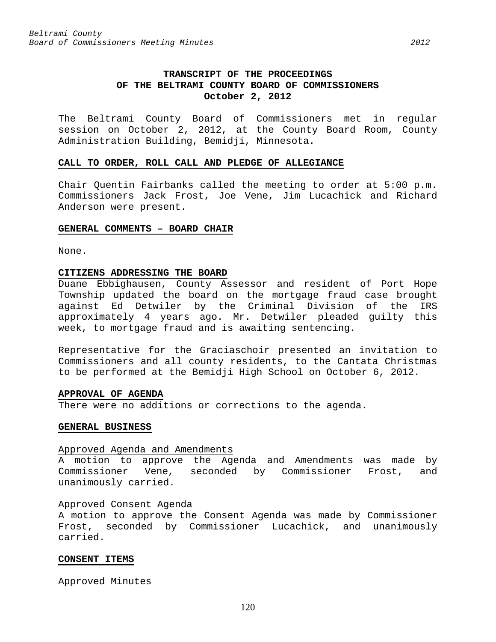# **TRANSCRIPT OF THE PROCEEDINGS OF THE BELTRAMI COUNTY BOARD OF COMMISSIONERS October 2, 2012**

The Beltrami County Board of Commissioners met in regular session on October 2, 2012, at the County Board Room, County Administration Building, Bemidji, Minnesota.

#### **CALL TO ORDER, ROLL CALL AND PLEDGE OF ALLEGIANCE**

Chair Quentin Fairbanks called the meeting to order at 5:00 p.m. Commissioners Jack Frost, Joe Vene, Jim Lucachick and Richard Anderson were present.

#### **GENERAL COMMENTS – BOARD CHAIR**

None.

### **CITIZENS ADDRESSING THE BOARD**

Duane Ebbighausen, County Assessor and resident of Port Hope Township updated the board on the mortgage fraud case brought against Ed Detwiler by the Criminal Division of the IRS approximately 4 years ago. Mr. Detwiler pleaded guilty this week, to mortgage fraud and is awaiting sentencing.

Representative for the Graciaschoir presented an invitation to Commissioners and all county residents, to the Cantata Christmas to be performed at the Bemidji High School on October 6, 2012.

# **APPROVAL OF AGENDA**

There were no additions or corrections to the agenda.

# **GENERAL BUSINESS**

#### Approved Agenda and Amendments

A motion to approve the Agenda and Amendments was made by Commissioner Vene, seconded by Commissioner Frost, and unanimously carried.

# Approved Consent Agenda

A motion to approve the Consent Agenda was made by Commissioner Frost, seconded by Commissioner Lucachick, and unanimously carried.

# **CONSENT ITEMS**

Approved Minutes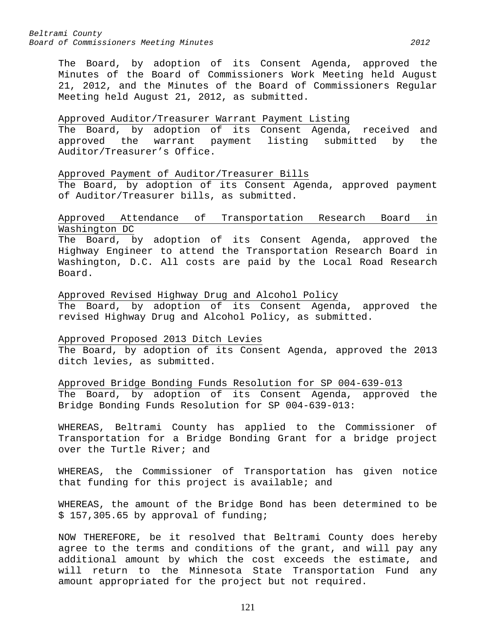The Board, by adoption of its Consent Agenda, approved the Minutes of the Board of Commissioners Work Meeting held August 21, 2012, and the Minutes of the Board of Commissioners Regular Meeting held August 21, 2012, as submitted.

## Approved Auditor/Treasurer Warrant Payment Listing

The Board, by adoption of its Consent Agenda, received and approved the warrant payment listing submitted by the Auditor/Treasurer's Office.

### Approved Payment of Auditor/Treasurer Bills

The Board, by adoption of its Consent Agenda, approved payment of Auditor/Treasurer bills, as submitted.

# Approved Attendance of Transportation Research Board in Washington DC

The Board, by adoption of its Consent Agenda, approved the Highway Engineer to attend the Transportation Research Board in Washington, D.C. All costs are paid by the Local Road Research Board.

Approved Revised Highway Drug and Alcohol Policy The Board, by adoption of its Consent Agenda, approved the revised Highway Drug and Alcohol Policy, as submitted.

# Approved Proposed 2013 Ditch Levies The Board, by adoption of its Consent Agenda, approved the 2013

ditch levies, as submitted.

Approved Bridge Bonding Funds Resolution for SP 004-639-013 The Board, by adoption of its Consent Agenda, approved the Bridge Bonding Funds Resolution for SP 004-639-013:

WHEREAS, Beltrami County has applied to the Commissioner of Transportation for a Bridge Bonding Grant for a bridge project over the Turtle River; and

WHEREAS, the Commissioner of Transportation has given notice that funding for this project is available; and

WHEREAS, the amount of the Bridge Bond has been determined to be \$ 157,305.65 by approval of funding;

NOW THEREFORE, be it resolved that Beltrami County does hereby agree to the terms and conditions of the grant, and will pay any additional amount by which the cost exceeds the estimate, and will return to the Minnesota State Transportation Fund any amount appropriated for the project but not required.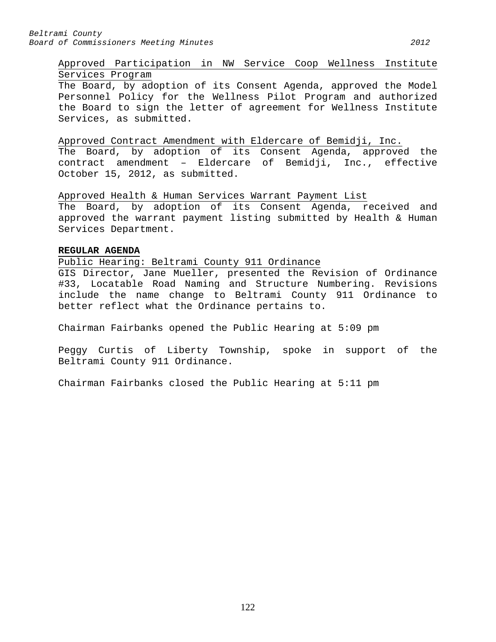# Approved Participation in NW Service Coop Wellness Institute Services Program

The Board, by adoption of its Consent Agenda, approved the Model Personnel Policy for the Wellness Pilot Program and authorized the Board to sign the letter of agreement for Wellness Institute Services, as submitted.

# Approved Contract Amendment with Eldercare of Bemidji, Inc.

The Board, by adoption of its Consent Agenda, approved the contract amendment – Eldercare of Bemidji, Inc., effective October 15, 2012, as submitted.

Approved Health & Human Services Warrant Payment List The Board, by adoption of its Consent Agenda, received and approved the warrant payment listing submitted by Health & Human Services Department.

# **REGULAR AGENDA**

Public Hearing: Beltrami County 911 Ordinance

GIS Director, Jane Mueller, presented the Revision of Ordinance #33, Locatable Road Naming and Structure Numbering. Revisions include the name change to Beltrami County 911 Ordinance to better reflect what the Ordinance pertains to.

Chairman Fairbanks opened the Public Hearing at 5:09 pm

Peggy Curtis of Liberty Township, spoke in support of the Beltrami County 911 Ordinance.

Chairman Fairbanks closed the Public Hearing at 5:11 pm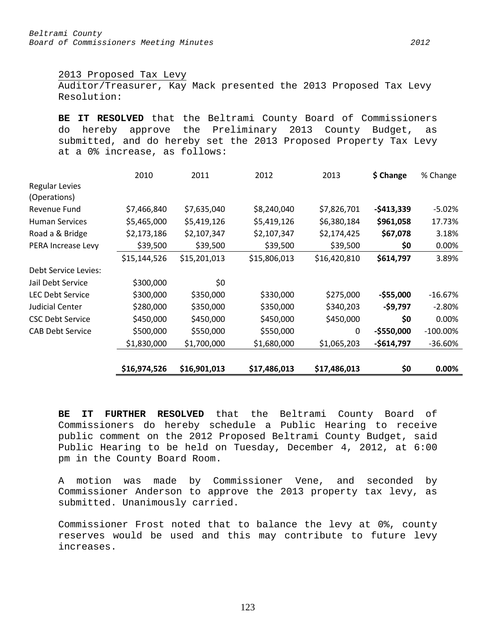2013 Proposed Tax Levy

Auditor/Treasurer, Kay Mack presented the 2013 Proposed Tax Levy Resolution:

**BE IT RESOLVED** that the Beltrami County Board of Commissioners do hereby approve the Preliminary 2013 County Budget, as submitted, and do hereby set the 2013 Proposed Property Tax Levy at a 0% increase, as follows:

|                         | 2010         | 2011         | 2012         | 2013         | \$ Change   | % Change    |
|-------------------------|--------------|--------------|--------------|--------------|-------------|-------------|
| <b>Regular Levies</b>   |              |              |              |              |             |             |
| (Operations)            |              |              |              |              |             |             |
| Revenue Fund            | \$7,466,840  | \$7,635,040  | \$8,240,040  | \$7,826,701  | $-5413,339$ | $-5.02%$    |
| <b>Human Services</b>   | \$5,465,000  | \$5,419,126  | \$5,419,126  | \$6,380,184  | \$961,058   | 17.73%      |
| Road a & Bridge         | \$2,173,186  | \$2,107,347  | \$2,107,347  | \$2,174,425  | \$67,078    | 3.18%       |
| PERA Increase Levy      | \$39,500     | \$39,500     | \$39,500     | \$39,500     | \$0         | 0.00%       |
|                         | \$15,144,526 | \$15,201,013 | \$15,806,013 | \$16,420,810 | \$614,797   | 3.89%       |
| Debt Service Levies:    |              |              |              |              |             |             |
| Jail Debt Service       | \$300,000    | \$0          |              |              |             |             |
| <b>LEC Debt Service</b> | \$300,000    | \$350,000    | \$330,000    | \$275,000    | $-$55,000$  | $-16.67\%$  |
| <b>Judicial Center</b>  | \$280,000    | \$350,000    | \$350,000    | \$340,203    | $-59,797$   | $-2.80%$    |
| <b>CSC Debt Service</b> | \$450,000    | \$450,000    | \$450,000    | \$450,000    | \$0         | 0.00%       |
| <b>CAB Debt Service</b> | \$500,000    | \$550,000    | \$550,000    | $\Omega$     | $-$550,000$ | $-100.00\%$ |
|                         | \$1,830,000  | \$1,700,000  | \$1,680,000  | \$1,065,203  | -\$614,797  | $-36.60%$   |
|                         |              |              |              |              |             |             |
|                         | \$16,974,526 | \$16,901,013 | \$17,486,013 | \$17,486,013 | \$0         | $0.00\%$    |

**BE IT FURTHER RESOLVED** that the Beltrami County Board of Commissioners do hereby schedule a Public Hearing to receive public comment on the 2012 Proposed Beltrami County Budget, said Public Hearing to be held on Tuesday, December 4, 2012, at 6:00 pm in the County Board Room.

A motion was made by Commissioner Vene, and seconded by Commissioner Anderson to approve the 2013 property tax levy, as submitted. Unanimously carried.

Commissioner Frost noted that to balance the levy at 0%, county reserves would be used and this may contribute to future levy increases.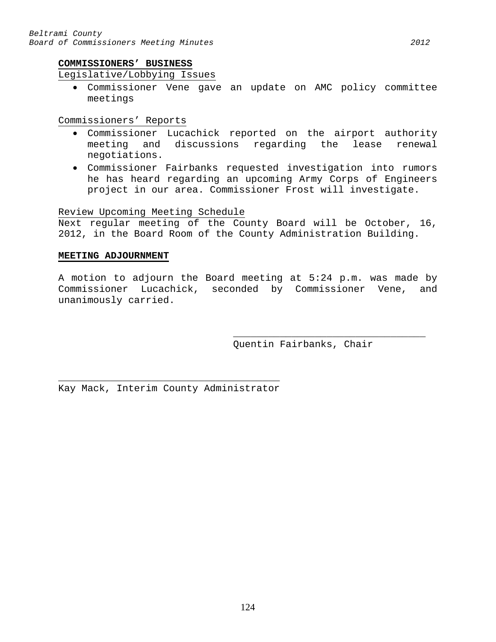# Legislative/Lobbying Issues

• Commissioner Vene gave an update on AMC policy committee meetings

Commissioners' Reports

- Commissioner Lucachick reported on the airport authority meeting and discussions regarding the lease renewal negotiations.
- Commissioner Fairbanks requested investigation into rumors he has heard regarding an upcoming Army Corps of Engineers project in our area. Commissioner Frost will investigate.

# Review Upcoming Meeting Schedule

Next regular meeting of the County Board will be October, 16, 2012, in the Board Room of the County Administration Building.

# **MEETING ADJOURNMENT**

A motion to adjourn the Board meeting at 5:24 p.m. was made by Commissioner Lucachick, seconded by Commissioner Vene, and unanimously carried.

> \_\_\_\_\_\_\_\_\_\_\_\_\_\_\_\_\_\_\_\_\_\_\_\_\_\_\_\_\_\_\_\_\_ Quentin Fairbanks, Chair

 $\overline{\phantom{a}}$  , and the contract of the contract of  $\overline{\phantom{a}}$ Kay Mack, Interim County Administrator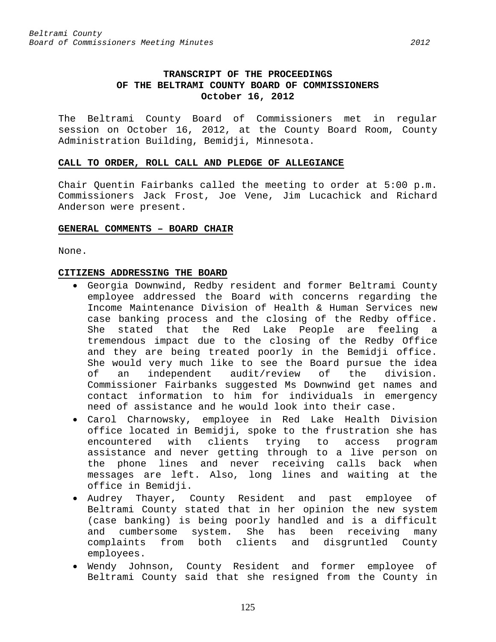# **TRANSCRIPT OF THE PROCEEDINGS OF THE BELTRAMI COUNTY BOARD OF COMMISSIONERS October 16, 2012**

The Beltrami County Board of Commissioners met in regular session on October 16, 2012, at the County Board Room, County Administration Building, Bemidji, Minnesota.

#### **CALL TO ORDER, ROLL CALL AND PLEDGE OF ALLEGIANCE**

Chair Quentin Fairbanks called the meeting to order at 5:00 p.m. Commissioners Jack Frost, Joe Vene, Jim Lucachick and Richard Anderson were present.

#### **GENERAL COMMENTS – BOARD CHAIR**

None.

# **CITIZENS ADDRESSING THE BOARD**

- Georgia Downwind, Redby resident and former Beltrami County employee addressed the Board with concerns regarding the Income Maintenance Division of Health & Human Services new case banking process and the closing of the Redby office. She stated that the Red Lake People are feeling a tremendous impact due to the closing of the Redby Office and they are being treated poorly in the Bemidji office. She would very much like to see the Board pursue the idea<br>of an independent audit/review of the division. an independent audit/review Commissioner Fairbanks suggested Ms Downwind get names and contact information to him for individuals in emergency need of assistance and he would look into their case.
- Carol Charnowsky, employee in Red Lake Health Division office located in Bemidji, spoke to the frustration she has encountered with clients trying to access program assistance and never getting through to a live person on the phone lines and never receiving calls back when messages are left. Also, long lines and waiting at the office in Bemidji.
- Audrey Thayer, County Resident and past employee of Beltrami County stated that in her opinion the new system (case banking) is being poorly handled and is a difficult and cumbersome system. She has been receiving many complaints from both clients and disgruntled County employees.
- Wendy Johnson, County Resident and former employee of Beltrami County said that she resigned from the County in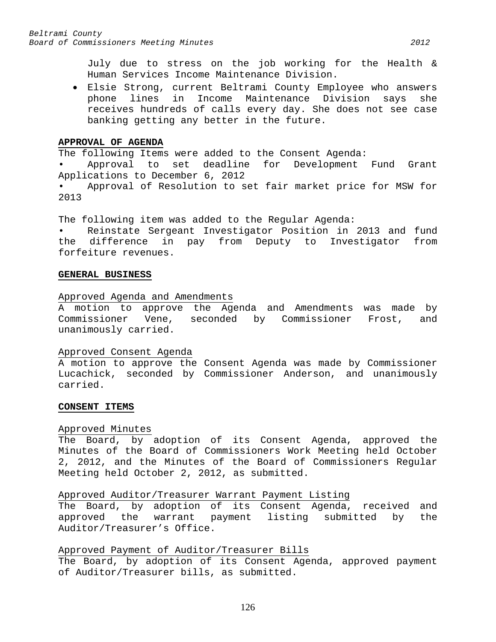July due to stress on the job working for the Health & Human Services Income Maintenance Division.

• Elsie Strong, current Beltrami County Employee who answers phone lines in Income Maintenance Division says she receives hundreds of calls every day. She does not see case banking getting any better in the future.

## **APPROVAL OF AGENDA**

The following Items were added to the Consent Agenda:

• Approval to set deadline for Development Fund Grant Applications to December 6, 2012

Approval of Resolution to set fair market price for MSW for 2013

The following item was added to the Regular Agenda:

Reinstate Sergeant Investigator Position in 2013 and fund the difference in pay from Deputy to Investigator from forfeiture revenues.

### **GENERAL BUSINESS**

# Approved Agenda and Amendments

A motion to approve the Agenda and Amendments was made by Commissioner Vene, seconded by Commissioner Frost, and unanimously carried.

#### Approved Consent Agenda

A motion to approve the Consent Agenda was made by Commissioner Lucachick, seconded by Commissioner Anderson, and unanimously carried.

#### **CONSENT ITEMS**

# Approved Minutes

The Board, by adoption of its Consent Agenda, approved the Minutes of the Board of Commissioners Work Meeting held October 2, 2012, and the Minutes of the Board of Commissioners Regular Meeting held October 2, 2012, as submitted.

# Approved Auditor/Treasurer Warrant Payment Listing

The Board, by adoption of its Consent Agenda, received and approved the warrant payment listing submitted by the Auditor/Treasurer's Office.

# Approved Payment of Auditor/Treasurer Bills

The Board, by adoption of its Consent Agenda, approved payment of Auditor/Treasurer bills, as submitted.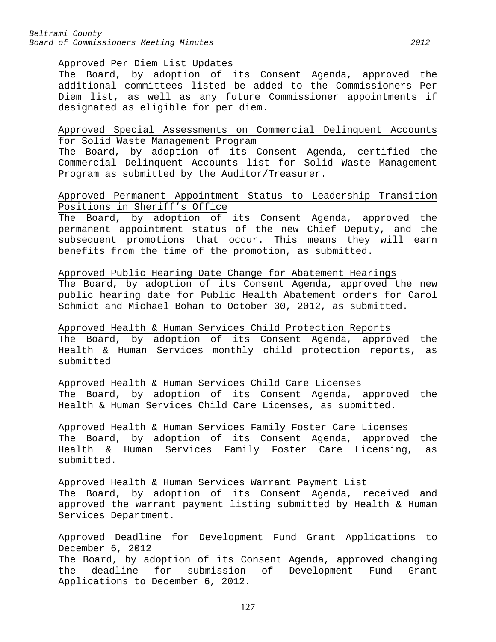#### Approved Per Diem List Updates

The Board, by adoption of its Consent Agenda, approved the additional committees listed be added to the Commissioners Per Diem list, as well as any future Commissioner appointments if designated as eligible for per diem.

# Approved Special Assessments on Commercial Delinquent Accounts for Solid Waste Management Program

The Board, by adoption of its Consent Agenda, certified the Commercial Delinquent Accounts list for Solid Waste Management Program as submitted by the Auditor/Treasurer.

# Approved Permanent Appointment Status to Leadership Transition Positions in Sheriff's Office

The Board, by adoption of its Consent Agenda, approved the permanent appointment status of the new Chief Deputy, and the subsequent promotions that occur. This means they will earn benefits from the time of the promotion, as submitted.

## Approved Public Hearing Date Change for Abatement Hearings

The Board, by adoption of its Consent Agenda, approved the new public hearing date for Public Health Abatement orders for Carol Schmidt and Michael Bohan to October 30, 2012, as submitted.

# Approved Health & Human Services Child Protection Reports

The Board, by adoption of its Consent Agenda, approved the Health & Human Services monthly child protection reports, as submitted

# Approved Health & Human Services Child Care Licenses

The Board, by adoption of its Consent Agenda, approved the Health & Human Services Child Care Licenses, as submitted.

# Approved Health & Human Services Family Foster Care Licenses

The Board, by adoption of its Consent Agenda, approved the Health & Human Services Family Foster Care Licensing, as submitted.

Approved Health & Human Services Warrant Payment List

The Board, by adoption of its Consent Agenda, received and approved the warrant payment listing submitted by Health & Human Services Department.

# Approved Deadline for Development Fund Grant Applications to December 6, 2012

The Board, by adoption of its Consent Agenda, approved changing the deadline for submission of Development Fund Grant Applications to December 6, 2012.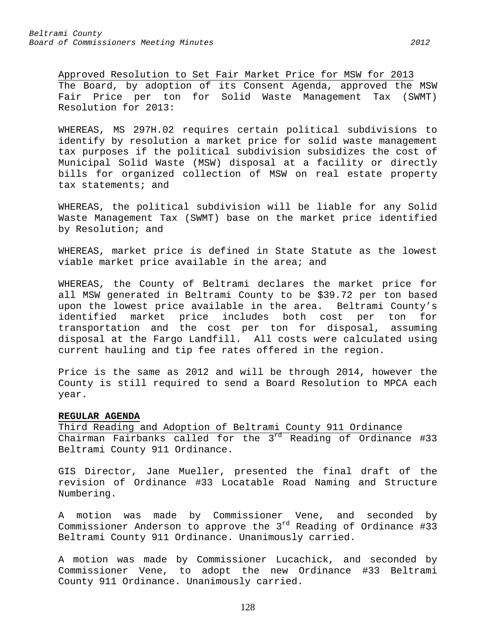Approved Resolution to Set Fair Market Price for MSW for 2013 The Board, by adoption of its Consent Agenda, approved the MSW Fair Price per ton for Solid Waste Management Tax (SWMT) Resolution for 2013:

WHEREAS, MS 297H.02 requires certain political subdivisions to identify by resolution a market price for solid waste management tax purposes if the political subdivision subsidizes the cost of Municipal Solid Waste (MSW) disposal at a facility or directly bills for organized collection of MSW on real estate property tax statements; and

WHEREAS, the political subdivision will be liable for any Solid Waste Management Tax (SWMT) base on the market price identified by Resolution; and

WHEREAS, market price is defined in State Statute as the lowest viable market price available in the area; and

WHEREAS, the County of Beltrami declares the market price for all MSW generated in Beltrami County to be \$39.72 per ton based upon the lowest price available in the area. Beltrami County's identified market price includes both cost per ton for transportation and the cost per ton for disposal, assuming disposal at the Fargo Landfill. All costs were calculated using current hauling and tip fee rates offered in the region.

Price is the same as 2012 and will be through 2014, however the County is still required to send a Board Resolution to MPCA each year.

# **REGULAR AGENDA**

Third Reading and Adoption of Beltrami County 911 Ordinance Chairman Fairbanks called for the 3<sup>rd</sup> Reading of Ordinance #33 Beltrami County 911 Ordinance.

GIS Director, Jane Mueller, presented the final draft of the revision of Ordinance #33 Locatable Road Naming and Structure Numbering.

A motion was made by Commissioner Vene, and seconded by Commissioner Anderson to approve the  $3^{rd}$  Reading of Ordinance #33 Beltrami County 911 Ordinance. Unanimously carried.

A motion was made by Commissioner Lucachick, and seconded by Commissioner Vene, to adopt the new Ordinance #33 Beltrami County 911 Ordinance. Unanimously carried.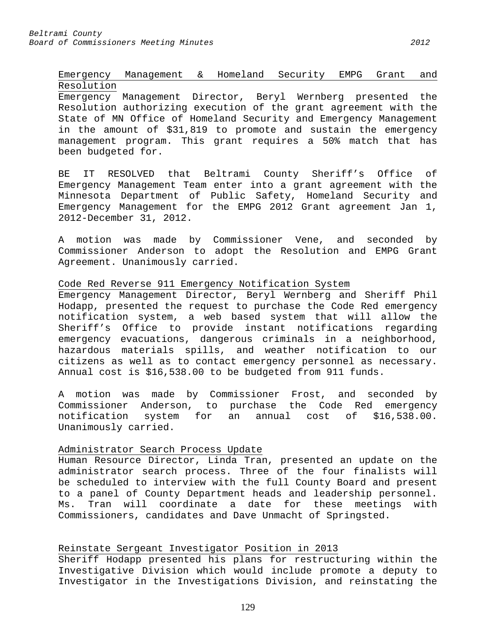# Emergency Management & Homeland Security EMPG Grant and Resolution

Emergency Management Director, Beryl Wernberg presented the Resolution authorizing execution of the grant agreement with the State of MN Office of Homeland Security and Emergency Management in the amount of \$31,819 to promote and sustain the emergency management program. This grant requires a 50% match that has been budgeted for.

BE IT RESOLVED that Beltrami County Sheriff's Office of Emergency Management Team enter into a grant agreement with the Minnesota Department of Public Safety, Homeland Security and Emergency Management for the EMPG 2012 Grant agreement Jan 1, 2012-December 31, 2012.

A motion was made by Commissioner Vene, and seconded by Commissioner Anderson to adopt the Resolution and EMPG Grant Agreement. Unanimously carried.

### Code Red Reverse 911 Emergency Notification System

Emergency Management Director, Beryl Wernberg and Sheriff Phil Hodapp, presented the request to purchase the Code Red emergency notification system, a web based system that will allow the Sheriff's Office to provide instant notifications regarding emergency evacuations, dangerous criminals in a neighborhood, hazardous materials spills, and weather notification to our citizens as well as to contact emergency personnel as necessary. Annual cost is \$16,538.00 to be budgeted from 911 funds.

A motion was made by Commissioner Frost, and seconded by Commissioner Anderson, to purchase the Code Red emergency notification system for an annual cost of \$16,538.00. Unanimously carried.

# Administrator Search Process Update

Human Resource Director, Linda Tran, presented an update on the administrator search process. Three of the four finalists will be scheduled to interview with the full County Board and present to a panel of County Department heads and leadership personnel. Ms. Tran will coordinate a date for these meetings with Commissioners, candidates and Dave Unmacht of Springsted.

# Reinstate Sergeant Investigator Position in 2013

Sheriff Hodapp presented his plans for restructuring within the Investigative Division which would include promote a deputy to Investigator in the Investigations Division, and reinstating the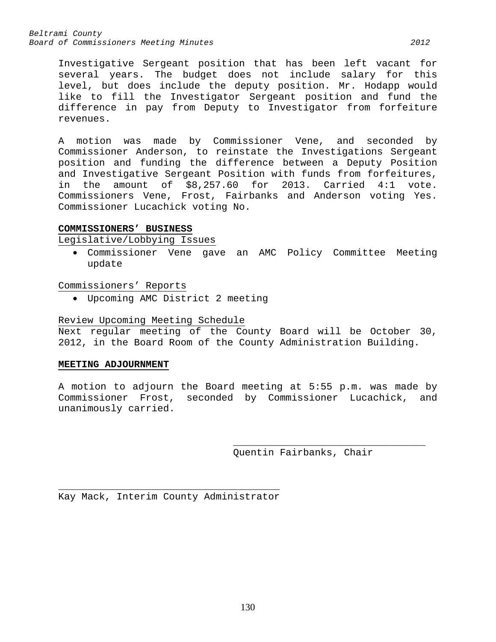*Beltrami County Board of Commissioners Meeting Minutes 2012*

Investigative Sergeant position that has been left vacant for several years. The budget does not include salary for this level, but does include the deputy position. Mr. Hodapp would like to fill the Investigator Sergeant position and fund the difference in pay from Deputy to Investigator from forfeiture revenues.

A motion was made by Commissioner Vene, and seconded by Commissioner Anderson, to reinstate the Investigations Sergeant position and funding the difference between a Deputy Position and Investigative Sergeant Position with funds from forfeitures, in the amount of \$8,257.60 for 2013. Carried 4:1 vote. Commissioners Vene, Frost, Fairbanks and Anderson voting Yes. Commissioner Lucachick voting No.

# **COMMISSIONERS' BUSINESS**

Legislative/Lobbying Issues

• Commissioner Vene gave an AMC Policy Committee Meeting update

Commissioners' Reports

• Upcoming AMC District 2 meeting

## Review Upcoming Meeting Schedule

Next regular meeting of the County Board will be October 30, 2012, in the Board Room of the County Administration Building.

# **MEETING ADJOURNMENT**

A motion to adjourn the Board meeting at 5:55 p.m. was made by Commissioner Frost, seconded by Commissioner Lucachick, and unanimously carried.

> \_\_\_\_\_\_\_\_\_\_\_\_\_\_\_\_\_\_\_\_\_\_\_\_\_\_\_\_\_\_\_\_\_ Quentin Fairbanks, Chair

 $\overline{\phantom{a}}$  , and the contract of the contract of  $\overline{\phantom{a}}$ Kay Mack, Interim County Administrator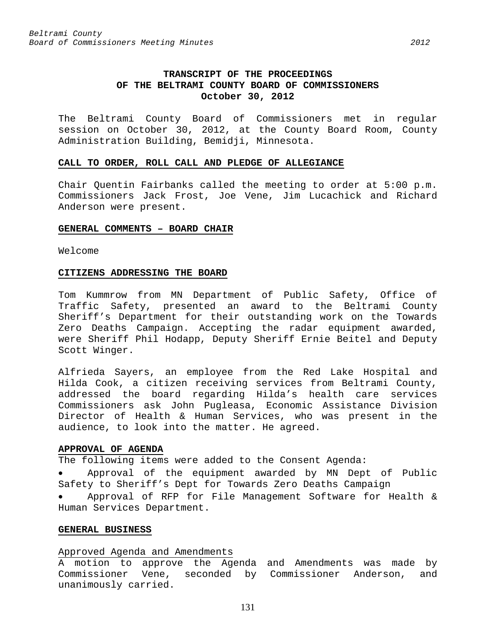# **TRANSCRIPT OF THE PROCEEDINGS OF THE BELTRAMI COUNTY BOARD OF COMMISSIONERS October 30, 2012**

The Beltrami County Board of Commissioners met in regular session on October 30, 2012, at the County Board Room, County Administration Building, Bemidji, Minnesota.

#### **CALL TO ORDER, ROLL CALL AND PLEDGE OF ALLEGIANCE**

Chair Quentin Fairbanks called the meeting to order at 5:00 p.m. Commissioners Jack Frost, Joe Vene, Jim Lucachick and Richard Anderson were present.

#### **GENERAL COMMENTS – BOARD CHAIR**

Welcome

#### **CITIZENS ADDRESSING THE BOARD**

Tom Kummrow from MN Department of Public Safety, Office of Traffic Safety, presented an award to the Beltrami County Sheriff's Department for their outstanding work on the Towards Zero Deaths Campaign. Accepting the radar equipment awarded, were Sheriff Phil Hodapp, Deputy Sheriff Ernie Beitel and Deputy Scott Winger.

Alfrieda Sayers, an employee from the Red Lake Hospital and Hilda Cook, a citizen receiving services from Beltrami County, addressed the board regarding Hilda's health care services Commissioners ask John Pugleasa, Economic Assistance Division Director of Health & Human Services, who was present in the audience, to look into the matter. He agreed.

#### **APPROVAL OF AGENDA**

The following items were added to the Consent Agenda:

• Approval of the equipment awarded by MN Dept of Public Safety to Sheriff's Dept for Towards Zero Deaths Campaign

• Approval of RFP for File Management Software for Health & Human Services Department.

# **GENERAL BUSINESS**

### Approved Agenda and Amendments

A motion to approve the Agenda and Amendments was made by Commissioner Vene, seconded by Commissioner Anderson, and unanimously carried.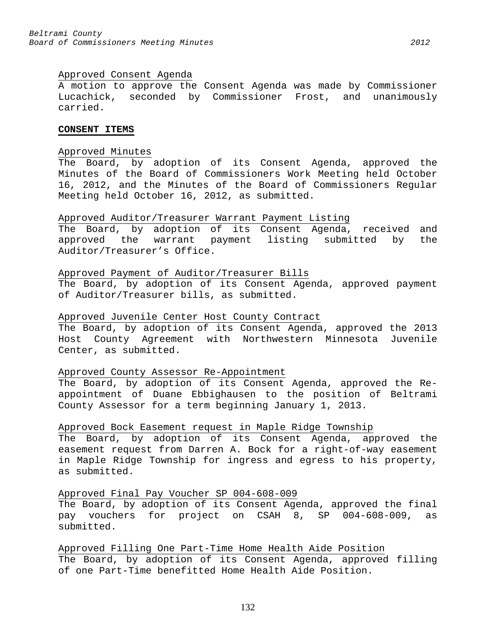## Approved Consent Agenda

A motion to approve the Consent Agenda was made by Commissioner Lucachick, seconded by Commissioner Frost, and unanimously carried.

#### **CONSENT ITEMS**

# Approved Minutes

The Board, by adoption of its Consent Agenda, approved the Minutes of the Board of Commissioners Work Meeting held October 16, 2012, and the Minutes of the Board of Commissioners Regular Meeting held October 16, 2012, as submitted.

#### Approved Auditor/Treasurer Warrant Payment Listing

The Board, by adoption of its Consent Agenda, received and approved the warrant payment listing submitted by the Auditor/Treasurer's Office.

# Approved Payment of Auditor/Treasurer Bills

The Board, by adoption of its Consent Agenda, approved payment of Auditor/Treasurer bills, as submitted.

## Approved Juvenile Center Host County Contract

The Board, by adoption of its Consent Agenda, approved the 2013 Host County Agreement with Northwestern Minnesota Juvenile Center, as submitted.

#### Approved County Assessor Re-Appointment

The Board, by adoption of its Consent Agenda, approved the Reappointment of Duane Ebbighausen to the position of Beltrami County Assessor for a term beginning January 1, 2013.

# Approved Bock Easement request in Maple Ridge Township

The Board, by adoption of its Consent Agenda, approved the easement request from Darren A. Bock for a right-of-way easement in Maple Ridge Township for ingress and egress to his property, as submitted.

# Approved Final Pay Voucher SP 004-608-009 The Board, by adoption of its Consent Agenda, approved the final pay vouchers for project on CSAH 8, SP 004-608-009, as submitted.

Approved Filling One Part-Time Home Health Aide Position The Board, by adoption of its Consent Agenda, approved filling of one Part-Time benefitted Home Health Aide Position.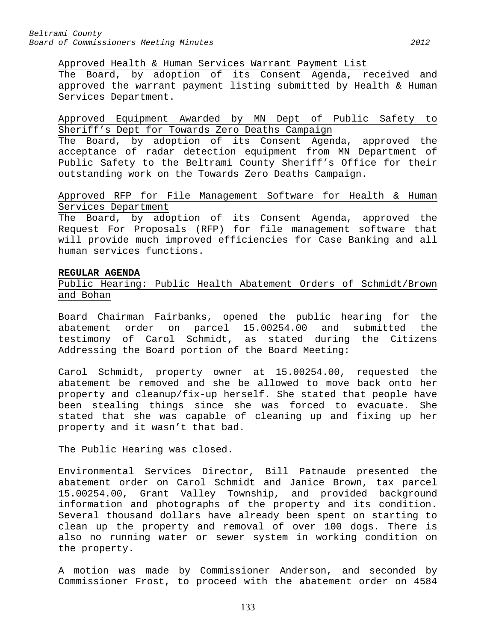Approved Health & Human Services Warrant Payment List

The Board, by adoption of its Consent Agenda, received and approved the warrant payment listing submitted by Health & Human Services Department.

Approved Equipment Awarded by MN Dept of Public Safety to Sheriff's Dept for Towards Zero Deaths Campaign

The Board, by adoption of its Consent Agenda, approved the acceptance of radar detection equipment from MN Department of Public Safety to the Beltrami County Sheriff's Office for their outstanding work on the Towards Zero Deaths Campaign.

Approved RFP for File Management Software for Health & Human Services Department

The Board, by adoption of its Consent Agenda, approved the Request For Proposals (RFP) for file management software that will provide much improved efficiencies for Case Banking and all human services functions.

#### **REGULAR AGENDA**

Public Hearing: Public Health Abatement Orders of Schmidt/Brown and Bohan

Board Chairman Fairbanks, opened the public hearing for the abatement order on parcel 15.00254.00 and submitted the testimony of Carol Schmidt, as stated during the Citizens Addressing the Board portion of the Board Meeting:

Carol Schmidt, property owner at 15.00254.00, requested the abatement be removed and she be allowed to move back onto her property and cleanup/fix-up herself. She stated that people have been stealing things since she was forced to evacuate. She stated that she was capable of cleaning up and fixing up her property and it wasn't that bad.

The Public Hearing was closed.

Environmental Services Director, Bill Patnaude presented the abatement order on Carol Schmidt and Janice Brown, tax parcel 15.00254.00, Grant Valley Township, and provided background information and photographs of the property and its condition. Several thousand dollars have already been spent on starting to clean up the property and removal of over 100 dogs. There is also no running water or sewer system in working condition on the property.

A motion was made by Commissioner Anderson, and seconded by Commissioner Frost, to proceed with the abatement order on 4584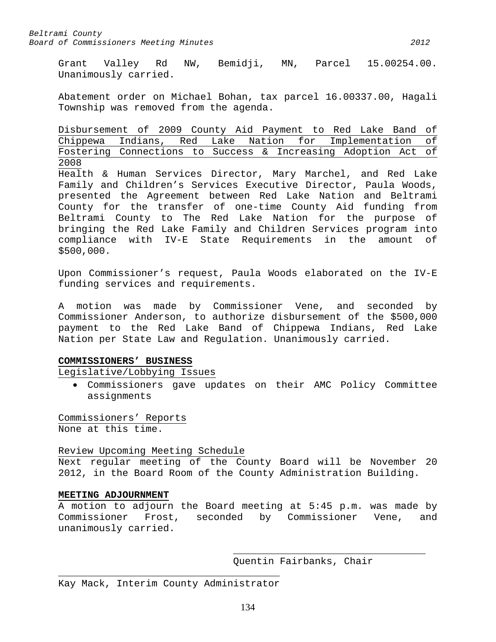Grant Valley Rd NW, Bemidji, MN, Parcel 15.00254.00. Unanimously carried.

Abatement order on Michael Bohan, tax parcel 16.00337.00, Hagali Township was removed from the agenda.

Disbursement of 2009 County Aid Payment to Red Lake Band of Chippewa Indians, Red Lake Nation for Implementation of Fostering Connections to Success & Increasing Adoption Act of 2008

Health & Human Services Director, Mary Marchel, and Red Lake Family and Children's Services Executive Director, Paula Woods, presented the Agreement between Red Lake Nation and Beltrami County for the transfer of one-time County Aid funding from Beltrami County to The Red Lake Nation for the purpose of bringing the Red Lake Family and Children Services program into compliance with IV-E State Requirements in the amount of \$500,000.

Upon Commissioner's request, Paula Woods elaborated on the IV-E funding services and requirements.

A motion was made by Commissioner Vene, and seconded by Commissioner Anderson, to authorize disbursement of the \$500,000 payment to the Red Lake Band of Chippewa Indians, Red Lake Nation per State Law and Regulation. Unanimously carried.

# **COMMISSIONERS' BUSINESS**

Legislative/Lobbying Issues

• Commissioners gave updates on their AMC Policy Committee assignments

Commissioners' Reports None at this time.

Review Upcoming Meeting Schedule

Next regular meeting of the County Board will be November 20 2012, in the Board Room of the County Administration Building.

# **MEETING ADJOURNMENT**

A motion to adjourn the Board meeting at 5:45 p.m. was made by Commissioner Frost, seconded by Commissioner Vene, and unanimously carried.

> \_\_\_\_\_\_\_\_\_\_\_\_\_\_\_\_\_\_\_\_\_\_\_\_\_\_\_\_\_\_\_\_\_ Quentin Fairbanks, Chair

\_\_\_\_\_\_\_\_\_\_\_\_\_\_\_\_\_\_\_\_\_\_\_\_\_\_\_\_\_\_\_\_\_\_\_\_\_\_ Kay Mack, Interim County Administrator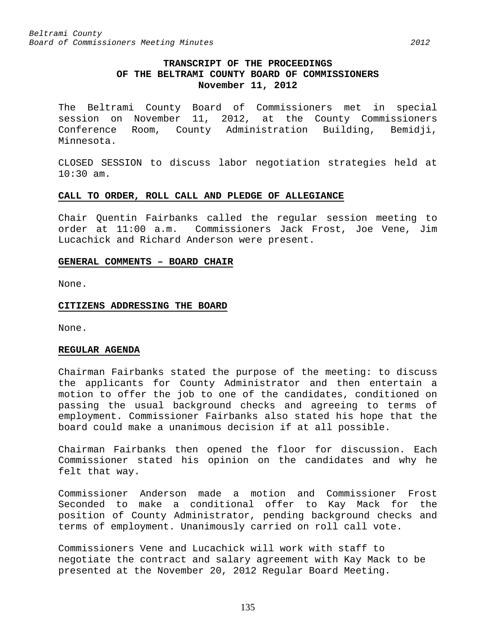# **TRANSCRIPT OF THE PROCEEDINGS OF THE BELTRAMI COUNTY BOARD OF COMMISSIONERS November 11, 2012**

The Beltrami County Board of Commissioners met in special session on November 11, 2012, at the County Commissioners Conference Room, County Administration Building, Bemidji, Minnesota.

CLOSED SESSION to discuss labor negotiation strategies held at 10:30 am.

## **CALL TO ORDER, ROLL CALL AND PLEDGE OF ALLEGIANCE**

Chair Quentin Fairbanks called the regular session meeting to order at 11:00 a.m. Commissioners Jack Frost, Joe Vene, Jim Lucachick and Richard Anderson were present.

### **GENERAL COMMENTS – BOARD CHAIR**

None.

### **CITIZENS ADDRESSING THE BOARD**

None.

# **REGULAR AGENDA**

Chairman Fairbanks stated the purpose of the meeting: to discuss the applicants for County Administrator and then entertain a motion to offer the job to one of the candidates, conditioned on passing the usual background checks and agreeing to terms of employment. Commissioner Fairbanks also stated his hope that the board could make a unanimous decision if at all possible.

Chairman Fairbanks then opened the floor for discussion. Each Commissioner stated his opinion on the candidates and why he felt that way.

Commissioner Anderson made a motion and Commissioner Frost Seconded to make a conditional offer to Kay Mack for the position of County Administrator, pending background checks and terms of employment. Unanimously carried on roll call vote.

Commissioners Vene and Lucachick will work with staff to negotiate the contract and salary agreement with Kay Mack to be presented at the November 20, 2012 Regular Board Meeting.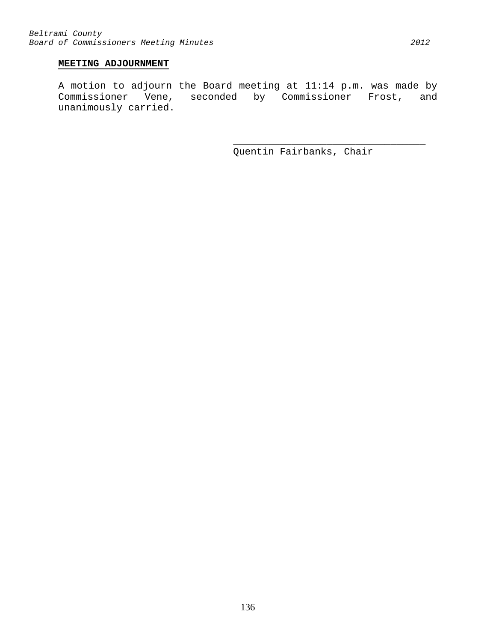# **MEETING ADJOURNMENT**

A motion to adjourn the Board meeting at 11:14 p.m. was made by Commissioner Vene, seconded by Commissioner Frost, and unanimously carried.

> \_\_\_\_\_\_\_\_\_\_\_\_\_\_\_\_\_\_\_\_\_\_\_\_\_\_\_\_\_\_\_\_\_ Quentin Fairbanks, Chair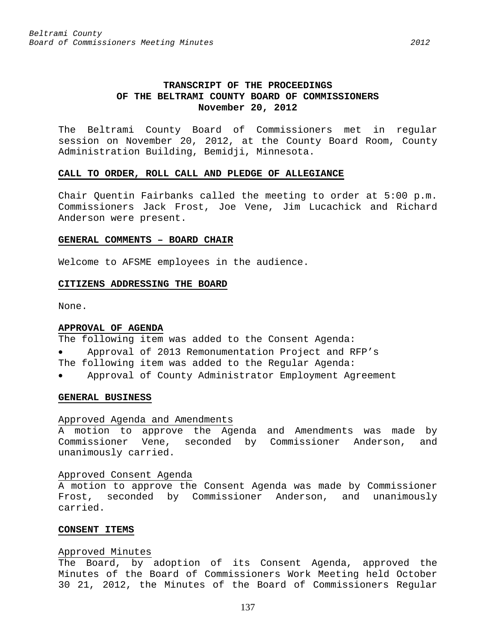# **TRANSCRIPT OF THE PROCEEDINGS OF THE BELTRAMI COUNTY BOARD OF COMMISSIONERS November 20, 2012**

The Beltrami County Board of Commissioners met in regular session on November 20, 2012, at the County Board Room, County Administration Building, Bemidji, Minnesota.

#### **CALL TO ORDER, ROLL CALL AND PLEDGE OF ALLEGIANCE**

Chair Quentin Fairbanks called the meeting to order at 5:00 p.m. Commissioners Jack Frost, Joe Vene, Jim Lucachick and Richard Anderson were present.

### **GENERAL COMMENTS – BOARD CHAIR**

Welcome to AFSME employees in the audience.

#### **CITIZENS ADDRESSING THE BOARD**

None.

#### **APPROVAL OF AGENDA**

The following item was added to the Consent Agenda:

- Approval of 2013 Remonumentation Project and RFP's
- The following item was added to the Regular Agenda:
- Approval of County Administrator Employment Agreement

#### **GENERAL BUSINESS**

#### Approved Agenda and Amendments

A motion to approve the Agenda and Amendments was made by Commissioner Vene, seconded by Commissioner Anderson, and unanimously carried.

#### Approved Consent Agenda

A motion to approve the Consent Agenda was made by Commissioner Frost, seconded by Commissioner Anderson, and unanimously carried.

### **CONSENT ITEMS**

#### Approved Minutes

The Board, by adoption of its Consent Agenda, approved the Minutes of the Board of Commissioners Work Meeting held October 30 21, 2012, the Minutes of the Board of Commissioners Regular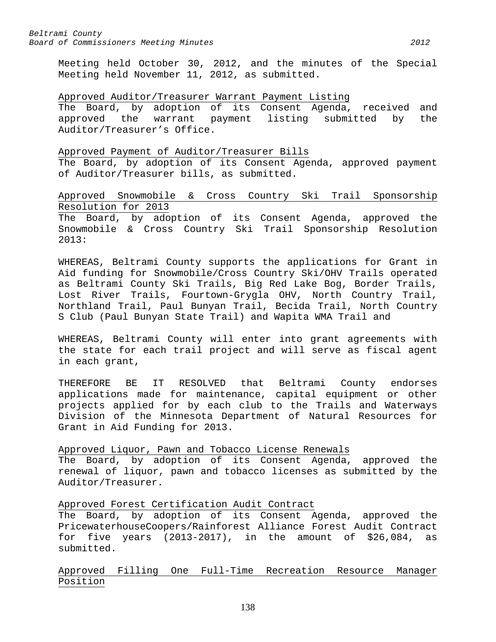Meeting held October 30, 2012, and the minutes of the Special Meeting held November 11, 2012, as submitted.

#### Approved Auditor/Treasurer Warrant Payment Listing

The Board, by adoption of its Consent Agenda, received and approved the warrant payment listing submitted by the Auditor/Treasurer's Office.

#### Approved Payment of Auditor/Treasurer Bills

The Board, by adoption of its Consent Agenda, approved payment of Auditor/Treasurer bills, as submitted.

# Approved Snowmobile & Cross Country Ski Trail Sponsorship Resolution for 2013

The Board, by adoption of its Consent Agenda, approved the Snowmobile & Cross Country Ski Trail Sponsorship Resolution 2013:

WHEREAS, Beltrami County supports the applications for Grant in Aid funding for Snowmobile/Cross Country Ski/OHV Trails operated as Beltrami County Ski Trails, Big Red Lake Bog, Border Trails, Lost River Trails, Fourtown-Grygla OHV, North Country Trail, Northland Trail, Paul Bunyan Trail, Becida Trail, North Country S Club (Paul Bunyan State Trail) and Wapita WMA Trail and

WHEREAS, Beltrami County will enter into grant agreements with the state for each trail project and will serve as fiscal agent in each grant,

THEREFORE BE IT RESOLVED that Beltrami County endorses applications made for maintenance, capital equipment or other projects applied for by each club to the Trails and Waterways Division of the Minnesota Department of Natural Resources for Grant in Aid Funding for 2013.

# Approved Liquor, Pawn and Tobacco License Renewals The Board, by adoption of its Consent Agenda, approved the renewal of liquor, pawn and tobacco licenses as submitted by the Auditor/Treasurer.

Approved Forest Certification Audit Contract

The Board, by adoption of its Consent Agenda, approved the PricewaterhouseCoopers/Rainforest Alliance Forest Audit Contract for five years (2013-2017), in the amount of \$26,084, as submitted.

# Approved Filling One Full-Time Recreation Resource Manager Position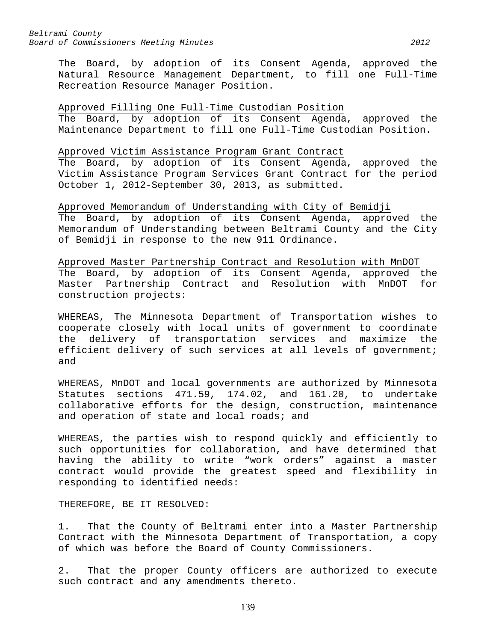The Board, by adoption of its Consent Agenda, approved the Natural Resource Management Department, to fill one Full-Time Recreation Resource Manager Position.

Approved Filling One Full-Time Custodian Position The Board, by adoption of its Consent Agenda, approved the Maintenance Department to fill one Full-Time Custodian Position.

#### Approved Victim Assistance Program Grant Contract

The Board, by adoption of its Consent Agenda, approved the Victim Assistance Program Services Grant Contract for the period October 1, 2012-September 30, 2013, as submitted.

# Approved Memorandum of Understanding with City of Bemidji

The Board, by adoption of its Consent Agenda, approved the Memorandum of Understanding between Beltrami County and the City of Bemidji in response to the new 911 Ordinance.

Approved Master Partnership Contract and Resolution with MnDOT The Board, by adoption of its Consent Agenda, approved the Master Partnership Contract and Resolution with MnDOT for construction projects:

WHEREAS, The Minnesota Department of Transportation wishes to cooperate closely with local units of government to coordinate the delivery of transportation services and maximize the efficient delivery of such services at all levels of government; and

WHEREAS, MnDOT and local governments are authorized by Minnesota Statutes sections 471.59, 174.02, and 161.20, to undertake collaborative efforts for the design, construction, maintenance and operation of state and local roads; and

WHEREAS, the parties wish to respond quickly and efficiently to such opportunities for collaboration, and have determined that having the ability to write "work orders" against a master contract would provide the greatest speed and flexibility in responding to identified needs:

THEREFORE, BE IT RESOLVED:

1. That the County of Beltrami enter into a Master Partnership Contract with the Minnesota Department of Transportation, a copy of which was before the Board of County Commissioners.

2. That the proper County officers are authorized to execute such contract and any amendments thereto.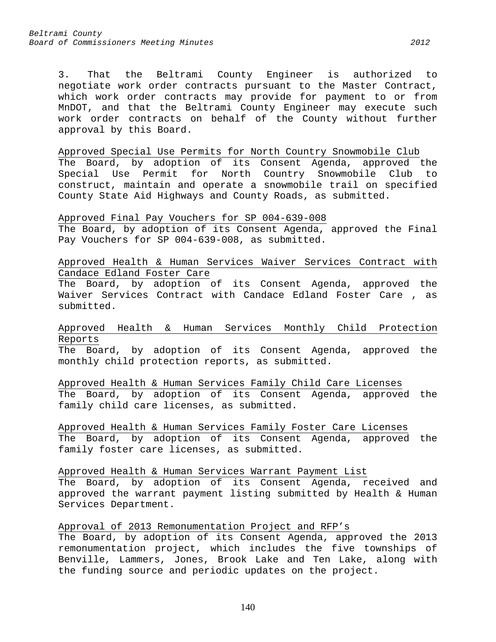3. That the Beltrami County Engineer is authorized to negotiate work order contracts pursuant to the Master Contract, which work order contracts may provide for payment to or from MnDOT, and that the Beltrami County Engineer may execute such work order contracts on behalf of the County without further approval by this Board.

# Approved Special Use Permits for North Country Snowmobile Club The Board, by adoption of its Consent Agenda, approved the Special Use Permit for North Country Snowmobile Club to construct, maintain and operate a snowmobile trail on specified County State Aid Highways and County Roads, as submitted.

Approved Final Pay Vouchers for SP 004-639-008 The Board, by adoption of its Consent Agenda, approved the Final Pay Vouchers for SP 004-639-008, as submitted.

Approved Health & Human Services Waiver Services Contract with Candace Edland Foster Care

The Board, by adoption of its Consent Agenda, approved the Waiver Services Contract with Candace Edland Foster Care , as submitted.

Approved Health & Human Services Monthly Child Protection Reports

The Board, by adoption of its Consent Agenda, approved the monthly child protection reports, as submitted.

Approved Health & Human Services Family Child Care Licenses The Board, by adoption of its Consent Agenda, approved the family child care licenses, as submitted.

Approved Health & Human Services Family Foster Care Licenses The Board, by adoption of its Consent Agenda, approved the family foster care licenses, as submitted.

Approved Health & Human Services Warrant Payment List

The Board, by adoption of its Consent Agenda, received and approved the warrant payment listing submitted by Health & Human Services Department.

# Approval of 2013 Remonumentation Project and RFP's

The Board, by adoption of its Consent Agenda, approved the 2013 remonumentation project, which includes the five townships of Benville, Lammers, Jones, Brook Lake and Ten Lake, along with the funding source and periodic updates on the project.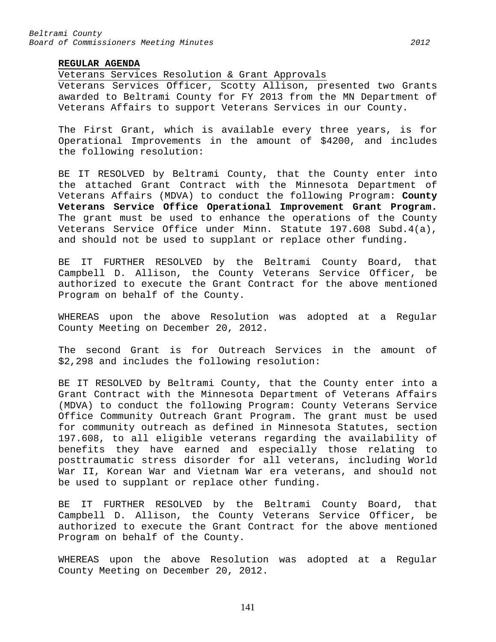## **REGULAR AGENDA**

#### Veterans Services Resolution & Grant Approvals

Veterans Services Officer, Scotty Allison, presented two Grants awarded to Beltrami County for FY 2013 from the MN Department of Veterans Affairs to support Veterans Services in our County.

The First Grant, which is available every three years, is for Operational Improvements in the amount of \$4200, and includes the following resolution:

BE IT RESOLVED by Beltrami County, that the County enter into the attached Grant Contract with the Minnesota Department of Veterans Affairs (MDVA) to conduct the following Program: **County Veterans Service Office Operational Improvement Grant Program.**  The grant must be used to enhance the operations of the County Veterans Service Office under Minn. Statute 197.608 Subd.4(a), and should not be used to supplant or replace other funding.

BE IT FURTHER RESOLVED by the Beltrami County Board, that Campbell D. Allison, the County Veterans Service Officer, be authorized to execute the Grant Contract for the above mentioned Program on behalf of the County.

WHEREAS upon the above Resolution was adopted at a Regular County Meeting on December 20, 2012.

The second Grant is for Outreach Services in the amount of \$2,298 and includes the following resolution:

BE IT RESOLVED by Beltrami County, that the County enter into a Grant Contract with the Minnesota Department of Veterans Affairs (MDVA) to conduct the following Program: County Veterans Service Office Community Outreach Grant Program. The grant must be used for community outreach as defined in Minnesota Statutes, section 197.608, to all eligible veterans regarding the availability of benefits they have earned and especially those relating to posttraumatic stress disorder for all veterans, including World War II, Korean War and Vietnam War era veterans, and should not be used to supplant or replace other funding.

BE IT FURTHER RESOLVED by the Beltrami County Board, that Campbell D. Allison, the County Veterans Service Officer, be authorized to execute the Grant Contract for the above mentioned Program on behalf of the County.

WHEREAS upon the above Resolution was adopted at a Regular County Meeting on December 20, 2012.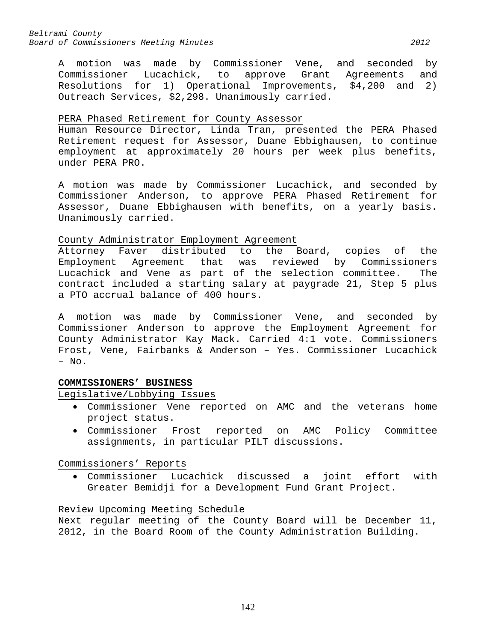A motion was made by Commissioner Vene, and seconded by Commissioner Lucachick, to approve Grant Agreements and Resolutions for 1) Operational Improvements, \$4,200 and 2) Outreach Services, \$2,298. Unanimously carried.

# PERA Phased Retirement for County Assessor

Human Resource Director, Linda Tran, presented the PERA Phased Retirement request for Assessor, Duane Ebbighausen, to continue employment at approximately 20 hours per week plus benefits, under PERA PRO.

A motion was made by Commissioner Lucachick, and seconded by Commissioner Anderson, to approve PERA Phased Retirement for Assessor, Duane Ebbighausen with benefits, on a yearly basis. Unanimously carried.

County Administrator Employment Agreement<br>Attorney Faver distributed to the Board, copies of the Attorney Faver distributed to the Board, copies of the<br>Employment Agreement that was reviewed by Commissioners Employment Agreement that was Lucachick and Vene as part of the selection committee. The contract included a starting salary at paygrade 21, Step 5 plus a PTO accrual balance of 400 hours.

A motion was made by Commissioner Vene, and seconded by Commissioner Anderson to approve the Employment Agreement for County Administrator Kay Mack. Carried 4:1 vote. Commissioners Frost, Vene, Fairbanks & Anderson – Yes. Commissioner Lucachick – No.

# **COMMISSIONERS' BUSINESS**

# Legislative/Lobbying Issues

- Commissioner Vene reported on AMC and the veterans home project status.
- Commissioner Frost reported on AMC Policy Committee assignments, in particular PILT discussions.

Commissioners' Reports

• Commissioner Lucachick discussed a joint effort with Greater Bemidji for a Development Fund Grant Project.

# Review Upcoming Meeting Schedule

Next regular meeting of the County Board will be December 11, 2012, in the Board Room of the County Administration Building.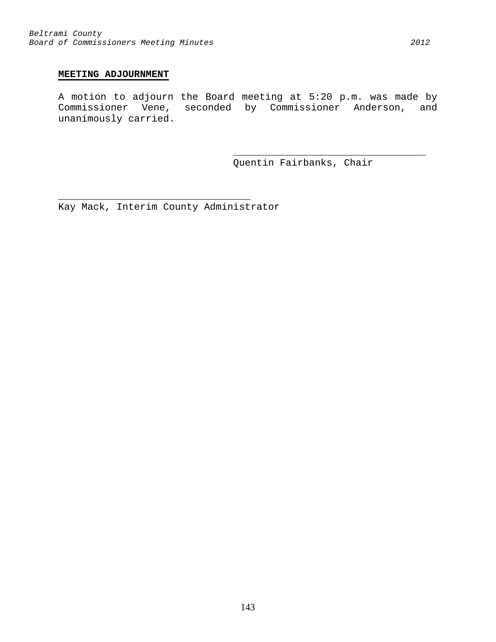# **MEETING ADJOURNMENT**

A motion to adjourn the Board meeting at 5:20 p.m. was made by Commissioner Vene, seconded by Commissioner Anderson, and unanimously carried.

> \_\_\_\_\_\_\_\_\_\_\_\_\_\_\_\_\_\_\_\_\_\_\_\_\_\_\_\_\_\_\_\_\_ Quentin Fairbanks, Chair

\_\_\_\_\_\_\_\_\_\_\_\_\_\_\_\_\_\_\_\_\_\_\_\_\_\_\_\_\_\_\_\_\_ Kay Mack, Interim County Administrator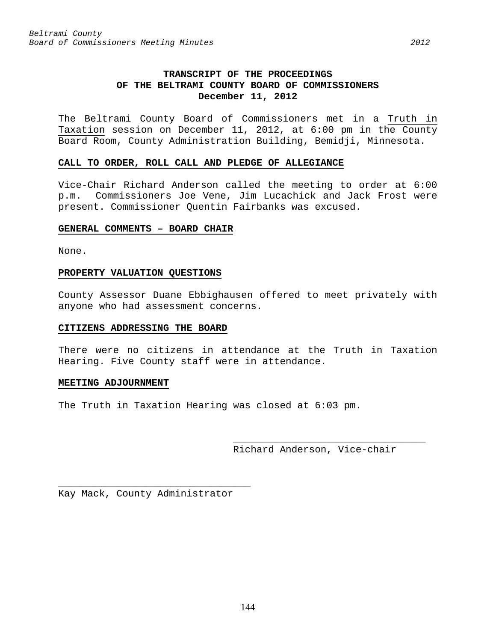# **TRANSCRIPT OF THE PROCEEDINGS OF THE BELTRAMI COUNTY BOARD OF COMMISSIONERS December 11, 2012**

The Beltrami County Board of Commissioners met in a Truth in Taxation session on December 11, 2012, at 6:00 pm in the County Board Room, County Administration Building, Bemidji, Minnesota.

### **CALL TO ORDER, ROLL CALL AND PLEDGE OF ALLEGIANCE**

Vice-Chair Richard Anderson called the meeting to order at 6:00 p.m. Commissioners Joe Vene, Jim Lucachick and Jack Frost were present. Commissioner Quentin Fairbanks was excused.

### **GENERAL COMMENTS – BOARD CHAIR**

None.

### **PROPERTY VALUATION QUESTIONS**

County Assessor Duane Ebbighausen offered to meet privately with anyone who had assessment concerns.

# **CITIZENS ADDRESSING THE BOARD**

There were no citizens in attendance at the Truth in Taxation Hearing. Five County staff were in attendance.

# **MEETING ADJOURNMENT**

The Truth in Taxation Hearing was closed at 6:03 pm.

\_\_\_\_\_\_\_\_\_\_\_\_\_\_\_\_\_\_\_\_\_\_\_\_\_\_\_\_\_\_\_\_\_ Richard Anderson, Vice-chair

\_\_\_\_\_\_\_\_\_\_\_\_\_\_\_\_\_\_\_\_\_\_\_\_\_\_\_\_\_\_\_\_\_ Kay Mack, County Administrator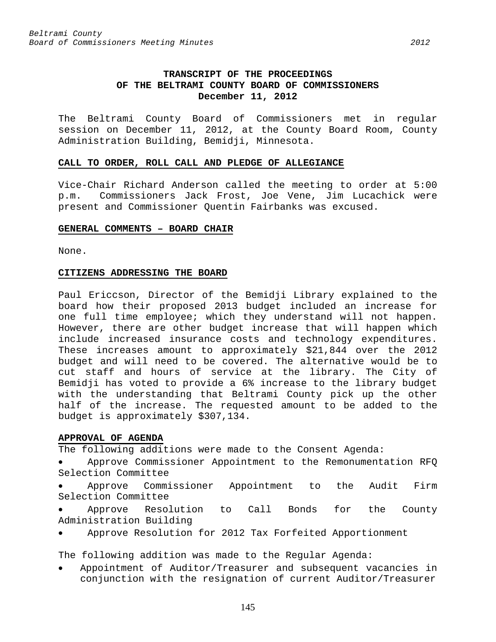The Beltrami County Board of Commissioners met in regular session on December 11, 2012, at the County Board Room, County Administration Building, Bemidji, Minnesota.

## **CALL TO ORDER, ROLL CALL AND PLEDGE OF ALLEGIANCE**

Vice-Chair Richard Anderson called the meeting to order at 5:00 p.m. Commissioners Jack Frost, Joe Vene, Jim Lucachick were present and Commissioner Quentin Fairbanks was excused.

## **GENERAL COMMENTS – BOARD CHAIR**

None.

# **CITIZENS ADDRESSING THE BOARD**

Paul Ericcson, Director of the Bemidji Library explained to the board how their proposed 2013 budget included an increase for one full time employee; which they understand will not happen. However, there are other budget increase that will happen which include increased insurance costs and technology expenditures. These increases amount to approximately \$21,844 over the 2012 budget and will need to be covered. The alternative would be to cut staff and hours of service at the library. The City of Bemidji has voted to provide a 6% increase to the library budget with the understanding that Beltrami County pick up the other half of the increase. The requested amount to be added to the budget is approximately \$307,134.

# **APPROVAL OF AGENDA**

The following additions were made to the Consent Agenda:

- Approve Commissioner Appointment to the Remonumentation RFQ Selection Committee
- Approve Commissioner Appointment to the Audit Firm Selection Committee
- Approve Resolution to Call Bonds for the County Administration Building
- Approve Resolution for 2012 Tax Forfeited Apportionment

The following addition was made to the Regular Agenda:

• Appointment of Auditor/Treasurer and subsequent vacancies in conjunction with the resignation of current Auditor/Treasurer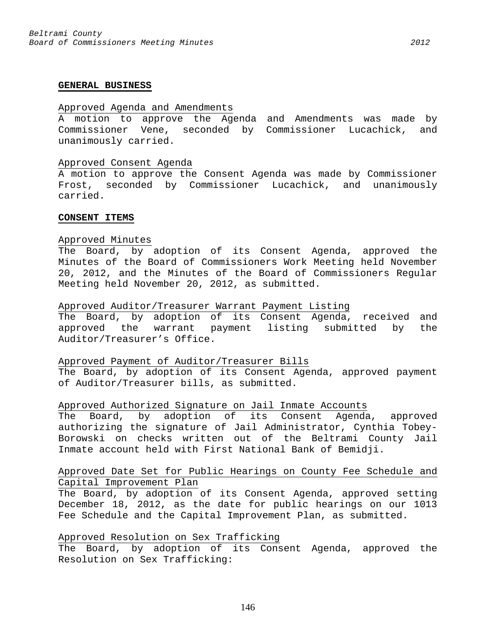#### **GENERAL BUSINESS**

### Approved Agenda and Amendments

A motion to approve the Agenda and Amendments was made by Commissioner Vene, seconded by Commissioner Lucachick, and unanimously carried.

#### Approved Consent Agenda

A motion to approve the Consent Agenda was made by Commissioner Frost, seconded by Commissioner Lucachick, and unanimously carried.

#### **CONSENT ITEMS**

### Approved Minutes

The Board, by adoption of its Consent Agenda, approved the Minutes of the Board of Commissioners Work Meeting held November 20, 2012, and the Minutes of the Board of Commissioners Regular Meeting held November 20, 2012, as submitted.

#### Approved Auditor/Treasurer Warrant Payment Listing

The Board, by adoption of its Consent Agenda, received and approved the warrant payment listing submitted by the Auditor/Treasurer's Office.

### Approved Payment of Auditor/Treasurer Bills

The Board, by adoption of its Consent Agenda, approved payment of Auditor/Treasurer bills, as submitted.

## Approved Authorized Signature on Jail Inmate Accounts

The Board, by adoption of its Consent Agenda, approved authorizing the signature of Jail Administrator, Cynthia Tobey-Borowski on checks written out of the Beltrami County Jail Inmate account held with First National Bank of Bemidji.

# Approved Date Set for Public Hearings on County Fee Schedule and Capital Improvement Plan

The Board, by adoption of its Consent Agenda, approved setting December 18, 2012, as the date for public hearings on our 1013 Fee Schedule and the Capital Improvement Plan, as submitted.

# Approved Resolution on Sex Trafficking

The Board, by adoption of its Consent Agenda, approved the Resolution on Sex Trafficking: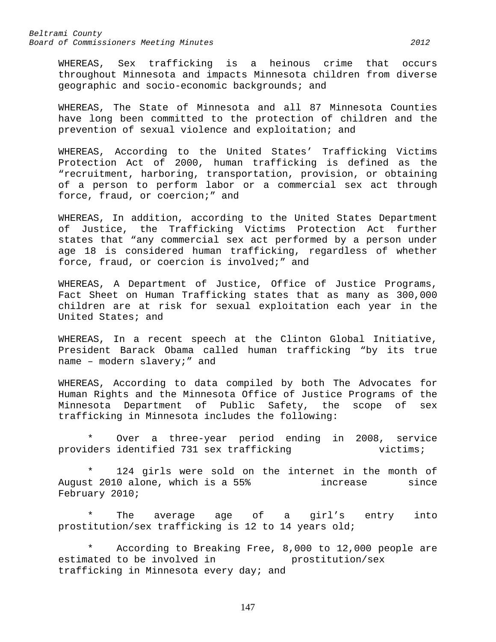WHEREAS, Sex trafficking is a heinous crime that occurs throughout Minnesota and impacts Minnesota children from diverse geographic and socio-economic backgrounds; and

WHEREAS, The State of Minnesota and all 87 Minnesota Counties have long been committed to the protection of children and the prevention of sexual violence and exploitation; and

WHEREAS, According to the United States' Trafficking Victims Protection Act of 2000, human trafficking is defined as the "recruitment, harboring, transportation, provision, or obtaining of a person to perform labor or a commercial sex act through force, fraud, or coercion;" and

WHEREAS, In addition, according to the United States Department of Justice, the Trafficking Victims Protection Act further states that "any commercial sex act performed by a person under age 18 is considered human trafficking, regardless of whether force, fraud, or coercion is involved;" and

WHEREAS, A Department of Justice, Office of Justice Programs, Fact Sheet on Human Trafficking states that as many as 300,000 children are at risk for sexual exploitation each year in the United States; and

WHEREAS, In a recent speech at the Clinton Global Initiative, President Barack Obama called human trafficking "by its true name – modern slavery;" and

WHEREAS, According to data compiled by both The Advocates for Human Rights and the Minnesota Office of Justice Programs of the Minnesota Department of Public Safety, the scope of sex trafficking in Minnesota includes the following:

\* Over a three-year period ending in 2008, service providers identified 731 sex trafficking

124 girls were sold on the internet in the month of August 2010 alone, which is a 55% increase since February 2010;

\* The average age of a girl's entry into prostitution/sex trafficking is 12 to 14 years old;

\* According to Breaking Free, 8,000 to 12,000 people are<br>ated to be involved in the prostitution/sex estimated to be involved in trafficking in Minnesota every day; and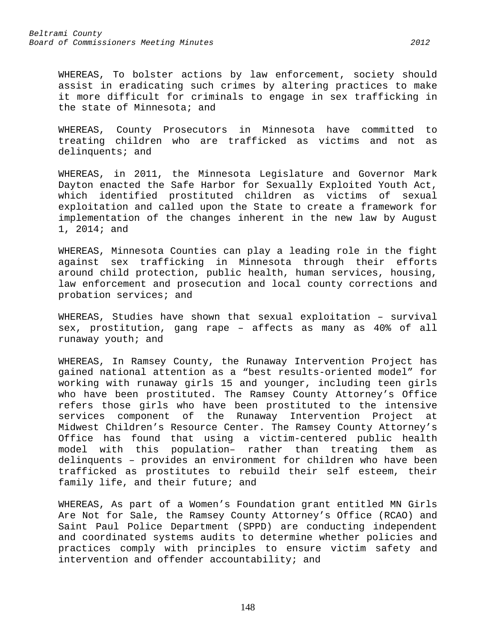WHEREAS, To bolster actions by law enforcement, society should assist in eradicating such crimes by altering practices to make it more difficult for criminals to engage in sex trafficking in the state of Minnesota; and

WHEREAS, County Prosecutors in Minnesota have committed to treating children who are trafficked as victims and not as delinquents; and

WHEREAS, in 2011, the Minnesota Legislature and Governor Mark Dayton enacted the Safe Harbor for Sexually Exploited Youth Act, which identified prostituted children as victims of sexual exploitation and called upon the State to create a framework for implementation of the changes inherent in the new law by August 1, 2014; and

WHEREAS, Minnesota Counties can play a leading role in the fight against sex trafficking in Minnesota through their efforts around child protection, public health, human services, housing, law enforcement and prosecution and local county corrections and probation services; and

WHEREAS, Studies have shown that sexual exploitation – survival sex, prostitution, gang rape – affects as many as 40% of all runaway youth; and

WHEREAS, In Ramsey County, the Runaway Intervention Project has gained national attention as a "best results-oriented model" for working with runaway girls 15 and younger, including teen girls who have been prostituted. The Ramsey County Attorney's Office refers those girls who have been prostituted to the intensive services component of the Runaway Intervention Project at Midwest Children's Resource Center. The Ramsey County Attorney's Office has found that using a victim-centered public health model with this population– rather than treating them as delinquents – provides an environment for children who have been trafficked as prostitutes to rebuild their self esteem, their family life, and their future; and

WHEREAS, As part of a Women's Foundation grant entitled MN Girls Are Not for Sale, the Ramsey County Attorney's Office (RCAO) and Saint Paul Police Department (SPPD) are conducting independent and coordinated systems audits to determine whether policies and practices comply with principles to ensure victim safety and intervention and offender accountability; and

148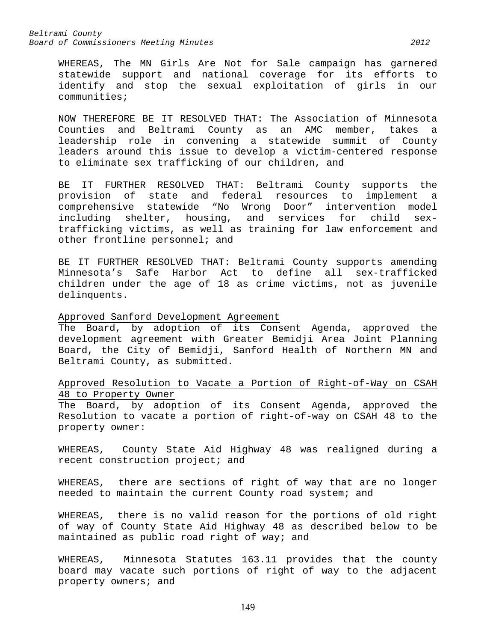WHEREAS, The MN Girls Are Not for Sale campaign has garnered statewide support and national coverage for its efforts to identify and stop the sexual exploitation of girls in our communities;

NOW THEREFORE BE IT RESOLVED THAT: The Association of Minnesota Counties and Beltrami County as an AMC member, takes a leadership role in convening a statewide summit of County leaders around this issue to develop a victim-centered response to eliminate sex trafficking of our children, and

BE IT FURTHER RESOLVED THAT: Beltrami County supports the provision of state and federal resources to implement a comprehensive statewide "No Wrong Door" intervention model including shelter, housing, and services for child sextrafficking victims, as well as training for law enforcement and other frontline personnel; and

BE IT FURTHER RESOLVED THAT: Beltrami County supports amending Minnesota's Safe Harbor Act to define all sex-trafficked children under the age of 18 as crime victims, not as juvenile delinquents.

#### Approved Sanford Development Agreement

The Board, by adoption of its Consent Agenda, approved the development agreement with Greater Bemidji Area Joint Planning Board, the City of Bemidji, Sanford Health of Northern MN and Beltrami County, as submitted.

# Approved Resolution to Vacate a Portion of Right-of-Way on CSAH 48 to Property Owner

The Board, by adoption of its Consent Agenda, approved the Resolution to vacate a portion of right-of-way on CSAH 48 to the property owner:

WHEREAS, County State Aid Highway 48 was realigned during a recent construction project; and

WHEREAS, there are sections of right of way that are no longer needed to maintain the current County road system; and

WHEREAS, there is no valid reason for the portions of old right of way of County State Aid Highway 48 as described below to be maintained as public road right of way; and

WHEREAS, Minnesota Statutes 163.11 provides that the county board may vacate such portions of right of way to the adjacent property owners; and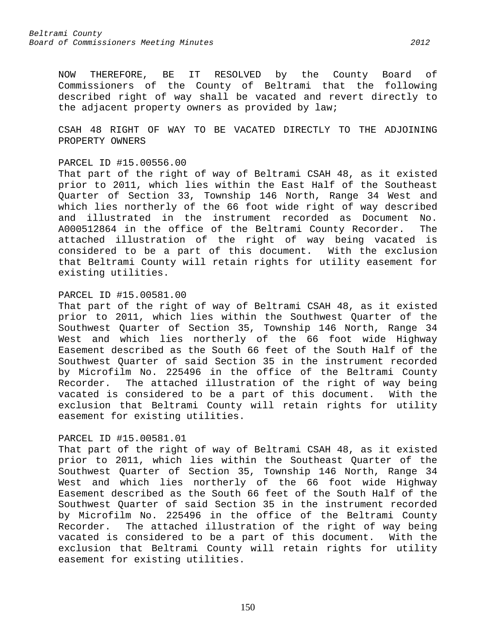NOW THEREFORE, BE IT RESOLVED by the County Board of Commissioners of the County of Beltrami that the following described right of way shall be vacated and revert directly to the adjacent property owners as provided by law;

CSAH 48 RIGHT OF WAY TO BE VACATED DIRECTLY TO THE ADJOINING PROPERTY OWNERS

#### PARCEL ID #15.00556.00

That part of the right of way of Beltrami CSAH 48, as it existed prior to 2011, which lies within the East Half of the Southeast Quarter of Section 33, Township 146 North, Range 34 West and which lies northerly of the 66 foot wide right of way described and illustrated in the instrument recorded as Document No. A000512864 in the office of the Beltrami County Recorder. The attached illustration of the right of way being vacated is considered to be a part of this document. With the exclusion that Beltrami County will retain rights for utility easement for existing utilities.

## PARCEL ID #15.00581.00

That part of the right of way of Beltrami CSAH 48, as it existed prior to 2011, which lies within the Southwest Quarter of the Southwest Quarter of Section 35, Township 146 North, Range 34 West and which lies northerly of the 66 foot wide Highway Easement described as the South 66 feet of the South Half of the Southwest Quarter of said Section 35 in the instrument recorded by Microfilm No. 225496 in the office of the Beltrami County Recorder. The attached illustration of the right of way being vacated is considered to be a part of this document. With the exclusion that Beltrami County will retain rights for utility easement for existing utilities.

# PARCEL ID #15.00581.01

That part of the right of way of Beltrami CSAH 48, as it existed prior to 2011, which lies within the Southeast Quarter of the Southwest Quarter of Section 35, Township 146 North, Range 34 West and which lies northerly of the 66 foot wide Highway Easement described as the South 66 feet of the South Half of the Southwest Quarter of said Section 35 in the instrument recorded by Microfilm No. 225496 in the office of the Beltrami County Recorder. The attached illustration of the right of way being vacated is considered to be a part of this document. With the exclusion that Beltrami County will retain rights for utility easement for existing utilities.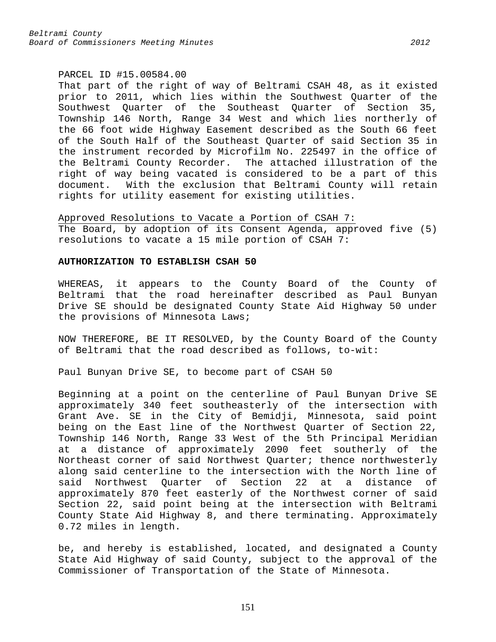#### PARCEL ID #15.00584.00

That part of the right of way of Beltrami CSAH 48, as it existed prior to 2011, which lies within the Southwest Quarter of the Southwest Quarter of the Southeast Quarter of Section 35, Township 146 North, Range 34 West and which lies northerly of the 66 foot wide Highway Easement described as the South 66 feet of the South Half of the Southeast Quarter of said Section 35 in the instrument recorded by Microfilm No. 225497 in the office of the Beltrami County Recorder. The attached illustration of the right of way being vacated is considered to be a part of this document. With the exclusion that Beltrami County will retain rights for utility easement for existing utilities.

Approved Resolutions to Vacate a Portion of CSAH 7: The Board, by adoption of its Consent Agenda, approved five (5) resolutions to vacate a 15 mile portion of CSAH 7:

#### **AUTHORIZATION TO ESTABLISH CSAH 50**

WHEREAS, it appears to the County Board of the County of Beltrami that the road hereinafter described as Paul Bunyan Drive SE should be designated County State Aid Highway 50 under the provisions of Minnesota Laws;

NOW THEREFORE, BE IT RESOLVED, by the County Board of the County of Beltrami that the road described as follows, to-wit:

Paul Bunyan Drive SE, to become part of CSAH 50

Beginning at a point on the centerline of Paul Bunyan Drive SE approximately 340 feet southeasterly of the intersection with Grant Ave. SE in the City of Bemidji, Minnesota, said point being on the East line of the Northwest Quarter of Section 22, Township 146 North, Range 33 West of the 5th Principal Meridian at a distance of approximately 2090 feet southerly of the Northeast corner of said Northwest Quarter; thence northwesterly along said centerline to the intersection with the North line of<br>said Northwest Ouarter of Section 22 at a distance of said Northwest Quarter of Section 22 at a distance of approximately 870 feet easterly of the Northwest corner of said Section 22, said point being at the intersection with Beltrami County State Aid Highway 8, and there terminating. Approximately 0.72 miles in length.

be, and hereby is established, located, and designated a County State Aid Highway of said County, subject to the approval of the Commissioner of Transportation of the State of Minnesota.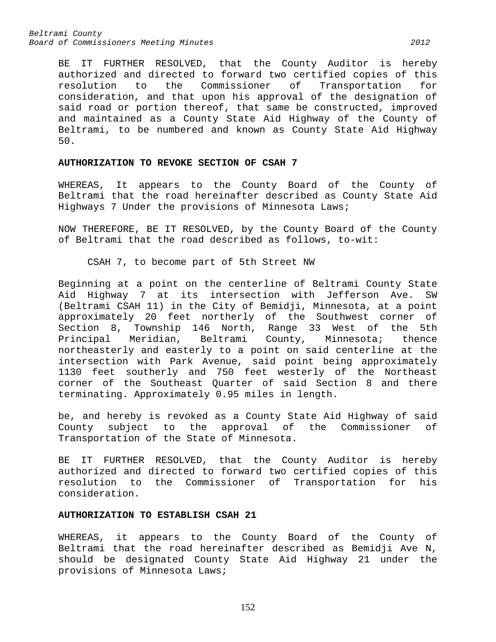BE IT FURTHER RESOLVED, that the County Auditor is hereby authorized and directed to forward two certified copies of this<br>resolution to the Commissioner of Transportation for Transportation for consideration, and that upon his approval of the designation of said road or portion thereof, that same be constructed, improved and maintained as a County State Aid Highway of the County of Beltrami, to be numbered and known as County State Aid Highway 50.

# **AUTHORIZATION TO REVOKE SECTION OF CSAH 7**

WHEREAS, It appears to the County Board of the County of Beltrami that the road hereinafter described as County State Aid Highways 7 Under the provisions of Minnesota Laws;

NOW THEREFORE, BE IT RESOLVED, by the County Board of the County of Beltrami that the road described as follows, to-wit:

CSAH 7, to become part of 5th Street NW

Beginning at a point on the centerline of Beltrami County State Aid Highway 7 at its intersection with Jefferson Ave. SW (Beltrami CSAH 11) in the City of Bemidji, Minnesota, at a point approximately 20 feet northerly of the Southwest corner of Section 8, Township 146 North, Range 33 West of the 5th<br>Principal Meridian, Beltrami County, Minnesota; thence Beltrami County, northeasterly and easterly to a point on said centerline at the intersection with Park Avenue, said point being approximately 1130 feet southerly and 750 feet westerly of the Northeast corner of the Southeast Quarter of said Section 8 and there terminating. Approximately 0.95 miles in length.

be, and hereby is revoked as a County State Aid Highway of said<br>County subject to the approval of the Commissioner of County subject to the approval of the Commissioner Transportation of the State of Minnesota.

BE IT FURTHER RESOLVED, that the County Auditor is hereby authorized and directed to forward two certified copies of this resolution to the Commissioner of Transportation for his consideration.

## **AUTHORIZATION TO ESTABLISH CSAH 21**

WHEREAS, it appears to the County Board of the County of Beltrami that the road hereinafter described as Bemidji Ave N, should be designated County State Aid Highway 21 under the provisions of Minnesota Laws;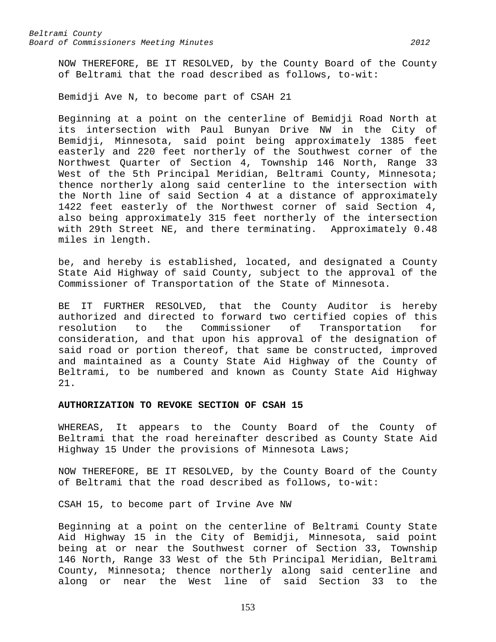NOW THEREFORE, BE IT RESOLVED, by the County Board of the County of Beltrami that the road described as follows, to-wit:

Bemidji Ave N, to become part of CSAH 21

Beginning at a point on the centerline of Bemidji Road North at its intersection with Paul Bunyan Drive NW in the City of Bemidji, Minnesota, said point being approximately 1385 feet easterly and 220 feet northerly of the Southwest corner of the Northwest Quarter of Section 4, Township 146 North, Range 33 West of the 5th Principal Meridian, Beltrami County, Minnesota; thence northerly along said centerline to the intersection with the North line of said Section 4 at a distance of approximately 1422 feet easterly of the Northwest corner of said Section 4, also being approximately 315 feet northerly of the intersection with 29th Street NE, and there terminating. Approximately 0.48 miles in length.

be, and hereby is established, located, and designated a County State Aid Highway of said County, subject to the approval of the Commissioner of Transportation of the State of Minnesota.

BE IT FURTHER RESOLVED, that the County Auditor is hereby authorized and directed to forward two certified copies of this resolution to the Commissioner of Transportation for consideration, and that upon his approval of the designation of said road or portion thereof, that same be constructed, improved and maintained as a County State Aid Highway of the County of Beltrami, to be numbered and known as County State Aid Highway 21.

## **AUTHORIZATION TO REVOKE SECTION OF CSAH 15**

WHEREAS, It appears to the County Board of the County of Beltrami that the road hereinafter described as County State Aid Highway 15 Under the provisions of Minnesota Laws;

NOW THEREFORE, BE IT RESOLVED, by the County Board of the County of Beltrami that the road described as follows, to-wit:

CSAH 15, to become part of Irvine Ave NW

Beginning at a point on the centerline of Beltrami County State Aid Highway 15 in the City of Bemidji, Minnesota, said point being at or near the Southwest corner of Section 33, Township 146 North, Range 33 West of the 5th Principal Meridian, Beltrami County, Minnesota; thence northerly along said centerline and along or near the West line of said Section 33 to the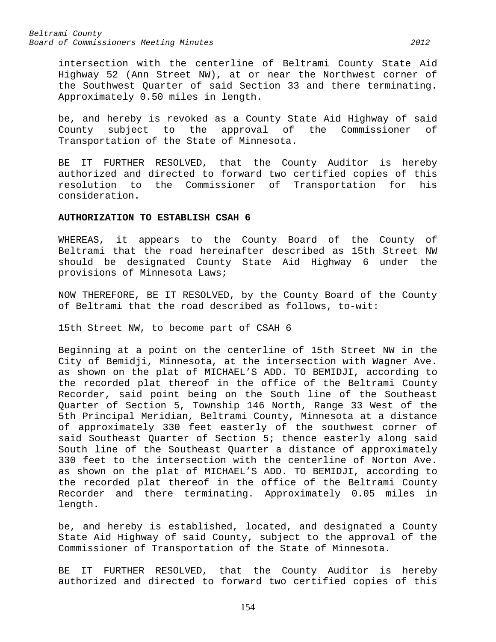intersection with the centerline of Beltrami County State Aid Highway 52 (Ann Street NW), at or near the Northwest corner of the Southwest Quarter of said Section 33 and there terminating. Approximately 0.50 miles in length.

be, and hereby is revoked as a County State Aid Highway of said County subject to the approval of the Commissioner of Transportation of the State of Minnesota.

BE IT FURTHER RESOLVED, that the County Auditor is hereby authorized and directed to forward two certified copies of this resolution to the Commissioner of Transportation for his consideration.

#### **AUTHORIZATION TO ESTABLISH CSAH 6**

WHEREAS, it appears to the County Board of the County of Beltrami that the road hereinafter described as 15th Street NW should be designated County State Aid Highway 6 under the provisions of Minnesota Laws;

NOW THEREFORE, BE IT RESOLVED, by the County Board of the County of Beltrami that the road described as follows, to-wit:

15th Street NW, to become part of CSAH 6

Beginning at a point on the centerline of 15th Street NW in the City of Bemidji, Minnesota, at the intersection with Wagner Ave. as shown on the plat of MICHAEL'S ADD. TO BEMIDJI, according to the recorded plat thereof in the office of the Beltrami County Recorder, said point being on the South line of the Southeast Quarter of Section 5, Township 146 North, Range 33 West of the 5th Principal Meridian, Beltrami County, Minnesota at a distance of approximately 330 feet easterly of the southwest corner of said Southeast Quarter of Section 5; thence easterly along said South line of the Southeast Quarter a distance of approximately 330 feet to the intersection with the centerline of Norton Ave. as shown on the plat of MICHAEL'S ADD. TO BEMIDJI, according to the recorded plat thereof in the office of the Beltrami County Recorder and there terminating. Approximately 0.05 miles in length.

be, and hereby is established, located, and designated a County State Aid Highway of said County, subject to the approval of the Commissioner of Transportation of the State of Minnesota.

BE IT FURTHER RESOLVED, that the County Auditor is hereby authorized and directed to forward two certified copies of this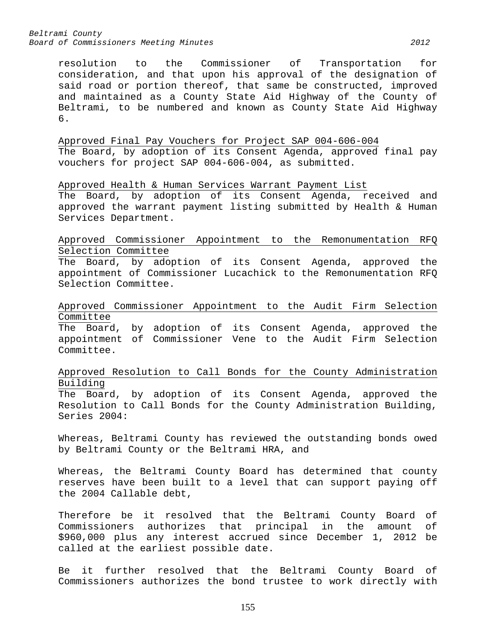resolution to the Commissioner of Transportation for consideration, and that upon his approval of the designation of said road or portion thereof, that same be constructed, improved and maintained as a County State Aid Highway of the County of Beltrami, to be numbered and known as County State Aid Highway 6.

Approved Final Pay Vouchers for Project SAP 004-606-004 The Board, by adoption of its Consent Agenda, approved final pay vouchers for project SAP 004-606-004, as submitted.

Approved Health & Human Services Warrant Payment List The Board, by adoption of its Consent Agenda, received and approved the warrant payment listing submitted by Health & Human Services Department.

Approved Commissioner Appointment to the Remonumentation RFQ Selection Committee

The Board, by adoption of its Consent Agenda, approved the appointment of Commissioner Lucachick to the Remonumentation RFQ Selection Committee.

Approved Commissioner Appointment to the Audit Firm Selection Committee

The Board, by adoption of its Consent Agenda, approved the appointment of Commissioner Vene to the Audit Firm Selection Committee.

Approved Resolution to Call Bonds for the County Administration Building

The Board, by adoption of its Consent Agenda, approved the Resolution to Call Bonds for the County Administration Building, Series 2004:

Whereas, Beltrami County has reviewed the outstanding bonds owed by Beltrami County or the Beltrami HRA, and

Whereas, the Beltrami County Board has determined that county reserves have been built to a level that can support paying off the 2004 Callable debt,

Therefore be it resolved that the Beltrami County Board of<br>Commissioners authorizes that principal in the amount of Commissioners authorizes that principal in the amount \$960,000 plus any interest accrued since December 1, 2012 be called at the earliest possible date.

Be it further resolved that the Beltrami County Board of Commissioners authorizes the bond trustee to work directly with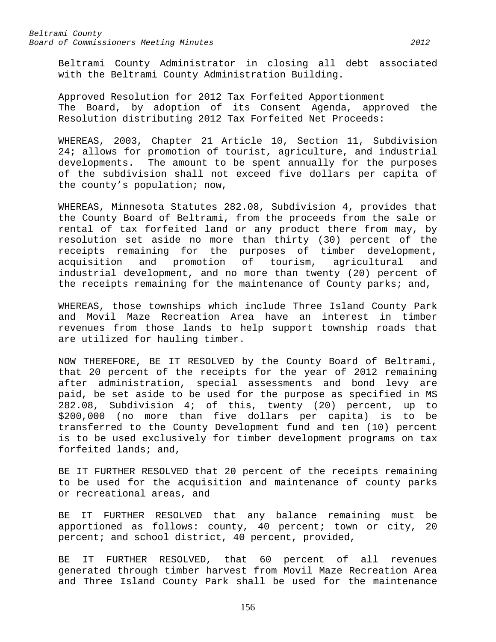Beltrami County Administrator in closing all debt associated with the Beltrami County Administration Building.

Approved Resolution for 2012 Tax Forfeited Apportionment The Board, by adoption of its Consent Agenda, approved the Resolution distributing 2012 Tax Forfeited Net Proceeds:

WHEREAS, 2003, Chapter 21 Article 10, Section 11, Subdivision 24; allows for promotion of tourist, agriculture, and industrial developments. The amount to be spent annually for the purposes of the subdivision shall not exceed five dollars per capita of the county's population; now,

WHEREAS, Minnesota Statutes 282.08, Subdivision 4, provides that the County Board of Beltrami, from the proceeds from the sale or rental of tax forfeited land or any product there from may, by resolution set aside no more than thirty (30) percent of the receipts remaining for the purposes of timber development,<br>acquisition and promotion of tourism, agricultural and and promotion of tourism, agricultural and industrial development, and no more than twenty (20) percent of the receipts remaining for the maintenance of County parks; and,

WHEREAS, those townships which include Three Island County Park and Movil Maze Recreation Area have an interest in timber revenues from those lands to help support township roads that are utilized for hauling timber.

NOW THEREFORE, BE IT RESOLVED by the County Board of Beltrami, that 20 percent of the receipts for the year of 2012 remaining after administration, special assessments and bond levy are paid, be set aside to be used for the purpose as specified in MS 282.08, Subdivision 4; of this, twenty (20) percent, up to \$200,000 (no more than five dollars per capita) is to be transferred to the County Development fund and ten (10) percent is to be used exclusively for timber development programs on tax forfeited lands; and,

BE IT FURTHER RESOLVED that 20 percent of the receipts remaining to be used for the acquisition and maintenance of county parks or recreational areas, and

BE IT FURTHER RESOLVED that any balance remaining must be apportioned as follows: county, 40 percent; town or city, 20 percent; and school district, 40 percent, provided,

BE IT FURTHER RESOLVED, that 60 percent of all revenues generated through timber harvest from Movil Maze Recreation Area and Three Island County Park shall be used for the maintenance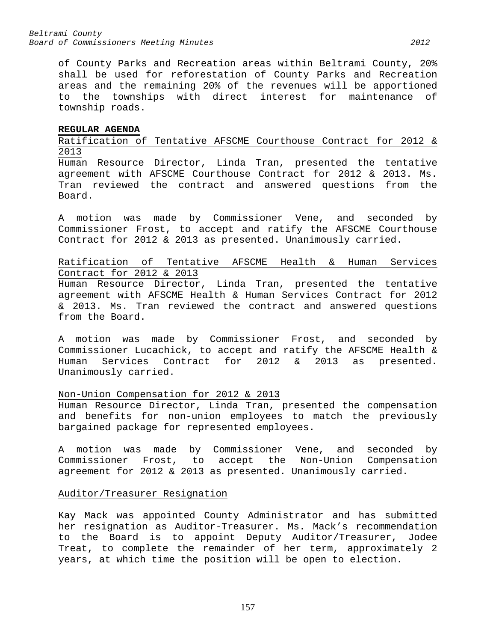of County Parks and Recreation areas within Beltrami County, 20% shall be used for reforestation of County Parks and Recreation areas and the remaining 20% of the revenues will be apportioned to the townships with direct interest for maintenance of township roads.

#### **REGULAR AGENDA**

Ratification of Tentative AFSCME Courthouse Contract for 2012 & 2013

Human Resource Director, Linda Tran, presented the tentative agreement with AFSCME Courthouse Contract for 2012 & 2013. Ms. Tran reviewed the contract and answered questions from the Board.

A motion was made by Commissioner Vene, and seconded by Commissioner Frost, to accept and ratify the AFSCME Courthouse Contract for 2012 & 2013 as presented. Unanimously carried.

Ratification of Tentative AFSCME Health & Human Services Contract for 2012 & 2013

Human Resource Director, Linda Tran, presented the tentative agreement with AFSCME Health & Human Services Contract for 2012 & 2013. Ms. Tran reviewed the contract and answered questions from the Board.

A motion was made by Commissioner Frost, and seconded by Commissioner Lucachick, to accept and ratify the AFSCME Health &<br>Human Services Contract for 2012 & 2013 as presented. for  $2012$  &  $2013$  as presented. Unanimously carried.

# Non-Union Compensation for 2012 & 2013

Human Resource Director, Linda Tran, presented the compensation and benefits for non-union employees to match the previously bargained package for represented employees.

A motion was made by Commissioner Vene, and seconded by Commissioner Frost, to accept the Non-Union Compensation agreement for 2012 & 2013 as presented. Unanimously carried.

# Auditor/Treasurer Resignation

Kay Mack was appointed County Administrator and has submitted her resignation as Auditor-Treasurer. Ms. Mack's recommendation to the Board is to appoint Deputy Auditor/Treasurer, Jodee Treat, to complete the remainder of her term, approximately 2 years, at which time the position will be open to election.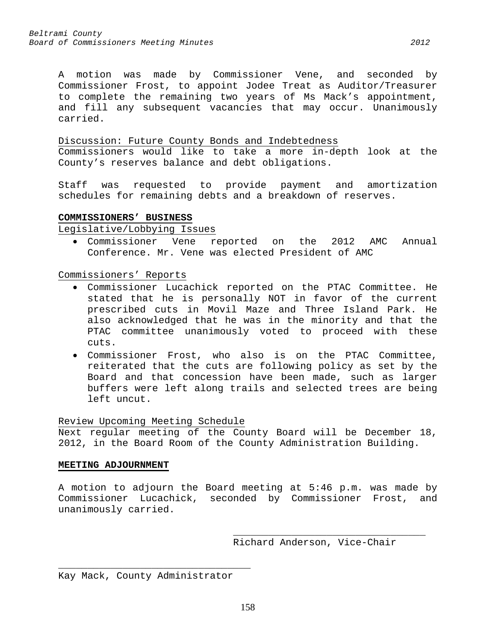A motion was made by Commissioner Vene, and seconded by Commissioner Frost, to appoint Jodee Treat as Auditor/Treasurer to complete the remaining two years of Ms Mack's appointment, and fill any subsequent vacancies that may occur. Unanimously carried.

# Discussion: Future County Bonds and Indebtedness

Commissioners would like to take a more in-depth look at the County's reserves balance and debt obligations.

Staff was requested to provide payment and amortization schedules for remaining debts and a breakdown of reserves.

# **COMMISSIONERS' BUSINESS**

Legislative/Lobbying Issues

• Commissioner Vene reported on the 2012 AMC Annual Conference. Mr. Vene was elected President of AMC

Commissioners' Reports

- Commissioner Lucachick reported on the PTAC Committee. He stated that he is personally NOT in favor of the current prescribed cuts in Movil Maze and Three Island Park. He also acknowledged that he was in the minority and that the PTAC committee unanimously voted to proceed with these cuts.
- Commissioner Frost, who also is on the PTAC Committee, reiterated that the cuts are following policy as set by the Board and that concession have been made, such as larger buffers were left along trails and selected trees are being left uncut.

# Review Upcoming Meeting Schedule

Next regular meeting of the County Board will be December 18, 2012, in the Board Room of the County Administration Building.

#### **MEETING ADJOURNMENT**

A motion to adjourn the Board meeting at 5:46 p.m. was made by Commissioner Lucachick, seconded by Commissioner Frost, and unanimously carried.

> \_\_\_\_\_\_\_\_\_\_\_\_\_\_\_\_\_\_\_\_\_\_\_\_\_\_\_\_\_\_\_\_\_ Richard Anderson, Vice-Chair

\_\_\_\_\_\_\_\_\_\_\_\_\_\_\_\_\_\_\_\_\_\_\_\_\_\_\_\_\_\_\_\_\_ Kay Mack, County Administrator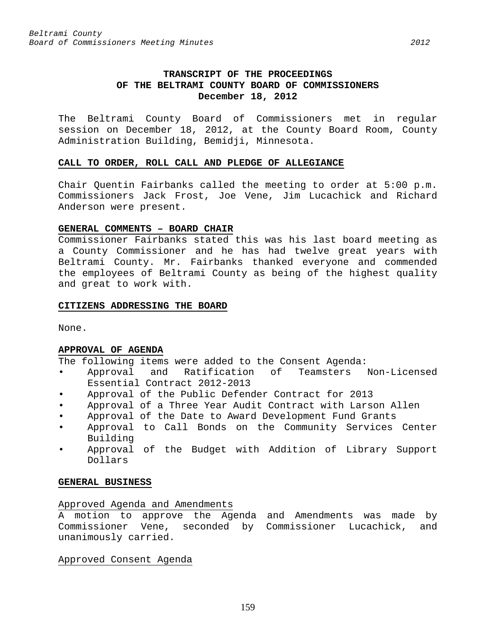# **TRANSCRIPT OF THE PROCEEDINGS OF THE BELTRAMI COUNTY BOARD OF COMMISSIONERS December 18, 2012**

The Beltrami County Board of Commissioners met in regular session on December 18, 2012, at the County Board Room, County Administration Building, Bemidji, Minnesota.

## **CALL TO ORDER, ROLL CALL AND PLEDGE OF ALLEGIANCE**

Chair Quentin Fairbanks called the meeting to order at 5:00 p.m. Commissioners Jack Frost, Joe Vene, Jim Lucachick and Richard Anderson were present.

# **GENERAL COMMENTS – BOARD CHAIR**

Commissioner Fairbanks stated this was his last board meeting as a County Commissioner and he has had twelve great years with Beltrami County. Mr. Fairbanks thanked everyone and commended the employees of Beltrami County as being of the highest quality and great to work with.

## **CITIZENS ADDRESSING THE BOARD**

None.

# **APPROVAL OF AGENDA**

The following items were added to the Consent Agenda:<br>• Approval and Ratification of Teamsters

- Approval and Ratification of Teamsters Non-Licensed Essential Contract 2012-2013
- Approval of the Public Defender Contract for 2013
- Approval of a Three Year Audit Contract with Larson Allen
- Approval of the Date to Award Development Fund Grants
- Approval to Call Bonds on the Community Services Center Building
- Approval of the Budget with Addition of Library Support Dollars

# **GENERAL BUSINESS**

# Approved Agenda and Amendments

A motion to approve the Agenda and Amendments was made by Commissioner Vene, seconded by Commissioner Lucachick, and unanimously carried.

Approved Consent Agenda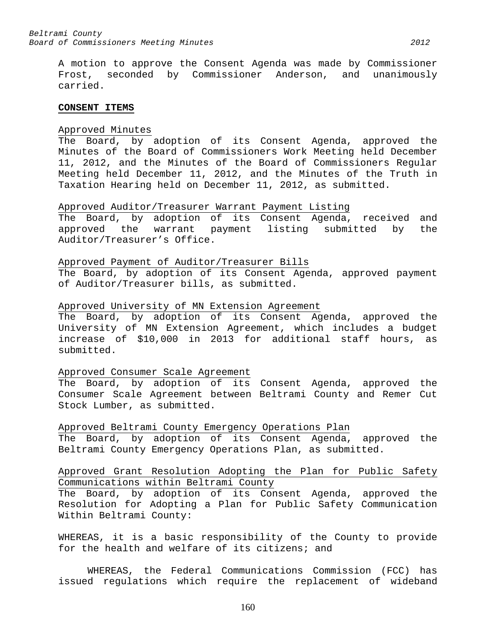A motion to approve the Consent Agenda was made by Commissioner Frost, seconded by Commissioner Anderson, and unanimously carried.

#### **CONSENT ITEMS**

#### Approved Minutes

The Board, by adoption of its Consent Agenda, approved the Minutes of the Board of Commissioners Work Meeting held December 11, 2012, and the Minutes of the Board of Commissioners Regular Meeting held December 11, 2012, and the Minutes of the Truth in Taxation Hearing held on December 11, 2012, as submitted.

#### Approved Auditor/Treasurer Warrant Payment Listing

The Board, by adoption of its Consent Agenda, received and approved the warrant payment listing submitted by the Auditor/Treasurer's Office.

#### Approved Payment of Auditor/Treasurer Bills

The Board, by adoption of its Consent Agenda, approved payment of Auditor/Treasurer bills, as submitted.

#### Approved University of MN Extension Agreement

The Board, by adoption of its Consent Agenda, approved the University of MN Extension Agreement, which includes a budget increase of \$10,000 in 2013 for additional staff hours, as submitted.

#### Approved Consumer Scale Agreement

The Board, by adoption of its Consent Agenda, approved the Consumer Scale Agreement between Beltrami County and Remer Cut Stock Lumber, as submitted.

Approved Beltrami County Emergency Operations Plan

The Board, by adoption of its Consent Agenda, approved the Beltrami County Emergency Operations Plan, as submitted.

# Approved Grant Resolution Adopting the Plan for Public Safety Communications within Beltrami County

The Board, by adoption of its Consent Agenda, approved the Resolution for Adopting a Plan for Public Safety Communication Within Beltrami County:

WHEREAS, it is a basic responsibility of the County to provide for the health and welfare of its citizens; and

WHEREAS, the Federal Communications Commission (FCC) has issued regulations which require the replacement of wideband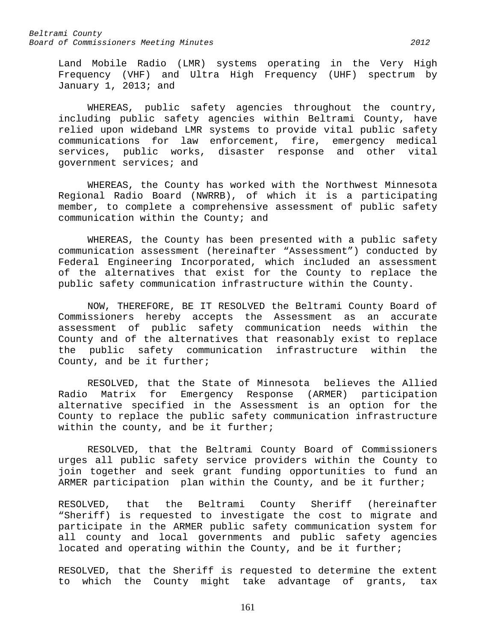Land Mobile Radio (LMR) systems operating in the Very High Frequency (VHF) and Ultra High Frequency (UHF) spectrum by January 1, 2013; and

WHEREAS, public safety agencies throughout the country, including public safety agencies within Beltrami County, have relied upon wideband LMR systems to provide vital public safety communications for law enforcement, fire, emergency medical services, public works, disaster response and other vital government services; and

WHEREAS, the County has worked with the Northwest Minnesota Regional Radio Board (NWRRB), of which it is a participating member, to complete a comprehensive assessment of public safety communication within the County; and

WHEREAS, the County has been presented with a public safety communication assessment (hereinafter "Assessment") conducted by Federal Engineering Incorporated, which included an assessment of the alternatives that exist for the County to replace the public safety communication infrastructure within the County.

NOW, THEREFORE, BE IT RESOLVED the Beltrami County Board of Commissioners hereby accepts the Assessment as an accurate assessment of public safety communication needs within the County and of the alternatives that reasonably exist to replace the public safety communication infrastructure within the County, and be it further;

RESOLVED, that the State of Minnesota believes the Allied<br>Radio Matrix for Emergency Response (ARMER) participation Matrix for Emergency Response (ARMER) participation alternative specified in the Assessment is an option for the County to replace the public safety communication infrastructure within the county, and be it further;

RESOLVED, that the Beltrami County Board of Commissioners urges all public safety service providers within the County to join together and seek grant funding opportunities to fund an ARMER participation plan within the County, and be it further;

RESOLVED, that the Beltrami County Sheriff (hereinafter "Sheriff) is requested to investigate the cost to migrate and participate in the ARMER public safety communication system for all county and local governments and public safety agencies located and operating within the County, and be it further;

RESOLVED, that the Sheriff is requested to determine the extent to which the County might take advantage of grants, tax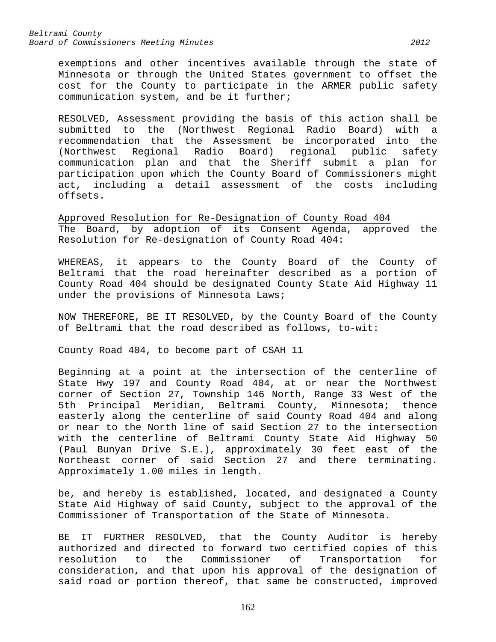exemptions and other incentives available through the state of Minnesota or through the United States government to offset the cost for the County to participate in the ARMER public safety communication system, and be it further;

RESOLVED, Assessment providing the basis of this action shall be submitted to the (Northwest Regional Radio Board) with a recommendation that the Assessment be incorporated into the (Northwest Regional Radio Board) regional public safety communication plan and that the Sheriff submit a plan for participation upon which the County Board of Commissioners might act, including a detail assessment of the costs including offsets.

Approved Resolution for Re-Designation of County Road 404 The Board, by adoption of its Consent Agenda, approved the Resolution for Re-designation of County Road 404:

WHEREAS, it appears to the County Board of the County of Beltrami that the road hereinafter described as a portion of County Road 404 should be designated County State Aid Highway 11 under the provisions of Minnesota Laws;

NOW THEREFORE, BE IT RESOLVED, by the County Board of the County of Beltrami that the road described as follows, to-wit:

County Road 404, to become part of CSAH 11

Beginning at a point at the intersection of the centerline of State Hwy 197 and County Road 404, at or near the Northwest corner of Section 27, Township 146 North, Range 33 West of the 5th Principal Meridian, Beltrami County, Minnesota; thence easterly along the centerline of said County Road 404 and along or near to the North line of said Section 27 to the intersection with the centerline of Beltrami County State Aid Highway 50 (Paul Bunyan Drive S.E.), approximately 30 feet east of the Northeast corner of said Section 27 and there terminating. Approximately 1.00 miles in length.

be, and hereby is established, located, and designated a County State Aid Highway of said County, subject to the approval of the Commissioner of Transportation of the State of Minnesota.

BE IT FURTHER RESOLVED, that the County Auditor is hereby authorized and directed to forward two certified copies of this resolution to the Commissioner of Transportation for consideration, and that upon his approval of the designation of said road or portion thereof, that same be constructed, improved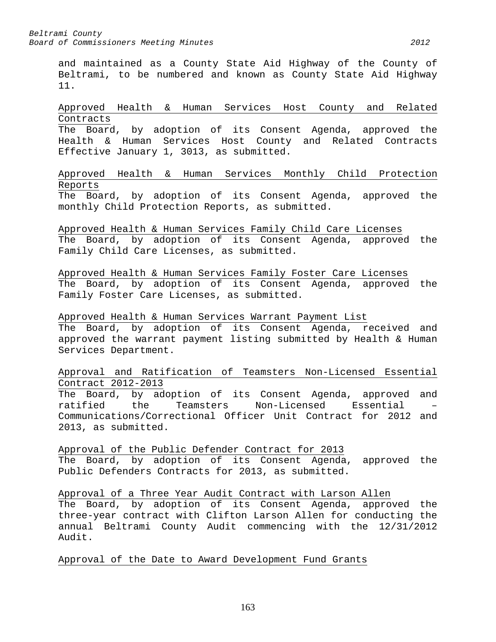and maintained as a County State Aid Highway of the County of Beltrami, to be numbered and known as County State Aid Highway 11.

Approved Health & Human Services Host County and Related Contracts The Board, by adoption of its Consent Agenda, approved the Health & Human Services Host County and Related Contracts

Effective January 1, 3013, as submitted.

Approved Health & Human Services Monthly Child Protection Reports

The Board, by adoption of its Consent Agenda, approved the monthly Child Protection Reports, as submitted.

Approved Health & Human Services Family Child Care Licenses The Board, by adoption of its Consent Agenda, approved the Family Child Care Licenses, as submitted.

Approved Health & Human Services Family Foster Care Licenses The Board, by adoption of its Consent Agenda, approved the Family Foster Care Licenses, as submitted.

Approved Health & Human Services Warrant Payment List The Board, by adoption of its Consent Agenda, received and approved the warrant payment listing submitted by Health & Human Services Department.

Approval and Ratification of Teamsters Non-Licensed Essential Contract 2012-2013

The Board, by adoption of its Consent Agenda, approved and<br>ratified the Teamsters Non-Licensed Essential ratified the Teamsters Non-Licensed Essential – Communications/Correctional Officer Unit Contract for 2012 and 2013, as submitted.

Approval of the Public Defender Contract for 2013 The Board, by adoption of its Consent Agenda, approved the Public Defenders Contracts for 2013, as submitted.

Approval of a Three Year Audit Contract with Larson Allen The Board, by adoption of its Consent Agenda, approved the three-year contract with Clifton Larson Allen for conducting the annual Beltrami County Audit commencing with the 12/31/2012 Audit.

Approval of the Date to Award Development Fund Grants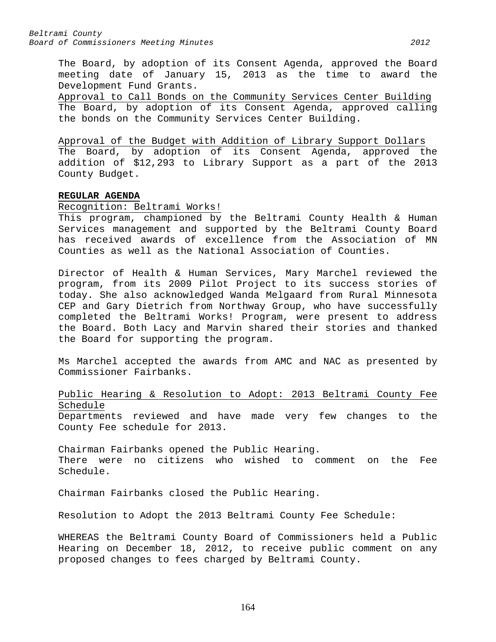The Board, by adoption of its Consent Agenda, approved the Board meeting date of January 15, 2013 as the time to award the Development Fund Grants.

Approval to Call Bonds on the Community Services Center Building The Board, by adoption of its Consent Agenda, approved calling the bonds on the Community Services Center Building.

# Approval of the Budget with Addition of Library Support Dollars

The Board, by adoption of its Consent Agenda, approved the addition of \$12,293 to Library Support as a part of the 2013 County Budget.

# **REGULAR AGENDA**

Recognition: Beltrami Works!

This program, championed by the Beltrami County Health & Human Services management and supported by the Beltrami County Board has received awards of excellence from the Association of MN Counties as well as the National Association of Counties.

Director of Health & Human Services, Mary Marchel reviewed the program, from its 2009 Pilot Project to its success stories of today. She also acknowledged Wanda Melgaard from Rural Minnesota CEP and Gary Dietrich from Northway Group, who have successfully completed the Beltrami Works! Program, were present to address the Board. Both Lacy and Marvin shared their stories and thanked the Board for supporting the program.

Ms Marchel accepted the awards from AMC and NAC as presented by Commissioner Fairbanks.

# Public Hearing & Resolution to Adopt: 2013 Beltrami County Fee Schedule

Departments reviewed and have made very few changes to the County Fee schedule for 2013.

Chairman Fairbanks opened the Public Hearing. There were no citizens who wished to comment on the Fee Schedule.

Chairman Fairbanks closed the Public Hearing.

Resolution to Adopt the 2013 Beltrami County Fee Schedule:

WHEREAS the Beltrami County Board of Commissioners held a Public Hearing on December 18, 2012, to receive public comment on any proposed changes to fees charged by Beltrami County.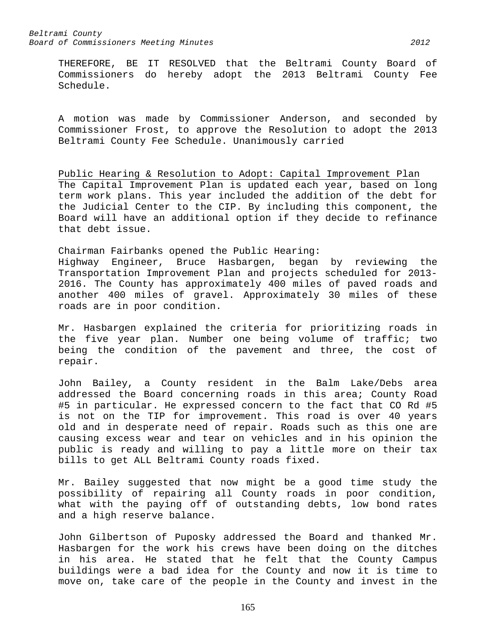THEREFORE, BE IT RESOLVED that the Beltrami County Board of Commissioners do hereby adopt the 2013 Beltrami County Fee Schedule.

A motion was made by Commissioner Anderson, and seconded by Commissioner Frost, to approve the Resolution to adopt the 2013 Beltrami County Fee Schedule. Unanimously carried

Public Hearing & Resolution to Adopt: Capital Improvement Plan The Capital Improvement Plan is updated each year, based on long term work plans. This year included the addition of the debt for the Judicial Center to the CIP. By including this component, the Board will have an additional option if they decide to refinance that debt issue.

Chairman Fairbanks opened the Public Hearing: Highway Engineer, Bruce Hasbargen, began by reviewing the Transportation Improvement Plan and projects scheduled for 2013- 2016. The County has approximately 400 miles of paved roads and another 400 miles of gravel. Approximately 30 miles of these roads are in poor condition.

Mr. Hasbargen explained the criteria for prioritizing roads in the five year plan. Number one being volume of traffic; two being the condition of the pavement and three, the cost of repair.

John Bailey, a County resident in the Balm Lake/Debs area addressed the Board concerning roads in this area; County Road #5 in particular. He expressed concern to the fact that CO Rd #5 is not on the TIP for improvement. This road is over 40 years old and in desperate need of repair. Roads such as this one are causing excess wear and tear on vehicles and in his opinion the public is ready and willing to pay a little more on their tax bills to get ALL Beltrami County roads fixed.

Mr. Bailey suggested that now might be a good time study the possibility of repairing all County roads in poor condition, what with the paying off of outstanding debts, low bond rates and a high reserve balance.

John Gilbertson of Puposky addressed the Board and thanked Mr. Hasbargen for the work his crews have been doing on the ditches in his area. He stated that he felt that the County Campus buildings were a bad idea for the County and now it is time to move on, take care of the people in the County and invest in the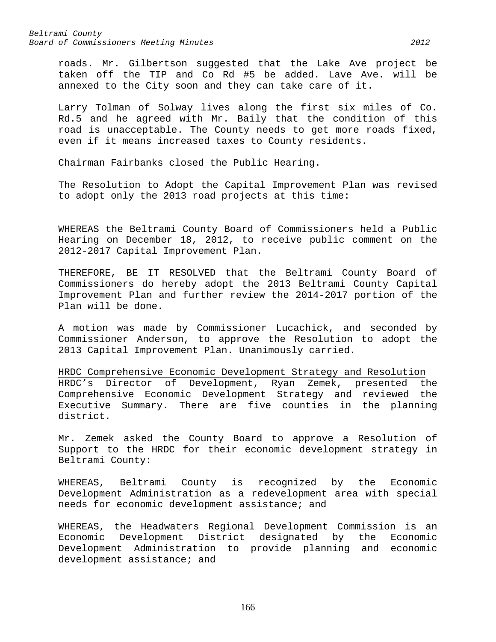roads. Mr. Gilbertson suggested that the Lake Ave project be taken off the TIP and Co Rd #5 be added. Lave Ave. will be annexed to the City soon and they can take care of it.

Larry Tolman of Solway lives along the first six miles of Co. Rd.5 and he agreed with Mr. Baily that the condition of this road is unacceptable. The County needs to get more roads fixed, even if it means increased taxes to County residents.

Chairman Fairbanks closed the Public Hearing.

The Resolution to Adopt the Capital Improvement Plan was revised to adopt only the 2013 road projects at this time:

WHEREAS the Beltrami County Board of Commissioners held a Public Hearing on December 18, 2012, to receive public comment on the 2012-2017 Capital Improvement Plan.

THEREFORE, BE IT RESOLVED that the Beltrami County Board of Commissioners do hereby adopt the 2013 Beltrami County Capital Improvement Plan and further review the 2014-2017 portion of the Plan will be done.

A motion was made by Commissioner Lucachick, and seconded by Commissioner Anderson, to approve the Resolution to adopt the 2013 Capital Improvement Plan. Unanimously carried.

HRDC Comprehensive Economic Development Strategy and Resolution HRDC's Director of Development, Ryan Zemek, presented the Comprehensive Economic Development Strategy and reviewed the Executive Summary. There are five counties in the planning district.

Mr. Zemek asked the County Board to approve a Resolution of Support to the HRDC for their economic development strategy in Beltrami County:

WHEREAS, Beltrami County is recognized by the Economic Development Administration as a redevelopment area with special needs for economic development assistance; and

WHEREAS, the Headwaters Regional Development Commission is an Economic Development District designated by the Economic Development Administration to provide planning and economic development assistance; and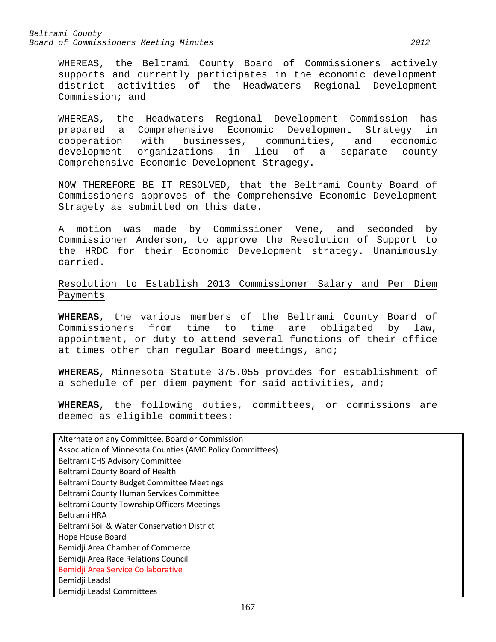WHEREAS, the Beltrami County Board of Commissioners actively supports and currently participates in the economic development district activities of the Headwaters Regional Development Commission; and

WHEREAS, the Headwaters Regional Development Commission has prepared a Comprehensive Economic Development Strategy in cooperation with businesses, communities, and economic development organizations in lieu of a separate county Comprehensive Economic Development Stragegy.

NOW THEREFORE BE IT RESOLVED, that the Beltrami County Board of Commissioners approves of the Comprehensive Economic Development Stragety as submitted on this date.

A motion was made by Commissioner Vene, and seconded by Commissioner Anderson, to approve the Resolution of Support to the HRDC for their Economic Development strategy. Unanimously carried.

# Resolution to Establish 2013 Commissioner Salary and Per Diem Payments

**WHEREAS**, the various members of the Beltrami County Board of Commissioners from time to time are obligated by law, appointment, or duty to attend several functions of their office at times other than regular Board meetings, and;

**WHEREAS**, Minnesota Statute 375.055 provides for establishment of a schedule of per diem payment for said activities, and;

**WHEREAS**, the following duties, committees, or commissions are deemed as eligible committees:

| Alternate on any Committee, Board or Commission           |
|-----------------------------------------------------------|
| Association of Minnesota Counties (AMC Policy Committees) |
| <b>Beltrami CHS Advisory Committee</b>                    |
| Beltrami County Board of Health                           |
| Beltrami County Budget Committee Meetings                 |
| Beltrami County Human Services Committee                  |
| <b>Beltrami County Township Officers Meetings</b>         |
| <b>Beltrami HRA</b>                                       |
| <b>Beltrami Soil &amp; Water Conservation District</b>    |
| Hope House Board                                          |
| Bemidji Area Chamber of Commerce                          |
| Bemidji Area Race Relations Council                       |
| Bemidji Area Service Collaborative                        |
| Bemidji Leads!                                            |
| Bemidji Leads! Committees                                 |
|                                                           |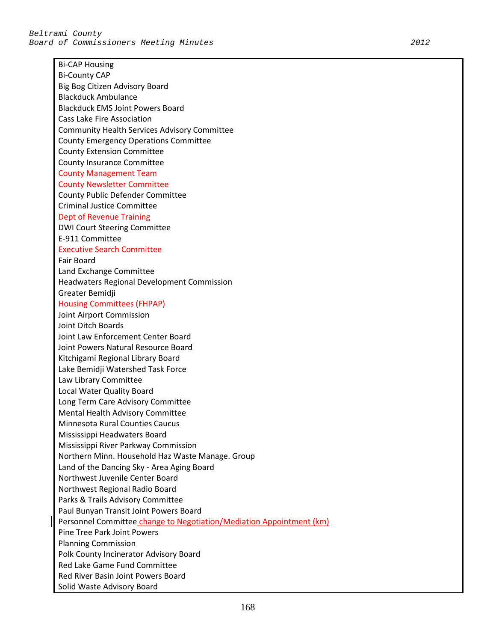Bi-CAP Housing Bi-County CAP Big Bog Citizen Advisory Board Blackduck Ambulance Blackduck EMS Joint Powers Board Cass Lake Fire Association Community Health Services Advisory Committee County Emergency Operations Committee County Extension Committee County Insurance Committee County Management Team County Newsletter Committee County Public Defender Committee Criminal Justice Committee Dept of Revenue Training DWI Court Steering Committee E-911 Committee Executive Search Committee Fair Board Land Exchange Committee Headwaters Regional Development Commission Greater Bemidji Housing Committees (FHPAP) Joint Airport Commission Joint Ditch Boards Joint Law Enforcement Center Board Joint Powers Natural Resource Board Kitchigami Regional Library Board Lake Bemidji Watershed Task Force Law Library Committee Local Water Quality Board Long Term Care Advisory Committee Mental Health Advisory Committee Minnesota Rural Counties Caucus Mississippi Headwaters Board Mississippi River Parkway Commission Northern Minn. Household Haz Waste Manage. Group Land of the Dancing Sky - Area Aging Board Northwest Juvenile Center Board Northwest Regional Radio Board Parks & Trails Advisory Committee Paul Bunyan Transit Joint Powers Board Personnel Committee change to Negotiation/Mediation Appointment (km) Pine Tree Park Joint Powers Planning Commission Polk County Incinerator Advisory Board Red Lake Game Fund Committee Red River Basin Joint Powers Board Solid Waste Advisory Board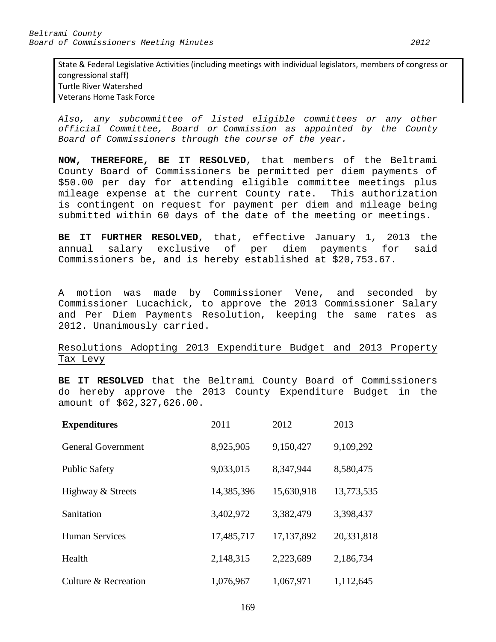State & Federal Legislative Activities (including meetings with individual legislators, members of congress or congressional staff) Turtle River Watershed Veterans Home Task Force

*Also, any subcommittee of listed eligible committees or any other official Committee, Board or Commission as appointed by the County Board of Commissioners through the course of the year.*

**NOW, THEREFORE, BE IT RESOLVED**, that members of the Beltrami County Board of Commissioners be permitted per diem payments of \$50.00 per day for attending eligible committee meetings plus mileage expense at the current County rate. This authorization is contingent on request for payment per diem and mileage being submitted within 60 days of the date of the meeting or meetings.

**BE IT FURTHER RESOLVED**, that, effective January 1, 2013 the annual salary exclusive of per diem payments for said Commissioners be, and is hereby established at \$20,753.67.

A motion was made by Commissioner Vene, and seconded by Commissioner Lucachick, to approve the 2013 Commissioner Salary and Per Diem Payments Resolution, keeping the same rates as 2012. Unanimously carried.

Resolutions Adopting 2013 Expenditure Budget and 2013 Property Tax Levy

**BE IT RESOLVED** that the Beltrami County Board of Commissioners do hereby approve the 2013 County Expenditure Budget in the amount of \$62,327,626.00.

| <b>Expenditures</b>       | 2011       | 2012         | 2013       |
|---------------------------|------------|--------------|------------|
| <b>General Government</b> | 8,925,905  | 9,150,427    | 9,109,292  |
| <b>Public Safety</b>      | 9,033,015  | 8,347,944    | 8,580,475  |
| Highway & Streets         | 14,385,396 | 15,630,918   | 13,773,535 |
| Sanitation                | 3,402,972  | 3,382,479    | 3,398,437  |
| <b>Human Services</b>     | 17,485,717 | 17, 137, 892 | 20,331,818 |
| Health                    | 2,148,315  | 2,223,689    | 2,186,734  |
| Culture & Recreation      | 1,076,967  | 1,067,971    | 1,112,645  |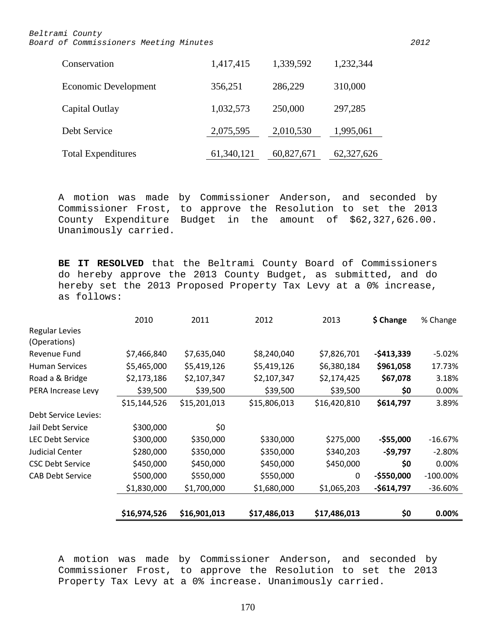| Conservation              | 1,417,415  | 1,339,592  | 1,232,344  |
|---------------------------|------------|------------|------------|
| Economic Development      | 356,251    | 286,229    | 310,000    |
| Capital Outlay            | 1,032,573  | 250,000    | 297,285    |
| Debt Service              | 2,075,595  | 2,010,530  | 1,995,061  |
| <b>Total Expenditures</b> | 61,340,121 | 60,827,671 | 62,327,626 |

A motion was made by Commissioner Anderson, and seconded by Commissioner Frost, to approve the Resolution to set the 2013 County Expenditure Budget in the amount of \$62,327,626.00. Unanimously carried.

**BE IT RESOLVED** that the Beltrami County Board of Commissioners do hereby approve the 2013 County Budget, as submitted, and do hereby set the 2013 Proposed Property Tax Levy at a 0% increase, as follows:

|                                       | 2010         | 2011         | 2012         | 2013         | \$ Change   | % Change    |
|---------------------------------------|--------------|--------------|--------------|--------------|-------------|-------------|
| <b>Regular Levies</b><br>(Operations) |              |              |              |              |             |             |
| Revenue Fund                          | \$7,466,840  | \$7,635,040  | \$8,240,040  | \$7,826,701  | $-5413,339$ | $-5.02%$    |
| <b>Human Services</b>                 | \$5,465,000  | \$5,419,126  | \$5,419,126  | \$6,380,184  | \$961,058   | 17.73%      |
| Road a & Bridge                       | \$2,173,186  | \$2,107,347  | \$2,107,347  | \$2,174,425  | \$67,078    | 3.18%       |
| PERA Increase Levy                    | \$39,500     | \$39,500     | \$39,500     | \$39,500     | \$0         | 0.00%       |
|                                       | \$15,144,526 | \$15,201,013 | \$15,806,013 | \$16,420,810 | \$614,797   | 3.89%       |
| Debt Service Levies:                  |              |              |              |              |             |             |
| Jail Debt Service                     | \$300,000    | \$0          |              |              |             |             |
| <b>LEC Debt Service</b>               | \$300,000    | \$350,000    | \$330,000    | \$275,000    | $-$55,000$  | $-16.67%$   |
| Judicial Center                       | \$280,000    | \$350,000    | \$350,000    | \$340,203    | -\$9,797    | $-2.80%$    |
| <b>CSC Debt Service</b>               | \$450,000    | \$450,000    | \$450,000    | \$450,000    | \$0         | 0.00%       |
| <b>CAB Debt Service</b>               | \$500,000    | \$550,000    | \$550,000    | $\Omega$     | $-$550,000$ | $-100.00\%$ |
|                                       | \$1,830,000  | \$1,700,000  | \$1,680,000  | \$1,065,203  | $-$614,797$ | $-36.60%$   |
|                                       |              |              |              |              |             |             |
|                                       | \$16,974,526 | \$16,901,013 | \$17,486,013 | \$17,486,013 | \$0         | 0.00%       |

A motion was made by Commissioner Anderson, and seconded by Commissioner Frost, to approve the Resolution to set the 2013 Property Tax Levy at a 0% increase. Unanimously carried.

170